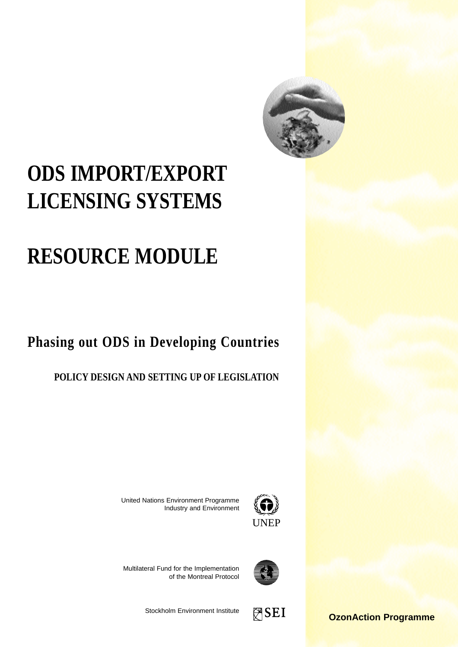

## **ODS IMPORT/EXPORT LICENSING SYSTEMS**

## **RESOURCE MODULE**

## **Phasing out ODS in Developing Countries**

## **POLICY DESIGN AND SETTING UP OF LEGISLATION**



United Nations Environment Programme Industry and Environment



Multilateral Fund for the Implementation of the Montreal Protocol



**OzonAction Programme**

Stockholm Environment Institute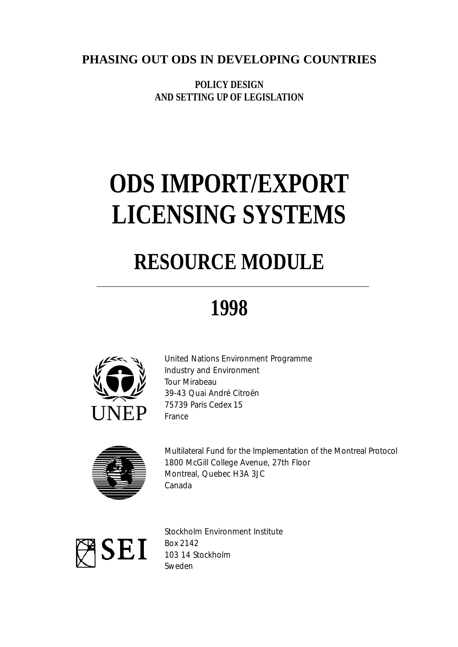### **PHASING OUT ODS IN DEVELOPING COUNTRIES**

**POLICY DESIGN AND SETTING UP OF LEGISLATION**

## **ODS IMPORT/EXPORT LICENSING SYSTEMS**

## **RESOURCE MODULE**

## **1998**



*United Nations Environment Programme Industry and Environment Tour Mirabeau 39-43 Quai André Citroën 75739 Paris Cedex 15 France*



*Multilateral Fund for the Implementation of the Montreal Protocol 1800 McGill College Avenue, 27th Floor Montreal, Quebec H3A 3JC Canada*



*Stockholm Environment Institute Box 2142 103 14 Stockholm Sweden*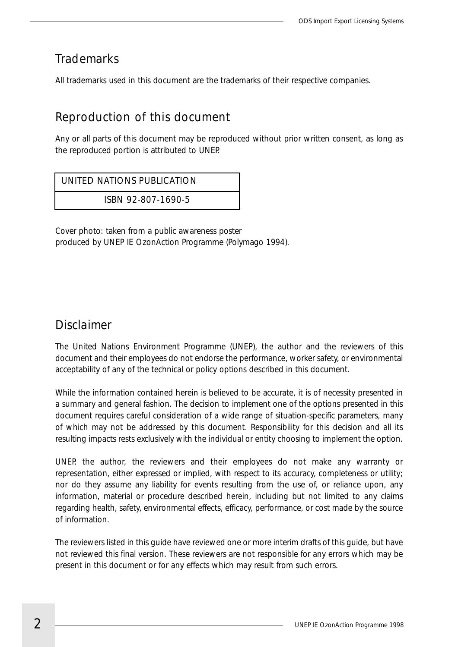## *Trademarks*

*All trademarks used in this document are the trademarks of their respective companies.*

## *Reproduction of this document*

*Any or all parts of this document may be reproduced without prior written consent, as long as the reproduced portion is attributed to UNEP.*

|  |  | UNITED NATIONS PUBLICATION |  |  |
|--|--|----------------------------|--|--|
|--|--|----------------------------|--|--|

*ISBN 92-807-1690-5*

*Cover photo: taken from a public awareness poster produced by UNEP IE OzonAction Programme (Polymago 1994).*

### *Disclaimer*

*The United Nations Environment Programme (UNEP), the author and the reviewers of this document and their employees do not endorse the performance, worker safety, or environmental acceptability of any of the technical or policy options described in this document.*

*While the information contained herein is believed to be accurate, it is of necessity presented in a summary and general fashion. The decision to implement one of the options presented in this document requires careful consideration of a wide range of situation-specific parameters, many of which may not be addressed by this document. Responsibility for this decision and all its resulting impacts rests exclusively with the individual or entity choosing to implement the option.*

*UNEP, the author, the reviewers and their employees do not make any warranty or representation, either expressed or implied, with respect to its accuracy, completeness or utility; nor do they assume any liability for events resulting from the use of, or reliance upon, any information, material or procedure described herein, including but not limited to any claims regarding health, safety, environmental effects, efficacy, performance, or cost made by the source of information.*

*The reviewers listed in this guide have reviewed one or more interim drafts of this guide, but have not reviewed this final version. These reviewers are not responsible for any errors which may be present in this document or for any effects which may result from such errors.*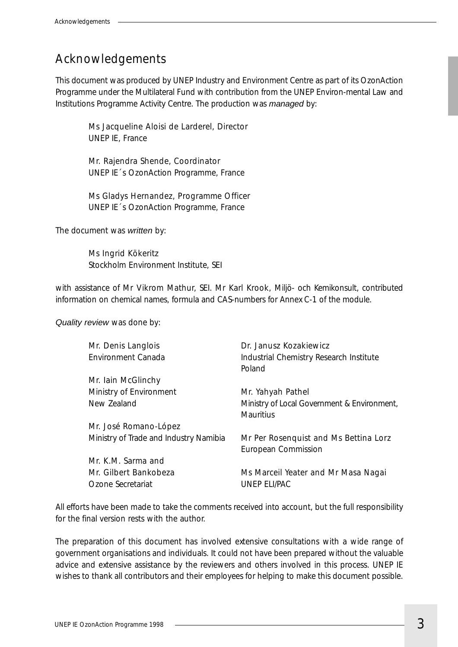## *Acknowledgements*

*This document was produced by UNEP Industry and Environment Centre as part of its OzonAction Programme under the Multilateral Fund with contribution from the UNEP Environ-mental Law and* Institutions Programme Activity Centre. The production was *managed* by:

*Ms Jacqueline Aloisi de Larderel, Director UNEP IE, France*

*Mr. Rajendra Shende, Coordinator UNEP IE´s OzonAction Programme, France*

*Ms Gladys Hernandez, Programme Officer UNEP IE´s OzonAction Programme, France*

The document was written by:

*Ms Ingrid Kökeritz Stockholm Environment Institute, SEI*

*with assistance of Mr Vikrom Mathur, SEI. Mr Karl Krook, Miljö- och Kemikonsult, contributed information on chemical names, formula and CAS-numbers for Annex C-1 of the module.*

Quality review *was done by:*

| Mr. Denis Langlois<br>Environment Canada | Dr. Janusz Kozakiewicz<br>Industrial Chemistry Research Institute<br>Poland |
|------------------------------------------|-----------------------------------------------------------------------------|
| Mr. Iain McGlinchy                       |                                                                             |
| Ministry of Environment                  | Mr. Yahyah Pathel                                                           |
| New Zealand                              | Ministry of Local Government & Environment,                                 |
|                                          | <b>Mauritius</b>                                                            |
| Mr. José Romano-López                    |                                                                             |
| Ministry of Trade and Industry Namibia   | Mr Per Rosenquist and Ms Bettina Lorz                                       |
|                                          | European Commission                                                         |
| Mr. K.M. Sarma and                       |                                                                             |
| Mr. Gilbert Bankobeza                    | Ms Marceil Yeater and Mr Masa Nagai                                         |
| Ozone Secretariat                        | <b>UNEP ELI/PAC</b>                                                         |
|                                          |                                                                             |

*All efforts have been made to take the comments received into account, but the full responsibility for the final version rests with the author.*

*The preparation of this document has involved extensive consultations with a wide range of government organisations and individuals. It could not have been prepared without the valuable advice and extensive assistance by the reviewers and others involved in this process. UNEP IE wishes to thank all contributors and their employees for helping to make this document possible.*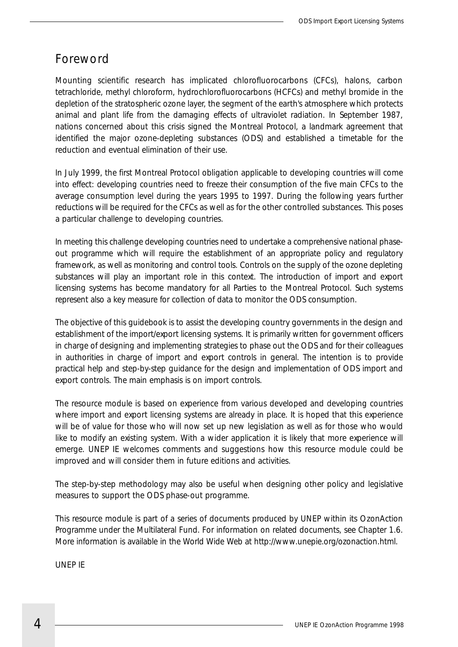### *Foreword*

*Mounting scientific research has implicated chlorofluorocarbons (CFCs), halons, carbon tetrachloride, methyl chloroform, hydrochlorofluorocarbons (HCFCs) and methyl bromide in the depletion of the stratospheric ozone layer, the segment of the earth's atmosphere which protects animal and plant life from the damaging effects of ultraviolet radiation. In September 1987, nations concerned about this crisis signed the Montreal Protocol, a landmark agreement that identified the major ozone-depleting substances (ODS) and established a timetable for the reduction and eventual elimination of their use.*

*In July 1999, the first Montreal Protocol obligation applicable to developing countries will come into effect: developing countries need to freeze their consumption of the five main CFCs to the average consumption level during the years 1995 to 1997. During the following years further reductions will be required for the CFCs as well as for the other controlled substances. This poses a particular challenge to developing countries.*

*In meeting this challenge developing countries need to undertake a comprehensive national phaseout programme which will require the establishment of an appropriate policy and regulatory framework, as well as monitoring and control tools. Controls on the supply of the ozone depleting substances will play an important role in this context. The introduction of import and export licensing systems has become mandatory for all Parties to the Montreal Protocol. Such systems represent also a key measure for collection of data to monitor the ODS consumption.*

*The objective of this guidebook is to assist the developing country governments in the design and establishment of the import/export licensing systems. It is primarily written for government officers in charge of designing and implementing strategies to phase out the ODS and for their colleagues in authorities in charge of import and export controls in general. The intention is to provide practical help and step-by-step guidance for the design and implementation of ODS import and export controls. The main emphasis is on import controls.*

*The resource module is based on experience from various developed and developing countries where import and export licensing systems are already in place. It is hoped that this experience will be of value for those who will now set up new legislation as well as for those who would* like to modify an existing system. With a wider application it is likely that more experience will *emerge. UNEP IE welcomes comments and suggestions how this resource module could be improved and will consider them in future editions and activities.* 

*The step-by-step methodology may also be useful when designing other policy and legislative measures to support the ODS phase-out programme.*

*This resource module is part of a series of documents produced by UNEP within its OzonAction Programme under the Multilateral Fund. For information on related documents, see Chapter 1.6. More information is available in the World Wide Web at http://www.unepie.org/ozonaction.html.*

*UNEP IE*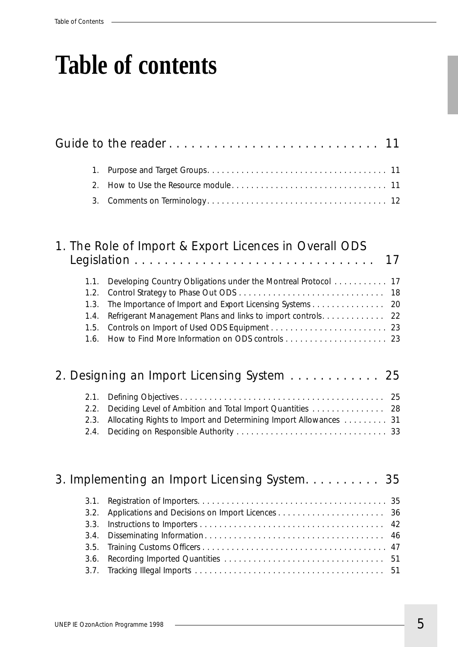## **Table of contents**

|                                              | 1. The Role of Import & Export Licences in Overall ODS<br>17                                                                                                                                      |
|----------------------------------------------|---------------------------------------------------------------------------------------------------------------------------------------------------------------------------------------------------|
| 1.1.<br>1.2.<br>1.3.<br>1.4.<br>1.5.<br>1.6. | Developing Country Obligations under the Montreal Protocol 17<br>The Importance of Import and Export Licensing Systems<br>-20<br>Refrigerant Management Plans and links to import controls.<br>22 |
|                                              | 2. Designing an Import Licensing System 25                                                                                                                                                        |
| 2.1.<br>2.2.<br>2.3.<br>2.4.                 | 25<br>Deciding Level of Ambition and Total Import Quantities<br>28<br>Allocating Rights to Import and Determining Import Allowances 31                                                            |

## *3. Implementing an Import Licensing System. . . . . . . . . . 35*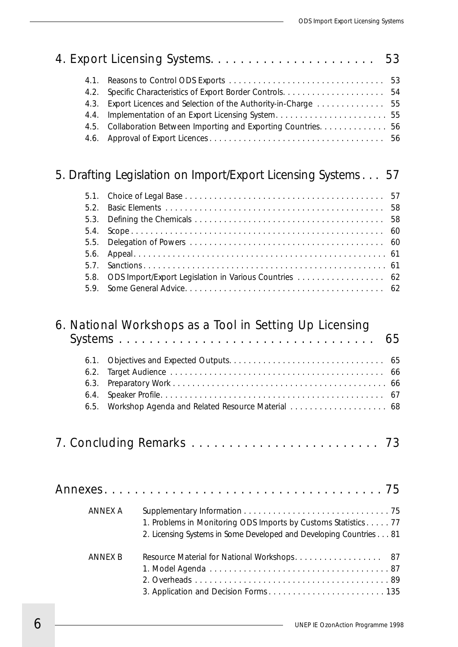| 53                                                                   |                                                                                                                                                                                |                                              |
|----------------------------------------------------------------------|--------------------------------------------------------------------------------------------------------------------------------------------------------------------------------|----------------------------------------------|
| 4.1.<br>4.2.<br>4.3.<br>4.4.<br>4.5.<br>4.6.                         | Export Licences and Selection of the Authority-in-Charge  55<br>Implementation of an Export Licensing System 55<br>Collaboration Between Importing and Exporting Countries. 56 | 53<br>54<br>56                               |
|                                                                      | 5. Drafting Legislation on Import/Export Licensing Systems 57                                                                                                                  |                                              |
| 5.1.<br>5.2.<br>5.3.<br>5.4.<br>5.5.<br>5.6.<br>5.7.<br>5.8.<br>5.9. | ODS Import/Export Legislation in Various Countries                                                                                                                             | 57<br>58<br>58<br>60<br>60<br>61<br>61<br>62 |
|                                                                      | 6. National Workshops as a Tool in Setting Up Licensing<br>65                                                                                                                  |                                              |
| 6.1.<br>6.2.<br>6.3.<br>6.4.<br>6.5.                                 |                                                                                                                                                                                | 65                                           |
|                                                                      |                                                                                                                                                                                |                                              |
|                                                                      |                                                                                                                                                                                | 73                                           |
|                                                                      |                                                                                                                                                                                |                                              |
|                                                                      | <b>ANNEX A</b><br>1. Problems in Monitoring ODS Imports by Customs Statistics 77<br>2. Licensing Systems in Some Developed and Developing Countries 81                         |                                              |

*2. Overheads . . . . . . . . . . . . . . . . . . . . . . . . . . . . . . . . . . . . . . . . 89 3. Application and Decision Forms . . . . . . . . . . . . . . . . . . . . . . . . 135*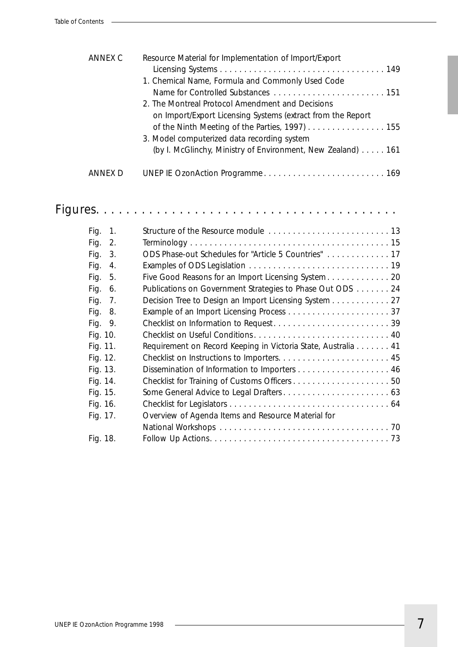| ANNEX C                | Resource Material for Implementation of Import/Export         |
|------------------------|---------------------------------------------------------------|
|                        | 1. Chemical Name, Formula and Commonly Used Code              |
|                        |                                                               |
|                        | 2. The Montreal Protocol Amendment and Decisions              |
|                        | on Import/Export Licensing Systems (extract from the Report   |
|                        | of the Ninth Meeting of the Parties, 1997) 155                |
|                        | 3. Model computerized data recording system                   |
|                        | (by I. McGlinchy, Ministry of Environment, New Zealand) 161   |
| ANNEX D                |                                                               |
|                        |                                                               |
|                        |                                                               |
| Fig.<br>$\mathbf{1}$ . |                                                               |
| Fig.<br>2.             |                                                               |
| 3.<br>Fig.             | ODS Phase-out Schedules for "Article 5 Countries" 17          |
| Fig.<br>4.             |                                                               |
| 5.<br>Fig.             | Five Good Reasons for an Import Licensing System 20           |
| Fig.<br>6.             | Publications on Government Strategies to Phase Out ODS 24     |
| Fig.<br>7.             | Decision Tree to Design an Import Licensing System 27         |
| Fig.<br>8.             |                                                               |
| Fig.<br>9.             |                                                               |
| Fig. 10.               |                                                               |
| Fig. 11.               | Requirement on Record Keeping in Victoria State, Australia 41 |
| Fig. 12.               |                                                               |
| Fig. 13.               | Dissemination of Information to Importers 46                  |
| Fig. 14.               |                                                               |
| Fig. 15.               |                                                               |
| Fig. 16.               |                                                               |

*Fig. 17. Overview of Agenda Items and Resource Material for* 

*National Workshops . . . . . . . . . . . . . . . . . . . . . . . . . . . . . . . . . . . 70*

*Fig. 18. Follow Up Actions. . . . . . . . . . . . . . . . . . . . . . . . . . . . . . . . . . . . . 73*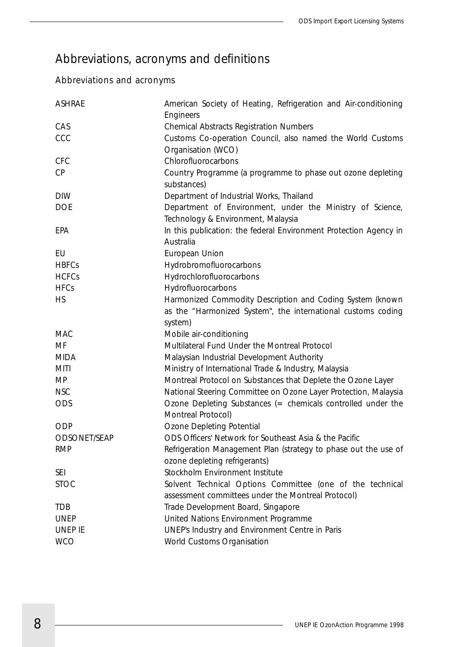## *Abbreviations, acronyms and definitions*

#### *Abbreviations and acronyms*

| <b>ASHRAE</b>       | American Society of Heating, Refrigeration and Air-conditioning<br>Engineers |
|---------------------|------------------------------------------------------------------------------|
| CAS                 | <b>Chemical Abstracts Registration Numbers</b>                               |
| CCC                 | Customs Co-operation Council, also named the World Customs                   |
|                     | Organisation (WCO)                                                           |
| <b>CFC</b>          | Chlorofluorocarbons                                                          |
| <b>CP</b>           | Country Programme (a programme to phase out ozone depleting                  |
|                     | substances)                                                                  |
| <b>DIW</b>          | Department of Industrial Works, Thailand                                     |
| <b>DOE</b>          | Department of Environment, under the Ministry of Science,                    |
|                     | Technology & Environment, Malaysia                                           |
| EPA                 | In this publication: the federal Environment Protection Agency in            |
|                     | Australia                                                                    |
| EU                  | European Union                                                               |
| <b>HBFCs</b>        | Hydrobromofluorocarbons                                                      |
| <b>HCFCs</b>        | Hydrochlorofluorocarbons                                                     |
| <b>HFCs</b>         | Hydrofluorocarbons                                                           |
| <b>HS</b>           | Harmonized Commodity Description and Coding System (known                    |
|                     | as the "Harmonized System", the international customs coding                 |
|                     | system)                                                                      |
| <b>MAC</b>          | Mobile air-conditioning                                                      |
| MF                  | Multilateral Fund Under the Montreal Protocol                                |
| <b>MIDA</b>         | Malaysian Industrial Development Authority                                   |
| <b>MITI</b>         | Ministry of International Trade & Industry, Malaysia                         |
| <b>MP</b>           | Montreal Protocol on Substances that Deplete the Ozone Layer                 |
| <b>NSC</b>          | National Steering Committee on Ozone Layer Protection, Malaysia              |
| <b>ODS</b>          | Ozone Depleting Substances ( $=$ chemicals controlled under the              |
|                     | Montreal Protocol)                                                           |
| ODP                 | Ozone Depleting Potential                                                    |
| <b>ODSONET/SEAP</b> | ODS Officers' Network for Southeast Asia & the Pacific                       |
| <b>RMP</b>          | Refrigeration Management Plan (strategy to phase out the use of              |
|                     | ozone depleting refrigerants)                                                |
| SEI                 | Stockholm Environment Institute                                              |
| <b>STOC</b>         | Solvent Technical Options Committee (one of the technical                    |
|                     | assessment committees under the Montreal Protocol)                           |
| TDB                 | Trade Development Board, Singapore                                           |
| <b>UNEP</b>         | United Nations Environment Programme                                         |
| UNEP IE             | UNEP's Industry and Environment Centre in Paris                              |
| <b>WCO</b>          | World Customs Organisation                                                   |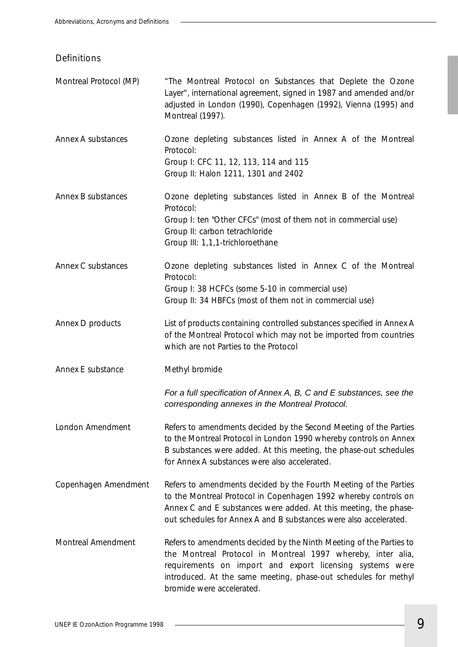#### *Definitions*

| Montreal Protocol (MP) | "The Montreal Protocol on Substances that Deplete the Ozone<br>Layer", international agreement, signed in 1987 and amended and/or<br>adjusted in London (1990), Copenhagen (1992), Vienna (1995) and<br>Montreal (1997).                                                                       |
|------------------------|------------------------------------------------------------------------------------------------------------------------------------------------------------------------------------------------------------------------------------------------------------------------------------------------|
| Annex A substances     | Ozone depleting substances listed in Annex A of the Montreal<br>Protocol:<br>Group I: CFC 11, 12, 113, 114 and 115<br>Group II: Halon 1211, 1301 and 2402                                                                                                                                      |
| Annex B substances     | Ozone depleting substances listed in Annex B of the Montreal<br>Protocol:<br>Group I: ten "Other CFCs" (most of them not in commercial use)<br>Group II: carbon tetrachloride<br>Group III: 1,1,1-trichloroethane                                                                              |
| Annex C substances     | Ozone depleting substances listed in Annex C of the Montreal<br>Protocol:<br>Group I: 38 HCFCs (some 5-10 in commercial use)<br>Group II: 34 HBFCs (most of them not in commercial use)                                                                                                        |
| Annex D products       | List of products containing controlled substances specified in Annex A<br>of the Montreal Protocol which may not be imported from countries<br>which are not Parties to the Protocol                                                                                                           |
| Annex E substance      | Methyl bromide                                                                                                                                                                                                                                                                                 |
|                        | For a full specification of Annex A, B, C and E substances, see the<br>corresponding annexes in the Montreal Protocol.                                                                                                                                                                         |
| London Amendment       | Refers to amendments decided by the Second Meeting of the Parties<br>to the Montreal Protocol in London 1990 whereby controls on Annex<br>B substances were added. At this meeting, the phase-out schedules<br>for Annex A substances were also accelerated.                                   |
| Copenhagen Amendment   | Refers to amendments decided by the Fourth Meeting of the Parties<br>to the Montreal Protocol in Copenhagen 1992 whereby controls on<br>Annex C and E substances were added. At this meeting, the phase-<br>out schedules for Annex A and B substances were also accelerated.                  |
| Montreal Amendment     | Refers to amendments decided by the Ninth Meeting of the Parties to<br>the Montreal Protocol in Montreal 1997 whereby, inter alia,<br>requirements on import and export licensing systems were<br>introduced. At the same meeting, phase-out schedules for methyl<br>bromide were accelerated. |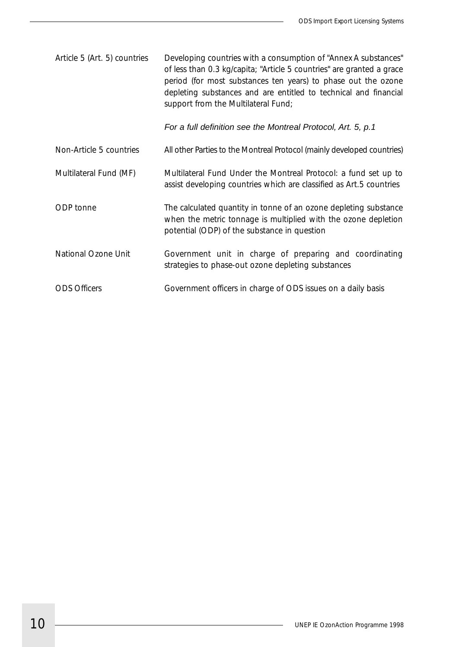| Article 5 (Art. 5) countries | Developing countries with a consumption of "Annex A substances"<br>of less than 0.3 kg/capita; "Article 5 countries" are granted a grace<br>period (for most substances ten years) to phase out the ozone<br>depleting substances and are entitled to technical and financial<br>support from the Multilateral Fund; |
|------------------------------|----------------------------------------------------------------------------------------------------------------------------------------------------------------------------------------------------------------------------------------------------------------------------------------------------------------------|
|                              | For a full definition see the Montreal Protocol, Art. 5, p.1                                                                                                                                                                                                                                                         |
| Non-Article 5 countries      | All other Parties to the Montreal Protocol (mainly developed countries)                                                                                                                                                                                                                                              |
| Multilateral Fund (MF)       | Multilateral Fund Under the Montreal Protocol: a fund set up to<br>assist developing countries which are classified as Art.5 countries                                                                                                                                                                               |
| ODP tonne                    | The calculated quantity in tonne of an ozone depleting substance<br>when the metric tonnage is multiplied with the ozone depletion<br>potential (ODP) of the substance in question                                                                                                                                   |
| National Ozone Unit          | Government unit in charge of preparing and coordinating<br>strategies to phase-out ozone depleting substances                                                                                                                                                                                                        |
| <b>ODS Officers</b>          | Government officers in charge of ODS issues on a daily basis                                                                                                                                                                                                                                                         |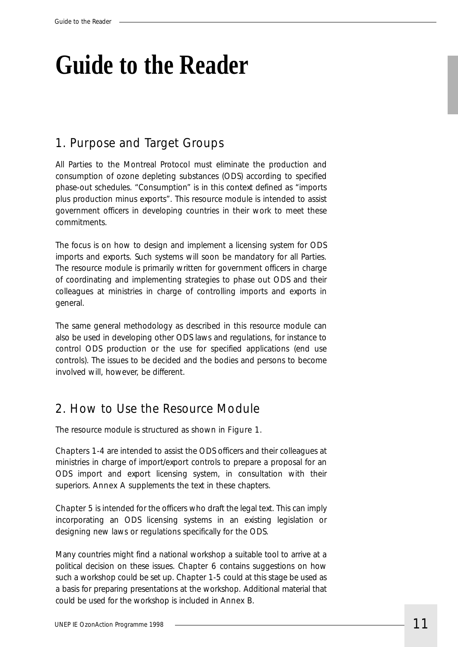## **Guide to the Reader**

## *1. Purpose and Target Groups*

*All Parties to the Montreal Protocol must eliminate the production and consumption of ozone depleting substances (ODS) according to specified phase-out schedules. "Consumption" is in this context defined as "imports plus production minus exports". This resource module is intended to assist government officers in developing countries in their work to meet these commitments.* 

*The focus is on how to design and implement a licensing system for ODS imports and exports. Such systems will soon be mandatory for all Parties. The resource module is primarily written for government officers in charge of coordinating and implementing strategies to phase out ODS and their colleagues at ministries in charge of controlling imports and exports in general.*

*The same general methodology as described in this resource module can also be used in developing other ODS laws and regulations, for instance to control ODS production or the use for specified applications (end use controls). The issues to be decided and the bodies and persons to become involved will, however, be different.*

## *2. How to Use the Resource Module*

*The resource module is structured as shown in Figure 1.*

*Chapters 1-4 are intended to assist the ODS officers and their colleagues at ministries in charge of import/export controls to prepare a proposal for an ODS import and export licensing system, in consultation with their superiors. Annex A supplements the text in these chapters.*

*Chapter 5 is intended for the officers who draft the legal text. This can imply incorporating an ODS licensing systems in an existing legislation or designing new laws or regulations specifically for the ODS.* 

*Many countries might find a national workshop a suitable tool to arrive at a political decision on these issues. Chapter 6 contains suggestions on how such a workshop could be set up. Chapter 1-5 could at this stage be used as a basis for preparing presentations at the workshop. Additional material that could be used for the workshop is included in Annex B.*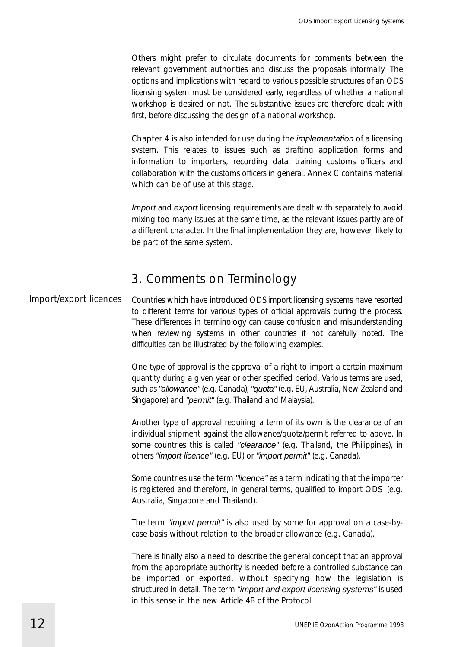*Others might prefer to circulate documents for comments between the relevant government authorities and discuss the proposals informally. The options and implications with regard to various possible structures of an ODS licensing system must be considered early, regardless of whether a national workshop is desired or not. The substantive issues are therefore dealt with first, before discussing the design of a national workshop.*

*Chapter 4 is also intended for use during the* implementation *of a licensing system. This relates to issues such as drafting application forms and information to importers, recording data, training customs officers and collaboration with the customs officers in general. Annex C contains material which can be of use at this stage.*

Import *and* export *licensing requirements are dealt with separately to avoid mixing too many issues at the same time, as the relevant issues partly are of a different character. In the final implementation they are, however, likely to be part of the same system.*

### *3. Comments on Terminology*

#### *Countries which have introduced ODS import licensing systems have resorted to different terms for various types of official approvals during the process. These differences in terminology can cause confusion and misunderstanding when reviewing systems in other countries if not carefully noted. The difficulties can be illustrated by the following examples. Import/export licences*

*One type of approval is the approval of a right to import a certain maximum quantity during a given year or other specified period. Various terms are used, such as* "allowance" *(e.g. Canada),* "quota" *(e.g. EU, Australia, New Zealand and Singapore) and* "permit" *(e.g. Thailand and Malaysia).*

*Another type of approval requiring a term of its own is the clearance of an individual shipment against the allowance/quota/permit referred to above. In some countries this is called* "clearance" *(e.g. Thailand, the Philippines), in others* "import licence" *(e.g. EU) or* "import permit" *(e.g. Canada).*

*Some countries use the term* "licence" *as a term indicating that the importer is registered and therefore, in general terms, qualified to import ODS (e.g. Australia, Singapore and Thailand).* 

*The term* "import permit" *is also used by some for approval on a case-bycase basis without relation to the broader allowance (e.g. Canada).* 

*There is finally also a need to describe the general concept that an approval from the appropriate authority is needed before a controlled substance can be imported or exported, without specifying how the legislation is structured in detail. The term* "import and export licensing systems" *is used in this sense in the new Article 4B of the Protocol.*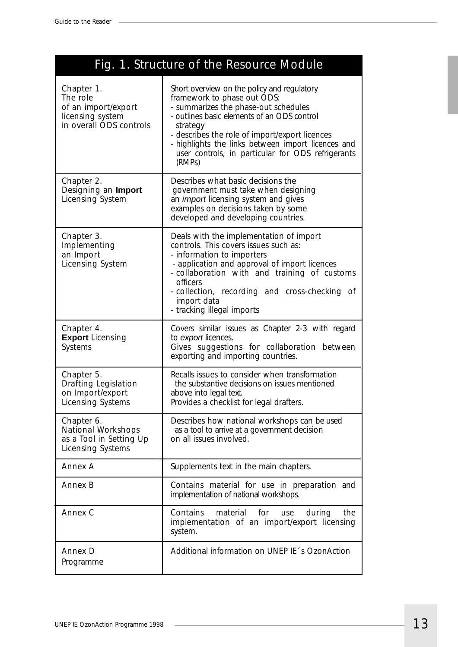$\sim$ 

| Fig. 1. Structure of the Resource Module                                                       |                                                                                                                                                                                                                                                                                                                                                      |  |
|------------------------------------------------------------------------------------------------|------------------------------------------------------------------------------------------------------------------------------------------------------------------------------------------------------------------------------------------------------------------------------------------------------------------------------------------------------|--|
| Chapter 1.<br>The role<br>of an import/export<br>licensing system<br>in overall ODS controls   | Short overview on the policy and regulatory<br>framework to phase out ODS:<br>- summarizes the phase-out schedules<br>- outlines basic elements of an ODS control<br>strategy<br>- describes the role of import/export licences<br>- highlights the links between import licences and<br>user controls, in particular for ODS refrigerants<br>(RMPs) |  |
| Chapter 2.<br>Designing an Import<br><b>Licensing System</b>                                   | Describes what basic decisions the<br>government must take when designing<br>an <i>import</i> licensing system and gives<br>examples on decisions taken by some<br>developed and developing countries.                                                                                                                                               |  |
| Chapter 3.<br>Implementing<br>an Import<br><b>Licensing System</b>                             | Deals with the implementation of import<br>controls. This covers issues such as:<br>- information to importers<br>- application and approval of import licences<br>- collaboration with and training of customs<br>officers<br>- collection, recording and cross-checking of<br>import data<br>- tracking illegal imports                            |  |
| Chapter 4.<br><b>Export Licensing</b><br><b>Systems</b>                                        | Covers similar issues as Chapter 2-3 with regard<br>to export licences.<br>Gives suggestions for collaboration between<br>exporting and importing countries.                                                                                                                                                                                         |  |
| Chapter 5.<br><b>Drafting Legislation</b><br>on Import/export<br><b>Licensing Systems</b>      | Recalls issues to consider when transformation<br>the substantive decisions on issues mentioned<br>above into legal text.<br>Provides a checklist for legal drafters.                                                                                                                                                                                |  |
| Chapter 6.<br><b>National Workshops</b><br>as a Tool in Setting Up<br><b>Licensing Systems</b> | Describes how national workshops can be used<br>as a tool to arrive at a government decision<br>on all issues involved.                                                                                                                                                                                                                              |  |
| <b>Annex A</b>                                                                                 | Supplements text in the main chapters.                                                                                                                                                                                                                                                                                                               |  |
| <b>Annex B</b>                                                                                 | Contains material for use in preparation and<br>implementation of national workshops.                                                                                                                                                                                                                                                                |  |
| <b>Annex C</b>                                                                                 | Contains<br>material<br>for<br>during<br>the<br>use<br>implementation of an import/export licensing<br>system.                                                                                                                                                                                                                                       |  |
| <b>Annex D</b><br>Programme                                                                    | Additional information on UNEP IE's OzonAction                                                                                                                                                                                                                                                                                                       |  |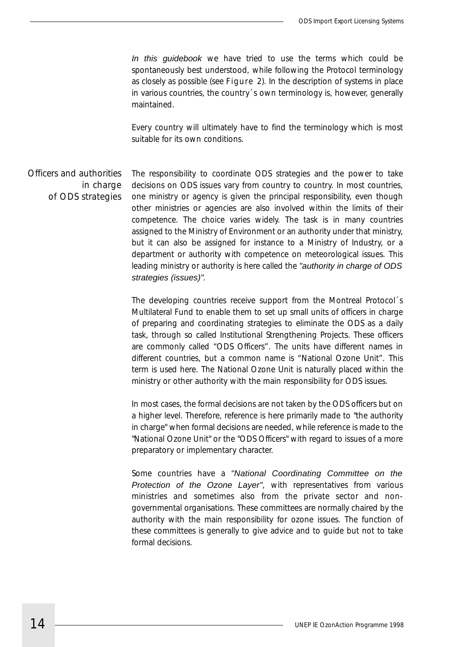In this guidebook *we have tried to use the terms which could be spontaneously best understood, while following the Protocol terminology as closely as possible (see Figure 2). In the description of systems in place in various countries, the country´s own terminology is, however, generally maintained.*

*Every country will ultimately have to find the terminology which is most suitable for its own conditions.*

*The responsibility to coordinate ODS strategies and the power to take decisions on ODS issues vary from country to country. In most countries, one ministry or agency is given the principal responsibility, even though other ministries or agencies are also involved within the limits of their competence. The choice varies widely. The task is in many countries assigned to the Ministry of Environment or an authority under that ministry, but it can also be assigned for instance to a Ministry of Industry, or a department or authority with competence on meteorological issues. This* leading ministry or authority is here called the "authority in charge of ODS" strategies (issues)". *Officers and authorities in charge of ODS strategies*

> *The developing countries receive support from the Montreal Protocol´s Multilateral Fund to enable them to set up small units of officers in charge of preparing and coordinating strategies to eliminate the ODS as a daily task, through so called Institutional Strengthening Projects. These officers are commonly called "ODS Officers". The units have different names in different countries, but a common name is "National Ozone Unit". This term is used here. The National Ozone Unit is naturally placed within the ministry or other authority with the main responsibility for ODS issues.*

> *In most cases, the formal decisions are not taken by the ODS officers but on a higher level. Therefore, reference is here primarily made to "the authority in charge" when formal decisions are needed, while reference is made to the "National Ozone Unit" or the "ODS Officers" with regard to issues of a more preparatory or implementary character.*

> *Some countries have a* "National Coordinating Committee on the Protection of the Ozone Layer", *with representatives from various ministries and sometimes also from the private sector and nongovernmental organisations. These committees are normally chaired by the authority with the main responsibility for ozone issues. The function of these committees is generally to give advice and to guide but not to take formal decisions.*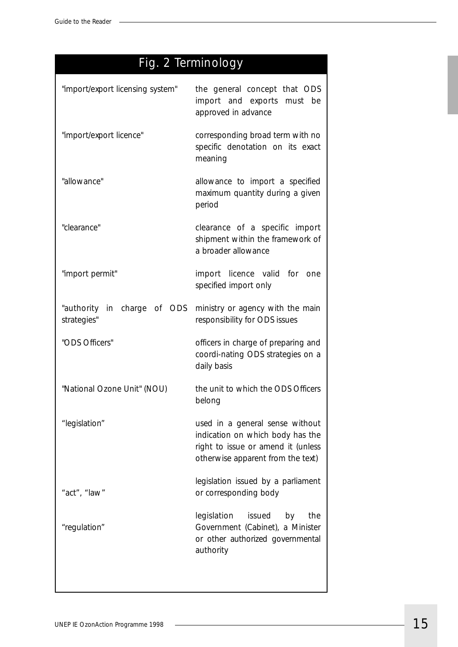$\sim$ 

|                                            | Fig. 2 Terminology                                                                                                                             |
|--------------------------------------------|------------------------------------------------------------------------------------------------------------------------------------------------|
| "import/export licensing system"           | the general concept that ODS<br>import and exports<br>must<br>be<br>approved in advance                                                        |
| "import/export licence"                    | corresponding broad term with no<br>specific denotation on its exact<br>meaning                                                                |
| "allowance"                                | allowance to import a specified<br>maximum quantity during a given<br>period                                                                   |
| "clearance"                                | clearance of a specific import<br>shipment within the framework of<br>a broader allowance                                                      |
| "import permit"                            | import licence valid for one<br>specified import only                                                                                          |
| "authority in charge of ODS<br>strategies" | ministry or agency with the main<br>responsibility for ODS issues                                                                              |
| "ODS Officers"                             | officers in charge of preparing and<br>coordi-nating ODS strategies on a<br>daily basis                                                        |
| "National Ozone Unit" (NOU)                | the unit to which the ODS Officers<br>belong                                                                                                   |
| "legislation"                              | used in a general sense without<br>indication on which body has the<br>right to issue or amend it (unless<br>otherwise apparent from the text) |
| "act", "law"                               | legislation issued by a parliament<br>or corresponding body                                                                                    |
| "regulation"                               | legislation<br>issued<br>by<br>the<br>Government (Cabinet), a Minister<br>or other authorized governmental<br>authority                        |
|                                            |                                                                                                                                                |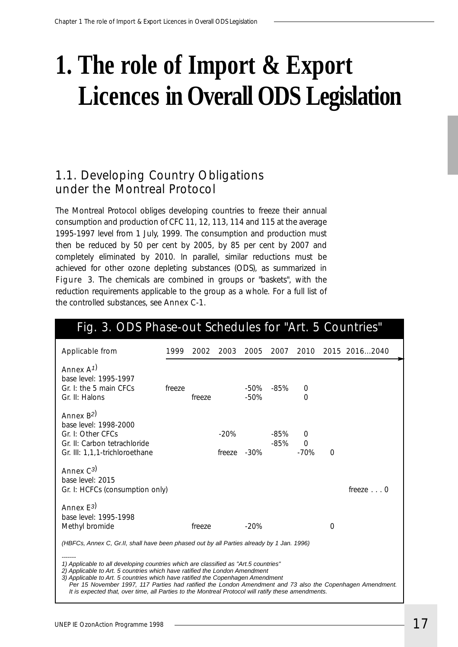## **1. The role of Import & Export Licences in Overall ODS Legislation**

## *1.1. Developing Country Obligations under the Montreal Protocol*

*The Montreal Protocol obliges developing countries to freeze their annual consumption and production of CFC 11, 12, 113, 114 and 115 at the average 1995-1997 level from 1 July, 1999. The consumption and production must then be reduced by 50 per cent by 2005, by 85 per cent by 2007 and completely eliminated by 2010. In parallel, similar reductions must be achieved for other ozone depleting substances (ODS), as summarized in Figure 3. The chemicals are combined in groups or "baskets", with the reduction requirements applicable to the group as a whole. For a full list of the controlled substances, see Annex C-1.*

| Fig. 3. ODS Phase-out Schedules for "Art. 5 Countries"                                                                                                                                                                                                                                                                                                                                                                                                                 |        |        |                       |                |                |                         |   |                   |
|------------------------------------------------------------------------------------------------------------------------------------------------------------------------------------------------------------------------------------------------------------------------------------------------------------------------------------------------------------------------------------------------------------------------------------------------------------------------|--------|--------|-----------------------|----------------|----------------|-------------------------|---|-------------------|
| Applicable from                                                                                                                                                                                                                                                                                                                                                                                                                                                        | 1999   | 2002   | 2003                  | 2005           | 2007           | 2010                    |   | 2015 20162040     |
| Annex $A^{\eta}$<br>base level: 1995-1997<br>Gr. I: the 5 main CFCs<br>Gr. II: Halons                                                                                                                                                                                                                                                                                                                                                                                  | freeze | freeze |                       | -50%<br>$-50%$ | -85%           | 0<br>$\Omega$           |   |                   |
| Annex $B^{2}$<br>base level: 1998-2000<br>Gr. I: Other CFCs<br>Gr. II: Carbon tetrachloride<br>Gr. III: 1,1,1-trichloroethane                                                                                                                                                                                                                                                                                                                                          |        |        | $-20%$<br>freeze -30% |                | -85%<br>$-85%$ | 0<br>$\Omega$<br>$-70%$ | 0 |                   |
| Annex $C^{3}$<br>base level: 2015<br>Gr. I: HCFCs (consumption only)                                                                                                                                                                                                                                                                                                                                                                                                   |        |        |                       |                |                |                         |   | freeze $\ldots$ 0 |
| Annex $E^{3}$<br>base level: 1995-1998<br>Methyl bromide                                                                                                                                                                                                                                                                                                                                                                                                               |        | freeze |                       | $-20%$         |                |                         | 0 |                   |
| (HBFCs, Annex C, Gr.II, shall have been phased out by all Parties already by 1 Jan. 1996)                                                                                                                                                                                                                                                                                                                                                                              |        |        |                       |                |                |                         |   |                   |
| 1) Applicable to all developing countries which are classified as "Art.5 countries"<br>2) Applicable to Art. 5 countries which have ratified the London Amendment<br>3) Applicable to Art. 5 countries which have ratified the Copenhagen Amendment<br>Per 15 November 1997, 117 Parties had ratified the London Amendment and 73 also the Copenhagen Amendment.<br>It is expected that, over time, all Parties to the Montreal Protocol will ratify these amendments. |        |        |                       |                |                |                         |   |                   |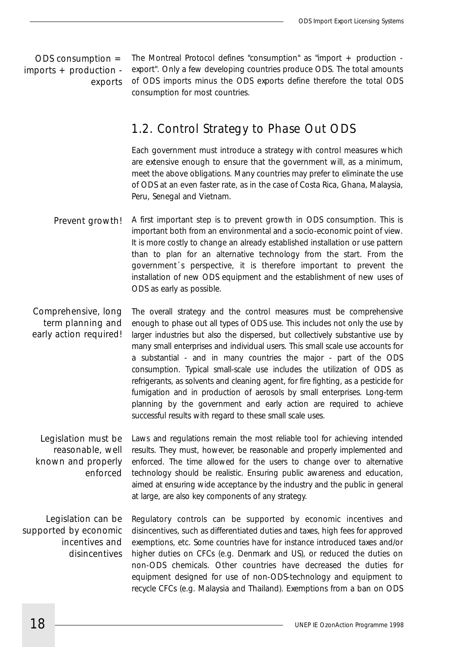*ODS consumption = imports + production exports* *The Montreal Protocol defines "consumption" as "import + production export". Only a few developing countries produce ODS. The total amounts of ODS imports minus the ODS exports define therefore the total ODS consumption for most countries.* 

## *1.2. Control Strategy to Phase Out ODS*

*Each government must introduce a strategy with control measures which are extensive enough to ensure that the government will, as a minimum, meet the above obligations. Many countries may prefer to eliminate the use of ODS at an even faster rate, as in the case of Costa Rica, Ghana, Malaysia, Peru, Senegal and Vietnam.*

- *A first important step is to prevent growth in ODS consumption. This is important both from an environmental and a socio-economic point of view. It is more costly to change an already established installation or use pattern than to plan for an alternative technology from the start. From the government´s perspective, it is therefore important to prevent the installation of new ODS equipment and the establishment of new uses of ODS as early as possible. Prevent growth!*
- *The overall strategy and the control measures must be comprehensive enough to phase out all types of ODS use. This includes not only the use by larger industries but also the dispersed, but collectively substantive use by many small enterprises and individual users. This small scale use accounts for a substantial - and in many countries the major - part of the ODS consumption. Typical small-scale use includes the utilization of ODS as refrigerants, as solvents and cleaning agent, for fire fighting, as a pesticide for fumigation and in production of aerosols by small enterprises. Long-term planning by the government and early action are required to achieve successful results with regard to these small scale uses. Comprehensive, long term planning and early action required!*
- *Laws and regulations remain the most reliable tool for achieving intended results. They must, however, be reasonable and properly implemented and enforced. The time allowed for the users to change over to alternative technology should be realistic. Ensuring public awareness and education, aimed at ensuring wide acceptance by the industry and the public in general at large, are also key components of any strategy. Legislation must be reasonable, well known and properly enforced*

*Regulatory controls can be supported by economic incentives and disincentives, such as differentiated duties and taxes, high fees for approved exemptions, etc. Some countries have for instance introduced taxes and/or higher duties on CFCs (e.g. Denmark and US), or reduced the duties on non-ODS chemicals. Other countries have decreased the duties for equipment designed for use of non-ODS-technology and equipment to recycle CFCs (e.g. Malaysia and Thailand). Exemptions from a ban on ODS Legislation can be supported by economic incentives and disincentives*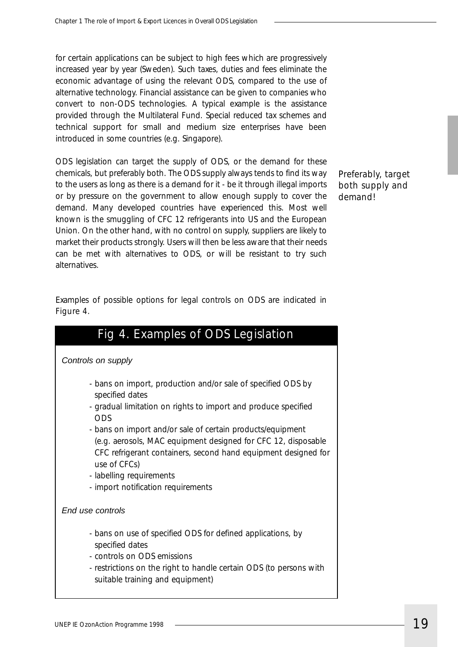*for certain applications can be subject to high fees which are progressively increased year by year (Sweden). Such taxes, duties and fees eliminate the economic advantage of using the relevant ODS, compared to the use of alternative technology. Financial assistance can be given to companies who convert to non-ODS technologies. A typical example is the assistance provided through the Multilateral Fund. Special reduced tax schemes and technical support for small and medium size enterprises have been introduced in some countries (e.g. Singapore).*

*ODS legislation can target the supply of ODS, or the demand for these chemicals, but preferably both. The ODS supply always tends to find its way to the users as long as there is a demand for it - be it through illegal imports or by pressure on the government to allow enough supply to cover the demand. Many developed countries have experienced this. Most well known is the smuggling of CFC 12 refrigerants into US and the European Union. On the other hand, with no control on supply, suppliers are likely to market their products strongly. Users will then be less aware that their needs can be met with alternatives to ODS, or will be resistant to try such alternatives.*

#### *Preferably, target both supply and demand!*

*Examples of possible options for legal controls on ODS are indicated in Figure 4.*

| Fig 4. Examples of ODS Legislation                                                                                                                                                                                                                                                                                                                                                                                                          |  |  |  |  |  |
|---------------------------------------------------------------------------------------------------------------------------------------------------------------------------------------------------------------------------------------------------------------------------------------------------------------------------------------------------------------------------------------------------------------------------------------------|--|--|--|--|--|
| Controls on supply                                                                                                                                                                                                                                                                                                                                                                                                                          |  |  |  |  |  |
| - bans on import, production and/or sale of specified ODS by<br>specified dates<br>- gradual limitation on rights to import and produce specified<br>ODS<br>- bans on import and/or sale of certain products/equipment<br>(e.g. aerosols, MAC equipment designed for CFC 12, disposable<br>CFC refrigerant containers, second hand equipment designed for<br>use of CFCs)<br>- labelling requirements<br>- import notification requirements |  |  |  |  |  |
| End use controls                                                                                                                                                                                                                                                                                                                                                                                                                            |  |  |  |  |  |
| - bans on use of specified ODS for defined applications, by<br>specified dates<br>- controls on ODS emissions<br>- restrictions on the right to handle certain ODS (to persons with<br>suitable training and equipment)                                                                                                                                                                                                                     |  |  |  |  |  |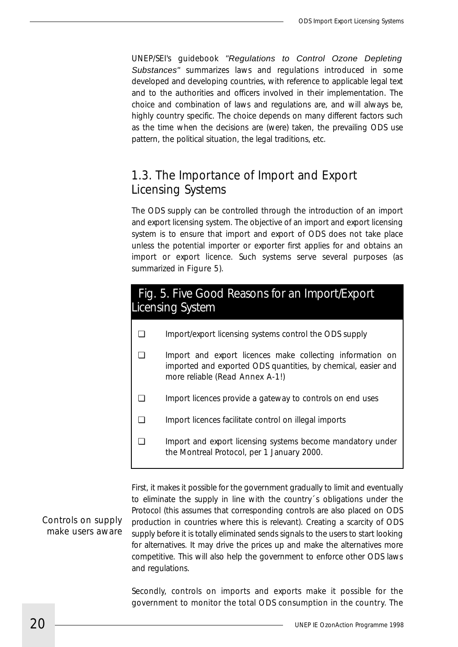*UNEP/SEI's guidebook* "Regulations to Control Ozone Depleting Substances" *summarizes laws and regulations introduced in some developed and developing countries, with reference to applicable legal text and to the authorities and officers involved in their implementation. The choice and combination of laws and regulations are, and will always be, highly country specific. The choice depends on many different factors such as the time when the decisions are (were) taken, the prevailing ODS use pattern, the political situation, the legal traditions, etc.* 

### *1.3. The Importance of Import and Export Licensing Systems*

*The ODS supply can be controlled through the introduction of an import and export licensing system. The objective of an import and export licensing system is to ensure that import and export of ODS does not take place unless the potential importer or exporter first applies for and obtains an import or export licence. Such systems serve several purposes (as summarized in Figure 5).*

### *Fig. 5. Five Good Reasons for an Import/Export Licensing System*

- ❏ *Import/export licensing systems control the ODS supply*
- ❏ *Import and export licences make collecting information on imported and exported ODS quantities, by chemical, easier and more reliable (Read Annex A-1!)*
- ❏ *Import licences provide a gateway to controls on end uses*
- ❏ *Import licences facilitate control on illegal imports*
- ❏ *Import and export licensing systems become mandatory under the Montreal Protocol, per 1 January 2000.*

*First, it makes it possible for the government gradually to limit and eventually to eliminate the supply in line with the country´s obligations under the Protocol (this assumes that corresponding controls are also placed on ODS production in countries where this is relevant). Creating a scarcity of ODS supply before it is totally eliminated sends signals to the users to start looking for alternatives. It may drive the prices up and make the alternatives more competitive. This will also help the government to enforce other ODS laws and regulations.* 

*Secondly, controls on imports and exports make it possible for the government to monitor the total ODS consumption in the country. The*

#### *Controls on supply make users aware*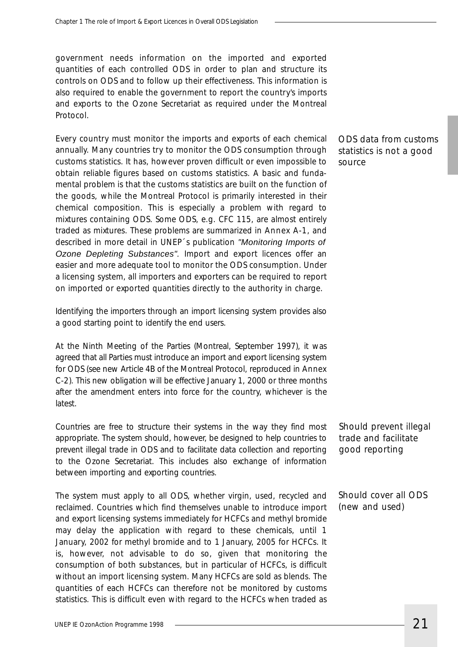*government needs information on the imported and exported quantities of each controlled ODS in order to plan and structure its controls on ODS and to follow up their effectiveness. This information is also required to enable the government to report the country's imports and exports to the Ozone Secretariat as required under the Montreal Protocol.*

*Every country must monitor the imports and exports of each chemical annually. Many countries try to monitor the ODS consumption through customs statistics. It has, however proven difficult or even impossible to obtain reliable figures based on customs statistics. A basic and fundamental problem is that the customs statistics are built on the function of the goods, while the Montreal Protocol is primarily interested in their chemical composition. This is especially a problem with regard to mixtures containing ODS. Some ODS, e.g. CFC 115, are almost entirely traded as mixtures. These problems are summarized in Annex A-1, and described in more detail in UNEP´s publication* "Monitoring Imports of Ozone Depleting Substances". *Import and export licences offer an easier and more adequate tool to monitor the ODS consumption. Under a licensing system, all importers and exporters can be required to report on imported or exported quantities directly to the authority in charge.*

*Identifying the importers through an import licensing system provides also a good starting point to identify the end users.* 

*At the Ninth Meeting of the Parties (Montreal, September 1997), it was agreed that all Parties must introduce an import and export licensing system* for ODS (see new Article 4B of the Montreal Protocol, reproduced in **Annex** *C-2). This new obligation will be effective January 1, 2000 or three months after the amendment enters into force for the country, whichever is the latest.*

*Countries are free to structure their systems in the way they find most appropriate. The system should, however, be designed to help countries to prevent illegal trade in ODS and to facilitate data collection and reporting to the Ozone Secretariat. This includes also exchange of information between importing and exporting countries.* 

*The system must apply to all ODS, whether virgin, used, recycled and reclaimed. Countries which find themselves unable to introduce import and export licensing systems immediately for HCFCs and methyl bromide may delay the application with regard to these chemicals, until 1 January, 2002 for methyl bromide and to 1 January, 2005 for HCFCs. It is, however, not advisable to do so, given that monitoring the consumption of both substances, but in particular of HCFCs, is difficult without an import licensing system. Many HCFCs are sold as blends. The quantities of each HCFCs can therefore not be monitored by customs statistics. This is difficult even with regard to the HCFCs when traded as*

#### *ODS data from customs statistics is not a good source*

*Should prevent illegal trade and facilitate good reporting*

*Should cover all ODS (new and used)*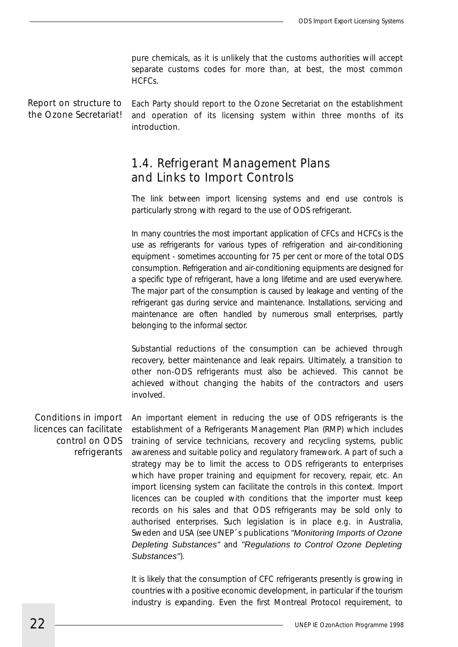*pure chemicals, as it is unlikely that the customs authorities will accept separate customs codes for more than, at best, the most common HCFCs.* 

*Each Party should report to the Ozone Secretariat on the establishment and operation of its licensing system within three months of its introduction. Report on structure to the Ozone Secretariat!*

### *1.4. Refrigerant Management Plans and Links to Import Controls*

*The link between import licensing systems and end use controls is particularly strong with regard to the use of ODS refrigerant.*

*In many countries the most important application of CFCs and HCFCs is the use as refrigerants for various types of refrigeration and air-conditioning equipment - sometimes accounting for 75 per cent or more of the total ODS consumption. Refrigeration and air-conditioning equipments are designed for a specific type of refrigerant, have a long lifetime and are used everywhere. The major part of the consumption is caused by leakage and venting of the refrigerant gas during service and maintenance. Installations, servicing and maintenance are often handled by numerous small enterprises, partly belonging to the informal sector.* 

*Substantial reductions of the consumption can be achieved through recovery, better maintenance and leak repairs. Ultimately, a transition to other non-ODS refrigerants must also be achieved. This cannot be achieved without changing the habits of the contractors and users involved.* 

#### *Conditions in import licences can facilitate control on ODS refrigerants*

*An important element in reducing the use of ODS refrigerants is the establishment of a Refrigerants Management Plan (RMP) which includes training of service technicians, recovery and recycling systems, public awareness and suitable policy and regulatory framework. A part of such a strategy may be to limit the access to ODS refrigerants to enterprises which have proper training and equipment for recovery, repair, etc. An import licensing system can facilitate the controls in this context. Import licences can be coupled with conditions that the importer must keep records on his sales and that ODS refrigerants may be sold only to authorised enterprises. Such legislation is in place e.g. in Australia, Sweden and USA (see UNEP´s publications* "Monitoring Imports of Ozone Depleting Substances" *and* "Regulations to Control Ozone Depleting Substances"*).*

*It is likely that the consumption of CFC refrigerants presently is growing in countries with a positive economic development, in particular if the tourism industry is expanding. Even the first Montreal Protocol requirement, to*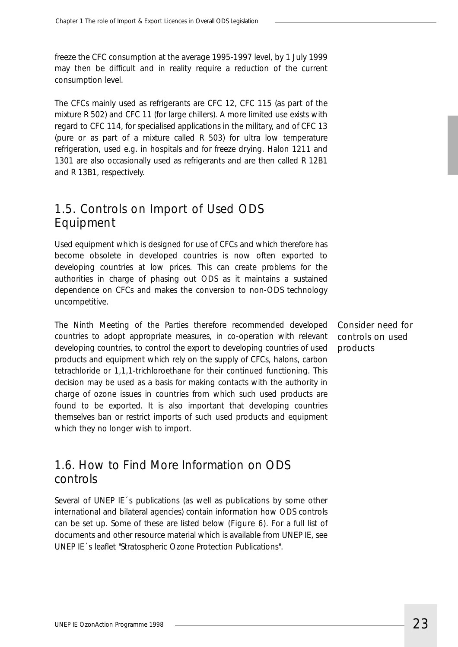*freeze the CFC consumption at the average 1995-1997 level, by 1 July 1999 may then be difficult and in reality require a reduction of the current consumption level.*

*The CFCs mainly used as refrigerants are CFC 12, CFC 115 (as part of the mixture R 502) and CFC 11 (for large chillers). A more limited use exists with regard to CFC 114, for specialised applications in the military, and of CFC 13 (pure or as part of a mixture called R 503) for ultra low temperature refrigeration, used e.g. in hospitals and for freeze drying. Halon 1211 and 1301 are also occasionally used as refrigerants and are then called R 12B1 and R 13B1, respectively.*

## *1.5. Controls on Import of Used ODS Equipment*

*Used equipment which is designed for use of CFCs and which therefore has become obsolete in developed countries is now often exported to developing countries at low prices. This can create problems for the authorities in charge of phasing out ODS as it maintains a sustained dependence on CFCs and makes the conversion to non-ODS technology uncompetitive.* 

*The Ninth Meeting of the Parties therefore recommended developed countries to adopt appropriate measures, in co-operation with relevant developing countries, to control the export to developing countries of used products and equipment which rely on the supply of CFCs, halons, carbon tetrachloride or 1,1,1-trichloroethane for their continued functioning. This decision may be used as a basis for making contacts with the authority in charge of ozone issues in countries from which such used products are found to be exported. It is also important that developing countries themselves ban or restrict imports of such used products and equipment which they no longer wish to import.*

## *1.6. How to Find More Information on ODS controls*

*Several of UNEP IE´s publications (as well as publications by some other international and bilateral agencies) contain information how ODS controls can be set up. Some of these are listed below (Figure 6). For a full list of documents and other resource material which is available from UNEP IE, see UNEP IE´s leaflet "Stratospheric Ozone Protection Publications".*

*Consider need for controls on used products*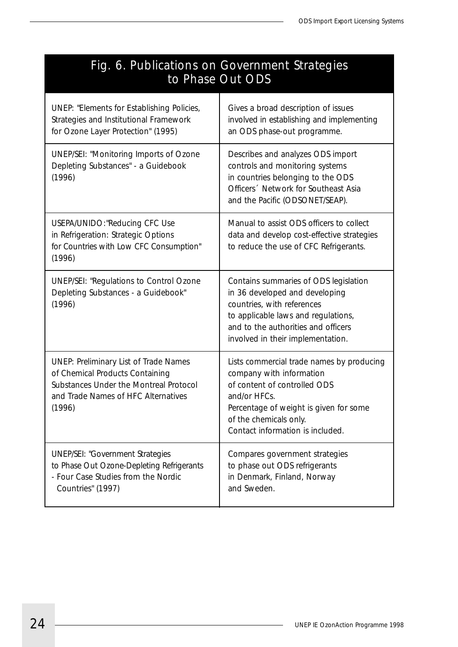| Fig. 6. Publications on Government Strategies<br>to Phase Out ODS                                                                                                          |                                                                                                                                                                                                                               |  |  |  |  |
|----------------------------------------------------------------------------------------------------------------------------------------------------------------------------|-------------------------------------------------------------------------------------------------------------------------------------------------------------------------------------------------------------------------------|--|--|--|--|
| UNEP: "Elements for Establishing Policies,<br>Strategies and Institutional Framework<br>for Ozone Layer Protection" (1995)                                                 | Gives a broad description of issues<br>involved in establishing and implementing<br>an ODS phase-out programme.                                                                                                               |  |  |  |  |
| <b>UNEP/SEI: "Monitoring Imports of Ozone</b><br>Depleting Substances" - a Guidebook<br>(1996)                                                                             | Describes and analyzes ODS import<br>controls and monitoring systems<br>in countries belonging to the ODS<br>Officers <sup>*</sup> Network for Southeast Asia<br>and the Pacific (ODSONET/SEAP).                              |  |  |  |  |
| USEPA/UNIDO:"Reducing CFC Use<br>in Refrigeration: Strategic Options<br>for Countries with Low CFC Consumption"<br>(1996)                                                  | Manual to assist ODS officers to collect<br>data and develop cost-effective strategies<br>to reduce the use of CFC Refrigerants.                                                                                              |  |  |  |  |
| <b>UNEP/SEI: "Regulations to Control Ozone</b><br>Depleting Substances - a Guidebook"<br>(1996)                                                                            | Contains summaries of ODS legislation<br>in 36 developed and developing<br>countries, with references<br>to applicable laws and regulations,<br>and to the authorities and officers<br>involved in their implementation.      |  |  |  |  |
| <b>UNEP: Preliminary List of Trade Names</b><br>of Chemical Products Containing<br>Substances Under the Montreal Protocol<br>and Trade Names of HFC Alternatives<br>(1996) | Lists commercial trade names by producing<br>company with information<br>of content of controlled ODS<br>and/or HFCs.<br>Percentage of weight is given for some<br>of the chemicals only.<br>Contact information is included. |  |  |  |  |
| <b>UNEP/SEI: "Government Strategies</b><br>to Phase Out Ozone-Depleting Refrigerants<br>- Four Case Studies from the Nordic<br>Countries" (1997)                           | Compares government strategies<br>to phase out ODS refrigerants<br>in Denmark, Finland, Norway<br>and Sweden.                                                                                                                 |  |  |  |  |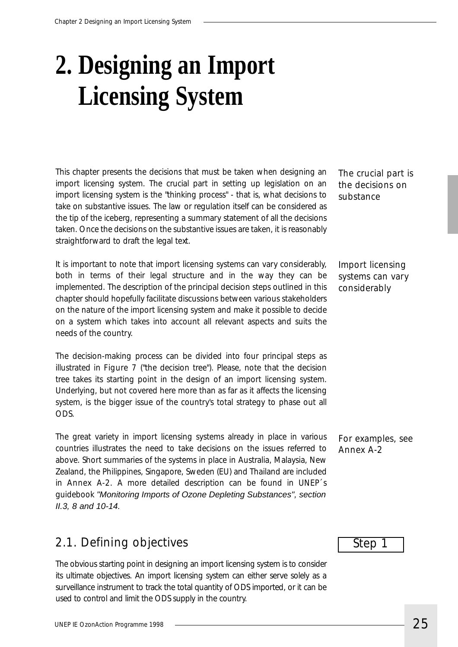# **2. Designing an Import Licensing System**

*This chapter presents the decisions that must be taken when designing an import licensing system. The crucial part in setting up legislation on an import licensing system is the "thinking process" - that is, what decisions to take on substantive issues. The law or regulation itself can be considered as the tip of the iceberg, representing a summary statement of all the decisions taken. Once the decisions on the substantive issues are taken, it is reasonably straightforward to draft the legal text.*

*It is important to note that import licensing systems can vary considerably, both in terms of their legal structure and in the way they can be implemented. The description of the principal decision steps outlined in this chapter should hopefully facilitate discussions between various stakeholders on the nature of the import licensing system and make it possible to decide on a system which takes into account all relevant aspects and suits the needs of the country.*

*The decision-making process can be divided into four principal steps as illustrated in Figure 7 ("the decision tree"). Please, note that the decision tree takes its starting point in the design of an import licensing system. Underlying, but not covered here more than as far as it affects the licensing system, is the bigger issue of the country's total strategy to phase out all ODS.* 

*The great variety in import licensing systems already in place in various countries illustrates the need to take decisions on the issues referred to above. Short summaries of the systems in place in Australia, Malaysia, New Zealand, the Philippines, Singapore, Sweden (EU) and Thailand are included in Annex A-2. A more detailed description can be found in UNEP´s guidebook* "Monitoring Imports of Ozone Depleting Substances", section II.3, 8 and 10-14.

## *2.1. Defining objectives*

*The obvious starting point in designing an import licensing system is to consider its ultimate objectives. An import licensing system can either serve solely as a surveillance instrument to track the total quantity of ODS imported, or it can be used to control and limit the ODS supply in the country.*

*The crucial part is the decisions on substance*

#### *Import licensing systems can vary considerably*

*For examples, see Annex A-2*

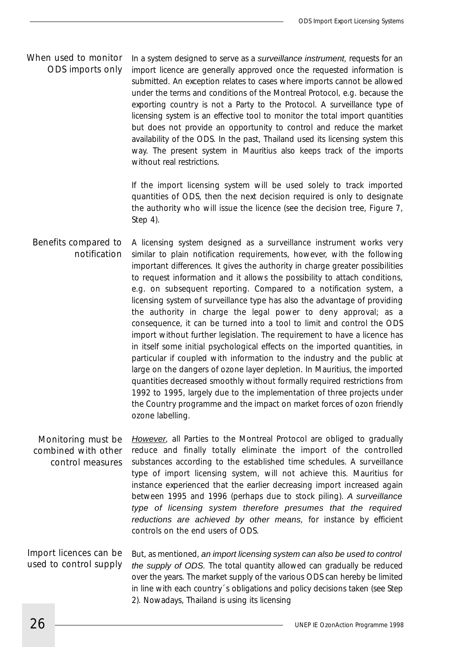#### *In a system designed to serve as a* surveillance instrument, *requests for an import licence are generally approved once the requested information is submitted. An exception relates to cases where imports cannot be allowed under the terms and conditions of the Montreal Protocol, e.g. because the exporting country is not a Party to the Protocol. A surveillance type of licensing system is an effective tool to monitor the total import quantities but does not provide an opportunity to control and reduce the market availability of the ODS. In the past, Thailand used its licensing system this way. The present system in Mauritius also keeps track of the imports without real restrictions. When used to monitor ODS imports only*

*If the import licensing system will be used solely to track imported quantities of ODS, then the next decision required is only to designate the authority who will issue the licence (see the decision tree, Figure 7, Step 4).*

#### *A licensing system designed as a surveillance instrument works very similar to plain notification requirements, however, with the following important differences. It gives the authority in charge greater possibilities to request information and it allows the possibility to attach conditions, e.g. on subsequent reporting. Compared to a notification system, a licensing system of surveillance type has also the advantage of providing the authority in charge the legal power to deny approval; as a consequence, it can be turned into a tool to limit and control the ODS import without further legislation. The requirement to have a licence has in itself some initial psychological effects on the imported quantities, in particular if coupled with information to the industry and the public at large on the dangers of ozone layer depletion. In Mauritius, the imported quantities decreased smoothly without formally required restrictions from 1992 to 1995, largely due to the implementation of three projects under the Country programme and the impact on market forces of ozon friendly ozone labelling. Benefits compared to notification*

However, *all Parties to the Montreal Protocol are obliged to gradually reduce and finally totally eliminate the import of the controlled substances according to the established time schedules. A surveillance type of import licensing system, will not achieve this. Mauritius for instance experienced that the earlier decreasing import increased again between 1995 and 1996 (perhaps due to stock piling).* A surveillance type of licensing system therefore presumes that the required reductions are achieved by other means, *for instance by efficient controls on the end users of ODS. Monitoring must be combined with other control measures*

#### *But, as mentioned,* an import licensing system can also be used to control the supply of ODS. *The total quantity allowed can gradually be reduced over the years. The market supply of the various ODS can hereby be limited in line with each country´s obligations and policy decisions taken (see Step 2). Nowadays, Thailand is using its licensing Import licences can be used to control supply*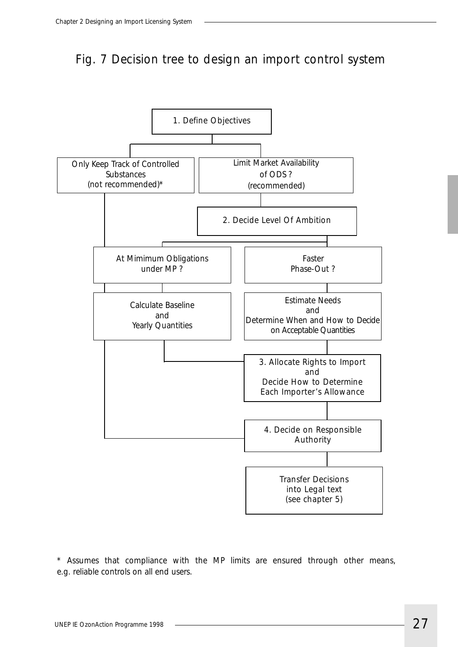## *Fig. 7 Decision tree to design an import control system*



*\* Assumes that compliance with the MP limits are ensured through other means, e.g. reliable controls on all end users.*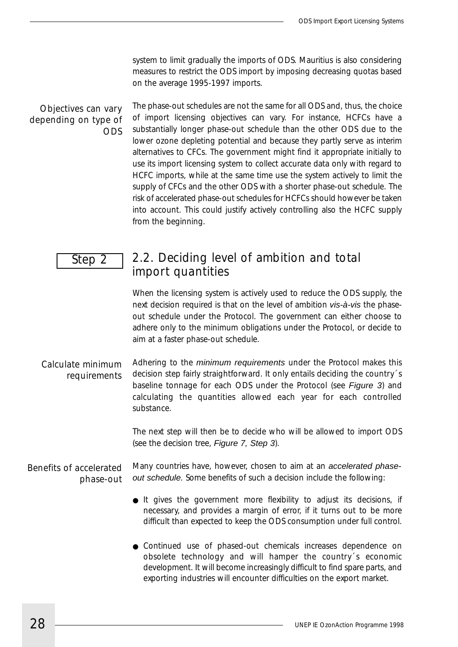*system to limit gradually the imports of ODS. Mauritius is also considering measures to restrict the ODS import by imposing decreasing quotas based on the average 1995-1997 imports.*

#### *Objectives can vary depending on type of ODS*

*Step 2*

*The phase-out schedules are not the same for all ODS and, thus, the choice of import licensing objectives can vary. For instance, HCFCs have a substantially longer phase-out schedule than the other ODS due to the lower ozone depleting potential and because they partly serve as interim alternatives to CFCs. The government might find it appropriate initially to use its import licensing system to collect accurate data only with regard to HCFC imports, while at the same time use the system actively to limit the supply of CFCs and the other ODS with a shorter phase-out schedule. The risk of accelerated phase-out schedules for HCFCs should however be taken into account. This could justify actively controlling also the HCFC supply from the beginning.*

## *2.2. Deciding level of ambition and total import quantities*

*When the licensing system is actively used to reduce the ODS supply, the next decision required is that on the level of ambition* vis-à-vis *the phaseout schedule under the Protocol. The government can either choose to adhere only to the minimum obligations under the Protocol, or decide to aim at a faster phase-out schedule.* 

*Adhering to the* minimum requirements *under the Protocol makes this decision step fairly straightforward. It only entails deciding the country´s baseline tonnage for each ODS under the Protocol (see* Figure 3*) and calculating the quantities allowed each year for each controlled substance. Calculate minimum requirements*

> *The next step will then be to decide who will be allowed to import ODS (see the decision tree,* Figure 7, Step 3*).*

*Many countries have, however, chosen to aim at an* accelerated phaseout schedule. *Some benefits of such a decision include the following: Benefits of accelerated phase-out*

- *It gives the government more flexibility to adjust its decisions, if necessary, and provides a margin of error, if it turns out to be more difficult than expected to keep the ODS consumption under full control.*
- *Continued use of phased-out chemicals increases dependence on obsolete technology and will hamper the country´s economic development. It will become increasingly difficult to find spare parts, and exporting industries will encounter difficulties on the export market.*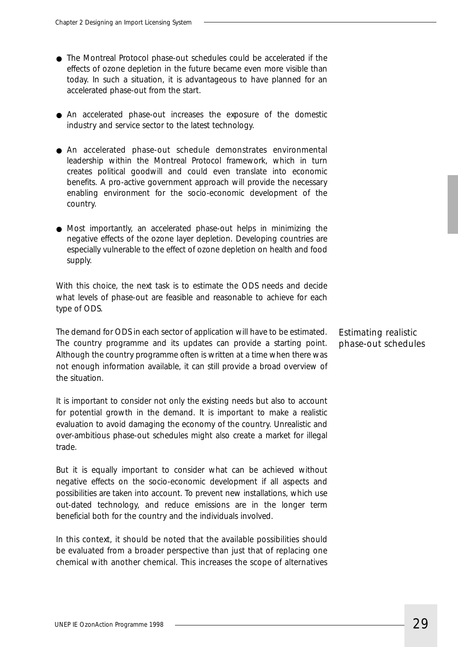- *The Montreal Protocol phase-out schedules could be accelerated if the effects of ozone depletion in the future became even more visible than today. In such a situation, it is advantageous to have planned for an accelerated phase-out from the start.*
- *An accelerated phase-out increases the exposure of the domestic industry and service sector to the latest technology.*
- *An accelerated phase-out schedule demonstrates environmental leadership within the Montreal Protocol framework, which in turn creates political goodwill and could even translate into economic benefits. A pro-active government approach will provide the necessary enabling environment for the socio-economic development of the country.*
- *Most importantly, an accelerated phase-out helps in minimizing the negative effects of the ozone layer depletion. Developing countries are especially vulnerable to the effect of ozone depletion on health and food supply.*

*With this choice, the next task is to estimate the ODS needs and decide what levels of phase-out are feasible and reasonable to achieve for each type of ODS.*

*The demand for ODS in each sector of application will have to be estimated. The country programme and its updates can provide a starting point. Although the country programme often is written at a time when there was not enough information available, it can still provide a broad overview of the situation.* 

*It is important to consider not only the existing needs but also to account for potential growth in the demand. It is important to make a realistic evaluation to avoid damaging the economy of the country. Unrealistic and over-ambitious phase-out schedules might also create a market for illegal trade.*

*But it is equally important to consider what can be achieved without negative effects on the socio-economic development if all aspects and possibilities are taken into account. To prevent new installations, which use out-dated technology, and reduce emissions are in the longer term beneficial both for the country and the individuals involved.*

*In this context, it should be noted that the available possibilities should be evaluated from a broader perspective than just that of replacing one chemical with another chemical. This increases the scope of alternatives*

#### *Estimating realistic phase-out schedules*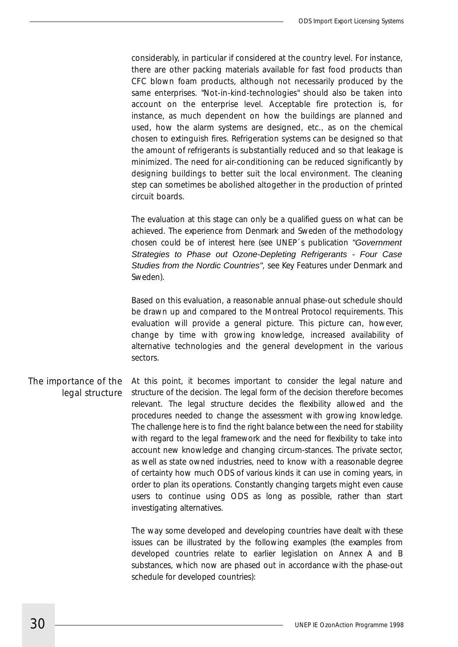*considerably, in particular if considered at the country level. For instance, there are other packing materials available for fast food products than CFC blown foam products, although not necessarily produced by the same enterprises. "Not-in-kind-technologies" should also be taken into account on the enterprise level. Acceptable fire protection is, for instance, as much dependent on how the buildings are planned and used, how the alarm systems are designed, etc., as on the chemical chosen to extinguish fires. Refrigeration systems can be designed so that the amount of refrigerants is substantially reduced and so that leakage is minimized. The need for air-conditioning can be reduced significantly by designing buildings to better suit the local environment. The cleaning step can sometimes be abolished altogether in the production of printed circuit boards.*

*The evaluation at this stage can only be a qualified guess on what can be achieved. The experience from Denmark and Sweden of the methodology chosen could be of interest here (see UNEP´s publication* "Government Strategies to Phase out Ozone-Depleting Refrigerants - Four Case Studies from the Nordic Countries", *see Key Features under Denmark and Sweden).* 

*Based on this evaluation, a reasonable annual phase-out schedule should be drawn up and compared to the Montreal Protocol requirements. This evaluation will provide a general picture. This picture can, however, change by time with growing knowledge, increased availability of alternative technologies and the general development in the various sectors.* 

#### *At this point, it becomes important to consider the legal nature and structure of the decision. The legal form of the decision therefore becomes relevant. The legal structure decides the flexibility allowed and the procedures needed to change the assessment with growing knowledge. The challenge here is to find the right balance between the need for stability with regard to the legal framework and the need for flexibility to take into account new knowledge and changing circum-stances. The private sector, as well as state owned industries, need to know with a reasonable degree of certainty how much ODS of various kinds it can use in coming years, in order to plan its operations. Constantly changing targets might even cause users to continue using ODS as long as possible, rather than start investigating alternatives. The importance of the legal structure*

*The way some developed and developing countries have dealt with these issues can be illustrated by the following examples (the examples from developed countries relate to earlier legislation on Annex A and B substances, which now are phased out in accordance with the phase-out schedule for developed countries):*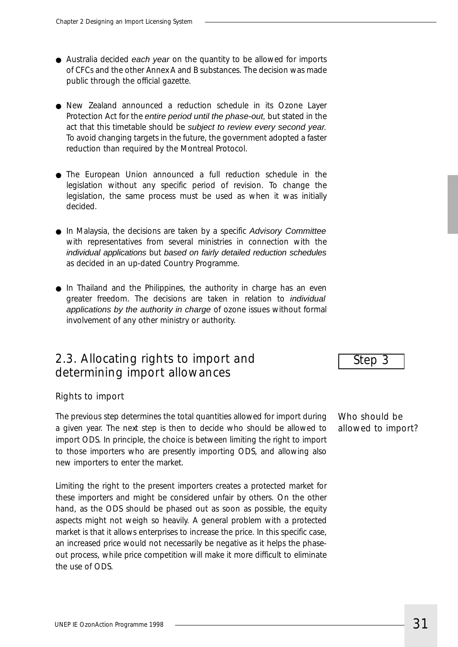- *Australia decided* each year *on the quantity to be allowed for imports of CFCs and the other Annex A and B substances. The decision was made public through the official gazette.*
- *New Zealand announced a reduction schedule in its Ozone Layer Protection Act for the* entire period until the phase-out, *but stated in the act that this timetable should be* subject to review every second year. *To avoid changing targets in the future, the government adopted a faster reduction than required by the Montreal Protocol.*
- *The European Union announced a full reduction schedule in the legislation without any specific period of revision. To change the legislation, the same process must be used as when it was initially decided.*
- *In Malaysia, the decisions are taken by a specific* Advisory Committee *with representatives from several ministries in connection with the* individual applications *but* based on fairly detailed reduction schedules *as decided in an up-dated Country Programme.*
- *In Thailand and the Philippines, the authority in charge has an even greater freedom. The decisions are taken in relation to* individual applications by the authority in charge *of ozone issues without formal involvement of any other ministry or authority.*

## *2.3. Allocating rights to import and determining import allowances*

#### *Rights to import*

*The previous step determines the total quantities allowed for import during a given year. The next step is then to decide who should be allowed to import ODS. In principle, the choice is between limiting the right to import to those importers who are presently importing ODS, and allowing also new importers to enter the market.*

*Limiting the right to the present importers creates a protected market for these importers and might be considered unfair by others. On the other hand, as the ODS should be phased out as soon as possible, the equity aspects might not weigh so heavily. A general problem with a protected market is that it allows enterprises to increase the price. In this specific case, an increased price would not necessarily be negative as it helps the phaseout process, while price competition will make it more difficult to eliminate the use of ODS.*

*Who should be allowed to import?*

### *Step 3*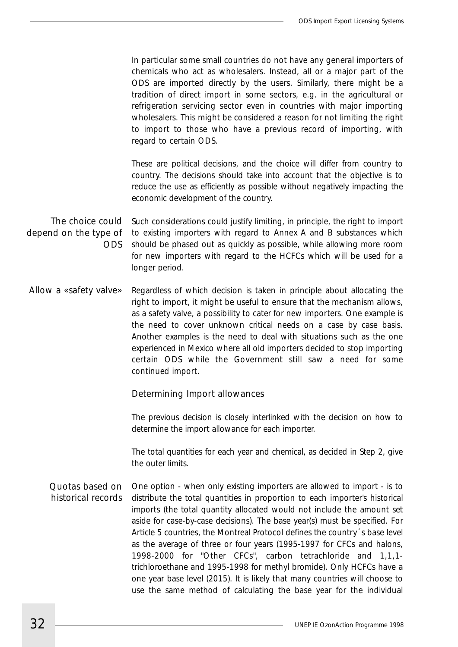*In particular some small countries do not have any general importers of chemicals who act as wholesalers. Instead, all or a major part of the ODS are imported directly by the users. Similarly, there might be a tradition of direct import in some sectors, e.g. in the agricultural or refrigeration servicing sector even in countries with major importing wholesalers. This might be considered a reason for not limiting the right to import to those who have a previous record of importing, with regard to certain ODS.* 

*These are political decisions, and the choice will differ from country to country. The decisions should take into account that the objective is to reduce the use as efficiently as possible without negatively impacting the economic development of the country.* 

*Such considerations could justify limiting, in principle, the right to import to existing importers with regard to Annex A and B substances which should be phased out as quickly as possible, while allowing more room for new importers with regard to the HCFCs which will be used for a longer period. The choice could depend on the type of ODS*

*Regardless of which decision is taken in principle about allocating the right to import, it might be useful to ensure that the mechanism allows, as a safety valve, a possibility to cater for new importers. One example is the need to cover unknown critical needs on a case by case basis. Another examples is the need to deal with situations such as the one experienced in Mexico where all old importers decided to stop importing certain ODS while the Government still saw a need for some continued import. Allow a «safety valve»*

#### *Determining Import allowances*

*The previous decision is closely interlinked with the decision on how to determine the import allowance for each importer.* 

*The total quantities for each year and chemical, as decided in Step 2, give the outer limits.* 

*One option - when only existing importers are allowed to import - is to distribute the total quantities in proportion to each importer's historical imports (the total quantity allocated would not include the amount set aside for case-by-case decisions). The base year(s) must be specified. For Article 5 countries, the Montreal Protocol defines the country´s base level as the average of three or four years (1995-1997 for CFCs and halons, 1998-2000 for "Other CFCs", carbon tetrachloride and 1,1,1 trichloroethane and 1995-1998 for methyl bromide). Only HCFCs have a one year base level (2015). It is likely that many countries will choose to use the same method of calculating the base year for the individual Quotas based on historical records*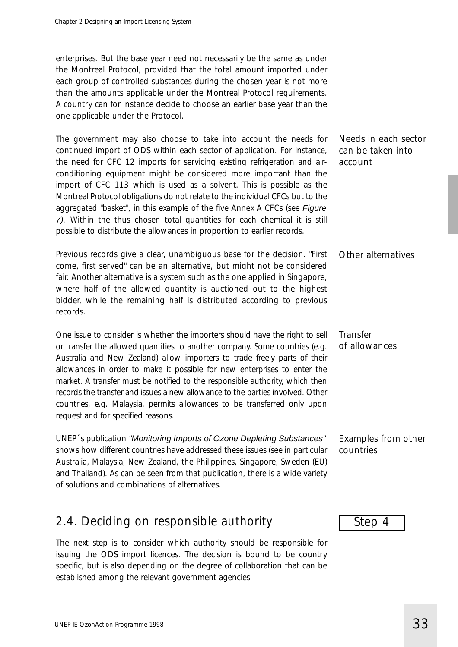*enterprises. But the base year need not necessarily be the same as under the Montreal Protocol, provided that the total amount imported under each group of controlled substances during the chosen year is not more than the amounts applicable under the Montreal Protocol requirements. A country can for instance decide to choose an earlier base year than the one applicable under the Protocol.*

*The government may also choose to take into account the needs for continued import of ODS within each sector of application. For instance, the need for CFC 12 imports for servicing existing refrigeration and airconditioning equipment might be considered more important than the import of CFC 113 which is used as a solvent. This is possible as the Montreal Protocol obligations do not relate to the individual CFCs but to the* aggregated "basket", in this example of the five Annex A CFCs (see Figure 7). *Within the thus chosen total quantities for each chemical it is still possible to distribute the allowances in proportion to earlier records.* 

*Previous records give a clear, unambiguous base for the decision. "First come, first served" can be an alternative, but might not be considered fair. Another alternative is a system such as the one applied in Singapore, where half of the allowed quantity is auctioned out to the highest bidder, while the remaining half is distributed according to previous records. Other alternatives*

*One issue to consider is whether the importers should have the right to sell or transfer the allowed quantities to another company. Some countries (e.g. Australia and New Zealand) allow importers to trade freely parts of their allowances in order to make it possible for new enterprises to enter the market. A transfer must be notified to the responsible authority, which then records the transfer and issues a new allowance to the parties involved. Other countries, e.g. Malaysia, permits allowances to be transferred only upon request and for specified reasons.*

*UNEP´s publication* "Monitoring Imports of Ozone Depleting Substances" *shows how different countries have addressed these issues (see in particular Australia, Malaysia, New Zealand, the Philippines, Singapore, Sweden (EU) and Thailand). As can be seen from that publication, there is a wide variety of solutions and combinations of alternatives.* 

### *2.4. Deciding on responsible authority*

*The next step is to consider which authority should be responsible for issuing the ODS import licences. The decision is bound to be country specific, but is also depending on the degree of collaboration that can be established among the relevant government agencies.* 

#### *Needs in each sector can be taken into account*

*Transfer of allowances*

#### *Examples from other countries*

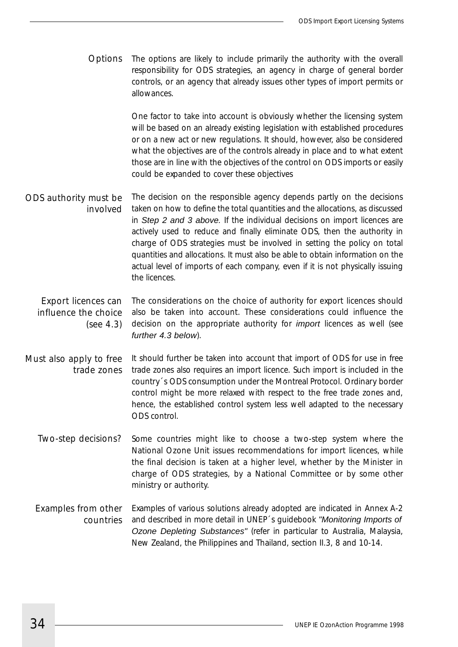*The options are likely to include primarily the authority with the overall responsibility for ODS strategies, an agency in charge of general border controls, or an agency that already issues other types of import permits or allowances. Options*

> *One factor to take into account is obviously whether the licensing system will be based on an already existing legislation with established procedures or on a new act or new regulations. It should, however, also be considered what the objectives are of the controls already in place and to what extent those are in line with the objectives of the control on ODS imports or easily could be expanded to cover these objectives*

- *The decision on the responsible agency depends partly on the decisions taken on how to define the total quantities and the allocations, as discussed in* Step 2 and 3 above. *If the individual decisions on import licences are actively used to reduce and finally eliminate ODS, then the authority in charge of ODS strategies must be involved in setting the policy on total quantities and allocations. It must also be able to obtain information on the actual level of imports of each company, even if it is not physically issuing the licences. ODS authority must be involved*
	- *The considerations on the choice of authority for export licences should also be taken into account. These considerations could influence the decision on the appropriate authority for* import *licences as well (see* further 4.3 below*). Export licences can influence the choice (see 4.3)*
- *It should further be taken into account that import of ODS for use in free trade zones also requires an import licence. Such import is included in the country´s ODS consumption under the Montreal Protocol. Ordinary border control might be more relaxed with respect to the free trade zones and, hence, the established control system less well adapted to the necessary ODS control. Must also apply to free trade zones*
	- *Some countries might like to choose a two-step system where the National Ozone Unit issues recommendations for import licences, while the final decision is taken at a higher level, whether by the Minister in charge of ODS strategies, by a National Committee or by some other ministry or authority. Two-step decisions?*
	- *Examples of various solutions already adopted are indicated in Annex A-2 and described in more detail in UNEP´s guidebook* "Monitoring Imports of Ozone Depleting Substances" *(refer in particular to Australia, Malaysia, New Zealand, the Philippines and Thailand, section II.3, 8 and 10-14. Examples from other countries*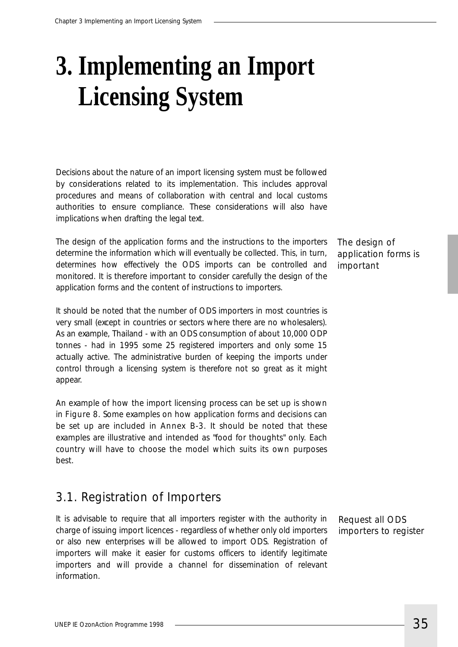## **3. Implementing an Import Licensing System**

*Decisions about the nature of an import licensing system must be followed by considerations related to its implementation. This includes approval procedures and means of collaboration with central and local customs authorities to ensure compliance. These considerations will also have implications when drafting the legal text.*

*The design of the application forms and the instructions to the importers determine the information which will eventually be collected. This, in turn, determines how effectively the ODS imports can be controlled and monitored. It is therefore important to consider carefully the design of the application forms and the content of instructions to importers.* 

*It should be noted that the number of ODS importers in most countries is very small (except in countries or sectors where there are no wholesalers). As an example, Thailand - with an ODS consumption of about 10,000 ODP tonnes - had in 1995 some 25 registered importers and only some 15 actually active. The administrative burden of keeping the imports under control through a licensing system is therefore not so great as it might appear.*

*An example of how the import licensing process can be set up is shown in Figure 8. Some examples on how application forms and decisions can be set up are included in Annex B-3. It should be noted that these examples are illustrative and intended as "food for thoughts" only. Each country will have to choose the model which suits its own purposes best.* 

### *3.1. Registration of Importers*

*It is advisable to require that all importers register with the authority in charge of issuing import licences - regardless of whether only old importers or also new enterprises will be allowed to import ODS. Registration of importers will make it easier for customs officers to identify legitimate importers and will provide a channel for dissemination of relevant information.*

*The design of application forms is important*

*Request all ODS importers to register*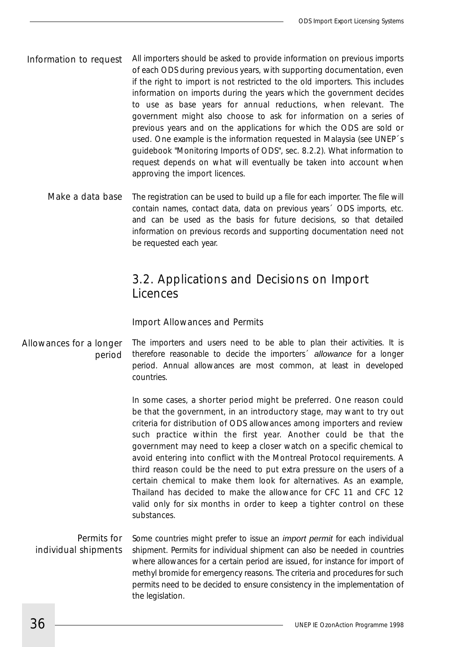- *All importers should be asked to provide information on previous imports of each ODS during previous years, with supporting documentation, even if the right to import is not restricted to the old importers. This includes information on imports during the years which the government decides to use as base years for annual reductions, when relevant. The government might also choose to ask for information on a series of previous years and on the applications for which the ODS are sold or used. One example is the information requested in Malaysia (see UNEP´s guidebook "Monitoring Imports of ODS", sec. 8.2.2). What information to request depends on what will eventually be taken into account when approving the import licences. Information to request*
	- *The registration can be used to build up a file for each importer. The file will contain names, contact data, data on previous years´ ODS imports, etc. and can be used as the basis for future decisions, so that detailed information on previous records and supporting documentation need not be requested each year. Make a data base*

# *3.2. Applications and Decisions on Import Licences*

### *Import Allowances and Permits*

*The importers and users need to be able to plan their activities. It is therefore reasonable to decide the importers´* allowance *for a longer period. Annual allowances are most common, at least in developed countries. Allowances for a longer period*

> *In some cases, a shorter period might be preferred. One reason could be that the government, in an introductory stage, may want to try out criteria for distribution of ODS allowances among importers and review such practice within the first year. Another could be that the government may need to keep a closer watch on a specific chemical to avoid entering into conflict with the Montreal Protocol requirements. A third reason could be the need to put extra pressure on the users of a certain chemical to make them look for alternatives. As an example, Thailand has decided to make the allowance for CFC 11 and CFC 12 valid only for six months in order to keep a tighter control on these substances.*

### *Permits for individual shipments*

*Some countries might prefer to issue an* import permit *for each individual shipment. Permits for individual shipment can also be needed in countries where allowances for a certain period are issued, for instance for import of methyl bromide for emergency reasons. The criteria and procedures for such permits need to be decided to ensure consistency in the implementation of the legislation.*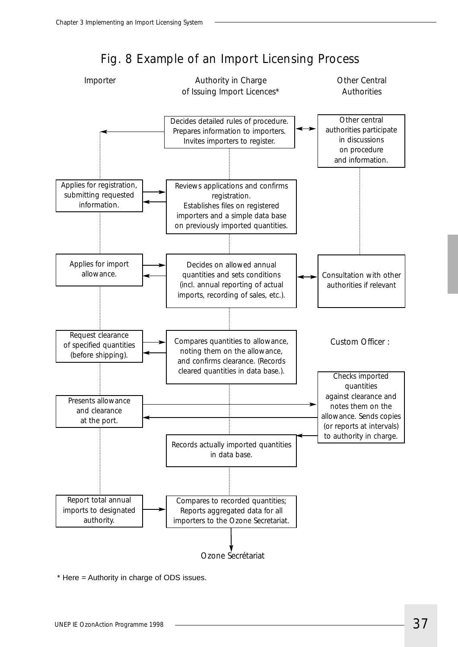



<sup>\*</sup> Here = Authority in charge of ODS issues.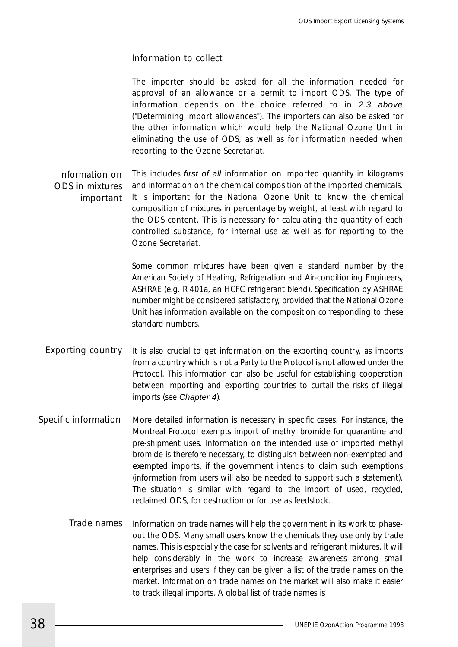### *Information to collect*

*The importer should be asked for all the information needed for approval of an allowance or a permit to import ODS. The type of information depends on the choice referred to in* 2.3 above *("Determining import allowances"). The importers can also be asked for the other information which would help the National Ozone Unit in eliminating the use of ODS, as well as for information needed when reporting to the Ozone Secretariat.*

*Information on ODS in mixtures important This includes* first of all *information on imported quantity in kilograms and information on the chemical composition of the imported chemicals. It is important for the National Ozone Unit to know the chemical composition of mixtures in percentage by weight, at least with regard to the ODS content. This is necessary for calculating the quantity of each controlled substance, for internal use as well as for reporting to the Ozone Secretariat.* 

> *Some common mixtures have been given a standard number by the American Society of Heating, Refrigeration and Air-conditioning Engineers, ASHRAE (e.g. R 401a, an HCFC refrigerant blend). Specification by ASHRAE number might be considered satisfactory, provided that the National Ozone Unit has information available on the composition corresponding to these standard numbers.*

- *Exporting country It is also crucial to get information on the exporting country, as imports from a country which is not a Party to the Protocol is not allowed under the Protocol. This information can also be useful for establishing cooperation between importing and exporting countries to curtail the risks of illegal imports (see* Chapter 4*).*
- *Specific information More detailed information is necessary in specific cases. For instance, the Montreal Protocol exempts import of methyl bromide for quarantine and pre-shipment uses. Information on the intended use of imported methyl bromide is therefore necessary, to distinguish between non-exempted and exempted imports, if the government intends to claim such exemptions (information from users will also be needed to support such a statement). The situation is similar with regard to the import of used, recycled, reclaimed ODS, for destruction or for use as feedstock.*
	- *Trade names Information on trade names will help the government in its work to phaseout the ODS. Many small users know the chemicals they use only by trade names. This is especially the case for solvents and refrigerant mixtures. It will help considerably in the work to increase awareness among small enterprises and users if they can be given a list of the trade names on the market. Information on trade names on the market will also make it easier to track illegal imports. A global list of trade names is*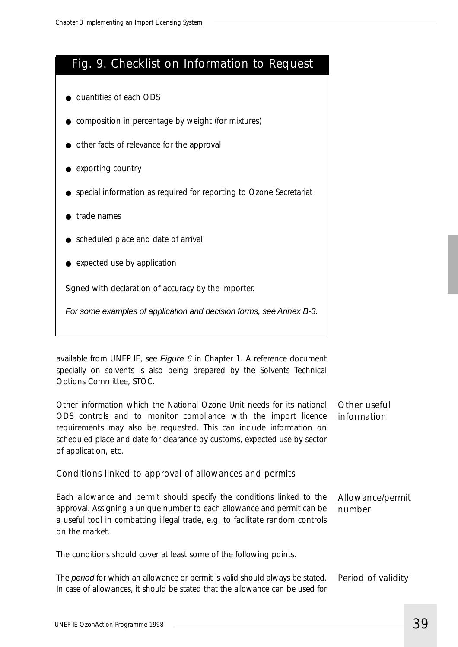# *Fig. 9. Checklist on Information to Request*

- *quantities of each ODS*
- *composition in percentage by weight (for mixtures)*
- *other facts of relevance for the approval*
- *exporting country*
- special information as required for reporting to Ozone Secretariat
- *trade names*
- scheduled place and date of arrival
- *expected use by application*

*Signed with declaration of accuracy by the importer.*

For some examples of application and decision forms, see Annex B-3.

*available from UNEP IE, see* Figure 6 *in Chapter 1. A reference document specially on solvents is also being prepared by the Solvents Technical Options Committee, STOC.*

*Other information which the National Ozone Unit needs for its national ODS controls and to monitor compliance with the import licence requirements may also be requested. This can include information on scheduled place and date for clearance by customs, expected use by sector of application, etc. Other useful information*

### *Conditions linked to approval of allowances and permits*

*Each allowance and permit should specify the conditions linked to the approval. Assigning a unique number to each allowance and permit can be a useful tool in combatting illegal trade, e.g. to facilitate random controls on the market. Allowance/permit number*

*The conditions should cover at least some of the following points.*

*The* period *for which an allowance or permit is valid should always be stated. In case of allowances, it should be stated that the allowance can be used for Period of validity*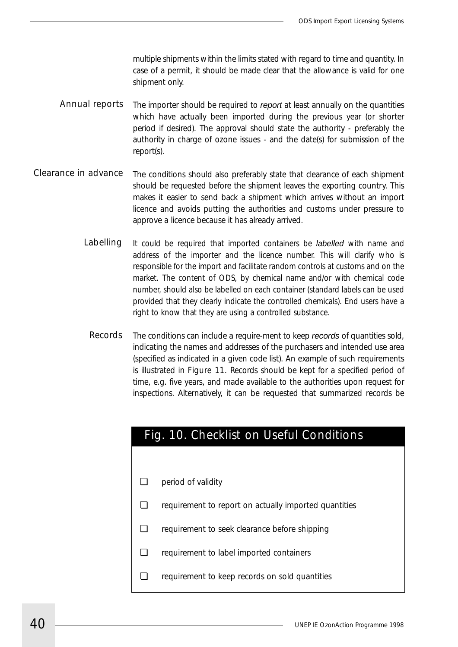*multiple shipments within the limits stated with regard to time and quantity. In case of a permit, it should be made clear that the allowance is valid for one shipment only.*

- *The importer should be required to* report *at least annually on the quantities which have actually been imported during the previous year (or shorter period if desired). The approval should state the authority - preferably the authority in charge of ozone issues - and the date(s) for submission of the report(s). Annual reports*
- *The conditions should also preferably state that clearance of each shipment should be requested before the shipment leaves the exporting country. This makes it easier to send back a shipment which arrives without an import licence and avoids putting the authorities and customs under pressure to approve a licence because it has already arrived. Clearance in advance*
	- *It could be required that imported containers be* labelled *with name and address of the importer and the licence number. This will clarify who is responsible for the import and facilitate random controls at customs and on the market. The content of ODS, by chemical name and/or with chemical code number, should also be labelled on each container (standard labels can be used provided that they clearly indicate the controlled chemicals). End users have a right to know that they are using a controlled substance. Labelling*
		- *The conditions can include a require-ment to keep* records *of quantities sold, indicating the names and addresses of the purchasers and intended use area (specified as indicated in a given code list). An example of such requirements is illustrated in Figure 11. Records should be kept for a specified period of time, e.g. five years, and made available to the authorities upon request for inspections. Alternatively, it can be requested that summarized records be Records*

# *Fig. 10. Checklist on Useful Conditions*

- ❏ *period of validity*
- ❏ *requirement to report on actually imported quantities*
- ❏ *requirement to seek clearance before shipping*
- ❏ *requirement to label imported containers*
- ❏ *requirement to keep records on sold quantities*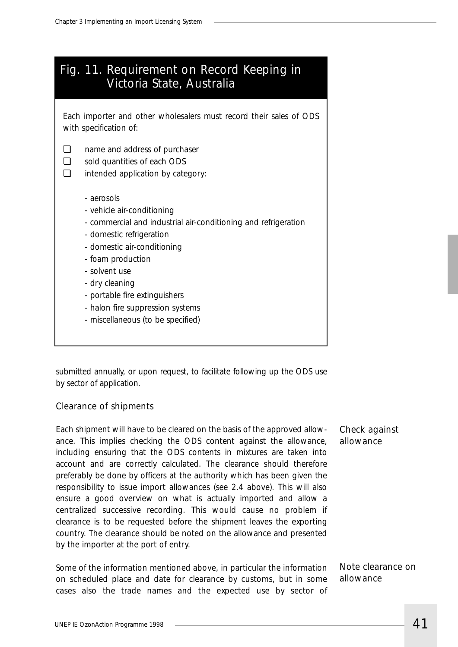# *Fig. 11. Requirement on Record Keeping in Victoria State, Australia*

*Each importer and other wholesalers must record their sales of ODS with specification of:*

- ❏ *name and address of purchaser*
- ❏ *sold quantities of each ODS*
- ❏ *intended application by category:*
	- *aerosols*
	- *vehicle air-conditioning*
	- *commercial and industrial air-conditioning and refrigeration*
	- *domestic refrigeration*
	- *domestic air-conditioning*
	- *foam production*
	- *solvent use*
	- *dry cleaning*
	- *portable fire extinguishers*
	- *halon fire suppression systems*
	- *miscellaneous (to be specified)*

*submitted annually, or upon request, to facilitate following up the ODS use by sector of application.*

### *Clearance of shipments*

*Each shipment will have to be cleared on the basis of the approved allowance. This implies checking the ODS content against the allowance, including ensuring that the ODS contents in mixtures are taken into account and are correctly calculated. The clearance should therefore preferably be done by officers at the authority which has been given the responsibility to issue import allowances (see 2.4 above). This will also ensure a good overview on what is actually imported and allow a centralized successive recording. This would cause no problem if clearance is to be requested before the shipment leaves the exporting country. The clearance should be noted on the allowance and presented by the importer at the port of entry.*

*Some of the information mentioned above, in particular the information on scheduled place and date for clearance by customs, but in some cases also the trade names and the expected use by sector of*

### *Note clearance on allowance*

*Check against allowance*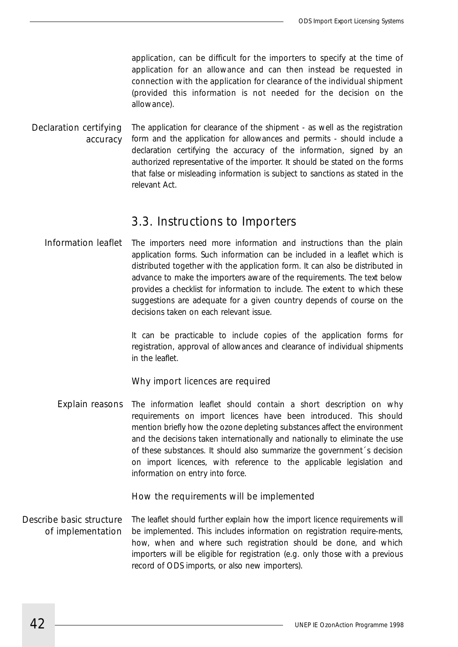*application, can be difficult for the importers to specify at the time of application for an allowance and can then instead be requested in connection with the application for clearance of the individual shipment (provided this information is not needed for the decision on the allowance).*

*The application for clearance of the shipment - as well as the registration form and the application for allowances and permits - should include a declaration certifying the accuracy of the information, signed by an authorized representative of the importer. It should be stated on the forms that false or misleading information is subject to sanctions as stated in the relevant Act. Declaration certifying accuracy*

## *3.3. Instructions to Importers*

*The importers need more information and instructions than the plain application forms. Such information can be included in a leaflet which is distributed together with the application form. It can also be distributed in advance to make the importers aware of the requirements. The text below provides a checklist for information to include. The extent to which these suggestions are adequate for a given country depends of course on the decisions taken on each relevant issue. Information leaflet*

> *It can be practicable to include copies of the application forms for registration, approval of allowances and clearance of individual shipments in the leaflet.*

### *Why import licences are required*

*The information leaflet should contain a short description on why requirements on import licences have been introduced. This should mention briefly how the ozone depleting substances affect the environment and the decisions taken internationally and nationally to eliminate the use of these substances. It should also summarize the government´s decision on import licences, with reference to the applicable legislation and information on entry into force. Explain reasons*

### *How the requirements will be implemented*

*The leaflet should further explain how the import licence requirements will be implemented. This includes information on registration require-ments, how, when and where such registration should be done, and which importers will be eligible for registration (e.g. only those with a previous record of ODS imports, or also new importers). Describe basic structure of implementation*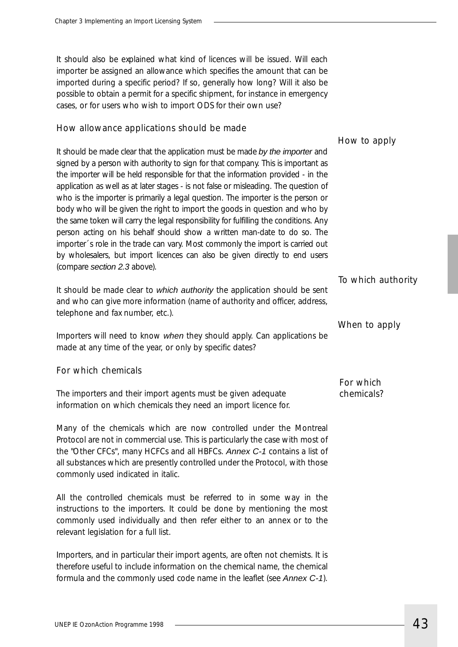*It should also be explained what kind of licences will be issued. Will each importer be assigned an allowance which specifies the amount that can be imported during a specific period? If so, generally how long? Will it also be possible to obtain a permit for a specific shipment, for instance in emergency cases, or for users who wish to import ODS for their own use?*

### *How allowance applications should be made*

It should be made clear that the application must be made by the *importer* and *signed by a person with authority to sign for that company. This is important as the importer will be held responsible for that the information provided - in the application as well as at later stages - is not false or misleading. The question of who is the importer is primarily a legal question. The importer is the person or body who will be given the right to import the goods in question and who by the same token will carry the legal responsibility for fulfilling the conditions. Any person acting on his behalf should show a written man-date to do so. The importer´s role in the trade can vary. Most commonly the import is carried out by wholesalers, but import licences can also be given directly to end users (compare* section 2.3 *above).*

*It should be made clear to* which authority *the application should be sent and who can give more information (name of authority and officer, address, telephone and fax number, etc.).* 

*Importers will need to know* when *they should apply. Can applications be made at any time of the year, or only by specific dates?* 

### *For which chemicals*

*The importers and their import agents must be given adequate information on which chemicals they need an import licence for.* 

*Many of the chemicals which are now controlled under the Montreal Protocol are not in commercial use. This is particularly the case with most of the "Other CFCs", many HCFCs and all HBFCs.* Annex C-1 *contains a list of all substances which are presently controlled under the Protocol, with those commonly used indicated in italic.*

*All the controlled chemicals must be referred to in some way in the instructions to the importers. It could be done by mentioning the most commonly used individually and then refer either to an annex or to the relevant legislation for a full list.* 

*Importers, and in particular their import agents, are often not chemists. It is therefore useful to include information on the chemical name, the chemical formula and the commonly used code name in the leaflet (see Annex C-1).* 

*How to apply*

*To which authority*

*When to apply*

*For which chemicals?*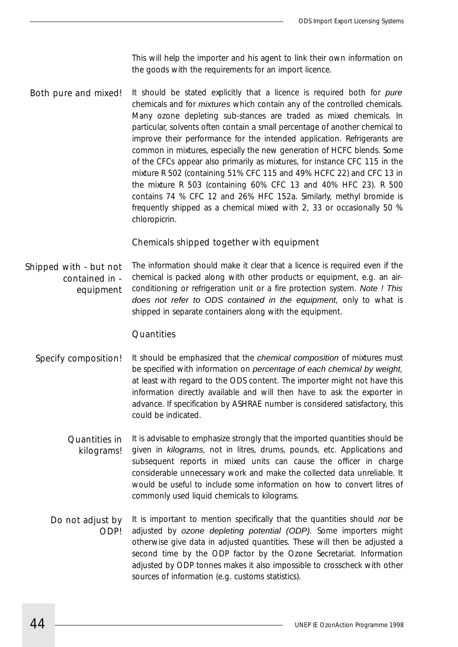*This will help the importer and his agent to link their own information on the goods with the requirements for an import licence.* 

It should be stated explicitly that a licence is required both for *pure chemicals and for* mixtures *which contain any of the controlled chemicals. Many ozone depleting sub-stances are traded as mixed chemicals. In particular, solvents often contain a small percentage of another chemical to improve their performance for the intended application. Refrigerants are common in mixtures, especially the new generation of HCFC blends. Some of the CFCs appear also primarily as mixtures, for instance CFC 115 in the mixture R 502 (containing 51% CFC 115 and 49% HCFC 22) and CFC 13 in the mixture R 503 (containing 60% CFC 13 and 40% HFC 23). R 500 contains 74 % CFC 12 and 26% HFC 152a. Similarly, methyl bromide is frequently shipped as a chemical mixed with 2, 33 or occasionally 50 % chloropicrin. Both pure and mixed!*

### *Chemicals shipped together with equipment*

*The information should make it clear that a licence is required even if the chemical is packed along with other products or equipment, e.g. an airconditioning or refrigeration unit or a fire protection system.* Note ! This does not refer to ODS contained in the equipment, *only to what is shipped in separate containers along with the equipment. Shipped with - but not contained in equipment*

### *Quantities*

- *It should be emphasized that the* chemical composition *of mixtures must be specified with information on* percentage of each chemical by weight, *at least with regard to the ODS content. The importer might not have this information directly available and will then have to ask the exporter in advance. If specification by ASHRAE number is considered satisfactory, this could be indicated. Specify composition!*
	- *It is advisable to emphasize strongly that the imported quantities should be given in* kilograms, *not in litres, drums, pounds, etc. Applications and subsequent reports in mixed units can cause the officer in charge considerable unnecessary work and make the collected data unreliable. It would be useful to include some information on how to convert litres of commonly used liquid chemicals to kilograms. Quantities in kilograms!*
	- It is important to mention specifically that the quantities should *not* be *adjusted by* ozone depleting potential (ODP). *Some importers might otherwise give data in adjusted quantities. These will then be adjusted a second time by the ODP factor by the Ozone Secretariat. Information adjusted by ODP tonnes makes it also impossible to crosscheck with other sources of information (e.g. customs statistics). Do not adjust by ODP!*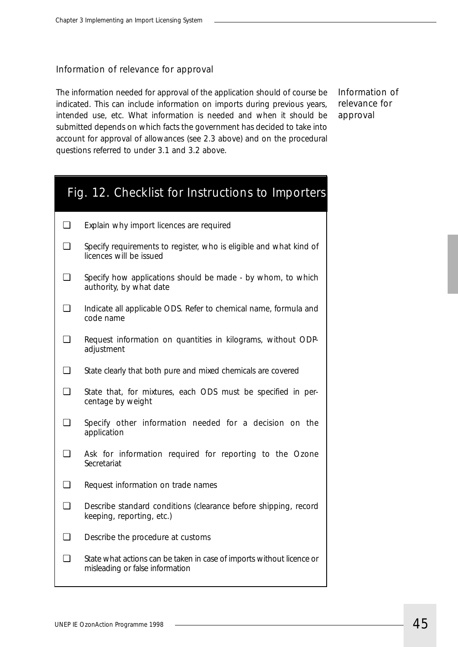### *Information of relevance for approval*

*The information needed for approval of the application should of course be indicated. This can include information on imports during previous years, intended use, etc. What information is needed and when it should be submitted depends on which facts the government has decided to take into account for approval of allowances (see 2.3 above) and on the procedural questions referred to under 3.1 and 3.2 above.*

*Information of relevance for approval* 

# *Fig. 12. Checklist for Instructions to Importers*

- ❏ *Explain why import licences are required*
- ❏ *Specify requirements to register, who is eligible and what kind of licences will be issued*
- ❏ *Specify how applications should be made by whom, to which authority, by what date*
- ❏ *Indicate all applicable ODS. Refer to chemical name, formula and code name*
- ❏ *Request information on quantities in kilograms, without ODPadjustment*
- ❏ *State clearly that both pure and mixed chemicals are covered*
- ❏ *State that, for mixtures, each ODS must be specified in percentage by weight*
- ❏ *Specify other information needed for a decision on the application*
- ❏ *Ask for information required for reporting to the Ozone Secretariat*
- ❏ *Request information on trade names*
- ❏ *Describe standard conditions (clearance before shipping, record keeping, reporting, etc.)*
- ❏ *Describe the procedure at customs*
- ❏ *State what actions can be taken in case of imports without licence or misleading or false information*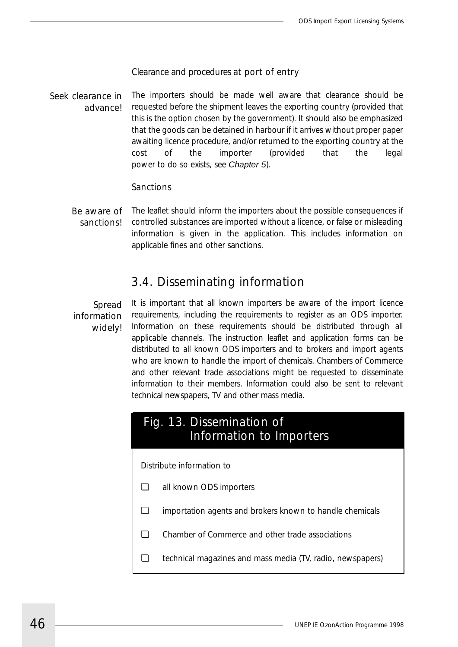### *Clearance and procedures at port of entry*

*The importers should be made well aware that clearance should be requested before the shipment leaves the exporting country (provided that this is the option chosen by the government). It should also be emphasized that the goods can be detained in harbour if it arrives without proper paper awaiting licence procedure, and/or returned to the exporting country at the cost of the importer (provided that the legal power to do so exists, see* Chapter 5*). Seek clearance in advance!*

### *Sanctions*

*The leaflet should inform the importers about the possible consequences if Be aware of controlled substances are imported without a licence, or false or misleading information is given in the application. This includes information on applicable fines and other sanctions. sanctions!*

## *3.4. Disseminating information*

### *Spread information widely!*

*It is important that all known importers be aware of the import licence requirements, including the requirements to register as an ODS importer. Information on these requirements should be distributed through all applicable channels. The instruction leaflet and application forms can be distributed to all known ODS importers and to brokers and import agents who are known to handle the import of chemicals. Chambers of Commerce and other relevant trade associations might be requested to disseminate information to their members. Information could also be sent to relevant technical newspapers, TV and other mass media.*

# *Fig. 13. Dissemination of Information to Importers*

*Distribute information to* 

- ❏ *all known ODS importers*
- ❏ *importation agents and brokers known to handle chemicals*
- ❏ *Chamber of Commerce and other trade associations*
- ❏ *technical magazines and mass media (TV, radio, newspapers)*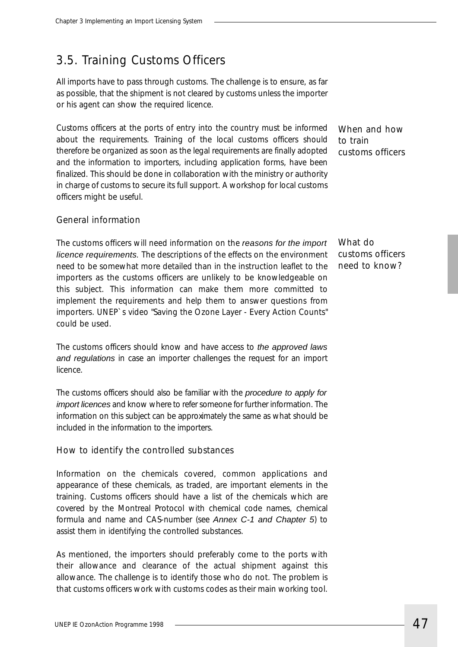# *3.5. Training Customs Officers*

*All imports have to pass through customs. The challenge is to ensure, as far as possible, that the shipment is not cleared by customs unless the importer or his agent can show the required licence.* 

*Customs officers at the ports of entry into the country must be informed about the requirements. Training of the local customs officers should therefore be organized as soon as the legal requirements are finally adopted and the information to importers, including application forms, have been finalized. This should be done in collaboration with the ministry or authority in charge of customs to secure its full support. A workshop for local customs officers might be useful.*

*When and how to train customs officers*

### *General information*

*The customs officers will need information on the* reasons for the import licence requirements. *The descriptions of the effects on the environment need to be somewhat more detailed than in the instruction leaflet to the importers as the customs officers are unlikely to be knowledgeable on this subject. This information can make them more committed to implement the requirements and help them to answer questions from importers. UNEP`s video "Saving the Ozone Layer - Every Action Counts" could be used.*

*The customs officers should know and have access to* the approved laws and regulations *in case an importer challenges the request for an import licence.* 

*The customs officers should also be familiar with the* procedure to apply for import licences *and know where to refer someone for further information. The information on this subject can be approximately the same as what should be included in the information to the importers.*

### *How to identify the controlled substances*

*Information on the chemicals covered, common applications and appearance of these chemicals, as traded, are important elements in the training. Customs officers should have a list of the chemicals which are covered by the Montreal Protocol with chemical code names, chemical formula and name and CAS-number (see* Annex C-1 and Chapter 5*) to assist them in identifying the controlled substances.*

*As mentioned, the importers should preferably come to the ports with their allowance and clearance of the actual shipment against this allowance. The challenge is to identify those who do not. The problem is that customs officers work with customs codes as their main working tool.*

*What do customs officers need to know?*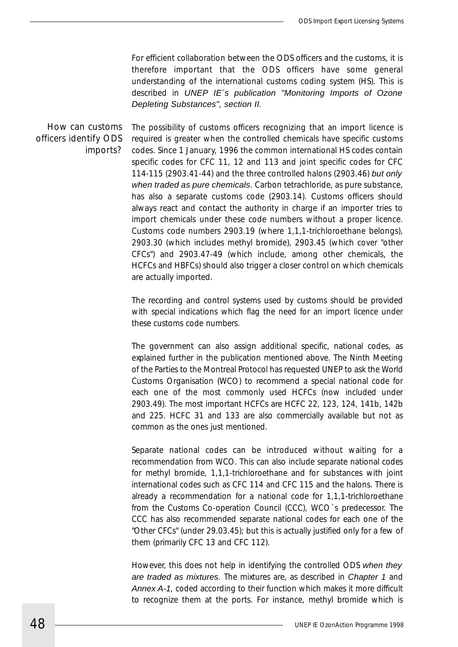*For efficient collaboration between the ODS officers and the customs, it is therefore important that the ODS officers have some general understanding of the international customs coding system (HS). This is described in* UNEP IE´s publication "Monitoring Imports of Ozone Depleting Substances", section II.

*The possibility of customs officers recognizing that an import licence is required is greater when the controlled chemicals have specific customs codes. Since 1 January, 1996 the common international HS codes contain specific codes for CFC 11, 12 and 113 and joint specific codes for CFC 114-115 (2903.41-44) and the three controlled halons (2903.46)* but only when traded as pure chemicals. *Carbon tetrachloride, as pure substance, has also a separate customs code (2903.14). Customs officers should always react and contact the authority in charge if an importer tries to import chemicals under these code numbers without a proper licence. Customs code numbers 2903.19 (where 1,1,1-trichloroethane belongs), 2903.30 (which includes methyl bromide), 2903.45 (which cover "other CFCs") and 2903.47-49 (which include, among other chemicals, the HCFCs and HBFCs) should also trigger a closer control on which chemicals are actually imported. How can customs officers identify ODS imports?*

> *The recording and control systems used by customs should be provided with special indications which flag the need for an import licence under these customs code numbers.*

> *The government can also assign additional specific, national codes, as explained further in the publication mentioned above. The Ninth Meeting of the Parties to the Montreal Protocol has requested UNEP to ask the World Customs Organisation (WCO) to recommend a special national code for each one of the most commonly used HCFCs (now included under 2903.49). The most important HCFCs are HCFC 22, 123, 124, 141b, 142b and 225. HCFC 31 and 133 are also commercially available but not as common as the ones just mentioned.*

> *Separate national codes can be introduced without waiting for a recommendation from WCO. This can also include separate national codes for methyl bromide, 1,1,1-trichloroethane and for substances with joint international codes such as CFC 114 and CFC 115 and the halons. There is already a recommendation for a national code for 1,1,1-trichloroethane from the Customs Co-operation Council (CCC), WCO´s predecessor. The CCC has also recommended separate national codes for each one of the "Other CFCs" (under 29.03.45); but this is actually justified only for a few of them (primarily CFC 13 and CFC 112).*

> *However, this does not help in identifying the controlled ODS when they* are traded as mixtures. *The mixtures are, as described in* Chapter 1 *and* Annex A-1, *coded according to their function which makes it more difficult to recognize them at the ports. For instance, methyl bromide which is*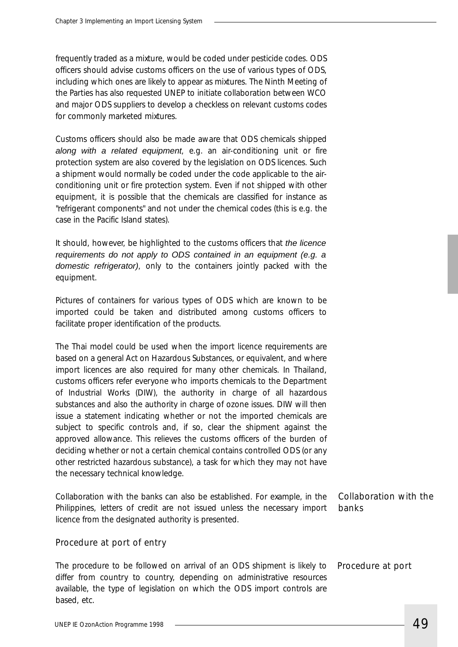*frequently traded as a mixture, would be coded under pesticide codes. ODS officers should advise customs officers on the use of various types of ODS, including which ones are likely to appear as mixtures. The Ninth Meeting of the Parties has also requested UNEP to initiate collaboration between WCO and major ODS suppliers to develop a checkless on relevant customs codes for commonly marketed mixtures.*

*Customs officers should also be made aware that ODS chemicals shipped* along with a related equipment, *e.g. an air-conditioning unit or fire protection system are also covered by the legislation on ODS licences. Such a shipment would normally be coded under the code applicable to the airconditioning unit or fire protection system. Even if not shipped with other equipment, it is possible that the chemicals are classified for instance as "refrigerant components" and not under the chemical codes (this is e.g. the case in the Pacific Island states).*

It should, however, be highlighted to the customs officers that *the licence* requirements do not apply to ODS contained in an equipment (e.g. a domestic refrigerator), *only to the containers jointly packed with the equipment.*

*Pictures of containers for various types of ODS which are known to be imported could be taken and distributed among customs officers to facilitate proper identification of the products.*

*The Thai model could be used when the import licence requirements are based on a general Act on Hazardous Substances, or equivalent, and where import licences are also required for many other chemicals. In Thailand, customs officers refer everyone who imports chemicals to the Department of Industrial Works (DIW), the authority in charge of all hazardous substances and also the authority in charge of ozone issues. DIW will then issue a statement indicating whether or not the imported chemicals are subject to specific controls and, if so, clear the shipment against the approved allowance. This relieves the customs officers of the burden of deciding whether or not a certain chemical contains controlled ODS (or any other restricted hazardous substance), a task for which they may not have the necessary technical knowledge.*

*Collaboration with the banks can also be established. For example, in the Philippines, letters of credit are not issued unless the necessary import licence from the designated authority is presented.*

*Collaboration with the banks*

### *Procedure at port of entry*

*The procedure to be followed on arrival of an ODS shipment is likely to differ from country to country, depending on administrative resources available, the type of legislation on which the ODS import controls are based, etc. Procedure at port*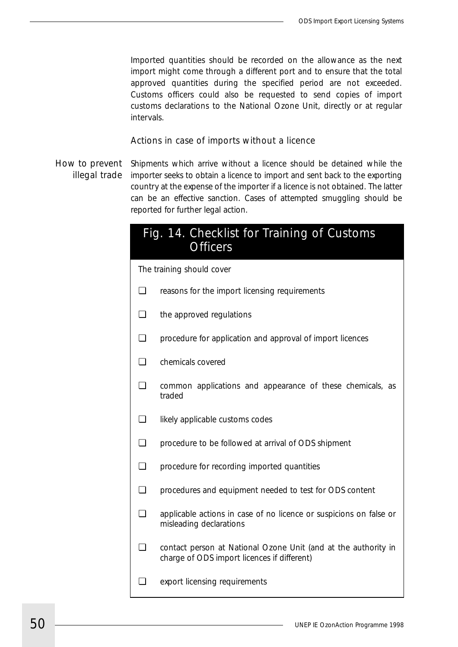*Imported quantities should be recorded on the allowance as the next import might come through a different port and to ensure that the total approved quantities during the specified period are not exceeded. Customs officers could also be requested to send copies of import customs declarations to the National Ozone Unit, directly or at regular intervals.*

### *Actions in case of imports without a licence*

*Shipments which arrive without a licence should be detained while the importer seeks to obtain a licence to import and sent back to the exporting country at the expense of the importer if a licence is not obtained. The latter can be an effective sanction. Cases of attempted smuggling should be reported for further legal action. How to prevent illegal trade*

| Fig. 14. Checklist for Training of Customs<br><b>Officers</b> |  |
|---------------------------------------------------------------|--|
|                                                               |  |

*The training should cover*

- ❏ *reasons for the import licensing requirements*
- ❏ *the approved regulations*
- ❏ *procedure for application and approval of import licences*
- ❏ *chemicals covered*
- ❏ *common applications and appearance of these chemicals, as traded*
- ❏ *likely applicable customs codes*
- ❏ *procedure to be followed at arrival of ODS shipment*
- ❏ *procedure for recording imported quantities*
- ❏ *procedures and equipment needed to test for ODS content*
- ❏ *applicable actions in case of no licence or suspicions on false or misleading declarations*
- ❏ *contact person at National Ozone Unit (and at the authority in charge of ODS import licences if different)*
- ❏ *export licensing requirements*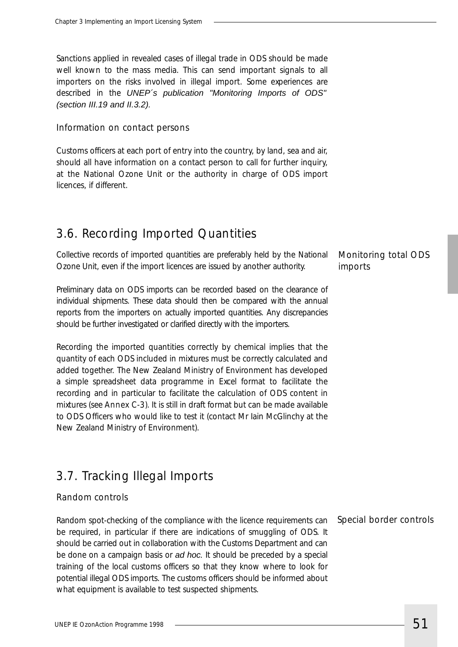*Sanctions applied in revealed cases of illegal trade in ODS should be made well known to the mass media. This can send important signals to all importers on the risks involved in illegal import. Some experiences are described in the* UNEP´s publication "Monitoring Imports of ODS" (section III.19 and II.3.2).

### *Information on contact persons*

*Customs officers at each port of entry into the country, by land, sea and air, should all have information on a contact person to call for further inquiry, at the National Ozone Unit or the authority in charge of ODS import licences, if different.*

# *3.6. Recording Imported Quantities*

*Collective records of imported quantities are preferably held by the National Ozone Unit, even if the import licences are issued by another authority. Monitoring total ODS imports*

*Preliminary data on ODS imports can be recorded based on the clearance of individual shipments. These data should then be compared with the annual reports from the importers on actually imported quantities. Any discrepancies should be further investigated or clarified directly with the importers.*

*Recording the imported quantities correctly by chemical implies that the quantity of each ODS included in mixtures must be correctly calculated and added together. The New Zealand Ministry of Environment has developed a simple spreadsheet data programme in Excel format to facilitate the recording and in particular to facilitate the calculation of ODS content in mixtures (see Annex C-3). It is still in draft format but can be made available to ODS Officers who would like to test it (contact Mr Iain McGlinchy at the New Zealand Ministry of Environment).*

# *3.7. Tracking Illegal Imports*

### *Random controls*

*Random spot-checking of the compliance with the licence requirements can be required, in particular if there are indications of smuggling of ODS. It should be carried out in collaboration with the Customs Department and can be done on a campaign basis or* ad hoc. *It should be preceded by a special training of the local customs officers so that they know where to look for potential illegal ODS imports. The customs officers should be informed about what equipment is available to test suspected shipments.*

### *Special border controls*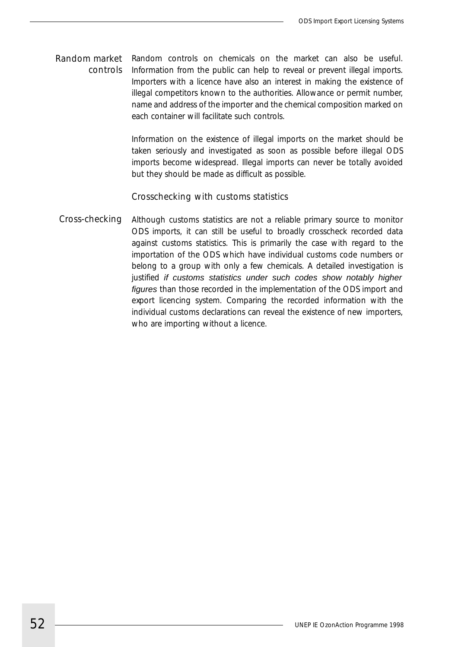#### *Random controls on chemicals on the market can also be useful. Information from the public can help to reveal or prevent illegal imports. Importers with a licence have also an interest in making the existence of illegal competitors known to the authorities. Allowance or permit number, name and address of the importer and the chemical composition marked on each container will facilitate such controls. Random market controls*

*Information on the existence of illegal imports on the market should be taken seriously and investigated as soon as possible before illegal ODS imports become widespread. Illegal imports can never be totally avoided but they should be made as difficult as possible.* 

### *Crosschecking with customs statistics*

*Although customs statistics are not a reliable primary source to monitor ODS imports, it can still be useful to broadly crosscheck recorded data against customs statistics. This is primarily the case with regard to the importation of the ODS which have individual customs code numbers or belong to a group with only a few chemicals. A detailed investigation is justified* if customs statistics under such codes show notably higher figures *than those recorded in the implementation of the ODS import and export licencing system. Comparing the recorded information with the individual customs declarations can reveal the existence of new importers, who are importing without a licence. Cross-checking*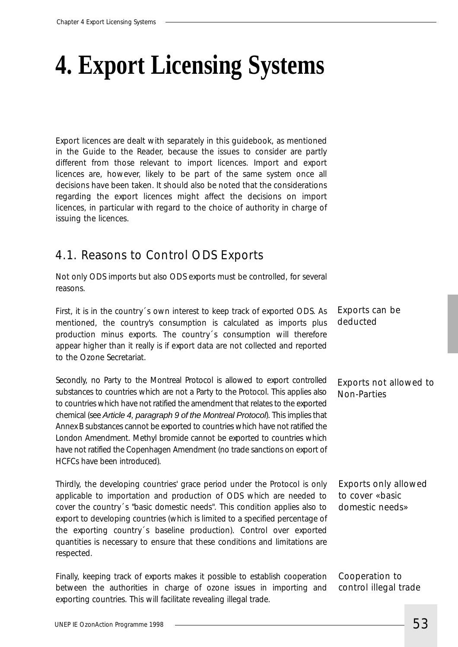# **4. Export Licensing Systems**

*Export licences are dealt with separately in this guidebook, as mentioned in the Guide to the Reader, because the issues to consider are partly different from those relevant to import licences. Import and export licences are, however, likely to be part of the same system once all decisions have been taken. It should also be noted that the considerations regarding the export licences might affect the decisions on import licences, in particular with regard to the choice of authority in charge of issuing the licences.*

# *4.1. Reasons to Control ODS Exports*

*Not only ODS imports but also ODS exports must be controlled, for several reasons.*

*First, it is in the country´s own interest to keep track of exported ODS. As mentioned, the country's consumption is calculated as imports plus production minus exports. The country´s consumption will therefore appear higher than it really is if export data are not collected and reported to the Ozone Secretariat.*

*Secondly, no Party to the Montreal Protocol is allowed to export controlled substances to countries which are not a Party to the Protocol. This applies also to countries which have not ratified the amendment that relates to the exported chemical (see* Article 4, paragraph 9 of the Montreal Protocol*). This implies that Annex B substances cannot be exported to countries which have not ratified the London Amendment. Methyl bromide cannot be exported to countries which have not ratified the Copenhagen Amendment (no trade sanctions on export of HCFCs have been introduced).*

*Thirdly, the developing countries' grace period under the Protocol is only applicable to importation and production of ODS which are needed to cover the country´s "basic domestic needs". This condition applies also to export to developing countries (which is limited to a specified percentage of the exporting country´s baseline production). Control over exported quantities is necessary to ensure that these conditions and limitations are respected.*

*Finally, keeping track of exports makes it possible to establish cooperation between the authorities in charge of ozone issues in importing and exporting countries. This will facilitate revealing illegal trade.* 

*Exports can be deducted*

*Exports not allowed to Non-Parties*

*Exports only allowed to cover «basic domestic needs»*

*Cooperation to control illegal trade*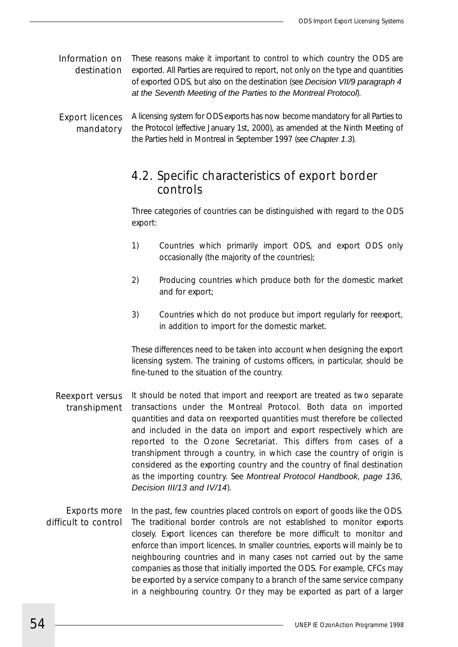*These reasons make it important to control to which country the ODS are exported. All Parties are required to report, not only on the type and quantities of exported ODS, but also on the destination (see* Decision VII/9 paragraph 4 at the Seventh Meeting of the Parties to the Montreal Protocol*). Information on destination*

*A licensing system for ODS exports has now become mandatory for all Parties to the Protocol (effective January 1st, 2000), as amended at the Ninth Meeting of the Parties held in Montreal in September 1997 (see* Chapter 1.3*). Export licences mandatory*

# *4.2. Specific characteristics of export border controls*

*Three categories of countries can be distinguished with regard to the ODS export:*

- *1) Countries which primarily import ODS, and export ODS only occasionally (the majority of the countries);*
- *2) Producing countries which produce both for the domestic market and for export;*
- *3) Countries which do not produce but import regularly for reexport, in addition to import for the domestic market.*

*These differences need to be taken into account when designing the export licensing system. The training of customs officers, in particular, should be fine-tuned to the situation of the country.*

*It should be noted that import and reexport are treated as two separate transactions under the Montreal Protocol. Both data on imported quantities and data on reexported quantities must therefore be collected and included in the data on import and export respectively which are reported to the Ozone Secretariat. This differs from cases of a transhipment through a country, in which case the country of origin is considered as the exporting country and the country of final destination as the importing country. See* Montreal Protocol Handbook, page 136, Decision III/13 and IV/14*). Reexport versus transhipment*

#### *In the past, few countries placed controls on export of goods like the ODS. The traditional border controls are not established to monitor exports closely. Export licences can therefore be more difficult to monitor and enforce than import licences. In smaller countries, exports will mainly be to neighbouring countries and in many cases not carried out by the same companies as those that initially imported the ODS. For example, CFCs may be exported by a service company to a branch of the same service company in a neighbouring country. Or they may be exported as part of a larger Exports more difficult to control*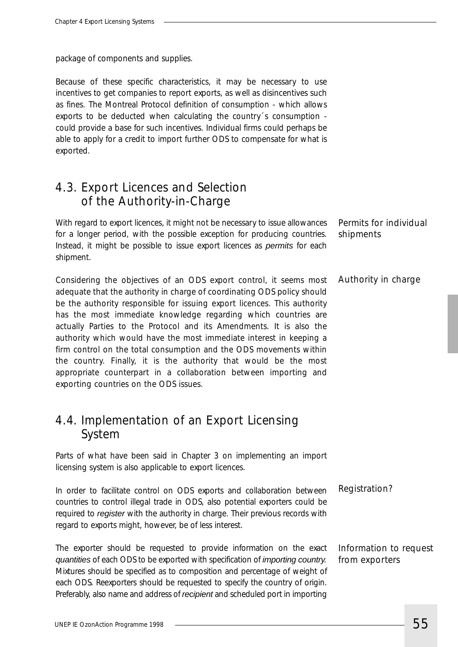*package of components and supplies.*

*Because of these specific characteristics, it may be necessary to use incentives to get companies to report exports, as well as disincentives such as fines. The Montreal Protocol definition of consumption - which allows exports to be deducted when calculating the country´s consumption could provide a base for such incentives. Individual firms could perhaps be able to apply for a credit to import further ODS to compensate for what is exported.* 

# *4.3. Export Licences and Selection of the Authority-in-Charge*

*With regard to export licences, it might not be necessary to issue allowances for a longer period, with the possible exception for producing countries. Instead, it might be possible to issue export licences as permits for each shipment. Permits for individual shipments*

*Considering the objectives of an ODS export control, it seems most adequate that the authority in charge of coordinating ODS policy should be the authority responsible for issuing export licences. This authority has the most immediate knowledge regarding which countries are actually Parties to the Protocol and its Amendments. It is also the authority which would have the most immediate interest in keeping a firm control on the total consumption and the ODS movements within the country. Finally, it is the authority that would be the most appropriate counterpart in a collaboration between importing and exporting countries on the ODS issues. Authority in charge*

# *4.4. Implementation of an Export Licensing System*

*Parts of what have been said in Chapter 3 on implementing an import licensing system is also applicable to export licences.* 

*In order to facilitate control on ODS exports and collaboration between countries to control illegal trade in ODS, also potential exporters could be required to* register *with the authority in charge. Their previous records with regard to exports might, however, be of less interest. Registration?*

*The exporter should be requested to provide information on the exact* quantities *of each ODS to be exported with specification of* importing country. *Mixtures should be specified as to composition and percentage of weight of each ODS. Reexporters should be requested to specify the country of origin. Preferably, also name and address of* recipient *and scheduled port in importing Information to request from exporters*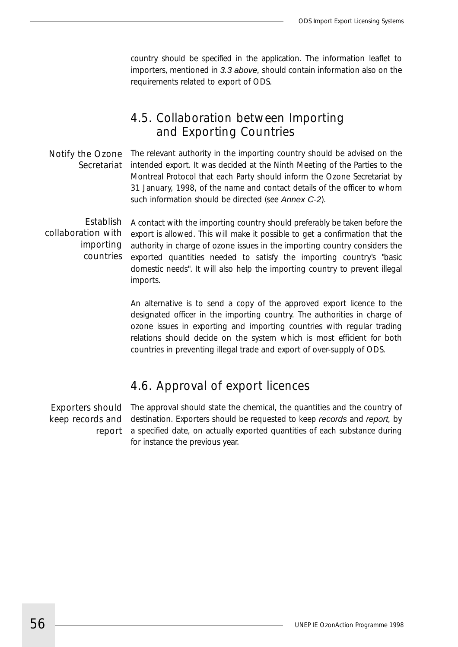*country should be specified in the application. The information leaflet to importers, mentioned in* 3.3 above, *should contain information also on the requirements related to export of ODS.* 

# *4.5. Collaboration between Importing and Exporting Countries*

#### *The relevant authority in the importing country should be advised on the intended export. It was decided at the Ninth Meeting of the Parties to the Montreal Protocol that each Party should inform the Ozone Secretariat by 31 January, 1998, of the name and contact details of the officer to whom such information should be directed (see* Annex C-2*). Notify the Ozone Secretariat*

### *Establish collaboration with importing countries*

*A contact with the importing country should preferably be taken before the export is allowed. This will make it possible to get a confirmation that the authority in charge of ozone issues in the importing country considers the exported quantities needed to satisfy the importing country's "basic domestic needs". It will also help the importing country to prevent illegal imports.*

*An alternative is to send a copy of the approved export licence to the designated officer in the importing country. The authorities in charge of ozone issues in exporting and importing countries with regular trading relations should decide on the system which is most efficient for both countries in preventing illegal trade and export of over-supply of ODS.*

# *4.6. Approval of export licences*

### *Exporters should keep records and report*

*The approval should state the chemical, the quantities and the country of destination. Exporters should be requested to keep* records *and* report, *by a specified date, on actually exported quantities of each substance during for instance the previous year.*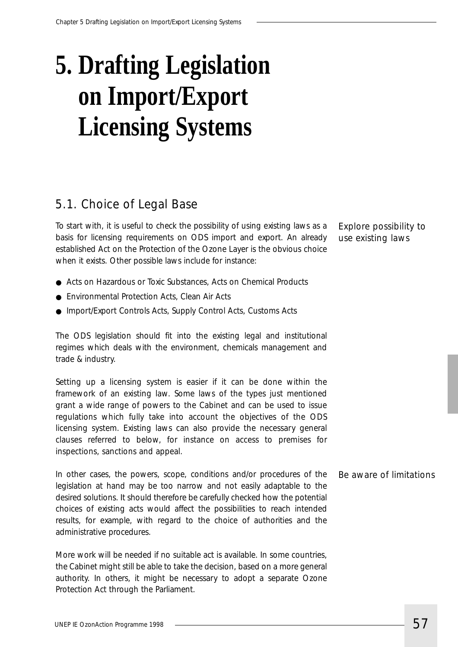# **5. Drafting Legislation on Import/Export Licensing Systems**

# *5.1. Choice of Legal Base*

*To start with, it is useful to check the possibility of using existing laws as a basis for licensing requirements on ODS import and export. An already established Act on the Protection of the Ozone Layer is the obvious choice when it exists. Other possible laws include for instance:*

*Explore possibility to use existing laws*

- *Acts on Hazardous or Toxic Substances, Acts on Chemical Products*
- *Environmental Protection Acts, Clean Air Acts*
- *Import/Export Controls Acts, Supply Control Acts, Customs Acts*

*The ODS legislation should fit into the existing legal and institutional regimes which deals with the environment, chemicals management and trade & industry.*

*Setting up a licensing system is easier if it can be done within the framework of an existing law. Some laws of the types just mentioned grant a wide range of powers to the Cabinet and can be used to issue regulations which fully take into account the objectives of the ODS licensing system. Existing laws can also provide the necessary general clauses referred to below, for instance on access to premises for inspections, sanctions and appeal.*

### *In other cases, the powers, scope, conditions and/or procedures of the legislation at hand may be too narrow and not easily adaptable to the desired solutions. It should therefore be carefully checked how the potential choices of existing acts would affect the possibilities to reach intended results, for example, with regard to the choice of authorities and the administrative procedures. Be aware of limitations*

*More work will be needed if no suitable act is available. In some countries, the Cabinet might still be able to take the decision, based on a more general authority. In others, it might be necessary to adopt a separate Ozone Protection Act through the Parliament.*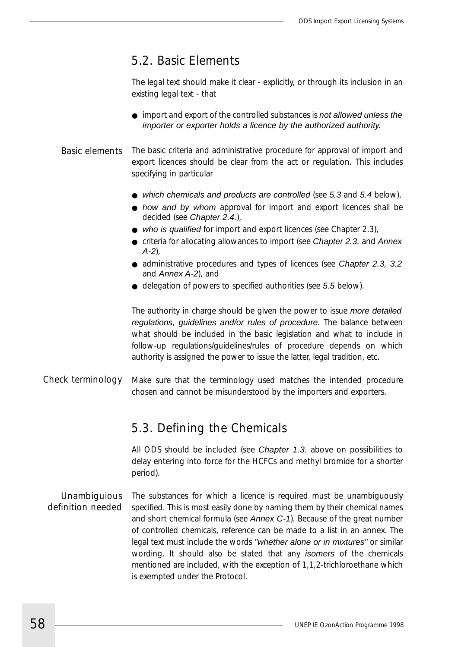## *5.2. Basic Elements*

*The legal text should make it clear - explicitly, or through its inclusion in an existing legal text - that*

- *import and export of the controlled substances is not allowed unless the* importer or exporter holds a licence by the authorized authority.
- *The basic criteria and administrative procedure for approval of import and export licences should be clear from the act or regulation. This includes specifying in particular Basic elements*
	- which chemicals and products are controlled *(see* 5.3 *and* 5.4 *below),*
	- how and by whom *approval for import and export licences shall be decided (see* Chapter 2.4.*),*
	- who is qualified for import and export licences (see Chapter 2.3),
	- *criteria for allocating allowances to import (see Chapter 2.3, and Annex* A-2*),*
	- *administrative procedures and types of licences (see* Chapter 2.3, 3.2 *and* Annex A-2*), and*
	- *delegation of powers to specified authorities (see* 5.5 *below).*

The authority in charge should be given the power to issue *more detailed* regulations, guidelines and/or rules of procedure. *The balance between what should be included in the basic legislation and what to include in follow-up regulations/guidelines/rules of procedure depends on which authority is assigned the power to issue the latter, legal tradition, etc.* 

*Make sure that the terminology used matches the intended procedure chosen and cannot be misunderstood by the importers and exporters. Check terminology*

# *5.3. Defining the Chemicals*

*All ODS should be included (see* Chapter 1.3. *above on possibilities to delay entering into force for the HCFCs and methyl bromide for a shorter period).*

*The substances for which a licence is required must be unambiguously specified. This is most easily done by naming them by their chemical names and short chemical formula (see* Annex C-1*). Because of the great number of controlled chemicals, reference can be made to a list in an annex. The legal text must include the words* "whether alone or in mixtures" *or similar wording. It should also be stated that any* isomers *of the chemicals mentioned are included, with the exception of 1,1,2-trichloroethane which is exempted under the Protocol. Unambiguious definition needed*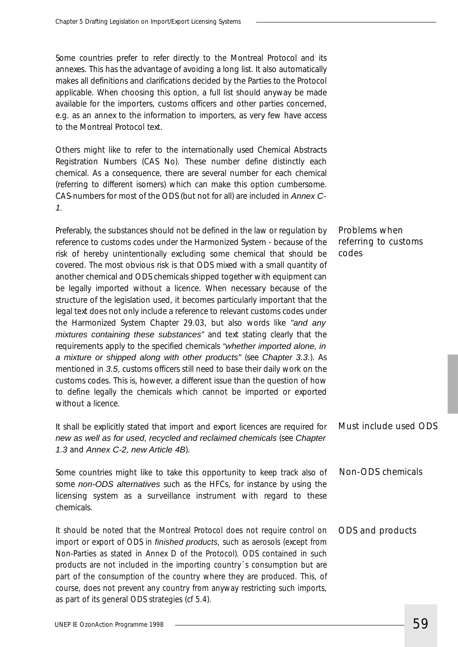*Some countries prefer to refer directly to the Montreal Protocol and its annexes. This has the advantage of avoiding a long list. It also automatically makes all definitions and clarifications decided by the Parties to the Protocol applicable. When choosing this option, a full list should anyway be made available for the importers, customs officers and other parties concerned, e.g. as an annex to the information to importers, as very few have access to the Montreal Protocol text.*

*Others might like to refer to the internationally used Chemical Abstracts Registration Numbers (CAS No). These number define distinctly each chemical. As a consequence, there are several number for each chemical (referring to different isomers) which can make this option cumbersome.* CAS-numbers for most of the ODS (but not for all) are included in *Annex C-*1.

*Preferably, the substances should not be defined in the law or regulation by reference to customs codes under the Harmonized System - because of the risk of hereby unintentionally excluding some chemical that should be covered. The most obvious risk is that ODS mixed with a small quantity of another chemical and ODS chemicals shipped together with equipment can be legally imported without a licence. When necessary because of the structure of the legislation used, it becomes particularly important that the legal text does not only include a reference to relevant customs codes under the Harmonized System Chapter 29.03, but also words like* "and any mixtures containing these substances" *and text stating clearly that the requirements apply to the specified chemicals* "whether imported alone, in a mixture or shipped along with other products" *(see* Chapter 3.3.*). As mentioned in* 3.5*, customs officers still need to base their daily work on the customs codes. This is, however, a different issue than the question of how to define legally the chemicals which cannot be imported or exported without a licence. Problems when referring to customs codes*

| It shall be explicitly stated that import and export licences are required for<br>new as well as for used, recycled and reclaimed chemicals (see Chapter<br>1.3 and Annex C-2, new Article 4B).                                                                                                                                                                                                                                                                                                                                       | Must include used ODS    |
|---------------------------------------------------------------------------------------------------------------------------------------------------------------------------------------------------------------------------------------------------------------------------------------------------------------------------------------------------------------------------------------------------------------------------------------------------------------------------------------------------------------------------------------|--------------------------|
| Some countries might like to take this opportunity to keep track also of<br>some non-ODS alternatives such as the HFCs, for instance by using the<br>licensing system as a surveillance instrument with regard to these<br>chemicals.                                                                                                                                                                                                                                                                                                 | <b>Non-ODS chemicals</b> |
| It should be noted that the Montreal Protocol does not require control on<br>import or export of ODS in <i>finished products</i> , such as aerosols (except from<br>Non-Parties as stated in Annex D of the Protocol). ODS contained in such<br>products are not included in the importing country's consumption but are<br>part of the consumption of the country where they are produced. This, of<br>course, does not prevent any country from anyway restricting such imports,<br>as part of its general ODS strategies (cf 5.4). | ODS and products         |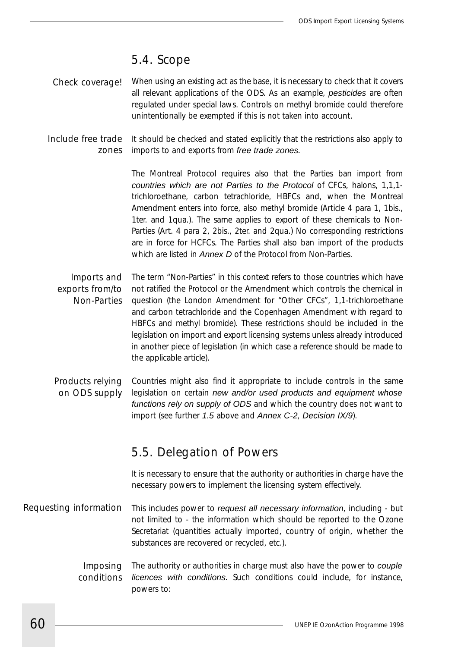## *5.4. Scope*

- *When using an existing act as the base, it is necessary to check that it covers all relevant applications of the ODS. As an example,* pesticides *are often regulated under special laws. Controls on methyl bromide could therefore unintentionally be exempted if this is not taken into account. Check coverage!*
- *It should be checked and stated explicitly that the restrictions also apply to imports to and exports from* free trade zones. *Include free trade zones*

*The Montreal Protocol requires also that the Parties ban import from* countries which are not Parties to the Protocol *of CFCs, halons, 1,1,1 trichloroethane, carbon tetrachloride, HBFCs and, when the Montreal Amendment enters into force, also methyl bromide (Article 4 para 1, 1bis., 1ter. and 1qua.). The same applies to export of these chemicals to Non-Parties (Art. 4 para 2, 2bis., 2ter. and 2qua.) No corresponding restrictions are in force for HCFCs. The Parties shall also ban import of the products which are listed in* Annex D *of the Protocol from Non-Parties.* 

- *The term "Non-Parties" in this context refers to those countries which have not ratified the Protocol or the Amendment which controls the chemical in question (the London Amendment for "Other CFCs", 1,1-trichloroethane and carbon tetrachloride and the Copenhagen Amendment with regard to HBFCs and methyl bromide). These restrictions should be included in the legislation on import and export licensing systems unless already introduced in another piece of legislation (in which case a reference should be made to the applicable article). Imports and exports from/to Non-Parties*
- *Countries might also find it appropriate to include controls in the same legislation on certain* new and/or used products and equipment whose functions rely on supply of ODS *and which the country does not want to import (see further* 1.5 *above and* Annex C-2, Decision IX/9*). Products relying on ODS supply*

# *5.5. Delegation of Powers*

*It is necessary to ensure that the authority or authorities in charge have the necessary powers to implement the licensing system effectively.*

*This includes power to* request all necessary information, *including - but not limited to - the information which should be reported to the Ozone Secretariat (quantities actually imported, country of origin, whether the substances are recovered or recycled, etc.). Requesting information*

#### The authority or authorities in charge must also have the power to **couple** licences with conditions. *Such conditions could include, for instance, powers to: Imposing conditions*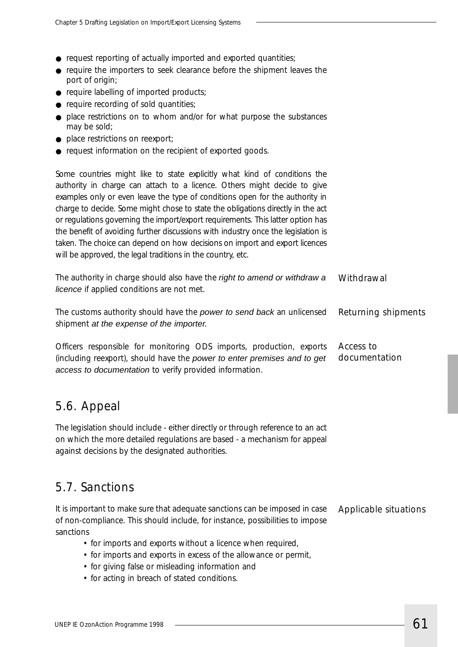- *request reporting of actually imported and exported quantities;*
- *require the importers to seek clearance before the shipment leaves the port of origin;*
- *require labelling of imported products;*
- *require recording of sold quantities;*
- *place restrictions on to whom and/or for what purpose the substances may be sold;*
- *place restrictions on reexport;*
- *request information on the recipient of exported goods.*

*Some countries might like to state explicitly what kind of conditions the authority in charge can attach to a licence. Others might decide to give examples only or even leave the type of conditions open for the authority in charge to decide. Some might chose to state the obligations directly in the act or regulations governing the import/export requirements. This latter option has the benefit of avoiding further discussions with industry once the legislation is taken. The choice can depend on how decisions on import and export licences will be approved, the legal traditions in the country, etc.*

*The authority in charge should also have the* right to amend or withdraw a licence *if applied conditions are not met. Withdrawal*

*The customs authority should have the* power to send back *an unlicensed shipment* at the expense of the importer. *Returning shipments*

*Officers responsible for monitoring ODS imports, production, exports (including reexport), should have the* power to enter premises and to get access to documentation *to verify provided information. Access to documentation*

# *5.6. Appeal*

*The legislation should include - either directly or through reference to an act on which the more detailed regulations are based - a mechanism for appeal against decisions by the designated authorities.*

# *5.7. Sanctions*

*It is important to make sure that adequate sanctions can be imposed in case of non-compliance. This should include, for instance, possibilities to impose sanctions Applicable situations*

- *for imports and exports without a licence when required,*
- *for imports and exports in excess of the allowance or permit,*
- *for giving false or misleading information and*
- *for acting in breach of stated conditions.*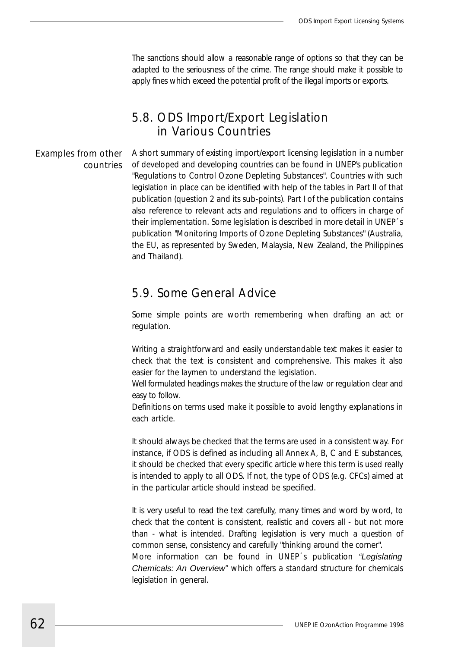*The sanctions should allow a reasonable range of options so that they can be adapted to the seriousness of the crime. The range should make it possible to apply fines which exceed the potential profit of the illegal imports or exports.*

# *5.8. ODS Import/Export Legislation in Various Countries*

### *Examples from other countries*

*A short summary of existing import/export licensing legislation in a number of developed and developing countries can be found in UNEP's publication "Regulations to Control Ozone Depleting Substances". Countries with such legislation in place can be identified with help of the tables in Part II of that publication (question 2 and its sub-points). Part I of the publication contains also reference to relevant acts and regulations and to officers in charge of their implementation. Some legislation is described in more detail in UNEP´s publication "Monitoring Imports of Ozone Depleting Substances" (Australia, the EU, as represented by Sweden, Malaysia, New Zealand, the Philippines and Thailand).* 

# *5.9. Some General Advice*

*Some simple points are worth remembering when drafting an act or regulation.* 

*Writing a straightforward and easily understandable text makes it easier to check that the text is consistent and comprehensive. This makes it also easier for the laymen to understand the legislation.*

*Well formulated headings makes the structure of the law or regulation clear and easy to follow.*

*Definitions on terms used make it possible to avoid lengthy explanations in each article.*

*It should always be checked that the terms are used in a consistent way. For instance, if ODS is defined as including all Annex A, B, C and E substances, it should be checked that every specific article where this term is used really is intended to apply to all ODS. If not, the type of ODS (e.g. CFCs) aimed at in the particular article should instead be specified.*

*It is very useful to read the text carefully, many times and word by word, to check that the content is consistent, realistic and covers all - but not more than - what is intended. Drafting legislation is very much a question of common sense, consistency and carefully "thinking around the corner".*

*More information can be found in UNEP´s publication* "Legislating Chemicals: An Overview" *which offers a standard structure for chemicals legislation in general.*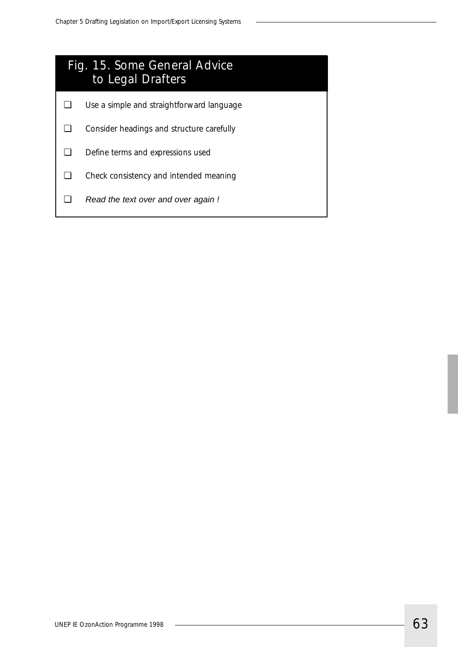# *Fig. 15. Some General Advice to Legal Drafters*

- ❏ *Use a simple and straightforward language*
- ❏ *Consider headings and structure carefully*
- ❏ *Define terms and expressions used*
- ❏ *Check consistency and intended meaning*
- ❏ Read the text over and over again !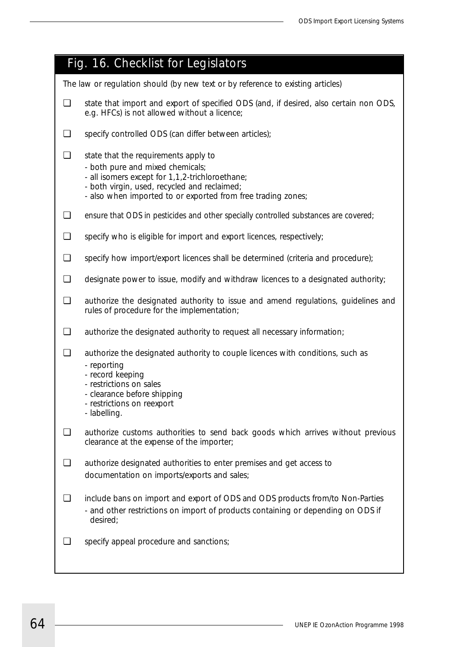|                                                                                 | Fig. 16. Checklist for Legislators                                                                                                                                                                                                          |  |  |  |
|---------------------------------------------------------------------------------|---------------------------------------------------------------------------------------------------------------------------------------------------------------------------------------------------------------------------------------------|--|--|--|
| The law or regulation should (by new text or by reference to existing articles) |                                                                                                                                                                                                                                             |  |  |  |
| $\Box$                                                                          | state that import and export of specified ODS (and, if desired, also certain non ODS,<br>e.g. HFCs) is not allowed without a licence;                                                                                                       |  |  |  |
| ❏                                                                               | specify controlled ODS (can differ between articles);                                                                                                                                                                                       |  |  |  |
| ❏                                                                               | state that the requirements apply to<br>- both pure and mixed chemicals;<br>- all isomers except for 1,1,2-trichloroethane;<br>- both virgin, used, recycled and reclaimed;<br>- also when imported to or exported from free trading zones; |  |  |  |
| ❏                                                                               | ensure that ODS in pesticides and other specially controlled substances are covered;                                                                                                                                                        |  |  |  |
| $\Box$                                                                          | specify who is eligible for import and export licences, respectively;                                                                                                                                                                       |  |  |  |
| ❏                                                                               | specify how import/export licences shall be determined (criteria and procedure);                                                                                                                                                            |  |  |  |
| $\Box$                                                                          | designate power to issue, modify and withdraw licences to a designated authority;                                                                                                                                                           |  |  |  |
| ❏                                                                               | authorize the designated authority to issue and amend regulations, guidelines and<br>rules of procedure for the implementation;                                                                                                             |  |  |  |
| ❏                                                                               | authorize the designated authority to request all necessary information;                                                                                                                                                                    |  |  |  |
| ❏                                                                               | authorize the designated authority to couple licences with conditions, such as<br>- reporting<br>- record keeping<br>- restrictions on sales<br>- clearance before shipping<br>- restrictions on reexport<br>- labelling.                   |  |  |  |
|                                                                                 | authorize customs authorities to send back goods which arrives without previous<br>clearance at the expense of the importer;                                                                                                                |  |  |  |
| ப                                                                               | authorize designated authorities to enter premises and get access to<br>documentation on imports/exports and sales;                                                                                                                         |  |  |  |
| - 1                                                                             | include bans on import and export of ODS and ODS products from/to Non-Parties<br>- and other restrictions on import of products containing or depending on ODS if<br>desired;                                                               |  |  |  |
| ⊔                                                                               | specify appeal procedure and sanctions;                                                                                                                                                                                                     |  |  |  |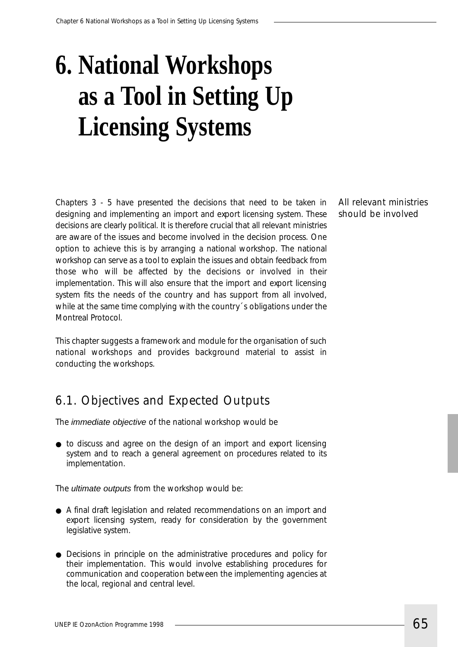# **6. National Workshops as a Tool in Setting Up Licensing Systems**

*Chapters 3 - 5 have presented the decisions that need to be taken in designing and implementing an import and export licensing system. These decisions are clearly political. It is therefore crucial that all relevant ministries are aware of the issues and become involved in the decision process. One option to achieve this is by arranging a national workshop. The national workshop can serve as a tool to explain the issues and obtain feedback from those who will be affected by the decisions or involved in their implementation. This will also ensure that the import and export licensing system fits the needs of the country and has support from all involved, while at the same time complying with the country´s obligations under the Montreal Protocol.*

*This chapter suggests a framework and module for the organisation of such national workshops and provides background material to assist in conducting the workshops.*

# *6.1. Objectives and Expected Outputs*

*The* immediate objective *of the national workshop would be* 

● *to discuss and agree on the design of an import and export licensing system and to reach a general agreement on procedures related to its implementation.* 

*The* ultimate outputs *from the workshop would be:*

- A final draft legislation and related recommendations on an import and *export licensing system, ready for consideration by the government legislative system.*
- *Decisions in principle on the administrative procedures and policy for their implementation. This would involve establishing procedures for communication and cooperation between the implementing agencies at the local, regional and central level.*

*All relevant ministries should be involved*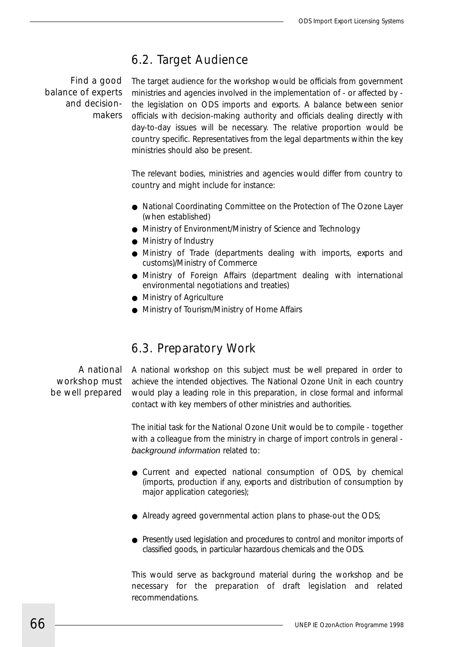# *6.2. Target Audience*

*Find a good balance of experts and decisionmakers* 

*The target audience for the workshop would be officials from government ministries and agencies involved in the implementation of - or affected by the legislation on ODS imports and exports. A balance between senior officials with decision-making authority and officials dealing directly with day-to-day issues will be necessary. The relative proportion would be country specific. Representatives from the legal departments within the key ministries should also be present.*

*The relevant bodies, ministries and agencies would differ from country to country and might include for instance:*

- *National Coordinating Committee on the Protection of The Ozone Layer (when established)*
- *Ministry of Environment/Ministry of Science and Technology*
- *Ministry of Industry*
- *Ministry of Trade (departments dealing with imports, exports and customs)/Ministry of Commerce*
- *Ministry of Foreign Affairs (department dealing with international environmental negotiations and treaties)*
- *Ministry of Agriculture*
- *Ministry of Tourism/Ministry of Home Affairs*

# *6.3. Preparatory Work*

*workshop must be well prepared*

**A national** A national workshop on this subject must be well prepared in order to *achieve the intended objectives. The National Ozone Unit in each country would play a leading role in this preparation, in close formal and informal contact with key members of other ministries and authorities.*

> *The initial task for the National Ozone Unit would be to compile - together with a colleague from the ministry in charge of import controls in general*  background information *related to:*

- *Current and expected national consumption of ODS, by chemical (imports, production if any, exports and distribution of consumption by major application categories);*
- *Already agreed governmental action plans to phase-out the ODS;*
- *Presently used legislation and procedures to control and monitor imports of classified goods, in particular hazardous chemicals and the ODS.*

*This would serve as background material during the workshop and be necessary for the preparation of draft legislation and related recommendations.*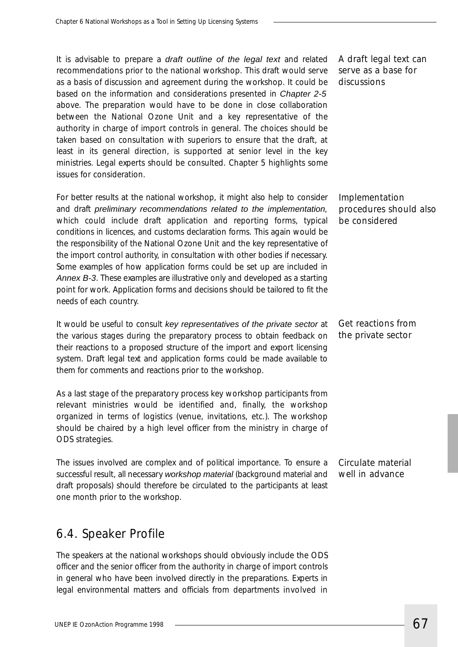*It is advisable to prepare a* draft outline of the legal text *and related recommendations prior to the national workshop. This draft would serve as a basis of discussion and agreement during the workshop. It could be based on the information and considerations presented in* Chapter 2-5 *above. The preparation would have to be done in close collaboration between the National Ozone Unit and a key representative of the authority in charge of import controls in general. The choices should be taken based on consultation with superiors to ensure that the draft, at least in its general direction, is supported at senior level in the key ministries. Legal experts should be consulted. Chapter 5 highlights some issues for consideration.*

*For better results at the national workshop, it might also help to consider and draft* preliminary recommendations related to the implementation, *which could include draft application and reporting forms, typical conditions in licences, and customs declaration forms. This again would be the responsibility of the National Ozone Unit and the key representative of the import control authority, in consultation with other bodies if necessary. Some examples of how application forms could be set up are included in* Annex B-3*. These examples are illustrative only and developed as a starting point for work. Application forms and decisions should be tailored to fit the needs of each country.*

*It would be useful to consult* key representatives of the private sector *at the various stages during the preparatory process to obtain feedback on their reactions to a proposed structure of the import and export licensing system. Draft legal text and application forms could be made available to them for comments and reactions prior to the workshop.*

*As a last stage of the preparatory process key workshop participants from relevant ministries would be identified and, finally, the workshop organized in terms of logistics (venue, invitations, etc.). The workshop should be chaired by a high level officer from the ministry in charge of ODS strategies.*

*The issues involved are complex and of political importance. To ensure a successful result, all necessary* workshop material *(background material and draft proposals) should therefore be circulated to the participants at least one month prior to the workshop. Circulate material well in advance*

# *6.4. Speaker Profile*

*The speakers at the national workshops should obviously include the ODS officer and the senior officer from the authority in charge of import controls in general who have been involved directly in the preparations. Experts in legal environmental matters and officials from departments involved in*

*A draft legal text can serve as a base for discussions*

*Implementation procedures should also be considered*

*Get reactions from the private sector*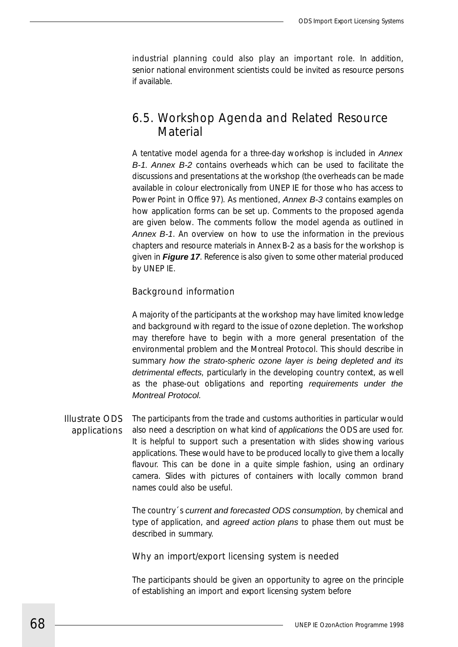*industrial planning could also play an important role. In addition, senior national environment scientists could be invited as resource persons if available.*

# *6.5. Workshop Agenda and Related Resource Material*

*A tentative model agenda for a three-day workshop is included in* Annex B-1. Annex B-2 *contains overheads which can be used to facilitate the discussions and presentations at the workshop (the overheads can be made available in colour electronically from UNEP IE for those who has access to Power Point in Office 97). As mentioned,* Annex B-3 *contains examples on how application forms can be set up. Comments to the proposed agenda are given below. The comments follow the model agenda as outlined in* Annex B-1*. An overview on how to use the information in the previous chapters and resource materials in Annex B-2 as a basis for the workshop is given in* **Figure 17***. Reference is also given to some other material produced by UNEP IE.*

### *Background information*

*A majority of the participants at the workshop may have limited knowledge and background with regard to the issue of ozone depletion. The workshop may therefore have to begin with a more general presentation of the environmental problem and the Montreal Protocol. This should describe in summary* how the strato-spheric ozone layer is being depleted and its detrimental effects, *particularly in the developing country context, as well as the phase-out obligations and reporting* requirements under the Montreal Protocol.

*The participants from the trade and customs authorities in particular would also need a description on what kind of* applications *the ODS are used for. It is helpful to support such a presentation with slides showing various applications. These would have to be produced locally to give them a locally flavour. This can be done in a quite simple fashion, using an ordinary camera. Slides with pictures of containers with locally common brand names could also be useful. Illustrate ODS applications*

> *The country´s* current and forecasted ODS consumption, *by chemical and type of application, and* agreed action plans *to phase them out must be described in summary.*

### *Why an import/export licensing system is needed*

*The participants should be given an opportunity to agree on the principle of establishing an import and export licensing system before*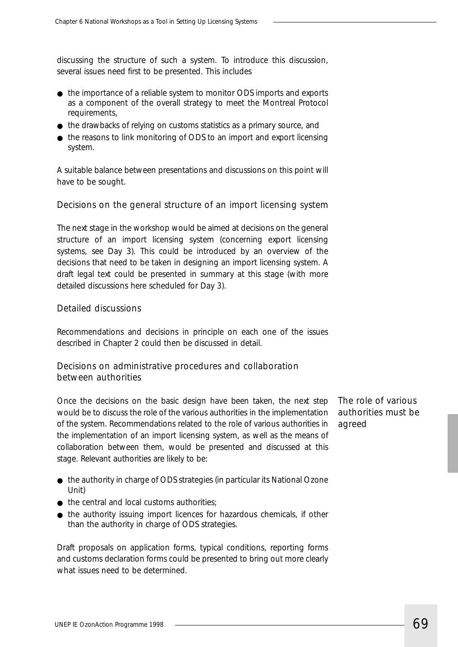*discussing the structure of such a system. To introduce this discussion, several issues need first to be presented. This includes* 

- *the importance of a reliable system to monitor ODS imports and exports as a component of the overall strategy to meet the Montreal Protocol requirements,*
- *the drawbacks of relying on customs statistics as a primary source, and*
- *the reasons to link monitoring of ODS to an import and export licensing system.*

*A suitable balance between presentations and discussions on this point will have to be sought.* 

### *Decisions on the general structure of an import licensing system*

*The next stage in the workshop would be aimed at decisions on the general structure of an import licensing system (concerning export licensing systems, see Day 3). This could be introduced by an overview of the decisions that need to be taken in designing an import licensing system. A draft legal text could be presented in summary at this stage (with more detailed discussions here scheduled for Day 3).* 

### *Detailed discussions*

*Recommendations and decisions in principle on each one of the issues described in Chapter 2 could then be discussed in detail.*

### *Decisions on administrative procedures and collaboration between authorities*

*Once the decisions on the basic design have been taken, the next step would be to discuss the role of the various authorities in the implementation of the system. Recommendations related to the role of various authorities in the implementation of an import licensing system, as well as the means of collaboration between them, would be presented and discussed at this stage. Relevant authorities are likely to be:*

- *the authority in charge of ODS strategies (in particular its National Ozone Unit)*
- *the central and local customs authorities*:
- *the authority issuing import licences for hazardous chemicals, if other than the authority in charge of ODS strategies.*

*Draft proposals on application forms, typical conditions, reporting forms and customs declaration forms could be presented to bring out more clearly what issues need to be determined.* 

*The role of various authorities must be agreed*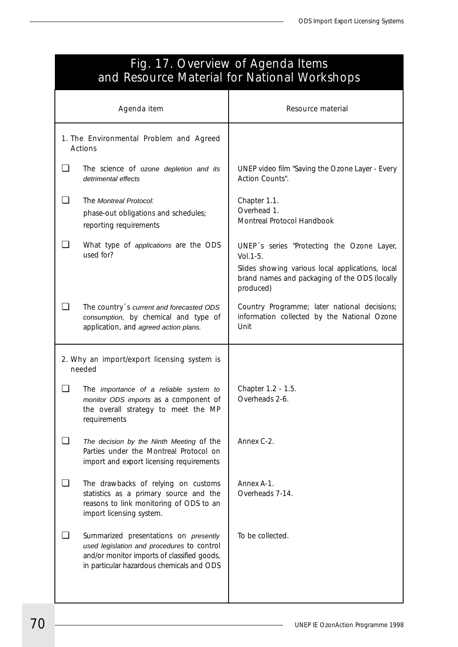| Fig. 17. Overview of Agenda Items<br>and Resource Material for National Workshops |                                                                                                                                                                                 |                                                                                                                                                                           |
|-----------------------------------------------------------------------------------|---------------------------------------------------------------------------------------------------------------------------------------------------------------------------------|---------------------------------------------------------------------------------------------------------------------------------------------------------------------------|
|                                                                                   | Agenda item                                                                                                                                                                     | Resource material                                                                                                                                                         |
|                                                                                   | 1. The Environmental Problem and Agreed<br><b>Actions</b>                                                                                                                       |                                                                                                                                                                           |
| ❏                                                                                 | The science of ozone depletion and its<br>detrimental effects                                                                                                                   | UNEP video film "Saving the Ozone Layer - Every<br>Action Counts".                                                                                                        |
| ⊔                                                                                 | The Montreal Protocol:<br>phase-out obligations and schedules;<br>reporting requirements                                                                                        | Chapter 1.1.<br>Overhead 1.<br>Montreal Protocol Handbook                                                                                                                 |
| ⊔                                                                                 | What type of applications are the ODS<br>used for?                                                                                                                              | UNEP's series "Protecting the Ozone Layer,<br>Vol. 1-5.<br>Slides showing various local applications, local<br>brand names and packaging of the ODS (locally<br>produced) |
| ❏                                                                                 | The country's current and forecasted ODS<br>consumption, by chemical and type of<br>application, and agreed action plans.                                                       | Country Programme; later national decisions;<br>information collected by the National Ozone<br>Unit                                                                       |
|                                                                                   | 2. Why an import/export licensing system is<br>needed                                                                                                                           |                                                                                                                                                                           |
| ⊔                                                                                 | The importance of a reliable system to<br>monitor ODS imports as a component of<br>the overall strategy to meet the MP<br>requirements                                          | Chapter 1.2 - 1.5.<br>Overheads 2-6.                                                                                                                                      |
| ⊔                                                                                 | The decision by the Ninth Meeting of the<br>Parties under the Montreal Protocol on<br>import and export licensing requirements                                                  | Annex C-2.                                                                                                                                                                |
| ப                                                                                 | The drawbacks of relying on customs<br>statistics as a primary source and the<br>reasons to link monitoring of ODS to an<br>import licensing system.                            | Annex A-1.<br>Overheads 7-14.                                                                                                                                             |
|                                                                                   | Summarized presentations on presently<br>used legislation and procedures to control<br>and/or monitor imports of classified goods,<br>in particular hazardous chemicals and ODS | To be collected.                                                                                                                                                          |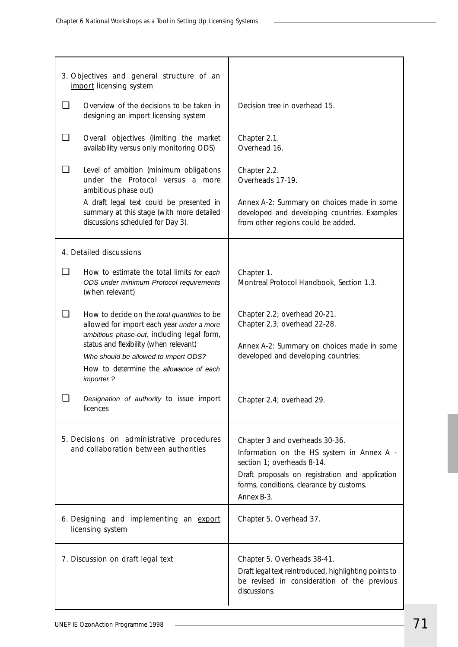| 3. Objectives and general structure of an                                          |                                                                                                                                                                                                                                                                                 |                                                                                                                                                                                                                        |
|------------------------------------------------------------------------------------|---------------------------------------------------------------------------------------------------------------------------------------------------------------------------------------------------------------------------------------------------------------------------------|------------------------------------------------------------------------------------------------------------------------------------------------------------------------------------------------------------------------|
| import licensing system                                                            |                                                                                                                                                                                                                                                                                 |                                                                                                                                                                                                                        |
| $\Box$                                                                             | Overview of the decisions to be taken in<br>designing an import licensing system                                                                                                                                                                                                | Decision tree in overhead 15.                                                                                                                                                                                          |
| $\Box$                                                                             | Overall objectives (limiting the market<br>availability versus only monitoring ODS)                                                                                                                                                                                             | Chapter 2.1.<br>Overhead 16.                                                                                                                                                                                           |
| ❏                                                                                  | Level of ambition (minimum obligations<br>under the Protocol versus a more<br>ambitious phase out)                                                                                                                                                                              | Chapter 2.2.<br>Overheads 17-19.                                                                                                                                                                                       |
|                                                                                    | A draft legal text could be presented in<br>summary at this stage (with more detailed<br>discussions scheduled for Day 3).                                                                                                                                                      | Annex A-2: Summary on choices made in some<br>developed and developing countries. Examples<br>from other regions could be added.                                                                                       |
| 4. Detailed discussions                                                            |                                                                                                                                                                                                                                                                                 |                                                                                                                                                                                                                        |
| ❏                                                                                  | How to estimate the total limits for each<br>ODS under minimum Protocol requirements<br>(when relevant)                                                                                                                                                                         | Chapter 1.<br>Montreal Protocol Handbook, Section 1.3.                                                                                                                                                                 |
| $\Box$                                                                             | How to decide on the total quantities to be<br>allowed for import each year under a more<br>ambitious phase-out, including legal form,<br>status and flexibility (when relevant)<br>Who should be allowed to import ODS?<br>How to determine the allowance of each<br>importer? | Chapter 2.2; overhead 20-21.<br>Chapter 2.3; overhead 22-28.<br>Annex A-2: Summary on choices made in some<br>developed and developing countries;                                                                      |
|                                                                                    | Designation of authority to issue import<br>licences                                                                                                                                                                                                                            | Chapter 2.4; overhead 29.                                                                                                                                                                                              |
| 5. Decisions on administrative procedures<br>and collaboration between authorities |                                                                                                                                                                                                                                                                                 | Chapter 3 and overheads 30-36.<br>Information on the HS system in Annex A -<br>section 1; overheads 8-14.<br>Draft proposals on registration and application<br>forms, conditions, clearance by customs.<br>Annex B-3. |
| 6. Designing and implementing an export<br>licensing system                        |                                                                                                                                                                                                                                                                                 | Chapter 5. Overhead 37.                                                                                                                                                                                                |
| 7. Discussion on draft legal text                                                  |                                                                                                                                                                                                                                                                                 | Chapter 5. Overheads 38-41.<br>Draft legal text reintroduced, highlighting points to<br>be revised in consideration of the previous<br>discussions.                                                                    |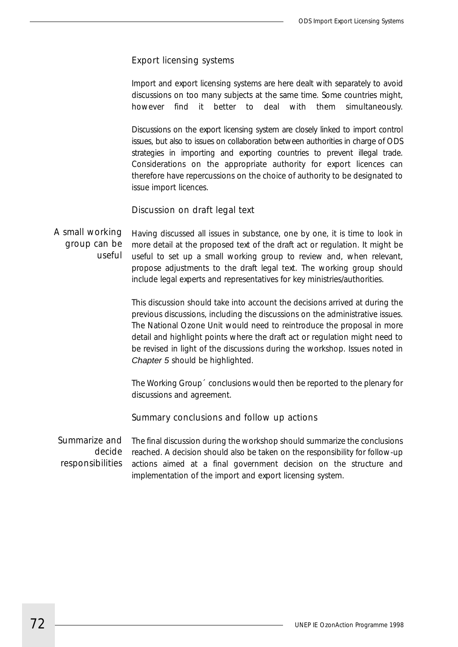# *Export licensing systems*

*Import and export licensing systems are here dealt with separately to avoid discussions on too many subjects at the same time. Some countries might, however find it better to deal with them simultaneously.*

*Discussions on the export licensing system are closely linked to import control issues, but also to issues on collaboration between authorities in charge of ODS strategies in importing and exporting countries to prevent illegal trade. Considerations on the appropriate authority for export licences can therefore have repercussions on the choice of authority to be designated to issue import licences.* 

#### *Discussion on draft legal text*

*Having discussed all issues in substance, one by one, it is time to look in more detail at the proposed text of the draft act or regulation. It might be useful to set up a small working group to review and, when relevant, propose adjustments to the draft legal text. The working group should include legal experts and representatives for key ministries/authorities. A small working group can be useful*

> *This discussion should take into account the decisions arrived at during the previous discussions, including the discussions on the administrative issues. The National Ozone Unit would need to reintroduce the proposal in more detail and highlight points where the draft act or regulation might need to be revised in light of the discussions during the workshop. Issues noted in* Chapter 5 *should be highlighted.*

> *The Working Group´ conclusions would then be reported to the plenary for discussions and agreement.*

#### *Summary conclusions and follow up actions*

*The final discussion during the workshop should summarize the conclusions reached. A decision should also be taken on the responsibility for follow-up actions aimed at a final government decision on the structure and implementation of the import and export licensing system. Summarize and decide responsibilities*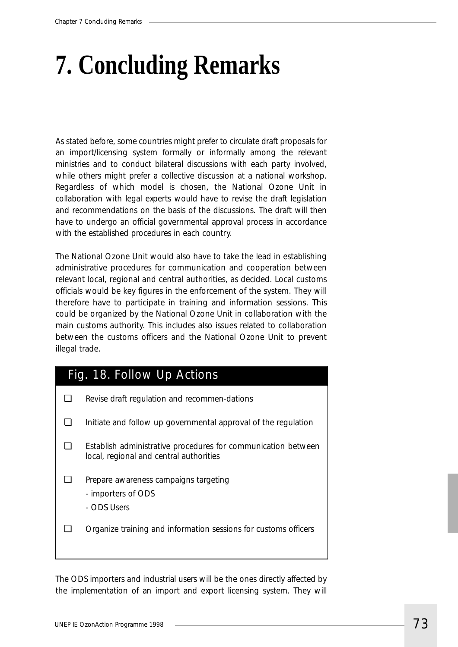# **7. Concluding Remarks**

*As stated before, some countries might prefer to circulate draft proposals for an import/licensing system formally or informally among the relevant ministries and to conduct bilateral discussions with each party involved, while others might prefer a collective discussion at a national workshop. Regardless of which model is chosen, the National Ozone Unit in collaboration with legal experts would have to revise the draft legislation and recommendations on the basis of the discussions. The draft will then have to undergo an official governmental approval process in accordance with the established procedures in each country.*

*The National Ozone Unit would also have to take the lead in establishing administrative procedures for communication and cooperation between relevant local, regional and central authorities, as decided. Local customs officials would be key figures in the enforcement of the system. They will therefore have to participate in training and information sessions. This could be organized by the National Ozone Unit in collaboration with the main customs authority. This includes also issues related to collaboration between the customs officers and the National Ozone Unit to prevent illegal trade.*

# *Fig. 18. Follow Up Actions*

- ❏ *Revise draft regulation and recommen-dations*
- ❏ *Initiate and follow up governmental approval of the regulation*
- ❏ *Establish administrative procedures for communication between local, regional and central authorities*
- ❏ *Prepare awareness campaigns targeting*
	- *importers of ODS*
	- *ODS Users*
- ❏ *Organize training and information sessions for customs officers*

*The ODS importers and industrial users will be the ones directly affected by the implementation of an import and export licensing system. They will*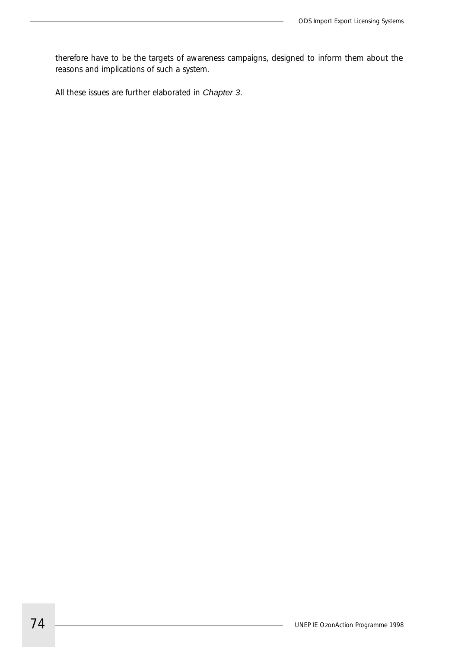*therefore have to be the targets of awareness campaigns, designed to inform them about the reasons and implications of such a system.*

*All these issues are further elaborated in* Chapter 3*.*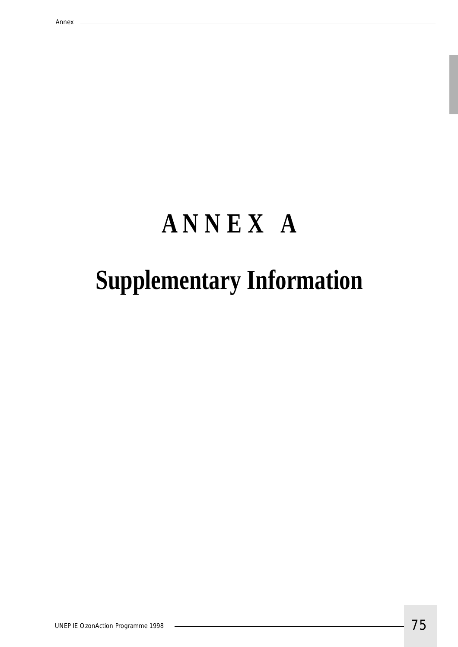# **A N N E X A Supplementary Information**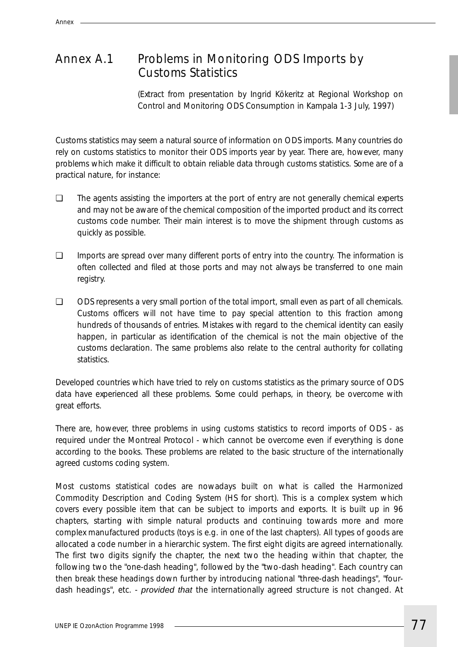# *Annex A.1 Problems in Monitoring ODS Imports by Customs Statistics*

*(Extract from presentation by Ingrid Kökeritz at Regional Workshop on Control and Monitoring ODS Consumption in Kampala 1-3 July, 1997)*

*Customs statistics may seem a natural source of information on ODS imports. Many countries do rely on customs statistics to monitor their ODS imports year by year. There are, however, many problems which make it difficult to obtain reliable data through customs statistics. Some are of a practical nature, for instance:*

- ❏ *The agents assisting the importers at the port of entry are not generally chemical experts and may not be aware of the chemical composition of the imported product and its correct customs code number. Their main interest is to move the shipment through customs as quickly as possible.*
- ❏ *Imports are spread over many different ports of entry into the country. The information is often collected and filed at those ports and may not always be transferred to one main registry.*
- ❏ *ODS represents a very small portion of the total import, small even as part of all chemicals. Customs officers will not have time to pay special attention to this fraction among hundreds of thousands of entries. Mistakes with regard to the chemical identity can easily happen, in particular as identification of the chemical is not the main objective of the customs declaration. The same problems also relate to the central authority for collating statistics.*

*Developed countries which have tried to rely on customs statistics as the primary source of ODS data have experienced all these problems. Some could perhaps, in theory, be overcome with great efforts.*

*There are, however, three problems in using customs statistics to record imports of ODS - as required under the Montreal Protocol - which cannot be overcome even if everything is done according to the books. These problems are related to the basic structure of the internationally agreed customs coding system.*

*Most customs statistical codes are nowadays built on what is called the Harmonized Commodity Description and Coding System (HS for short). This is a complex system which covers every possible item that can be subject to imports and exports. It is built up in 96 chapters, starting with simple natural products and continuing towards more and more complex manufactured products (toys is e.g. in one of the last chapters). All types of goods are allocated a code number in a hierarchic system. The first eight digits are agreed internationally. The first two digits signify the chapter, the next two the heading within that chapter, the following two the "one-dash heading", followed by the "two-dash heading". Each country can then break these headings down further by introducing national "three-dash headings", "fourdash headings", etc. -* provided that *the internationally agreed structure is not changed. At*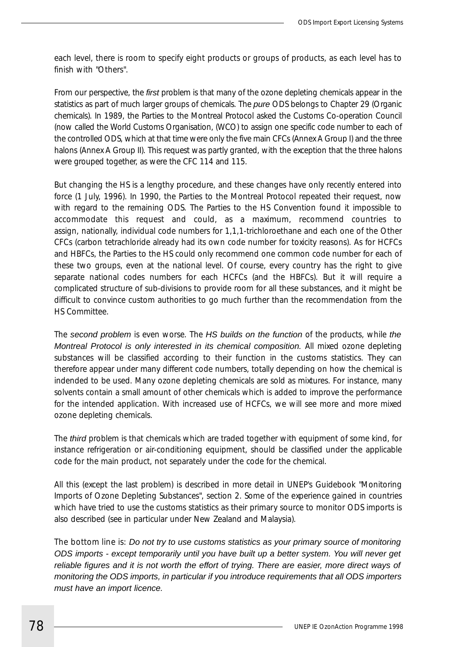*each level, there is room to specify eight products or groups of products, as each level has to finish with "Others".*

*From our perspective, the* first *problem is that many of the ozone depleting chemicals appear in the statistics as part of much larger groups of chemicals. The* pure *ODS belongs to Chapter 29 (Organic chemicals). In 1989, the Parties to the Montreal Protocol asked the Customs Co-operation Council (now called the World Customs Organisation, (WCO) to assign one specific code number to each of the controlled ODS, which at that time were only the five main CFCs (Annex A Group I) and the three halons (Annex A Group II). This request was partly granted, with the exception that the three halons were grouped together, as were the CFC 114 and 115.* 

*But changing the HS is a lengthy procedure, and these changes have only recently entered into force (1 July, 1996). In 1990, the Parties to the Montreal Protocol repeated their request, now with regard to the remaining ODS. The Parties to the HS Convention found it impossible to accommodate this request and could, as a maximum, recommend countries to assign, nationally, individual code numbers for 1,1,1-trichloroethane and each one of the Other CFCs (carbon tetrachloride already had its own code number for toxicity reasons). As for HCFCs and HBFCs, the Parties to the HS could only recommend one common code number for each of these two groups, even at the national level. Of course, every country has the right to give separate national codes numbers for each HCFCs (and the HBFCs). But it will require a complicated structure of sub-divisions to provide room for all these substances, and it might be difficult to convince custom authorities to go much further than the recommendation from the HS Committee.* 

*The* second problem *is even worse. The* HS builds on the function *of the products, while* the Montreal Protocol is only interested in its chemical composition. *All mixed ozone depleting substances will be classified according to their function in the customs statistics. They can therefore appear under many different code numbers, totally depending on how the chemical is indended to be used. Many ozone depleting chemicals are sold as mixtures. For instance, many solvents contain a small amount of other chemicals which is added to improve the performance for the intended application. With increased use of HCFCs, we will see more and more mixed ozone depleting chemicals.*

*The* third *problem is that chemicals which are traded together with equipment of some kind, for instance refrigeration or air-conditioning equipment, should be classified under the applicable code for the main product, not separately under the code for the chemical.*

*All this (except the last problem) is described in more detail in UNEP's Guidebook "Monitoring Imports of Ozone Depleting Substances", section 2. Some of the experience gained in countries which have tried to use the customs statistics as their primary source to monitor ODS imports is also described (see in particular under New Zealand and Malaysia).*

*The bottom line is:* Do not try to use customs statistics as your primary source of monitoring ODS imports - except temporarily until you have built up a better system. You will never get reliable figures and it is not worth the effort of trying. There are easier, more direct ways of monitoring the ODS imports, in particular if you introduce requirements that all ODS importers must have an import licence.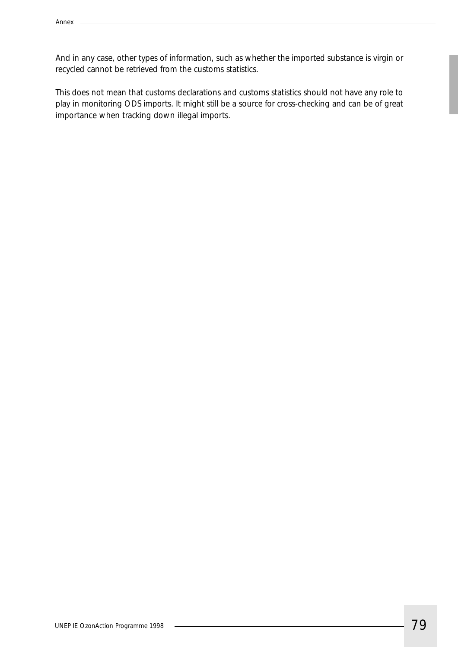*And in any case, other types of information, such as whether the imported substance is virgin or recycled cannot be retrieved from the customs statistics.*

*This does not mean that customs declarations and customs statistics should not have any role to play in monitoring ODS imports. It might still be a source for cross-checking and can be of great importance when tracking down illegal imports.*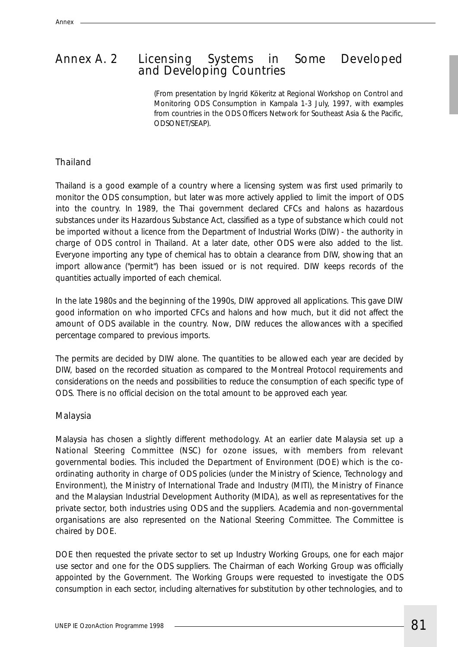# *Annex A. 2 Licensing Systems in Some Developed and Developing Countries*

*(From presentation by Ingrid Kökeritz at Regional Workshop on Control and Monitoring ODS Consumption in Kampala 1-3 July, 1997, with examples from countries in the ODS Officers Network for Southeast Asia & the Pacific, ODSONET/SEAP).*

# *Thailand*

*Thailand is a good example of a country where a licensing system was first used primarily to monitor the ODS consumption, but later was more actively applied to limit the import of ODS into the country. In 1989, the Thai government declared CFCs and halons as hazardous substances under its Hazardous Substance Act, classified as a type of substance which could not be imported without a licence from the Department of Industrial Works (DIW) - the authority in charge of ODS control in Thailand. At a later date, other ODS were also added to the list. Everyone importing any type of chemical has to obtain a clearance from DIW, showing that an import allowance ("permit") has been issued or is not required. DIW keeps records of the quantities actually imported of each chemical.*

*In the late 1980s and the beginning of the 1990s, DIW approved all applications. This gave DIW good information on who imported CFCs and halons and how much, but it did not affect the amount of ODS available in the country. Now, DIW reduces the allowances with a specified percentage compared to previous imports.* 

*The permits are decided by DIW alone. The quantities to be allowed each year are decided by DIW, based on the recorded situation as compared to the Montreal Protocol requirements and considerations on the needs and possibilities to reduce the consumption of each specific type of ODS. There is no official decision on the total amount to be approved each year.*

# *Malaysia*

*Malaysia has chosen a slightly different methodology. At an earlier date Malaysia set up a National Steering Committee (NSC) for ozone issues, with members from relevant governmental bodies. This included the Department of Environment (DOE) which is the coordinating authority in charge of ODS policies (under the Ministry of Science, Technology and Environment), the Ministry of International Trade and Industry (MITI), the Ministry of Finance and the Malaysian Industrial Development Authority (MIDA), as well as representatives for the private sector, both industries using ODS and the suppliers. Academia and non-governmental organisations are also represented on the National Steering Committee. The Committee is chaired by DOE.* 

*DOE then requested the private sector to set up Industry Working Groups, one for each major use sector and one for the ODS suppliers. The Chairman of each Working Group was officially appointed by the Government. The Working Groups were requested to investigate the ODS consumption in each sector, including alternatives for substitution by other technologies, and to*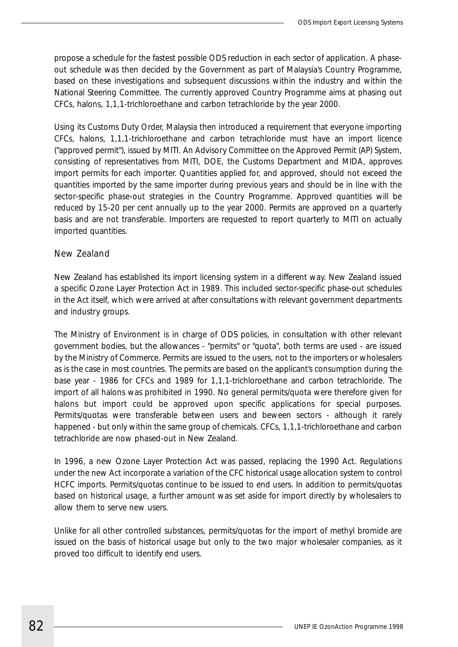*propose a schedule for the fastest possible ODS reduction in each sector of application. A phaseout schedule was then decided by the Government as part of Malaysia's Country Programme, based on these investigations and subsequent discussions within the industry and within the National Steering Committee. The currently approved Country Programme aims at phasing out CFCs, halons, 1,1,1-trichloroethane and carbon tetrachloride by the year 2000.* 

*Using its Customs Duty Order, Malaysia then introduced a requirement that everyone importing CFCs, halons, 1,1,1-trichloroethane and carbon tetrachloride must have an import licence ("approved permit"), issued by MITI. An Advisory Committee on the Approved Permit (AP) System, consisting of representatives from MITI, DOE, the Customs Department and MIDA, approves import permits for each importer. Quantities applied for, and approved, should not exceed the quantities imported by the same importer during previous years and should be in line with the sector-specific phase-out strategies in the Country Programme. Approved quantities will be reduced by 15-20 per cent annually up to the year 2000. Permits are approved on a quarterly basis and are not transferable. Importers are requested to report quarterly to MITI on actually imported quantities.* 

## *New Zealand*

*New Zealand has established its import licensing system in a different way. New Zealand issued a specific Ozone Layer Protection Act in 1989. This included sector-specific phase-out schedules in the Act itself, which were arrived at after consultations with relevant government departments and industry groups.* 

*The Ministry of Environment is in charge of ODS policies, in consultation with other relevant government bodies, but the allowances - "permits" or "quota", both terms are used - are issued by the Ministry of Commerce. Permits are issued to the users, not to the importers or wholesalers as is the case in most countries. The permits are based on the applicant's consumption during the base year - 1986 for CFCs and 1989 for 1,1,1-trichloroethane and carbon tetrachloride. The import of all halons was prohibited in 1990. No general permits/quota were therefore given for halons but import could be approved upon specific applications for special purposes. Permits/quotas were transferable between users and beween sectors - although it rarely happened - but only within the same group of chemicals. CFCs, 1,1,1-trichloroethane and carbon tetrachloride are now phased-out in New Zealand.* 

*In 1996, a new Ozone Layer Protection Act was passed, replacing the 1990 Act. Regulations under the new Act incorporate a variation of the CFC historical usage allocation system to control HCFC imports. Permits/quotas continue to be issued to end users. In addition to permits/quotas based on historical usage, a further amount was set aside for import directly by wholesalers to allow them to serve new users.*

*Unlike for all other controlled substances, permits/quotas for the import of methyl bromide are issued on the basis of historical usage but only to the two major wholesaler companies, as it proved too difficult to identify end users.*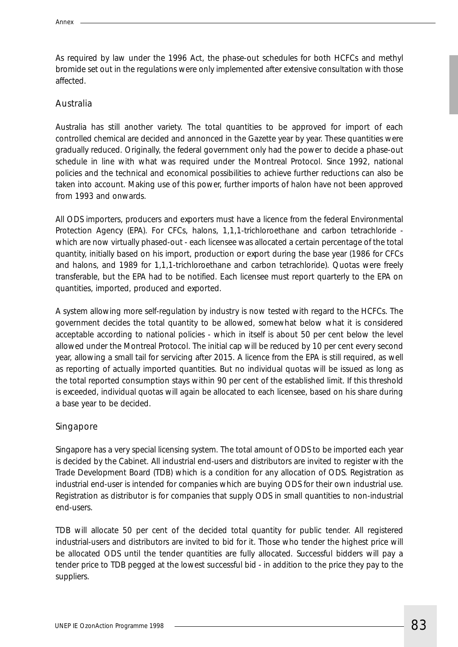*As required by law under the 1996 Act, the phase-out schedules for both HCFCs and methyl bromide set out in the regulations were only implemented after extensive consultation with those affected.*

# *Australia*

*Australia has still another variety. The total quantities to be approved for import of each controlled chemical are decided and annonced in the Gazette year by year. These quantities were gradually reduced. Originally, the federal government only had the power to decide a phase-out schedule in line with what was required under the Montreal Protocol. Since 1992, national policies and the technical and economical possibilities to achieve further reductions can also be taken into account. Making use of this power, further imports of halon have not been approved from 1993 and onwards.*

*All ODS importers, producers and exporters must have a licence from the federal Environmental Protection Agency (EPA). For CFCs, halons, 1,1,1-trichloroethane and carbon tetrachloride which are now virtually phased-out - each licensee was allocated a certain percentage of the total quantity, initially based on his import, production or export during the base year (1986 for CFCs and halons, and 1989 for 1,1,1-trichloroethane and carbon tetrachloride). Quotas were freely transferable, but the EPA had to be notified. Each licensee must report quarterly to the EPA on quantities, imported, produced and exported.*

*A system allowing more self-regulation by industry is now tested with regard to the HCFCs. The government decides the total quantity to be allowed, somewhat below what it is considered acceptable according to national policies - which in itself is about 50 per cent below the level allowed under the Montreal Protocol. The initial cap will be reduced by 10 per cent every second year, allowing a small tail for servicing after 2015. A licence from the EPA is still required, as well as reporting of actually imported quantities. But no individual quotas will be issued as long as the total reported consumption stays within 90 per cent of the established limit. If this threshold is exceeded, individual quotas will again be allocated to each licensee, based on his share during a base year to be decided.*

# *Singapore*

*Singapore has a very special licensing system. The total amount of ODS to be imported each year is decided by the Cabinet. All industrial end-users and distributors are invited to register with the Trade Development Board (TDB) which is a condition for any allocation of ODS. Registration as industrial end-user is intended for companies which are buying ODS for their own industrial use. Registration as distributor is for companies that supply ODS in small quantities to non-industrial end-users.* 

*TDB will allocate 50 per cent of the decided total quantity for public tender. All registered industrial-users and distributors are invited to bid for it. Those who tender the highest price will be allocated ODS until the tender quantities are fully allocated. Successful bidders will pay a tender price to TDB pegged at the lowest successful bid - in addition to the price they pay to the suppliers.*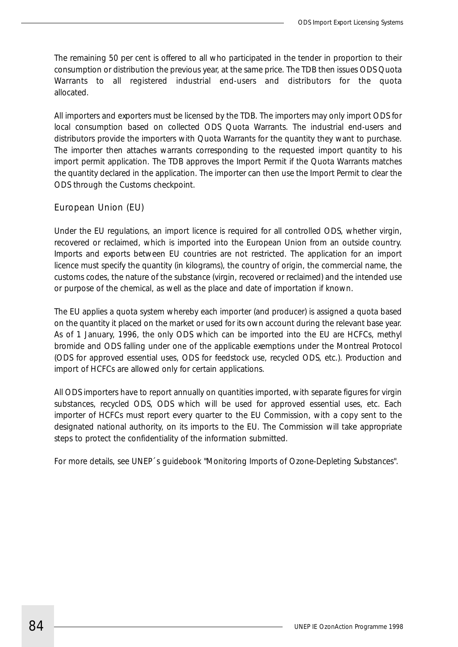*The remaining 50 per cent is offered to all who participated in the tender in proportion to their consumption or distribution the previous year, at the same price. The TDB then issues ODS Quota Warrants to all registered industrial end-users and distributors for the quota allocated.* 

*All importers and exporters must be licensed by the TDB. The importers may only import ODS for local consumption based on collected ODS Quota Warrants. The industrial end-users and distributors provide the importers with Quota Warrants for the quantity they want to purchase. The importer then attaches warrants corresponding to the requested import quantity to his import permit application. The TDB approves the Import Permit if the Quota Warrants matches the quantity declared in the application. The importer can then use the Import Permit to clear the ODS through the Customs checkpoint.*

# *European Union (EU)*

*Under the EU regulations, an import licence is required for all controlled ODS, whether virgin, recovered or reclaimed, which is imported into the European Union from an outside country. Imports and exports between EU countries are not restricted. The application for an import licence must specify the quantity (in kilograms), the country of origin, the commercial name, the customs codes, the nature of the substance (virgin, recovered or reclaimed) and the intended use or purpose of the chemical, as well as the place and date of importation if known.*

*The EU applies a quota system whereby each importer (and producer) is assigned a quota based on the quantity it placed on the market or used for its own account during the relevant base year. As of 1 January, 1996, the only ODS which can be imported into the EU are HCFCs, methyl bromide and ODS falling under one of the applicable exemptions under the Montreal Protocol (ODS for approved essential uses, ODS for feedstock use, recycled ODS, etc.). Production and import of HCFCs are allowed only for certain applications.* 

*All ODS importers have to report annually on quantities imported, with separate figures for virgin substances, recycled ODS, ODS which will be used for approved essential uses, etc. Each importer of HCFCs must report every quarter to the EU Commission, with a copy sent to the designated national authority, on its imports to the EU. The Commission will take appropriate steps to protect the confidentiality of the information submitted.*

*For more details, see UNEP´s guidebook "Monitoring Imports of Ozone-Depleting Substances".*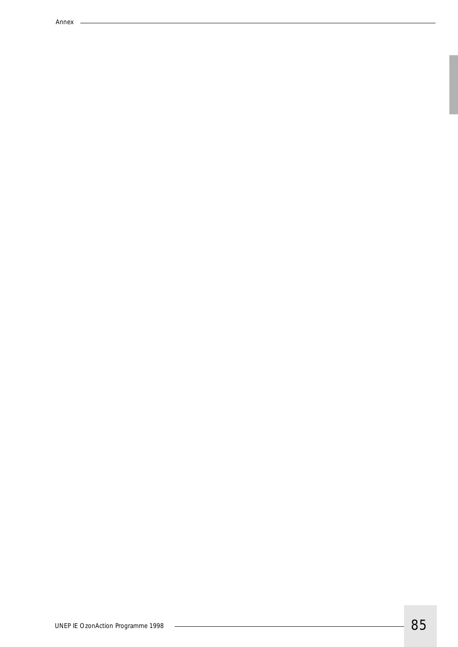*Annex*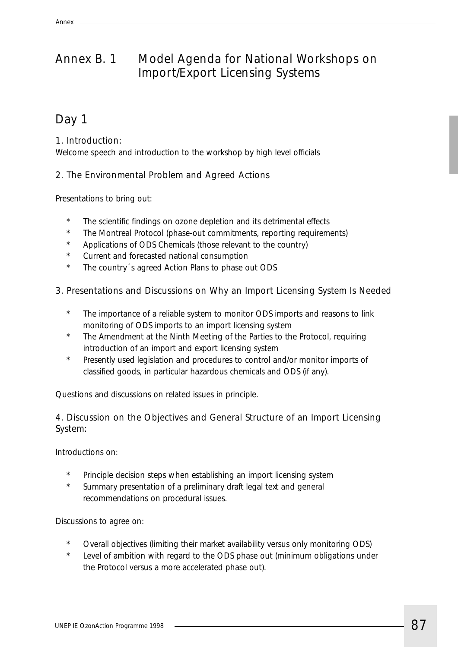# *Annex B. 1 Model Agenda for National Workshops on Import/Export Licensing Systems*

# *Day 1*

# *1. Introduction:*

*Welcome speech and introduction to the workshop by high level officials*

# *2. The Environmental Problem and Agreed Actions*

*Presentations to bring out:*

- *\* The scientific findings on ozone depletion and its detrimental effects*
- *\* The Montreal Protocol (phase-out commitments, reporting requirements)*
- *\* Applications of ODS Chemicals (those relevant to the country)*
- *\* Current and forecasted national consumption*
- *\* The country´s agreed Action Plans to phase out ODS*

# *3. Presentations and Discussions on Why an Import Licensing System Is Needed*

- *\* The importance of a reliable system to monitor ODS imports and reasons to link monitoring of ODS imports to an import licensing system*
- *\* The Amendment at the Ninth Meeting of the Parties to the Protocol, requiring introduction of an import and export licensing system*
- *\* Presently used legislation and procedures to control and/or monitor imports of classified goods, in particular hazardous chemicals and ODS (if any).*

*Questions and discussions on related issues in principle.*

# *4. Discussion on the Objectives and General Structure of an Import Licensing System:*

*Introductions on:*

- *\* Principle decision steps when establishing an import licensing system*
- *\* Summary presentation of a preliminary draft legal text and general recommendations on procedural issues.*

*Discussions to agree on:*

- *\* Overall objectives (limiting their market availability versus only monitoring ODS)*
- Level of ambition with regard to the ODS phase out (minimum obligations under *the Protocol versus a more accelerated phase out).*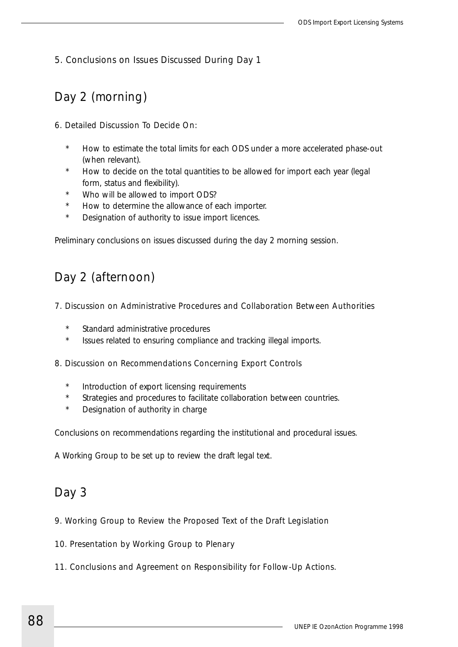# *5. Conclusions on Issues Discussed During Day 1*

# *Day 2 (morning)*

# *6. Detailed Discussion To Decide On:*

- *\* How to estimate the total limits for each ODS under a more accelerated phase-out (when relevant).*
- *\* How to decide on the total quantities to be allowed for import each year (legal form, status and flexibility).*
- *\* Who will be allowed to import ODS?*
- *\* How to determine the allowance of each importer.*
- *\* Designation of authority to issue import licences.*

*Preliminary conclusions on issues discussed during the day 2 morning session.*

# *Day 2 (afternoon)*

# *7. Discussion on Administrative Procedures and Collaboration Between Authorities*

- *\* Standard administrative procedures*
- *\* Issues related to ensuring compliance and tracking illegal imports.*

# *8. Discussion on Recommendations Concerning Export Controls*

- *\* Introduction of export licensing requirements*
- *\* Strategies and procedures to facilitate collaboration between countries.*
- *\* Designation of authority in charge*

*Conclusions on recommendations regarding the institutional and procedural issues.*

*A Working Group to be set up to review the draft legal text.*

# *Day 3*

- *9. Working Group to Review the Proposed Text of the Draft Legislation*
- *10. Presentation by Working Group to Plenary*
- *11. Conclusions and Agreement on Responsibility for Follow-Up Actions.*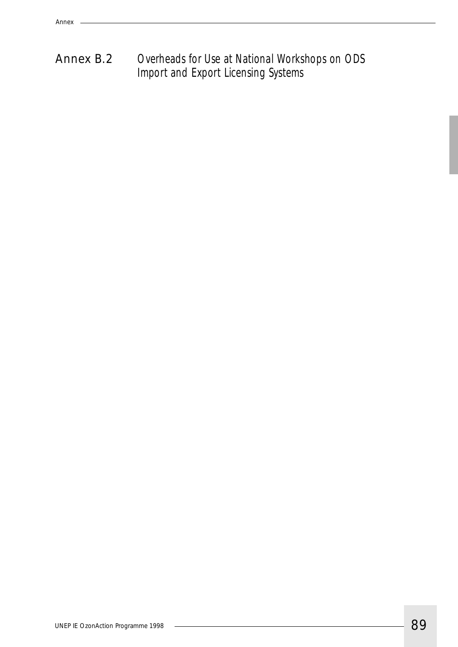*Annex B.2 Overheads for Use at National Workshops on ODS Import and Export Licensing Systems*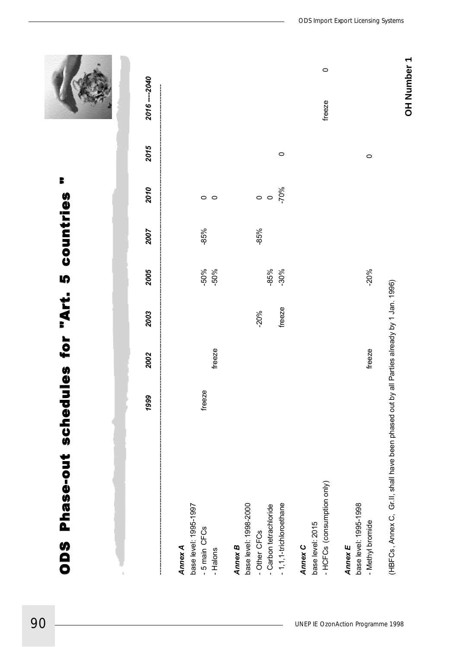| $\circ$<br>freeze<br>$\circ$<br>$\circ$<br>-70%<br>$\circ$<br>$\circ$<br>$-85%$<br>$-20%$<br>$-85%$<br>$-30%$<br>freeze<br>$-20%$<br>freeze<br>(HBFCs, Annex C, Gr.II, shall have been phased out by |
|------------------------------------------------------------------------------------------------------------------------------------------------------------------------------------------------------|
|                                                                                                                                                                                                      |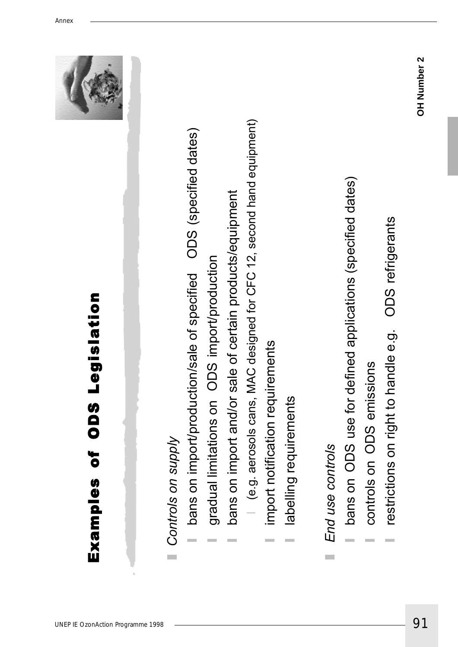| noitsisieg<br>Examples of ODS | MAC designed for CFC 12, second hand equipment)<br>ODS (specified dates)<br>sale of certain products/equipment<br>ODS import/production<br>bans on import/production/sale of specified<br>import notification requirements<br>labelling requirements<br>bans on import and/or<br>l (e.g. aerosols cans,<br>gradual limitations on<br>Controls on supply<br>an an | defined applications (specified dates)<br><b>ODS</b> refrigerants<br>handle e.g.<br>controls on ODS emissions<br>bans on ODS use for<br>restrictions on right to<br>End use controls |
|-------------------------------|------------------------------------------------------------------------------------------------------------------------------------------------------------------------------------------------------------------------------------------------------------------------------------------------------------------------------------------------------------------|--------------------------------------------------------------------------------------------------------------------------------------------------------------------------------------|
|                               |                                                                                                                                                                                                                                                                                                                                                                  | $\mathcal{L}^{\text{max}}$                                                                                                                                                           |

**OH Number 2**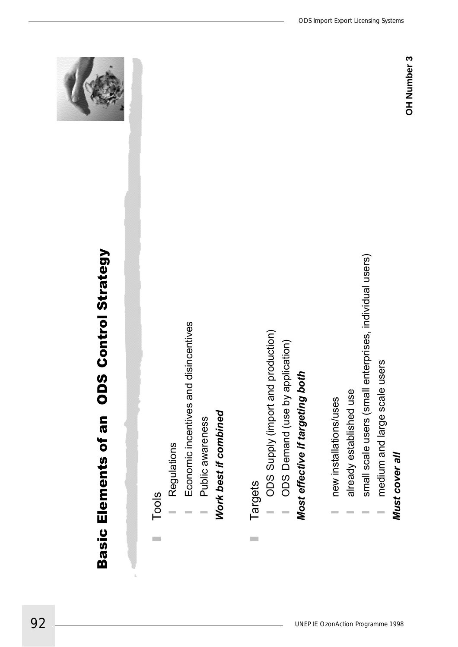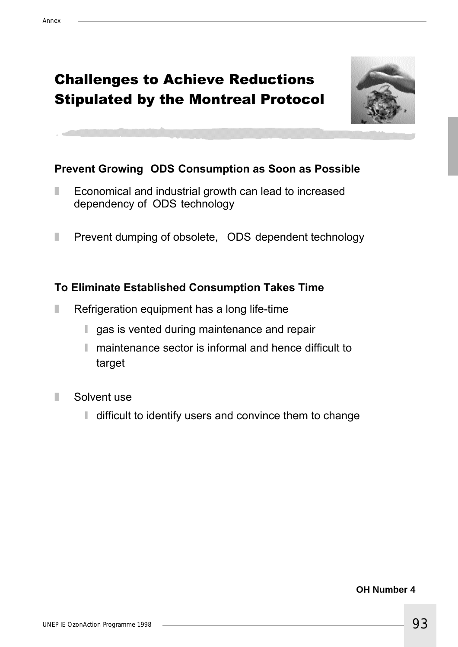# Challenges to Achieve Reductions Stipulated by the Montreal Protocol



# **Prevent Growing ODS Consumption as Soon as Possible**

- Economical and industrial growth can lead to increased dependency of ODS technology
- Prevent dumping of obsolete, ODS dependent technology

# **To Eliminate Established Consumption Takes Time**

- Refrigeration equipment has a long life-time
	- **Ⅰ** gas is vented during maintenance and repair
	- **■** maintenance sector is informal and hence difficult to target
- Solvent use
	- **■** difficult to identify users and convince them to change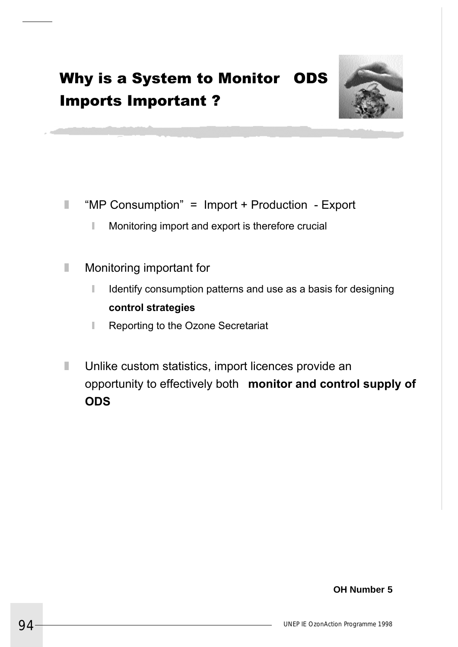# Why is a System to Monitor ODS Imports Important ?



- $\blacksquare$  "MP Consumption" = Import + Production Export
	- **■** Monitoring import and export is therefore crucial
- Monitoring important for
	- **■** Identify consumption patterns and use as a basis for designing **control strategies**
	- **■** Reporting to the Ozone Secretariat
- Unlike custom statistics, import licences provide an opportunity to effectively both **monitor and control supply of ODS**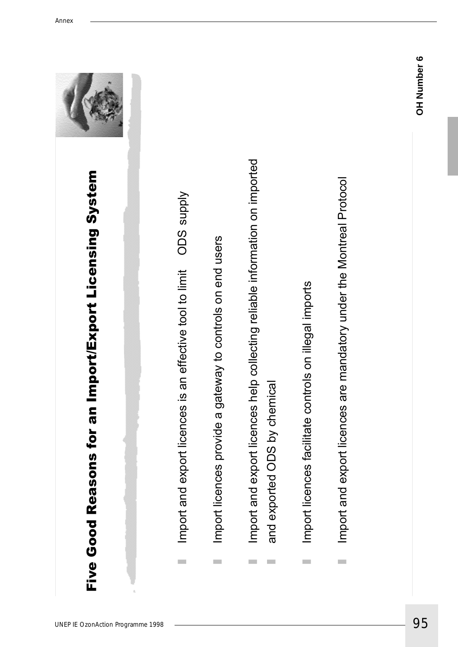# Five Good Reasons for an Import/Export Licensing System Five Good Reasons for an Import/Export Licensing System

 Import and export licences is an effective tool to limit ODS supply Import and export licences is an effective tool to limit

❚

❚

ODS supply

- Import licences provide a gateway to controls on end users Import licences provide a gateway to controls on end users
- Import and export licences help collecting reliable information on imported Import and export licences help collecting reliable information on imported ❚
	- and exported ODS by chemical and exported ODS by chemical ❚
- Import licences facilitate controls on illegal imports Import licences facilitate controls on illegal imports ❚
- Import and export licences are mandatory under the Montreal Protocol Import and export licences are mandatory under the Montreal Protocol ❚



OH Number 6 **OH Number 6**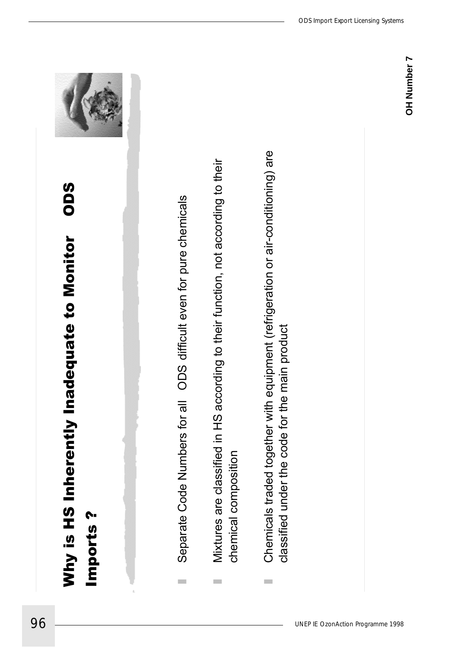|    | ODS<br>nadequate to Monitor<br><b>HS Inherently</b><br>Ų.<br>Imports<br>Why is | ODS difficult even for pure chemicals<br>Separate Code Numbers for a | ccording to their function, not according to their<br>$\bar{\sigma}$<br>Mixtures are classified in HS<br>chemical composition | Chemicals traded together with equipment (refrigeration or air-conditioning) are<br>classified under the code for the main product |                                   |
|----|--------------------------------------------------------------------------------|----------------------------------------------------------------------|-------------------------------------------------------------------------------------------------------------------------------|------------------------------------------------------------------------------------------------------------------------------------|-----------------------------------|
| 96 |                                                                                |                                                                      |                                                                                                                               |                                                                                                                                    | UNEP IE OzonAction Programme 1998 |

OH Number 7 **OH Number 7**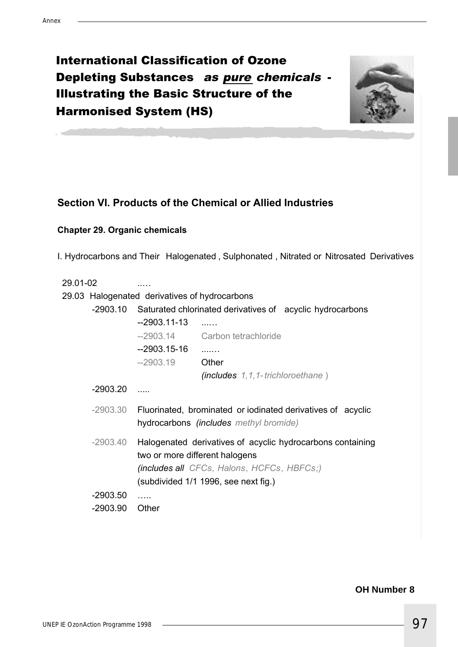**Illustrating the Basic Structure of the** Harmonised System (HS) International Classification of Ozone Depleting Substances as pure chemicals -



# **Section VI. Products of the Chemical or Allied Industries**

# **Chapter 29. Organic chemicals**

Harmonized System (HS)

I. Hydrocarbons and Their Halogenated , Sulphonated , Nitrated or Nitrosated Derivatives

| 29.01-02                                      | .                                                                                                                                                                                     |                                                                    |                                                                      |  |  |  |
|-----------------------------------------------|---------------------------------------------------------------------------------------------------------------------------------------------------------------------------------------|--------------------------------------------------------------------|----------------------------------------------------------------------|--|--|--|
| 29.03 Halogenated derivatives of hydrocarbons |                                                                                                                                                                                       |                                                                    |                                                                      |  |  |  |
|                                               |                                                                                                                                                                                       | -2903.10 Saturated chlorinated derivatives of acyclic hydrocarbons |                                                                      |  |  |  |
|                                               | $-2903.11-13$                                                                                                                                                                         | do do dia                                                          |                                                                      |  |  |  |
|                                               | --2903.14                                                                                                                                                                             | Carbon tetrachloride                                               |                                                                      |  |  |  |
|                                               | $-2903.15-16$                                                                                                                                                                         | .                                                                  |                                                                      |  |  |  |
|                                               | --2903.19                                                                                                                                                                             | Other                                                              |                                                                      |  |  |  |
|                                               |                                                                                                                                                                                       | $(includes 1, 1, 1-trichloroethane)$                               |                                                                      |  |  |  |
| $-2903.20$                                    | .                                                                                                                                                                                     |                                                                    |                                                                      |  |  |  |
|                                               |                                                                                                                                                                                       | hydrocarbons (includes methyl bromide)                             | -2903.30 Fluorinated, brominated or iodinated derivatives of acyclic |  |  |  |
| $-2903.40$                                    | Halogenated derivatives of acyclic hydrocarbons containing<br>two or more different halogens<br>$(includes all CFCs, Halons, HCFCs, HBFCs; )$<br>(subdivided 1/1 1996, see next fig.) |                                                                    |                                                                      |  |  |  |
| $-2903.50$                                    | .                                                                                                                                                                                     |                                                                    |                                                                      |  |  |  |
| $-2903.90$                                    | Other                                                                                                                                                                                 |                                                                    |                                                                      |  |  |  |
|                                               |                                                                                                                                                                                       |                                                                    |                                                                      |  |  |  |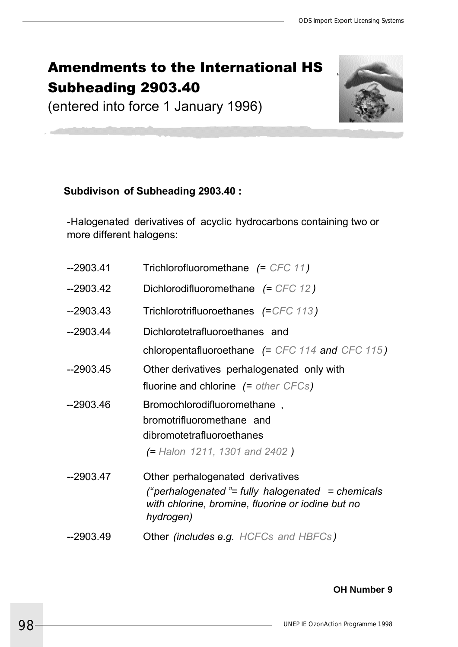# Amendments to the International Ho Amendments to the International HS Subheading 2903.40

(entered into force 1 January 1996) entered into force 1 January 1996) and the force 1 January 1996 (1996) and the force 1 January 1996) and the force 1



# **Subdivison of Subheading 2903.40 :**

-Halogenated derivatives of acyclic hydrocarbons containing two or more different halogens:

| $-2903.41$ | Trichlorofluoromethane $(= CFC 11)$                                                                                                                    |
|------------|--------------------------------------------------------------------------------------------------------------------------------------------------------|
| $-2903.42$ | Dichlorodifluoromethane $(= CFC 12)$                                                                                                                   |
| $-2903.43$ | Trichlorotrifluoroethanes (=CFC 113)                                                                                                                   |
| $-2903.44$ | Dichlorotetrafluoroethanes and                                                                                                                         |
|            | chloropentafluoroethane $(= CFC 114$ and CFC 115)                                                                                                      |
| $-2903.45$ | Other derivatives perhalogenated only with<br>fluorine and chlorine $(= other CFCs)$                                                                   |
| $-2903.46$ | Bromochlorodifluoromethane,<br>bromotrifluoromethane and<br>dibromotetrafluoroethanes<br>(= Halon 1211, 1301 and 2402)                                 |
| $-2903.47$ | Other perhalogenated derivatives<br>("perhalogenated"= fully halogenated = chemicals<br>with chlorine, bromine, fluorine or iodine but no<br>hydrogen) |
| $-2903.49$ | Other (includes e.g. HCFCs and HBFCs)                                                                                                                  |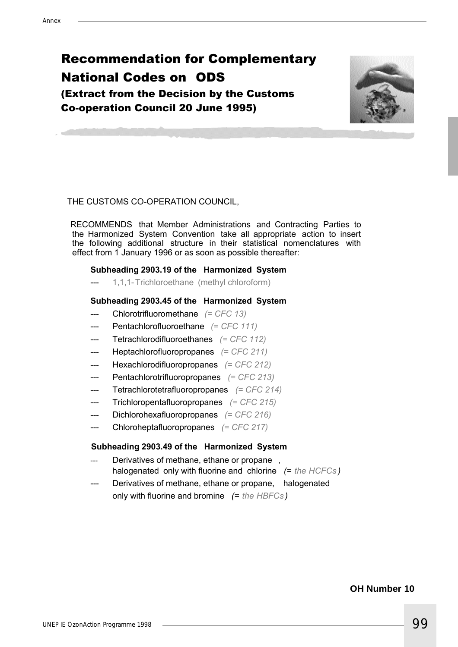Recommendation for Complementary National Codes on ODS (Extract from the Decision by the Customs Co-operation Council 20 June 1995)

Recommendation for Complementary



#### THE CUSTOMS CO-OPERATION COUNCIL,

National Codes on ODS

RECOMMENDS that Member Administrations and Contracting Parties to the Harmonized System Convention take all appropriate action to insert the following additional structure in their statistical nomenclatures with effect from 1 January 1996 or as soon as possible thereafter:

#### **Subheading 2903.19 of the Harmonized System**

--- 1,1,1-Trichloroethane (methyl chloroform)

#### **Subheading 2903.45 of the Harmonized System**

- --- Chlorotrifluoromethane *(= CFC 13)*
- --- Pentachlorofluoroethane *(= CFC 111)*
- --- Tetrachlorodifluoroethanes *(= CFC 112)*
- --- Heptachlorofluoropropanes *(= CFC 211)*
- --- Hexachlorodifluoropropanes *(= CFC 212)*
- Pentachlorotrifluoropropanes *(= CFC 213)*
- --- Tetrachlorotetrafluoropropanes *(= CFC 214)*
- --- Trichloropentafluoropropanes *(= CFC 215)*
- --- Dichlorohexafluoropropanes *(= CFC 216)*
- --- Chloroheptafluoropropanes *(= CFC 217)*

#### **Subheading 2903.49 of the Harmonized System**

- Derivatives of methane, ethane or propane, halogenated only with fluorine and chlorine *(= the HCFCs )*
- Derivatives of methane, ethane or propane, halogenated only with fluorine and bromine *(= the HBFCs )*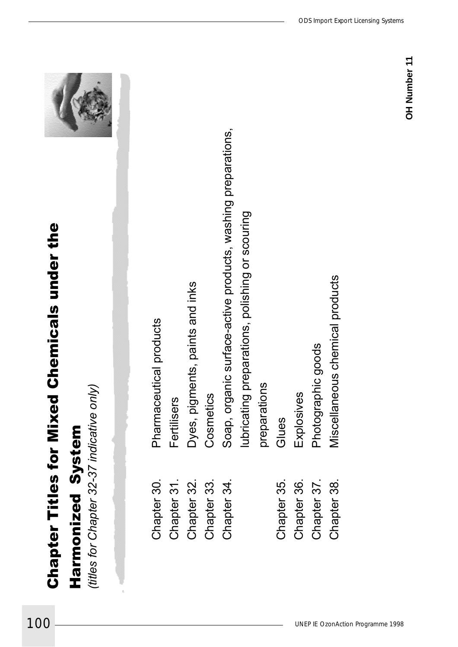| Soap, organic surface-active products, washing preparations,<br>lubricating preparations, polishing or scouring<br>eous chemical products<br>Dyes, pigments, paints and inks<br>Pharmaceutical products<br>Photographic goods<br>preparations<br>(titles for Chapter 32-37 indicative only)<br>Explosives<br>Cosmetics<br>Fertilisers<br>Miscellan<br>Glues<br>System<br>Chapter 30.<br>Chapter 35.<br>Chapter 36.<br>Chapter 34<br>Chapter 32<br>Chapter 33<br>Chapter 37<br>Chapter 38<br>Chapter 31<br>Harmonized |
|----------------------------------------------------------------------------------------------------------------------------------------------------------------------------------------------------------------------------------------------------------------------------------------------------------------------------------------------------------------------------------------------------------------------------------------------------------------------------------------------------------------------|
|----------------------------------------------------------------------------------------------------------------------------------------------------------------------------------------------------------------------------------------------------------------------------------------------------------------------------------------------------------------------------------------------------------------------------------------------------------------------------------------------------------------------|

OH Number 11 **OH Number 11**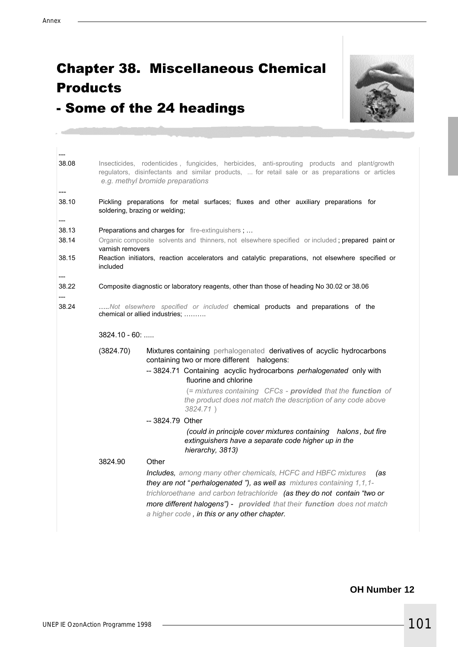# Chapter 38. Miscellaneous Chemical Products - Some of the 24 headings



| ---   |                                                                                                                                   |                                                                                                                                                                                                                                                                                                                                                            |  |  |  |  |  |
|-------|-----------------------------------------------------------------------------------------------------------------------------------|------------------------------------------------------------------------------------------------------------------------------------------------------------------------------------------------------------------------------------------------------------------------------------------------------------------------------------------------------------|--|--|--|--|--|
| 38.08 |                                                                                                                                   | Insecticides, rodenticides, fungicides, herbicides, anti-sprouting products and plant/growth<br>regulators, disinfectants and similar products,  for retail sale or as preparations or articles<br>e.g. methyl bromide preparations                                                                                                                        |  |  |  |  |  |
| ---   |                                                                                                                                   |                                                                                                                                                                                                                                                                                                                                                            |  |  |  |  |  |
| 38.10 | soldering, brazing or welding;                                                                                                    | Pickling preparations for metal surfaces; fluxes and other auxiliary preparations for                                                                                                                                                                                                                                                                      |  |  |  |  |  |
| 38.13 |                                                                                                                                   | Preparations and charges for fire-extinguishers;                                                                                                                                                                                                                                                                                                           |  |  |  |  |  |
| 38.14 |                                                                                                                                   | Organic composite solvents and thinners, not elsewhere specified or included; prepared paint or                                                                                                                                                                                                                                                            |  |  |  |  |  |
|       | varnish removers                                                                                                                  |                                                                                                                                                                                                                                                                                                                                                            |  |  |  |  |  |
| 38.15 | included                                                                                                                          | Reaction initiators, reaction accelerators and catalytic preparations, not elsewhere specified or                                                                                                                                                                                                                                                          |  |  |  |  |  |
|       |                                                                                                                                   |                                                                                                                                                                                                                                                                                                                                                            |  |  |  |  |  |
| 38.22 |                                                                                                                                   | Composite diagnostic or laboratory reagents, other than those of heading No 30.02 or 38.06                                                                                                                                                                                                                                                                 |  |  |  |  |  |
|       |                                                                                                                                   |                                                                                                                                                                                                                                                                                                                                                            |  |  |  |  |  |
| 38.24 | Not elsewhere specified or included chemical products and preparations of the<br>chemical or allied industries;                   |                                                                                                                                                                                                                                                                                                                                                            |  |  |  |  |  |
|       | $3824.10 - 60: $                                                                                                                  |                                                                                                                                                                                                                                                                                                                                                            |  |  |  |  |  |
|       | (3824.70)<br>Mixtures containing perhalogenated derivatives of acyclic hydrocarbons<br>containing two or more different halogens: |                                                                                                                                                                                                                                                                                                                                                            |  |  |  |  |  |
|       |                                                                                                                                   | -- 3824.71 Containing acyclic hydrocarbons perhalogenated only with<br>fluorine and chlorine                                                                                                                                                                                                                                                               |  |  |  |  |  |
|       |                                                                                                                                   | (= mixtures containing CFCs - provided that the function of                                                                                                                                                                                                                                                                                                |  |  |  |  |  |
|       |                                                                                                                                   | the product does not match the description of any code above<br>3824.71)                                                                                                                                                                                                                                                                                   |  |  |  |  |  |
|       |                                                                                                                                   | -- 3824.79 Other                                                                                                                                                                                                                                                                                                                                           |  |  |  |  |  |
|       |                                                                                                                                   | (could in principle cover mixtures containing halons, but fire<br>extinguishers have a separate code higher up in the<br>hierarchy, 3813)                                                                                                                                                                                                                  |  |  |  |  |  |
|       | 3824.90                                                                                                                           | Other                                                                                                                                                                                                                                                                                                                                                      |  |  |  |  |  |
|       |                                                                                                                                   | <b>Includes,</b> among many other chemicals, HCFC and HBFC mixtures<br>(as<br>they are not "perhalogenated"), as well as mixtures containing 1,1,1-<br>trichloroethane and carbon tetrachloride (as they do not contain "two or<br>more different halogens") - provided that their function does not match<br>a higher code, in this or any other chapter. |  |  |  |  |  |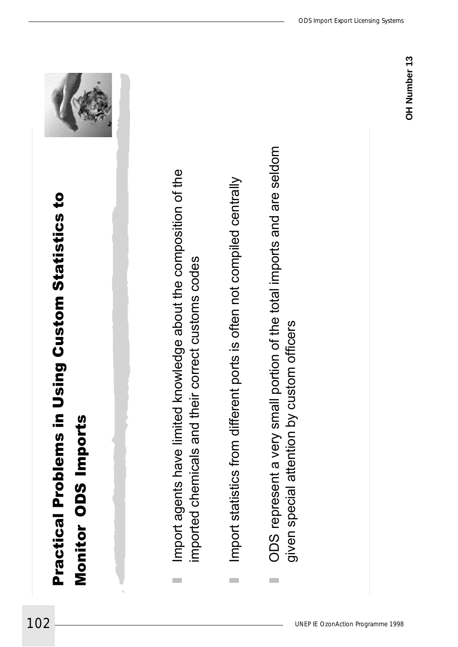| Using Custom Statistics to<br>Practical Problems in<br>Imports<br><b>ODS</b><br>Monitor | knowledge about the composition of the<br>eir correct customs codes<br>Import agents have limited<br>imported chemicals and th | rent ports is often not compiled centrally<br>Import statistics from differ | ODS represent a very small portion of the total imports and are seldom<br>custom officers<br>given special attention by |                                   |  |
|-----------------------------------------------------------------------------------------|--------------------------------------------------------------------------------------------------------------------------------|-----------------------------------------------------------------------------|-------------------------------------------------------------------------------------------------------------------------|-----------------------------------|--|
|                                                                                         |                                                                                                                                |                                                                             |                                                                                                                         |                                   |  |
| 102                                                                                     |                                                                                                                                |                                                                             |                                                                                                                         | UNEP IE OzonAction Programme 1998 |  |
|                                                                                         |                                                                                                                                |                                                                             |                                                                                                                         |                                   |  |

OH Number 13 **OH Number 13**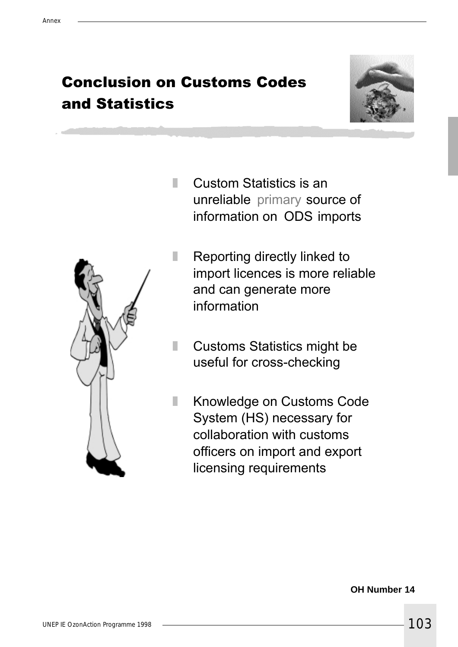# Conclusion on Customs Codes and Statistics





- Custom Statistics is an unreliable primary source of information on ODS imports
	- Reporting directly linked to import licences is more reliable and can generate more information
- Customs Statistics might be useful for cross-checking
- Knowledge on Customs Code System (HS) necessary for collaboration with customs officers on import and export licensing requirements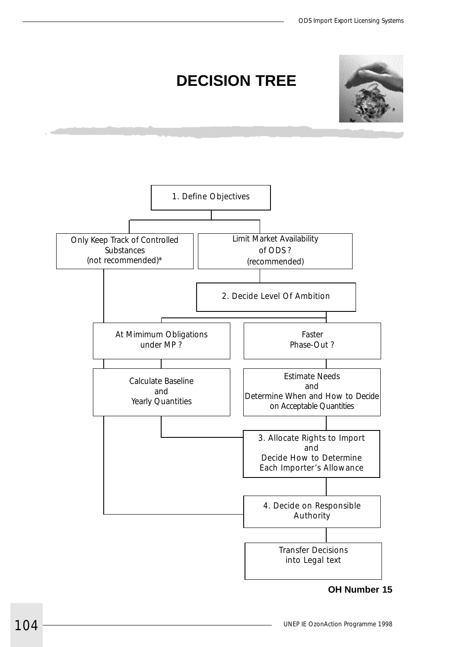# **DECISION TREE**





**OH Number 15**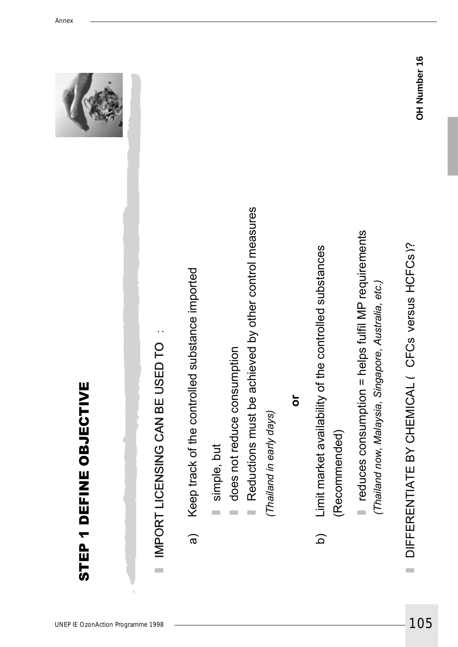| リン<br>STEP 1 DEFINE OBJECTI | USED TO<br>IMPORT LICENSING CAN BE<br><b>COL</b> | Keep track of the controlled substance imported<br>$\widehat{\mathbf{a}}$ | Reductions must be achieved by other control measures<br>does not reduce consumption<br>simple, but | $\overline{\mathbf{o}}$<br>(Thailand in early days) | Limit market availability of the controlled substances<br>(Recommended)<br>$\widehat{\Omega}$ | reduces consumption = helps fulfil MP requirements<br>Singapore, Australia, etc.)<br>(Thailand now, Malaysia, | DIFFERENTIATE BY CHEMICAL ( CFCs versus HCFCs)?<br>$\overline{\phantom{a}}$ |
|-----------------------------|--------------------------------------------------|---------------------------------------------------------------------------|-----------------------------------------------------------------------------------------------------|-----------------------------------------------------|-----------------------------------------------------------------------------------------------|---------------------------------------------------------------------------------------------------------------|-----------------------------------------------------------------------------|

**OH Number 16**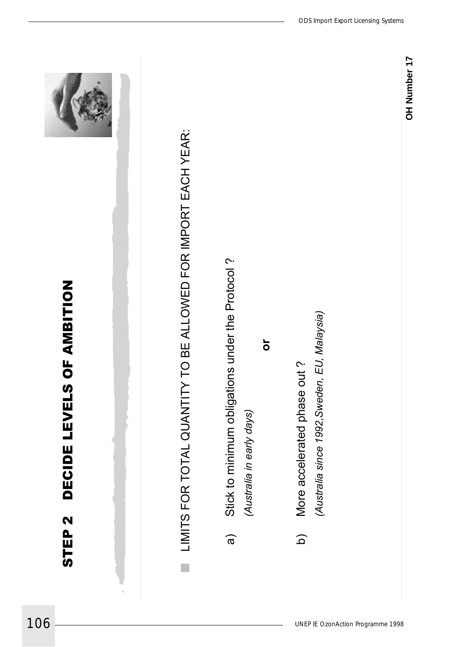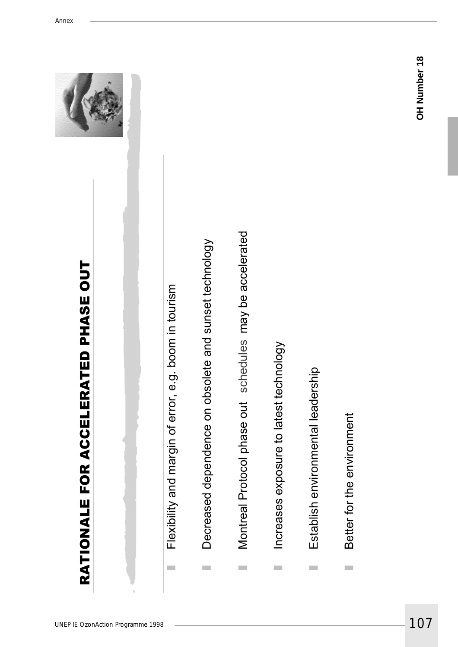# RATIONALE FOR ACCELERATED PHASE OUT RATIONALE FOR ACCELERATED PHASE OUT

- Flexibility and margin of error, e.g. boom in tourism Flexibility and margin of error, e.g. boom in tourism ❚
- Decreased dependence on obsolete and sunset technology Decreased dependence on obsolete and sunset technology ❚
- Montreal Protocol phase out schedules may be accelerated Montreal Protocol phase out schedules may be accelerated ❚
- Increases exposure to latest technology Increases exposure to latest technology ❚
- Establish environmental leadership **Establish environmental leadership** ❚
- Better for the environment **Better for the environment** ❚



OH Number 18 **OH Number 18**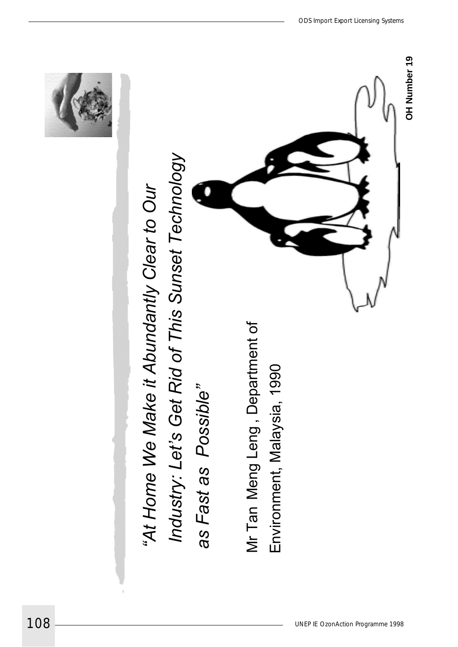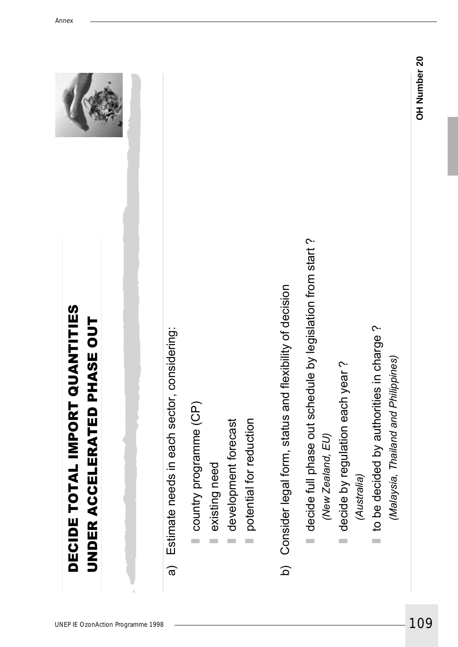### DECIDE TOTAL IMPORT QUANTITIES DECIDE TOTAL IMPORT QUANTITIES UNDER ACCELERATED PHASE OUT UNDER ACCELERATED PHASE OUT

- Estimate needs in each sector, considering: a) Estimate needs in each sector, considering:  $\widehat{\mathfrak{g}}$
- country programme (CP) country programme (CP)
- existing need existing need
- development forecast development forecast
- potential for reduction potential for reduction ❚
- Consider legal form, status and flexibility of decision b) Consider legal form, status and flexibility of decision  $\Omega$
- decide full phase out schedule by legislation from start? decide full phase out schedule by legislation from start ? (New Zealand, EU) *(New Zealand, EU)*
- decide by regulation each year? decide by regulation each year ? *(Australia)*
- to be decided by authorities in charge? to be decided by authorities in charge ? ❚

(Malaysia, Thailand and Philippines) *(Malaysia, Thailand and Philippines)*

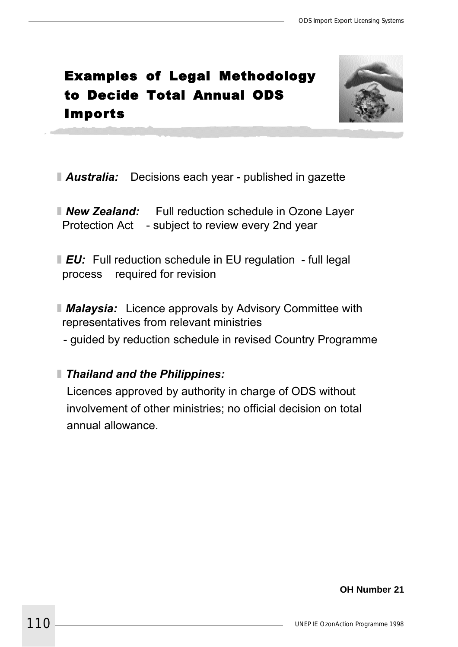### Examples of Legal Methodology to Decide Total Annual ODS Imports



■ **Australia:** Decisions each year - published in gazette

■ **New Zealand:** Full reduction schedule in Ozone Layer Protection Act - subject to review every 2nd year

- **EU:** Full reduction schedule in EU regulation full legal process required for revision
- *Malaysia:* Licence approvals by Advisory Committee with representatives from relevant ministries
	- guided by reduction schedule in revised Country Programme

❚ *Thailand and the Philippines:*

Licences approved by authority in charge of ODS without involvement of other ministries; no official decision on total annual allowance.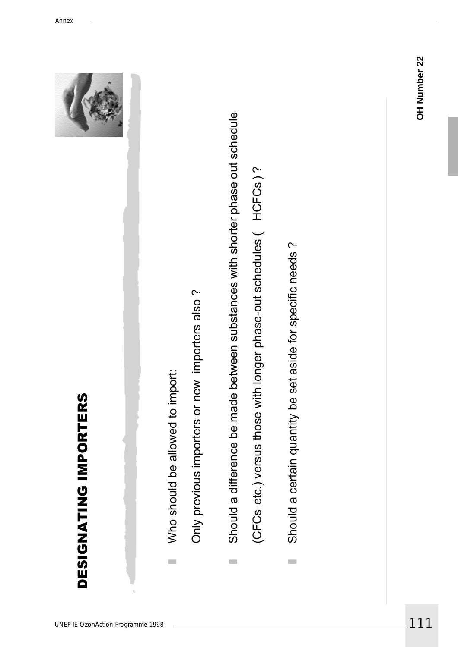Who should be allowed to import: Who should be allowed to import: ❚

Only previous importers or new importers also? Only previous importers or new importers also ?

- Should a difference be made between substances with shorter phase out schedule Should a difference be made between substances with shorter phase out schedule ❚
	- (CFCs etc.) versus those with longer phase-out schedules ( HCFCs)? (CFCs etc.) versus those with longer phase-out schedules ( HCFCs ) ?
- Should a certain quantity be set aside for specific needs? Should a certain quantity be set aside for specific needs? ❚

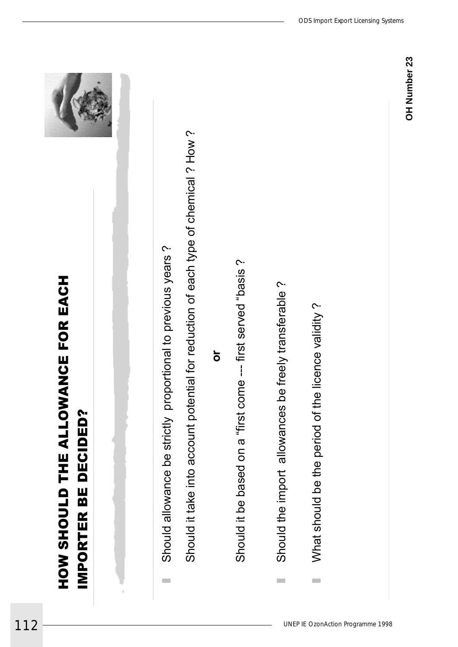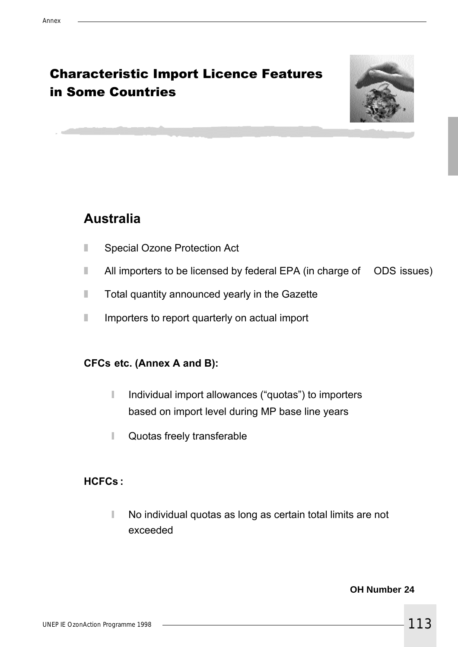

### **Australia**

in Some Countries and Countries and Countries and Countries and Countries and Countries and Countries and Coun

- Special Ozone Protection Act
- All importers to be licensed by federal EPA (in charge of ODS issues)
- Total quantity announced yearly in the Gazette
- Importers to report quarterly on actual import

### **CFCs etc. (Annex A and B):**

- ❙ Individual import allowances ("quotas") to importers based on import level during MP base line years
- Quotas freely transferable

### **HCFCs :**

■ No individual quotas as long as certain total limits are not exceeded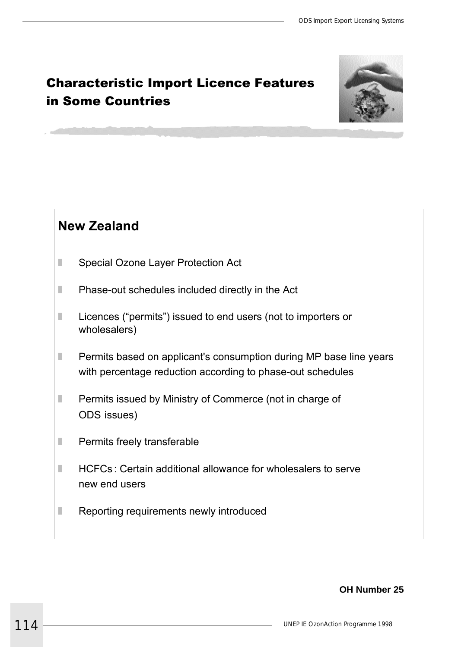

### **New Zealand**

- Special Ozone Layer Protection Act
- Phase-out schedules included directly in the Act
- Licences ("permits") issued to end users (not to importers or wholesalers)
- Permits based on applicant's consumption during MP base line years with percentage reduction according to phase-out schedules
- Permits issued by Ministry of Commerce (not in charge of ODS issues)
- **■** Permits freely transferable
- HCFCs: Certain additional allowance for wholesalers to serve new end users
- **■** Reporting requirements newly introduced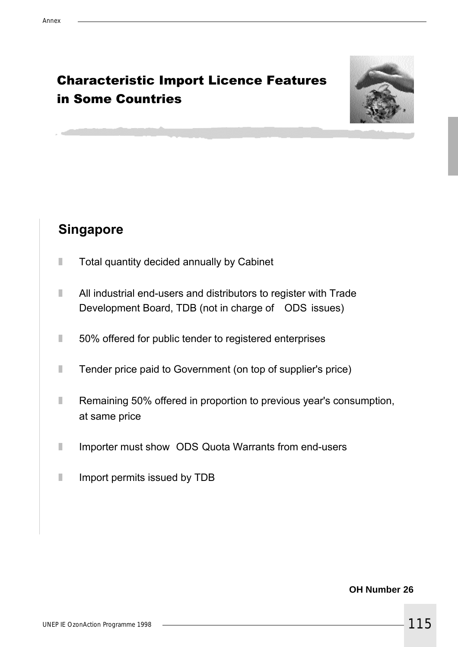

### **Singapore**

- Total quantity decided annually by Cabinet
- All industrial end-users and distributors to register with Trade Development Board, TDB (not in charge of ODS issues)
- 50% offered for public tender to registered enterprises
- Tender price paid to Government (on top of supplier's price)
- Remaining 50% offered in proportion to previous year's consumption, at same price
- Importer must show ODS Quota Warrants from end-users
- Import permits issued by TDB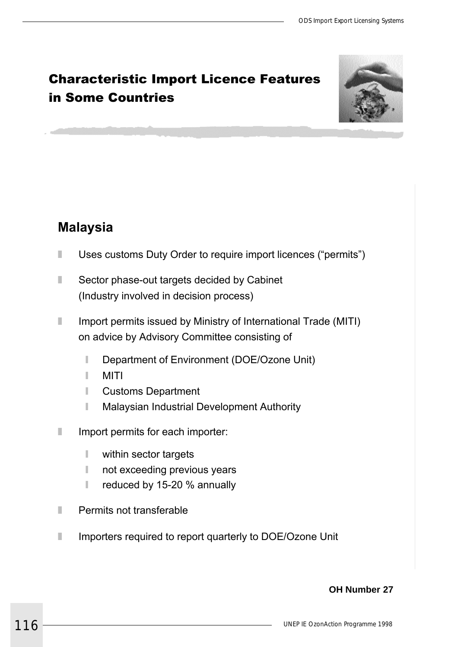

### **Malaysia**

- Uses customs Duty Order to require import licences ("permits")
- Sector phase-out targets decided by Cabinet (Industry involved in decision process)
- Import permits issued by Ministry of International Trade (MITI) on advice by Advisory Committee consisting of
	- ❙ Department of Environment (DOE/Ozone Unit)
	- ❙ MITI
	- **Ⅰ** Customs Department
	- **■** Malaysian Industrial Development Authority
- $\blacksquare$  Import permits for each importer:
	- **■** within sector targets
	- **■** not exceeding previous years
	- reduced by 15-20 % annually
- **■** Permits not transferable
- Importers required to report quarterly to DOE/Ozone Unit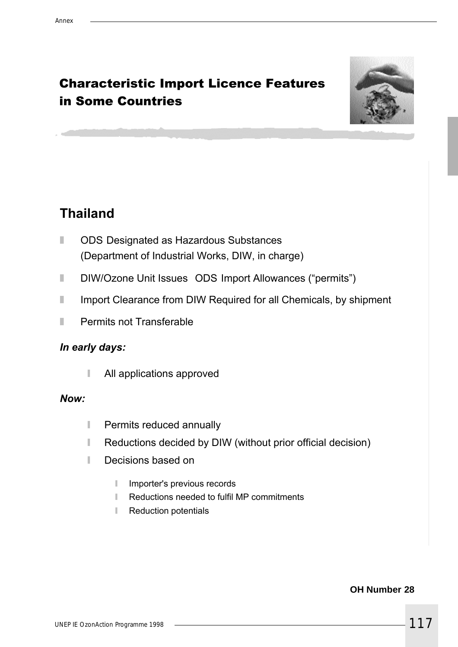

### **Thailand**

- ODS Designated as Hazardous Substances (Department of Industrial Works, DIW, in charge)
- DIW/Ozone Unit Issues ODS Import Allowances ("permits")
- Import Clearance from DIW Required for all Chemicals, by shipment
- **■** Permits not Transferable

### *In early days:*

**■** All applications approved

### *Now:*

- **■** Permits reduced annually
- **■** Reductions decided by DIW (without prior official decision)
- **Ⅰ** Decisions based on
	- **Ⅰ** Importer's previous records
	- **■** Reductions needed to fulfil MP commitments
	- **■** Reduction potentials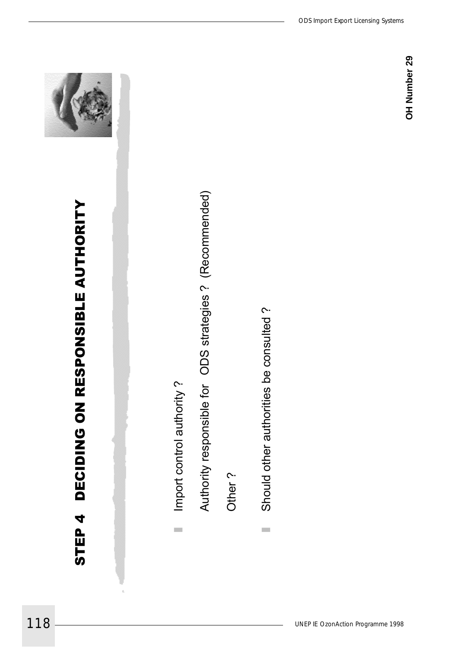|     | RESPONSIBLE AUTHORITY<br>DECIDING ON<br>STEP 4 | ă, | Import control authority?<br><b>In the </b> | ODS strategies ? (Recommended)<br>for<br>Authority responsible | Other? | Should other authorities be consulted?<br><b>College</b> |                                   |
|-----|------------------------------------------------|----|---------------------------------------------|----------------------------------------------------------------|--------|----------------------------------------------------------|-----------------------------------|
| 118 |                                                |    |                                             |                                                                |        |                                                          | UNEP IE OzonAction Programme 1998 |

OH Number 29 **OH Number 29**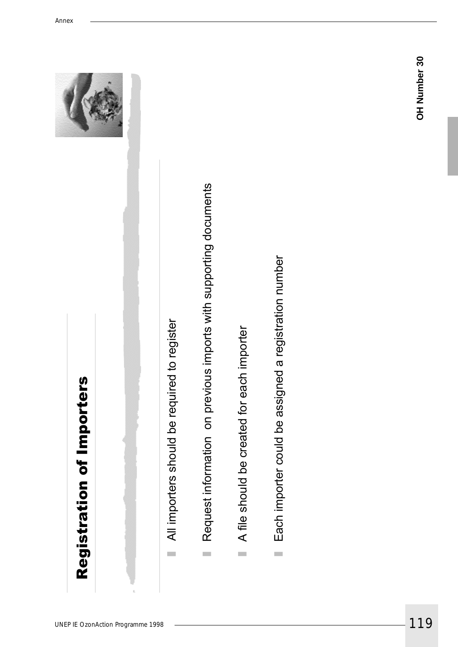### Registration of Importers Registration of Importers

All importers should be required to register **All importers should be required to register** 

 $\overline{\phantom{a}}$ 

- Request information on previous imports with supporting documents **Bequest information on previous imports with supporting documents**  $\mathcal{L}_{\mathcal{A}}$
- A file should be created for each importer A file should be created for each importer m.
- Each importer could be assigned a registration number **Each importer could be assigned a registration number** m,

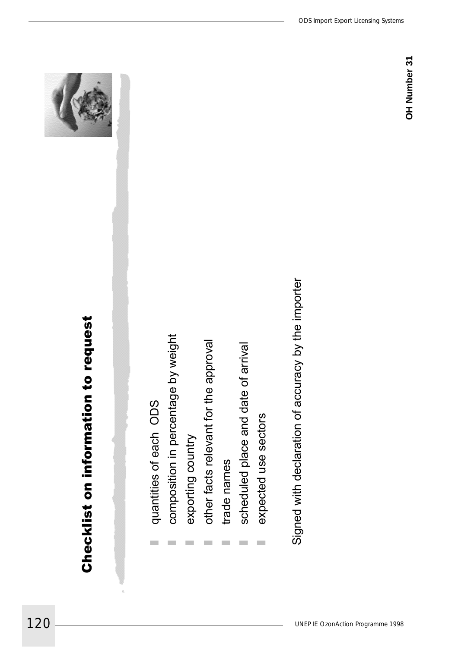

## **Checklist on information to request**<br>
quantities of each ODS<br>
exporting country<br>
exporting country<br>
exporting country<br>
different facts relevant for the approval<br>
trade names<br>
expected use sectors<br>
expected use sectors<br>
Si

- 
- 
- 
- 
- 
- 
-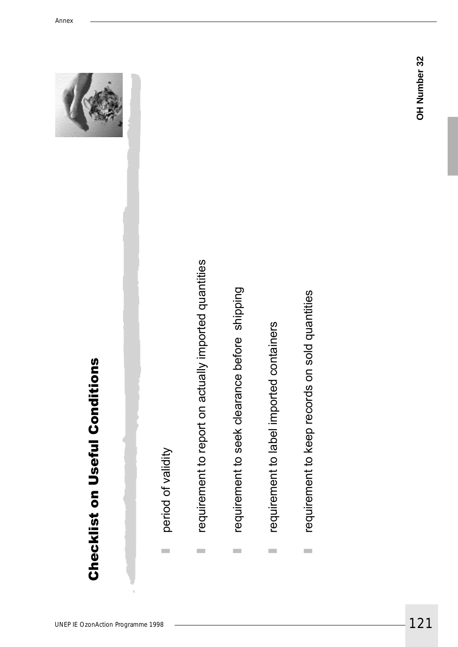## **Checklist on Useful Conditions** Checklist on Useful Conditions

- period of validity period of validity ❚
- requirement to report on actually imported quantities requirement to report on actually imported quantities ❚
- requirement to seek clearance before shipping requirement to seek clearance before shipping ❚
- requirement to label imported containers requirement to label imported containers ❚
- requirement to keep records on sold quantities requirement to keep records on sold quantities

❚



*Annex*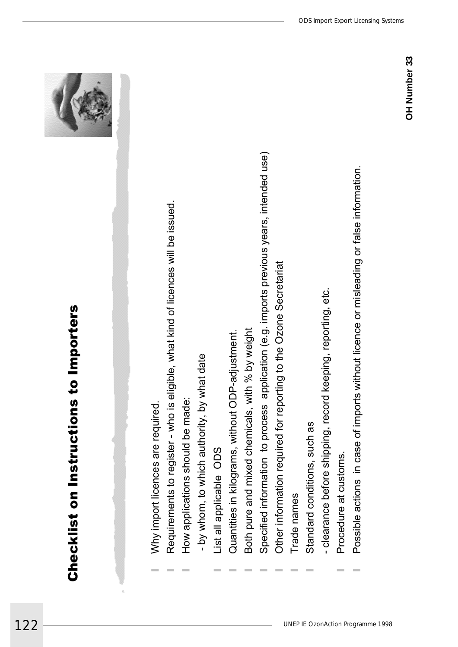**OH Number 33**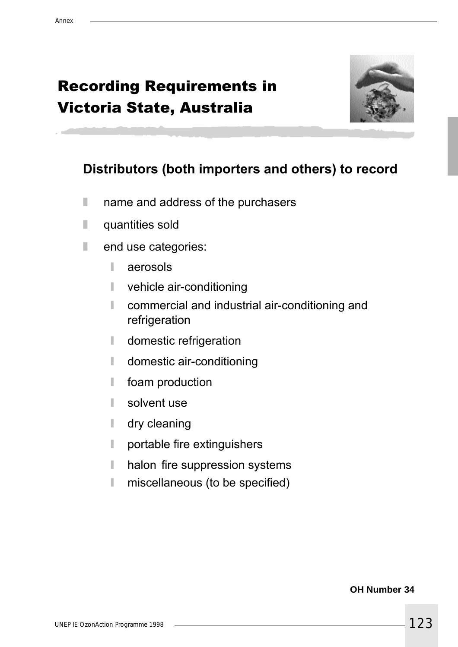### Recording Requirements in Victoria State, Australia



### **Distributors (both importers and others) to record**

- name and address of the purchasers
- quantities sold
- end use categories:
	- ❙ aerosols
	- **■** vehicle air-conditioning
	- **■** commercial and industrial air-conditioning and refrigeration
	- **■** domestic refrigeration
	- **■** domestic air-conditioning
	- **■** foam production
	- **■** solvent use
	- **■** dry cleaning
	- **■** portable fire extinguishers
	- **■** halon fire suppression systems
	- **■** miscellaneous (to be specified)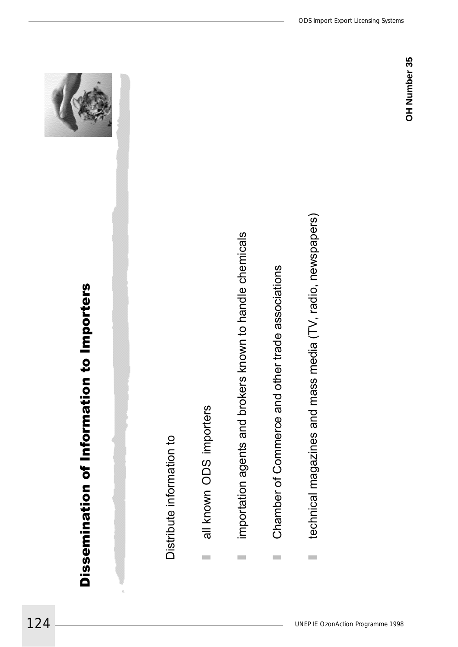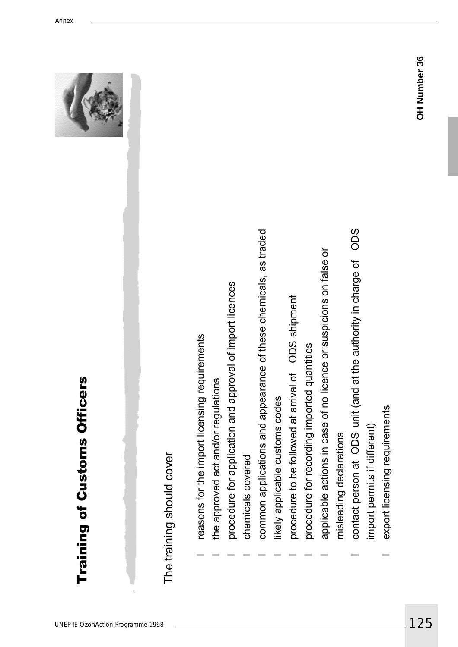### Training of Customs Officers Training of Customs Officers

The training should cover The training should cover

- reasons for the import licensing requirements reasons for the import licensing requirements
- the approved act and/or regulations the approved act and/or regulations
- procedure for application and approval of import licences procedure for application and approval of import licences
- chemicals covered chemicals covered
- common applications and appearance of these chemicals, as traded common applications and appearance of these chemicals, as traded
- likely applicable customs codes likely applicable customs codes
- procedure to be followed at arrival of ODS shipment procedure to be followed at arrival of ODS shipment
- procedure for recording imported quantities procedure for recording imported quantities
- applicable actions in case of no licence or suspicions on false or applicable actions in case of no licence or suspicions on false or misleading declarations misleading declarations
- CDS contact person at ODS unit (and at the authority in charge of ODS contact person at ODS unit (and at the authority in charge of import permits if different) import permits if different)
	- export licensing requirements export licensing requirements

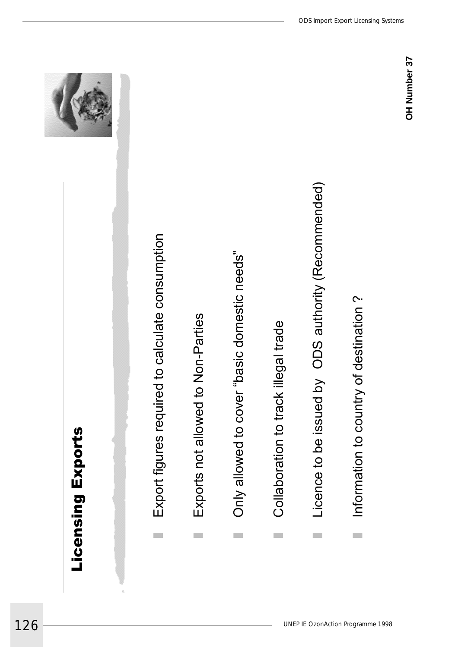

*ODS Import Export Licensing Systems*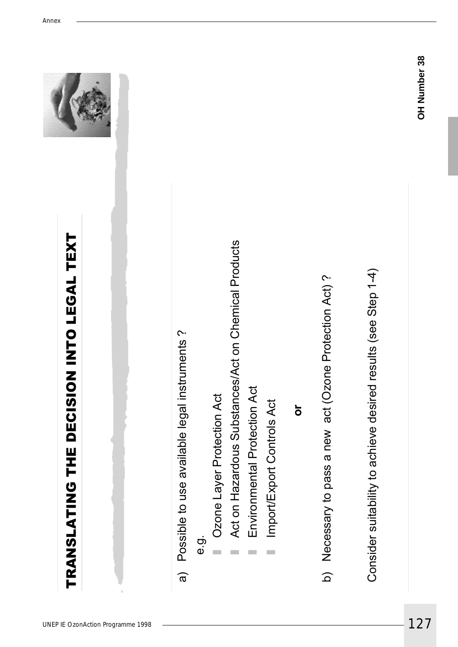

- Possible to use available legal instruments? a) Possible to use available legal instruments ?  $\widehat{\sigma}$
- e.g.
- Ozone Layer Protection Act Ozone Layer Protection Act
- Act on Hazardous Substances/Act on Chemical Products Act on Hazardous Substances/Act on Chemical Products ❚
- Environmental Protection Act Environmental Protection Act ❚
- Import/Export Controls Act Import/Export Controls Act ❚

### **or**

b) Necessary to pass a new act (Ozone Protection Act)? b) Necessary to pass a new act (Ozone Protection Act) ?

Consider suitability to achieve desired results (see Step 1-4) Consider suitability to achieve desired results (see Step 1-4)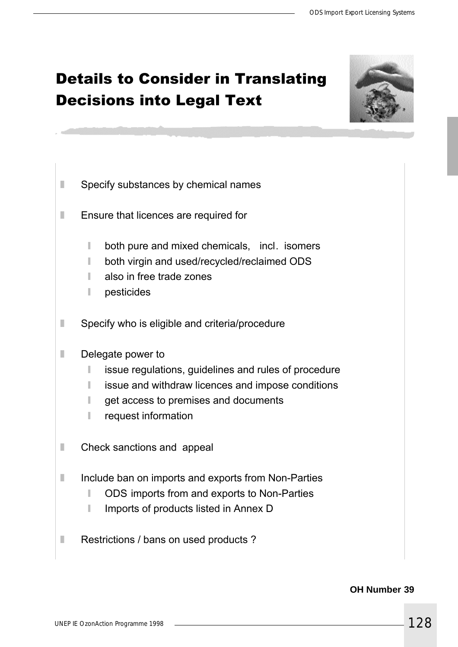### bololono mto Logar rokt Details to Consider in Translating Decisions into Legal Text



■ Specify substances by chemical names

Decisions into Legal Text

- **■** Ensure that licences are required for
	- **■** both pure and mixed chemicals, incl. isomers
	- **■** both virgin and used/recycled/reclaimed ODS
	- **■** also in free trade zones
	- ❙ pesticides
- Specify who is eligible and criteria/procedure
- Delegate power to
	- **■** issue regulations, guidelines and rules of procedure
	- **■** issue and withdraw licences and impose conditions
	- **■** get access to premises and documents
	- **■** request information
- Check sanctions and appeal
- **■** Include ban on imports and exports from Non-Parties
	- **ODS imports from and exports to Non-Parties**
	- **■** Imports of products listed in Annex D
- Restrictions / bans on used products?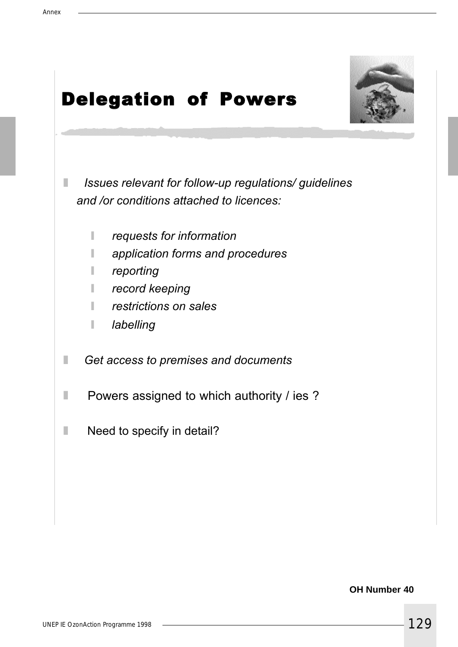



- ❚ *Issues relevant for follow-up regulations/ guidelines and /or conditions attached to licences:*
	- ❙ *requests for information*
	- ❙ *application forms and procedures*
	- ❙ *reporting*
	- ❙ *record keeping*
	- ❙ *restrictions on sales*
	- ❙ *labelling*
- ❚ *Get access to premises and documents*
- Powers assigned to which authority / ies?
- Need to specify in detail?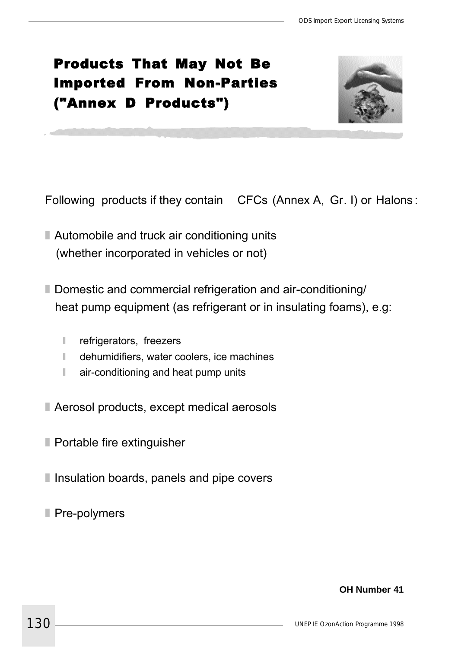### Products That May Not Be Imported From Non-Parties ("Annex D Products")



Following products if they contain CFCs (Annex A, Gr. I) or Halons :

- Automobile and truck air conditioning units (whether incorporated in vehicles or not)
- Domestic and commercial refrigeration and air-conditioning/ heat pump equipment (as refrigerant or in insulating foams), e.g:
	- **■** refrigerators, freezers
	- **■** dehumidifiers, water coolers, ice machines
	- **■** air-conditioning and heat pump units
- Aerosol products, except medical aerosols
- Portable fire extinguisher
- Insulation boards, panels and pipe covers
- Pre-polymers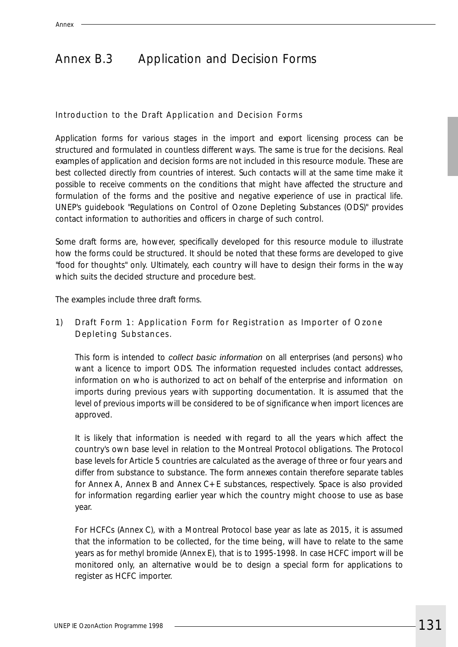### *Annex B.3 Application and Decision Forms*

*Introduction to the Draft Application and Decision Forms* 

*Application forms for various stages in the import and export licensing process can be structured and formulated in countless different ways. The same is true for the decisions. Real examples of application and decision forms are not included in this resource module. These are best collected directly from countries of interest. Such contacts will at the same time make it possible to receive comments on the conditions that might have affected the structure and formulation of the forms and the positive and negative experience of use in practical life. UNEP's guidebook "Regulations on Control of Ozone Depleting Substances (ODS)" provides contact information to authorities and officers in charge of such control.*

*Some draft forms are, however, specifically developed for this resource module to illustrate how the forms could be structured. It should be noted that these forms are developed to give "food for thoughts" only. Ultimately, each country will have to design their forms in the way which suits the decided structure and procedure best.*

*The examples include three draft forms.*

*1) Draft Form 1: Application Form for Registration as Importer of Ozone Depleting Substances.*

*This form is intended to* collect basic information *on all enterprises (and persons) who want a licence to import ODS. The information requested includes contact addresses, information on who is authorized to act on behalf of the enterprise and information on imports during previous years with supporting documentation. It is assumed that the level of previous imports will be considered to be of significance when import licences are approved.* 

*It is likely that information is needed with regard to all the years which affect the country's own base level in relation to the Montreal Protocol obligations. The Protocol base levels for Article 5 countries are calculated as the average of three or four years and differ from substance to substance. The form annexes contain therefore separate tables for Annex A, Annex B and Annex C+E substances, respectively. Space is also provided for information regarding earlier year which the country might choose to use as base year.*

*For HCFCs (Annex C), with a Montreal Protocol base year as late as 2015, it is assumed that the information to be collected, for the time being, will have to relate to the same years as for methyl bromide (Annex E), that is to 1995-1998. In case HCFC import will be monitored only, an alternative would be to design a special form for applications to register as HCFC importer.*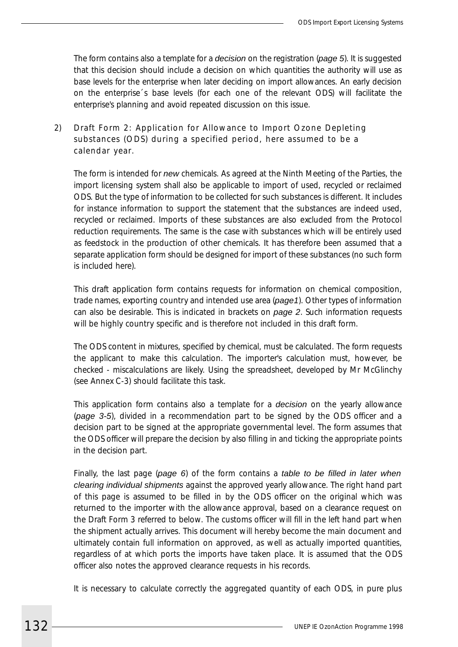*The form contains also a template for a* decision *on the registration (*page 5*). It is suggested that this decision should include a decision on which quantities the authority will use as base levels for the enterprise when later deciding on import allowances. An early decision on the enterprise´s base levels (for each one of the relevant ODS) will facilitate the enterprise's planning and avoid repeated discussion on this issue.*

*2) Draft Form 2: Application for Allowance to Import Ozone Depleting substances (ODS) during a specified period, here assumed to be a calendar year.*

*The form is intended for* new *chemicals. As agreed at the Ninth Meeting of the Parties, the import licensing system shall also be applicable to import of used, recycled or reclaimed ODS. But the type of information to be collected for such substances is different. It includes for instance information to support the statement that the substances are indeed used, recycled or reclaimed. Imports of these substances are also excluded from the Protocol reduction requirements. The same is the case with substances which will be entirely used as feedstock in the production of other chemicals. It has therefore been assumed that a separate application form should be designed for import of these substances (no such form is included here).*

*This draft application form contains requests for information on chemical composition, trade names, exporting country and intended use area (*page1*). Other types of information can also be desirable. This is indicated in brackets on* page 2*. Such information requests will be highly country specific and is therefore not included in this draft form.*

*The ODS content in mixtures, specified by chemical, must be calculated. The form requests the applicant to make this calculation. The importer's calculation must, however, be checked - miscalculations are likely. Using the spreadsheet, developed by Mr McGlinchy (see Annex C-3) should facilitate this task.*

*This application form contains also a template for a* decision *on the yearly allowance (*page 3-5*), divided in a recommendation part to be signed by the ODS officer and a decision part to be signed at the appropriate governmental level. The form assumes that the ODS officer will prepare the decision by also filling in and ticking the appropriate points in the decision part.*

*Finally, the last page (*page 6*) of the form contains a* table to be filled in later when clearing individual shipments *against the approved yearly allowance. The right hand part of this page is assumed to be filled in by the ODS officer on the original which was returned to the importer with the allowance approval, based on a clearance request on the Draft Form 3 referred to below. The customs officer will fill in the left hand part when the shipment actually arrives. This document will hereby become the main document and ultimately contain full information on approved, as well as actually imported quantities, regardless of at which ports the imports have taken place. It is assumed that the ODS officer also notes the approved clearance requests in his records.*

*It is necessary to calculate correctly the aggregated quantity of each ODS, in pure plus*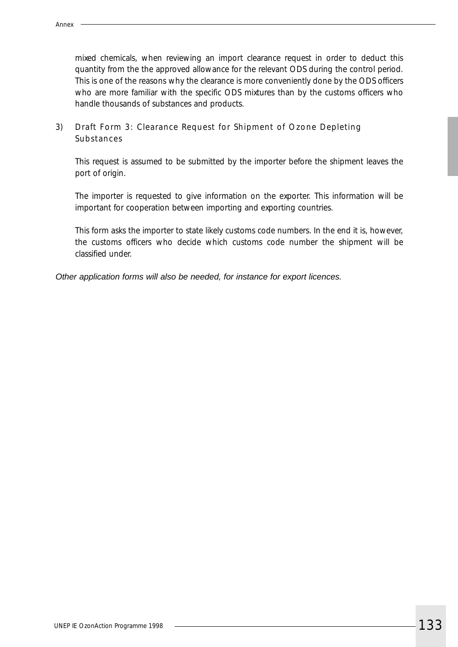*mixed chemicals, when reviewing an import clearance request in order to deduct this quantity from the the approved allowance for the relevant ODS during the control period. This is one of the reasons why the clearance is more conveniently done by the ODS officers who are more familiar with the specific ODS mixtures than by the customs officers who handle thousands of substances and products.*

*3) Draft Form 3: Clearance Request for Shipment of Ozone Depleting Substances*

*This request is assumed to be submitted by the importer before the shipment leaves the port of origin.* 

*The importer is requested to give information on the exporter. This information will be important for cooperation between importing and exporting countries.*

*This form asks the importer to state likely customs code numbers. In the end it is, however, the customs officers who decide which customs code number the shipment will be classified under.*

Other application forms will also be needed, for instance for export licences.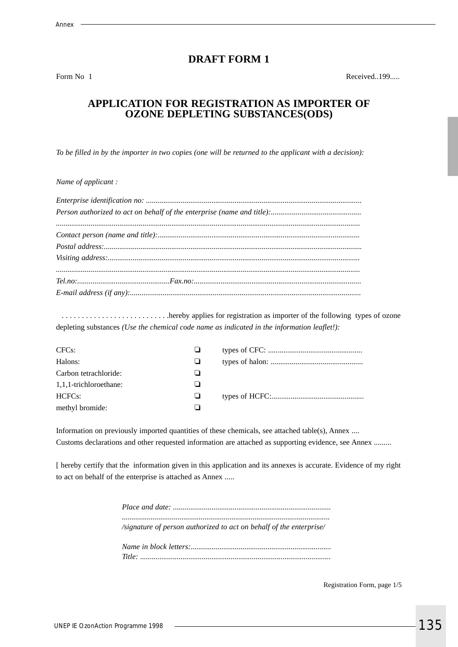### **DRAFT FORM 1**

Form No 1 Received..199....

### **APPLICATION FOR REGISTRATION AS IMPORTER OF OZONE DEPLETING SUBSTANCES(ODS)**

*To be filled in by the importer in two copies (one will be returned to the applicant with a decision):*

*Name of applicant :*

 . . . . . . . . . . . . . . . . . . . . . . . . . . .hereby applies for registration as importer of the following types of ozone depleting substances *(Use the chemical code name as indicated in the information leaflet!):*

| CFC <sub>s</sub> :     |   |  |
|------------------------|---|--|
| Halons:                |   |  |
| Carbon tetrachloride:  |   |  |
| 1,1,1-trichloroethane: |   |  |
| HCFC <sub>s</sub> :    | ப |  |
| methyl bromide:        |   |  |

Information on previously imported quantities of these chemicals, see attached table(s), Annex .... Customs declarations and other requested information are attached as supporting evidence, see Annex .........

[ hereby certify that the information given in this application and its annexes is accurate. Evidence of my right to act on behalf of the enterprise is attached as Annex .....

| /signature of person authorized to act on behalf of the enterprise/ |  |
|---------------------------------------------------------------------|--|
|                                                                     |  |
|                                                                     |  |

Registration Form, page 1/5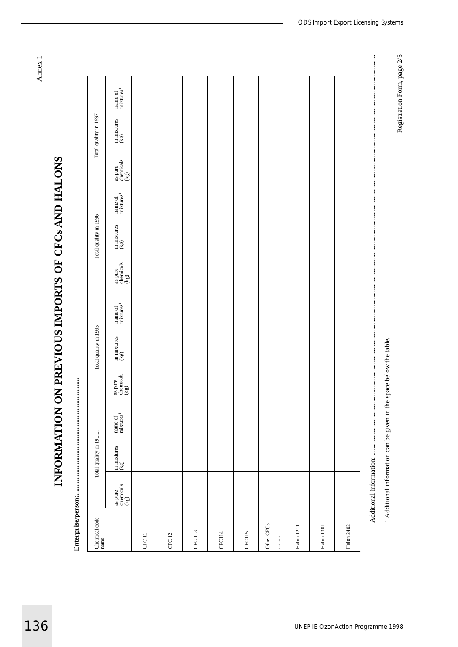Annex 1

## **INFORMATION ON PREVIOUS IMPORTS OF CFCs AND HALONS**

| Total quality in 1997<br>Total quality in 1996<br>Total quality in 1995 | in mixtures<br>(kg)<br>as pure<br>chemicals<br>$(kg)$<br>name of $\min$<br>in mixtures<br>(kg)<br>as pure<br>chemicals<br>$(kg)$<br>name of $\min$<br>in mixtures<br>(kg) |                   |                   |               |        |        |                |                   |                   |            |
|-------------------------------------------------------------------------|---------------------------------------------------------------------------------------------------------------------------------------------------------------------------|-------------------|-------------------|---------------|--------|--------|----------------|-------------------|-------------------|------------|
| Total quality in 19                                                     | as pure<br>chemicals<br>$(kg)$<br>name of $\min$                                                                                                                          |                   |                   |               |        |        |                |                   |                   |            |
|                                                                         | $\frac{\sin mixtures}{\left(kg\right)}$<br>as pure<br>chemicals<br>$(kg)$                                                                                                 |                   |                   |               |        |        |                |                   |                   |            |
| Chemical code<br>name                                                   |                                                                                                                                                                           | CFC <sub>11</sub> | CFC <sub>12</sub> | <b>CFC113</b> | CFC114 | CFC115 | Other CFCs<br> | <b>Halon 1211</b> | <b>Halon 1301</b> | Halon 2402 |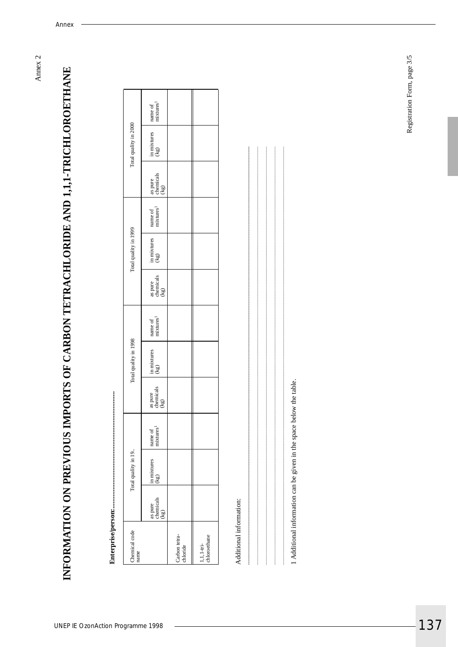*Annex*

## INFORMATION ON PREVIOUS IMPORTS OF CARBON TETRACHLORIDE AND 1,1,1-TRICHLOROETHANE **INFORMATION ON PREVIOUS IMPORTS OF CARBON TETRACHLORIDE AND 1,1,1-TRICHLOROETHANE**

**Enterprise/person:....................................................................**

| Chemical code<br>name            |                                | Total quality in 19 |                                                                   |                                | Total quality in 1998 |                     |                              | Total quality in 1999 |                                              |                              | Total quality in 2000 |                                                                   |
|----------------------------------|--------------------------------|---------------------|-------------------------------------------------------------------|--------------------------------|-----------------------|---------------------|------------------------------|-----------------------|----------------------------------------------|------------------------------|-----------------------|-------------------------------------------------------------------|
|                                  | l as pure<br>chemicals<br>(kg) | in mixtures<br>(kg) | $\begin{bmatrix} \text{name of} \\ \text{mixtures} \end{bmatrix}$ | as pure<br>chemicals<br>$(kg)$ | in mixtures<br>(kg)   | name of $mixtures1$ | as pure<br>chemicals<br>(kg) | in mixtures<br>(kg)   | $\underset{\text{mixtures}}{\text{name of}}$ | as pure<br>chemicals<br>(kg) | in mixtures<br>(kg)   | $\begin{array}{c} \text{name of}\\ \text{mixtures}^1 \end{array}$ |
| Carbon tetra-<br>chloride        |                                |                     |                                                                   |                                |                       |                     |                              |                       |                                              |                              |                       |                                                                   |
| $1,1,1-\text{tri}-$ chloroethane |                                |                     |                                                                   |                                |                       |                     |                              |                       |                                              |                              |                       |                                                                   |

Additional information: Additional information:

1 Additional information can be given in the space below the table.

1 Additional information can be given in the space below the table.

Registration Form, page 3/5 Registration Form, page 3/5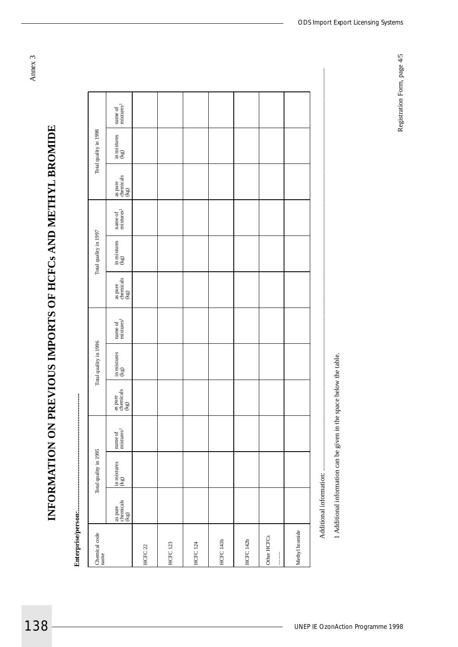Annex 3

# **INFORMATION ON PREVIOUS IMPORTS OF HCFCs AND METHYL BROMIDE**

| in mixtures<br>(kg)<br>as pure<br>chemicals<br>$(kg)$<br>name of $\min$<br>in mixtures<br>(kg)<br>as pure<br>chemicals<br>$(\text{kg})$<br>name of $\min$<br>in mixtures<br>(kg)<br>as pure<br>chemicals<br>$(kg)$<br>name of $$\tt mixtures^1$$<br>$\frac{\sin \text{mixtures}}{(\text{kg})}$<br>as pure<br>chemicals<br>$(kg)$<br>Methyl bromide<br>Other HCFCs<br><b>HCFC 141b</b><br><b>HCFC 142b</b><br><b>HCFC123</b><br><b>HCFC124</b><br>HCFC <sub>22</sub> | Chemical code<br>name | Total quality in 1995 |  | Total quality in 1996 |  | Total quality in 1997 |  | Total quality in 1998 |                |
|---------------------------------------------------------------------------------------------------------------------------------------------------------------------------------------------------------------------------------------------------------------------------------------------------------------------------------------------------------------------------------------------------------------------------------------------------------------------|-----------------------|-----------------------|--|-----------------------|--|-----------------------|--|-----------------------|----------------|
|                                                                                                                                                                                                                                                                                                                                                                                                                                                                     |                       |                       |  |                       |  |                       |  |                       | name of $\min$ |
|                                                                                                                                                                                                                                                                                                                                                                                                                                                                     |                       |                       |  |                       |  |                       |  |                       |                |
|                                                                                                                                                                                                                                                                                                                                                                                                                                                                     |                       |                       |  |                       |  |                       |  |                       |                |
|                                                                                                                                                                                                                                                                                                                                                                                                                                                                     |                       |                       |  |                       |  |                       |  |                       |                |
|                                                                                                                                                                                                                                                                                                                                                                                                                                                                     |                       |                       |  |                       |  |                       |  |                       |                |
|                                                                                                                                                                                                                                                                                                                                                                                                                                                                     |                       |                       |  |                       |  |                       |  |                       |                |
|                                                                                                                                                                                                                                                                                                                                                                                                                                                                     |                       |                       |  |                       |  |                       |  |                       |                |
|                                                                                                                                                                                                                                                                                                                                                                                                                                                                     |                       |                       |  |                       |  |                       |  |                       |                |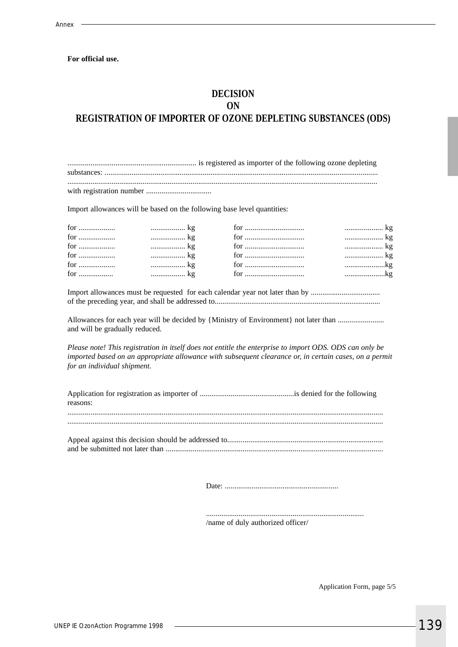**For official use.**

### **DECISION ON REGISTRATION OF IMPORTER OF OZONE DEPLETING SUBSTANCES (ODS)**

Import allowances will be based on the following base level quantities:

|  |                                                              | kg |
|--|--------------------------------------------------------------|----|
|  | $\text{for} \dots \dots \dots \dots \dots \dots \dots \dots$ | kg |
|  |                                                              | kg |
|  |                                                              | kg |
|  |                                                              |    |

Import allowances must be requested for each calendar year not later than by ................................. of the preceding year, and shall be addressed to......................................................................................

Allowances for each year will be decided by {Ministry of Environment} not later than ........................ and will be gradually reduced.

*Please note! This registration in itself does not entitle the enterprise to import ODS. ODS can only be imported based on an appropriate allowance with subsequent clearance or, in certain cases, on a permit for an individual shipment.* 

| reasons: |  |
|----------|--|
|          |  |
|          |  |
|          |  |
|          |  |

and be submitted not later than .................................................................................................................

Date: ...........................................................

.................................................................................. /name of duly authorized officer/

Application Form, page 5/5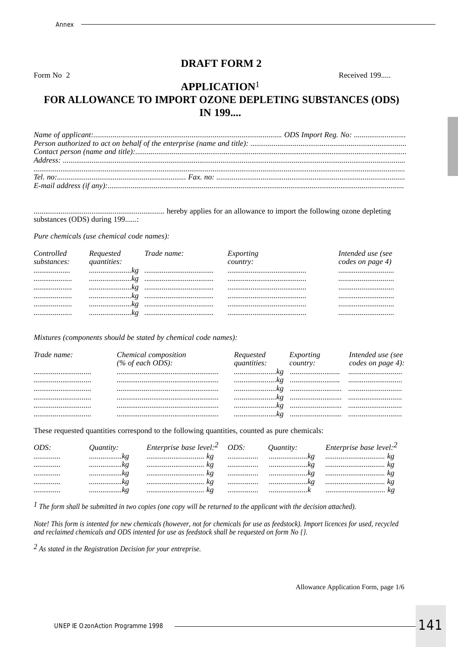Form No 2

### **DRAFT FORM 2**

Received 199.....

### **APPLICATION1** FOR ALLOWANCE TO IMPORT OZONE DEPLETING SUBSTANCES (ODS) IN 199....

substances (ODS) during 199......:

Pure chemicals (use chemical code names):

| Controlled<br>substances: | Requested Trade name:<br>quantities: | Exporting<br>country: | Intended use (see<br>codes on page $4$ ) |
|---------------------------|--------------------------------------|-----------------------|------------------------------------------|
|                           |                                      |                       |                                          |
|                           |                                      |                       |                                          |
|                           |                                      |                       |                                          |
|                           |                                      |                       |                                          |
|                           |                                      |                       |                                          |
|                           |                                      |                       |                                          |

Mixtures (components should be stated by chemical code names):

| Trade name: | Chemical composition<br>$% of each ODS$ : | quantities: | countrv: | Intended use (see<br>$codes on page 4)$ : |
|-------------|-------------------------------------------|-------------|----------|-------------------------------------------|
|             |                                           |             |          |                                           |
|             |                                           |             |          |                                           |
|             |                                           |             |          |                                           |
|             |                                           |             |          |                                           |
|             |                                           |             |          |                                           |
|             |                                           |             |          |                                           |

These requested quantities correspond to the following quantities, counted as pure chemicals:

| ODS: | <i>Ouantity:</i> | Enterprise base level: $2$ ODS: | <i>Ouantity:</i> | Enterprise base level: $^2$ |
|------|------------------|---------------------------------|------------------|-----------------------------|
|      |                  |                                 |                  |                             |
|      |                  |                                 |                  |                             |
|      |                  |                                 |                  |                             |
|      | kg               |                                 |                  |                             |
|      |                  |                                 |                  |                             |

 $\frac{1}{2}$  The form shall be submitted in two copies (one copy will be returned to the applicant with the decision attached).

Note! This form is intented for new chemicals (however, not for chemicals for use as feedstock). Import licences for used, recycled and reclaimed chemicals and ODS intented for use as feedstock shall be requested on form  $No$   $\{ \}$ .

 $2$  As stated in the Registration Decision for your entreprise.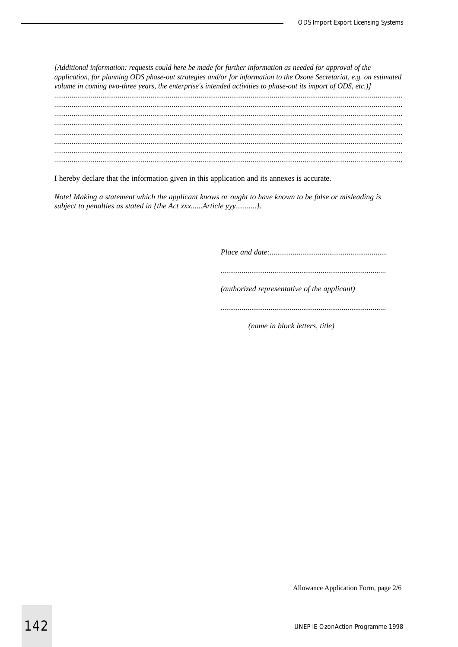[Additional information: requests could here be made for further information as needed for approval of the application, for planning ODS phase-out strategies and/or for information to the Ozone Secretariat, e.g. on estimated volume in coming two-three years, the enterprise's intended activities to phase-out its import of ODS, etc.)] 

I hereby declare that the information given in this application and its annexes is accurate.

Note! Making a statement which the applicant knows or ought to have known to be false or misleading is subject to penalties as stated in {the Act xxx......Article yyy...........}.

(authorized representative of the applicant)

(name in block letters, title)

Allowance Application Form, page 2/6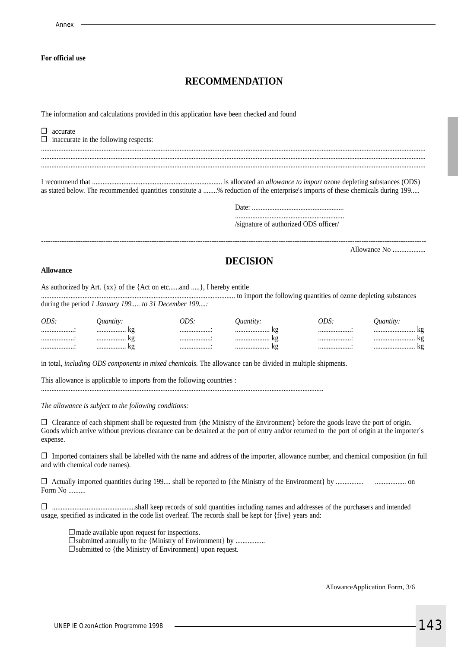### **For official use**

### **RECOMMENDATION**

The information and calculations provided in this application have been checked and found

|                                                                 | Allowance No                                                                                                                   |
|-----------------------------------------------------------------|--------------------------------------------------------------------------------------------------------------------------------|
|                                                                 | /signature of authorized ODS officer/                                                                                          |
|                                                                 |                                                                                                                                |
|                                                                 | as stated below. The recommended quantities constitute a % reduction of the enterprise's imports of these chemicals during 199 |
|                                                                 |                                                                                                                                |
|                                                                 |                                                                                                                                |
| $\Box$ accurate<br>$\Box$ inaccurate in the following respects: |                                                                                                                                |

### **DECISION**

### **Allowance**

As authorized by Art. {xx} of the {Act on etc......and .....}, I hereby entitle

................................................................................................................ to import the following quantities of ozone depleting substances during the period *1 January 199..... to 31 December 199....:*

| ODS. | Juantity:    | ODS: | Juantity: | ODS. | <i>Ouantity:</i> |
|------|--------------|------|-----------|------|------------------|
|      |              |      |           |      | 1                |
|      | <br>$\sim$   |      |           |      | 11.6             |
|      | <br>$\cdots$ |      |           |      | 1                |

in total, *including ODS components in mixed chemicals.* The allowance can be divided in multiple shipments.

This allowance is applicable to imports from the following countries :

...................................................................................................................................................................

*The allowance is subject to the following conditions:*

❐ Clearance of each shipment shall be requested from {the Ministry of the Environment} before the goods leave the port of origin. Goods which arrive without previous clearance can be detained at the port of entry and/or returned to the port of origin at the importer's expense.

❐ Imported containers shall be labelled with the name and address of the importer, allowance number, and chemical composition (in full and with chemical code names).

❐ Actually imported quantities during 199.... shall be reported to {the Ministry of the Environment} by ................ .................. on Form No ..........

❐ ................................................shall keep records of sold quantities including names and addresses of the purchasers and intended usage, specified as indicated in the code list overleaf. The records shall be kept for {five} years and:

- $\square$  made available upon request for inspections.
- □ submitted annually to the {Ministry of Environment} by .......................
- ❐ submitted to {the Ministry of Environment} upon request.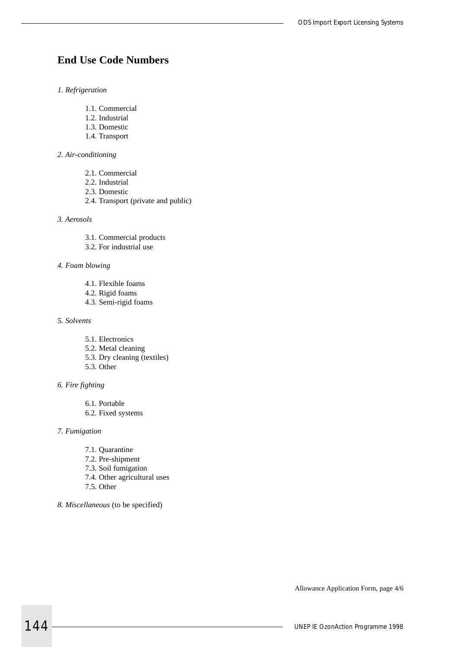## **End Use Code Numbers**

#### *1. Refrigeration*

- 1.1. Commercial
- 1.2. Industrial
- 1.3. Domestic
- 1.4. Transport

#### *2. Air-conditioning*

- 2.1. Commercial
- 2.2. Industrial
- 2.3. Domestic
- 2.4. Transport (private and public)

#### *3. Aerosols*

- 3.1. Commercial products
- 3.2. For industrial use

#### *4. Foam blowing*

- 4.1. Flexible foams
- 4.2. Rigid foams
- 4.3. Semi-rigid foams

#### *5. Solvents*

- 5.1. Electronics
- 5.2. Metal cleaning
- 5.3. Dry cleaning (textiles)
- 5.3. Other

#### *6. Fire fighting*

- 6.1. Portable
- 6.2. Fixed systems

*7. Fumigation*

- 7.1. Quarantine
- 7.2. Pre-shipment
- 7.3. Soil fumigation
- 7.4. Other agricultural uses
- 7.5. Other
- *8. Miscellaneous* (to be specified)

Allowance Application Form, page 4/6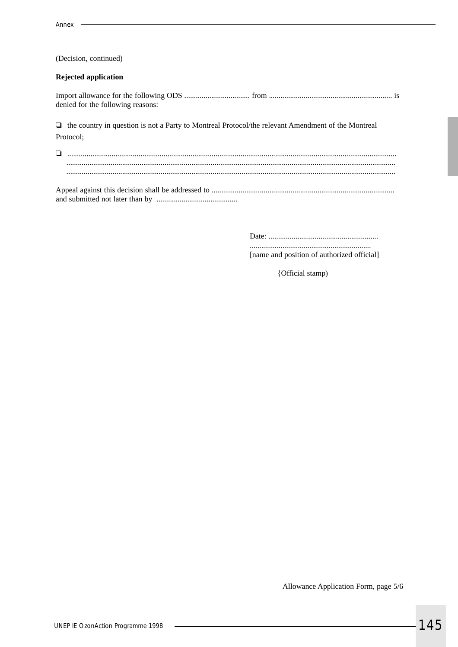(Decision, continued)

#### **Rejected application**

| denied for the following reasons: |  |
|-----------------------------------|--|

❏ the country in question is not a Party to Montreal Protocol/the relevant Amendment of the Montreal Protocol;

Appeal against this decision shall be addressed to ............................................................................................... and submitted not later than by ..........................................

Date: .........................................................

............................................................... [name and position of authorized official]

{Official stamp)

Allowance Application Form, page 5/6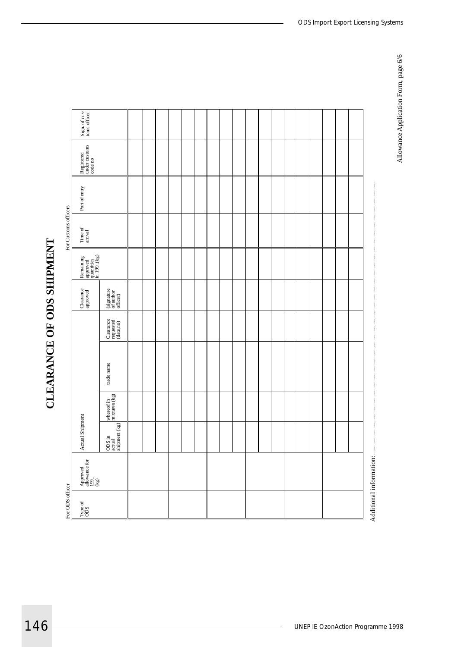|                      | Sign. of cus-<br>toms officer                                       |                                                                                               |  |  |  |  |  |  |  |  |  |
|----------------------|---------------------------------------------------------------------|-----------------------------------------------------------------------------------------------|--|--|--|--|--|--|--|--|--|
|                      | Registered<br>under customs<br>code no                              |                                                                                               |  |  |  |  |  |  |  |  |  |
|                      | Port of entry                                                       |                                                                                               |  |  |  |  |  |  |  |  |  |
| For Customs officers | $\begin{array}{c} \text{Time of}\\ \text{arival} \end{array}$       |                                                                                               |  |  |  |  |  |  |  |  |  |
|                      | Remaining<br>approved<br>quantities<br>in 199. (kg)                 |                                                                                               |  |  |  |  |  |  |  |  |  |
|                      | $\begin{array}{c} \text{Character} \\ \text{approx} \\ \end{array}$ | (signature<br>of author.<br>officer)                                                          |  |  |  |  |  |  |  |  |  |
|                      |                                                                     | $\begin{array}{c} \text{Clearnce} \\ \text{required} \\ (\text{date}, \text{no}) \end{array}$ |  |  |  |  |  |  |  |  |  |
|                      |                                                                     | trade name                                                                                    |  |  |  |  |  |  |  |  |  |
|                      |                                                                     | $[$ whereof in $\left  \right $ mixtures (kg)                                                 |  |  |  |  |  |  |  |  |  |
|                      | Actual Shipment                                                     | ODS in<br>actual<br>shipment (kg)                                                             |  |  |  |  |  |  |  |  |  |
|                      | Approved<br>allowance for<br>199<br>(kg)                            |                                                                                               |  |  |  |  |  |  |  |  |  |
| For ODS officer      | Type of<br>ODS                                                      |                                                                                               |  |  |  |  |  |  |  |  |  |
|                      |                                                                     |                                                                                               |  |  |  |  |  |  |  |  |  |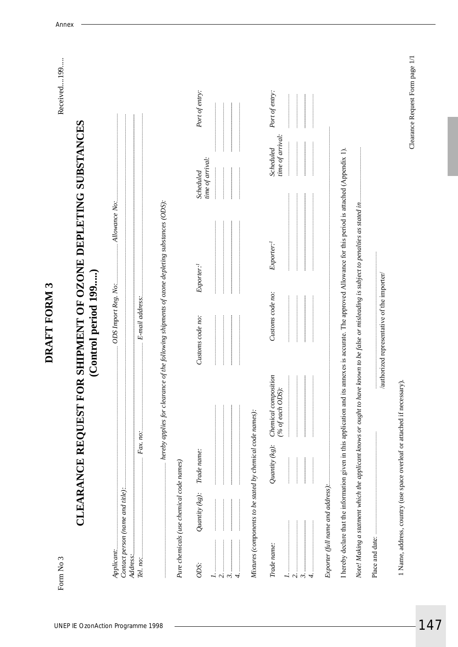|                                                                                                                                                                                                                                                                                                                                                                                     |                                                                                                                            |                                                                                                                                                                                                                                                                                                                                                                                                                                                                                                                                                                | $E$ -mail address: $\Box$                                                                                                                                                                                                                                                                                                                                                                                                                                                                                                                                                                                                                                                                                                                                                                                                                                                                                                                                                                                                                                                                                                                                                                                                                                                                                                                                                                                                                                                                                                                                                                                         |                                                                                                                                                                                                                                                                                                                                                                                                                                                                                                                                                                             |                                                                                                                                                                                                                                                                                                                                                                                                                                                       |
|-------------------------------------------------------------------------------------------------------------------------------------------------------------------------------------------------------------------------------------------------------------------------------------------------------------------------------------------------------------------------------------|----------------------------------------------------------------------------------------------------------------------------|----------------------------------------------------------------------------------------------------------------------------------------------------------------------------------------------------------------------------------------------------------------------------------------------------------------------------------------------------------------------------------------------------------------------------------------------------------------------------------------------------------------------------------------------------------------|-------------------------------------------------------------------------------------------------------------------------------------------------------------------------------------------------------------------------------------------------------------------------------------------------------------------------------------------------------------------------------------------------------------------------------------------------------------------------------------------------------------------------------------------------------------------------------------------------------------------------------------------------------------------------------------------------------------------------------------------------------------------------------------------------------------------------------------------------------------------------------------------------------------------------------------------------------------------------------------------------------------------------------------------------------------------------------------------------------------------------------------------------------------------------------------------------------------------------------------------------------------------------------------------------------------------------------------------------------------------------------------------------------------------------------------------------------------------------------------------------------------------------------------------------------------------------------------------------------------------|-----------------------------------------------------------------------------------------------------------------------------------------------------------------------------------------------------------------------------------------------------------------------------------------------------------------------------------------------------------------------------------------------------------------------------------------------------------------------------------------------------------------------------------------------------------------------------|-------------------------------------------------------------------------------------------------------------------------------------------------------------------------------------------------------------------------------------------------------------------------------------------------------------------------------------------------------------------------------------------------------------------------------------------------------|
| Pure chemicals (use chemical code names)                                                                                                                                                                                                                                                                                                                                            | the policies of the policies of the policies for clearance of the following shipments of ozone depleting substances (ODS): |                                                                                                                                                                                                                                                                                                                                                                                                                                                                                                                                                                |                                                                                                                                                                                                                                                                                                                                                                                                                                                                                                                                                                                                                                                                                                                                                                                                                                                                                                                                                                                                                                                                                                                                                                                                                                                                                                                                                                                                                                                                                                                                                                                                                   |                                                                                                                                                                                                                                                                                                                                                                                                                                                                                                                                                                             |                                                                                                                                                                                                                                                                                                                                                                                                                                                       |
| $\begin{picture}(180,10) \put(0,0){\vector(1,0){10}} \put(10,0){\vector(1,0){10}} \put(10,0){\vector(1,0){10}} \put(10,0){\vector(1,0){10}} \put(10,0){\vector(1,0){10}} \put(10,0){\vector(1,0){10}} \put(10,0){\vector(1,0){10}} \put(10,0){\vector(1,0){10}} \put(10,0){\vector(1,0){10}} \put(10,0){\vector(1,0){10}} \put(10,0){\vector(1,0){10}} \put(10,0){\vector($<br>ODS: | $Quantity$ $(kg)$ : Trade name:                                                                                            | Exporter: <sup>1</sup><br>Customs code no:                                                                                                                                                                                                                                                                                                                                                                                                                                                                                                                     | Scheduled                                                                                                                                                                                                                                                                                                                                                                                                                                                                                                                                                                                                                                                                                                                                                                                                                                                                                                                                                                                                                                                                                                                                                                                                                                                                                                                                                                                                                                                                                                                                                                                                         | time of arrival:                                                                                                                                                                                                                                                                                                                                                                                                                                                                                                                                                            | Port of entry:                                                                                                                                                                                                                                                                                                                                                                                                                                        |
| $\overline{4}$<br>$\overline{\phantom{a}}$                                                                                                                                                                                                                                                                                                                                          | Mixtures (components to be stated by chemical code names):                                                                 |                                                                                                                                                                                                                                                                                                                                                                                                                                                                                                                                                                |                                                                                                                                                                                                                                                                                                                                                                                                                                                                                                                                                                                                                                                                                                                                                                                                                                                                                                                                                                                                                                                                                                                                                                                                                                                                                                                                                                                                                                                                                                                                                                                                                   | $\begin{minipage}{0.9\linewidth} \includegraphics[width=0.9\linewidth]{images/1000000.pdf} \includegraphics[width=0.9\linewidth]{images/1000000.pdf} \includegraphics[width=0.9\linewidth]{images/1000000.pdf} \includegraphics[width=0.9\linewidth]{images/1000000.pdf} \includegraphics[width=0.9\linewidth]{images/1000000.pdf} \includegraphics[width=0.9\linewidth]{images/1000000.pdf} \includegraphics[width=0.9\linewidth]{images/1000000.pdf} \includegraphics[width=0.9\linewidth]{images/1000000.pdf} \includegraphics[width=0.9\linewidth]{images/1000000.pdf}$ |                                                                                                                                                                                                                                                                                                                                                                                                                                                       |
| Trade name:                                                                                                                                                                                                                                                                                                                                                                         | Chemical composition<br>(% of each <i>ODS</i> ).<br>$Quantity$ $(kg)$ :                                                    | Customs code no:                                                                                                                                                                                                                                                                                                                                                                                                                                                                                                                                               | Exporter: <sup>1</sup>                                                                                                                                                                                                                                                                                                                                                                                                                                                                                                                                                                                                                                                                                                                                                                                                                                                                                                                                                                                                                                                                                                                                                                                                                                                                                                                                                                                                                                                                                                                                                                                            | time of arrival:<br><b>Scheduled</b>                                                                                                                                                                                                                                                                                                                                                                                                                                                                                                                                        | Port of entry:                                                                                                                                                                                                                                                                                                                                                                                                                                        |
| $\overline{\phantom{a}}$<br>$\boldsymbol{I}$ , and a support of $\boldsymbol{I}$                                                                                                                                                                                                                                                                                                    |                                                                                                                            | $\label{def:1}$<br>$\label{def:3} \begin{minipage}{0.9\linewidth} \begin{minipage}{0.9\linewidth} \begin{minipage}{0.9\linewidth} \begin{minipage}{0.9\linewidth} \end{minipage} \begin{minipage}{0.9\linewidth} \begin{minipage}{0.9\linewidth} \end{minipage} \end{minipage} \begin{minipage}{0.9\linewidth} \begin{minipage}{0.9\linewidth} \begin{minipage}{0.9\linewidth} \end{minipage} \end{minipage} \begin{minipage}{0.9\linewidth} \begin{minipage}{0.9\linewidth} \end{minipage} \end{minipage} \begin{minipage}{0.9\linewidth} \begin{minipage}{0$ | $\label{def:1} \begin{minipage}{0.9\linewidth} \begin{minipage}{0.9\linewidth} \begin{minipage}{0.9\linewidth} \begin{minipage}{0.9\linewidth} \end{minipage} \end{minipage} \end{minipage} \begin{minipage}{0.9\linewidth} \begin{minipage}{0.9\linewidth} \begin{minipage}{0.9\linewidth} \begin{minipage}{0.9\linewidth} \end{minipage} \end{minipage} \end{minipage} \end{minipage} \begin{minipage}{0.9\linewidth} \begin{minipage}{0.9\linewidth} \begin{minipage}{0.9\linewidth} \end{minipage} \end{minipage} \end{minipage}$<br>$\label{def:3} \begin{minipage}{0.9\textwidth} \begin{minipage}{0.9\textwidth} \begin{itemize} \textbf{0.9\textwidth} \begin{itemize} \textbf{0.9\textwidth} \begin{itemize} \textbf{0.9\textwidth} \begin{itemize} \textbf{0.9\textwidth} \begin{itemize} \textbf{0.9\textwidth} \begin{itemize} \textbf{0.9\textwidth} \begin{itemize} \textbf{0.9\textwidth} \begin{itemize} \textbf{0.9\textwidth} \begin{itemize} \textbf{0.9\textwidth} \begin{itemize} \textbf{0.9\textwidth} \begin{itemize} \textbf{0.9\text$<br>$\label{def:1} \begin{minipage}{0.9\textwidth} \begin{minipage}{0.9\textwidth} \centering \begin{minipage}{0.9\textwidth} \centering \end{minipage} \begin{minipage}{0.9\textwidth} \centering \begin{minipage}{0.9\textwidth} \centering \end{minipage} \end{minipage} \begin{minipage}{0.9\textwidth} \centering \begin{minipage}{0.9\textwidth} \centering \end{minipage} \end{minipage} \end{minipage} \begin{minipage}{0.9\textwidth} \centering \begin{minipage}{0.9\textwidth} \centering \end{minipage} \end{minipage} \end{minipage}$ | $\begin{minipage}{0.9\linewidth} \begin{tabular}{ c c c c } \hline \multicolumn{3}{ c }{\textbf{r}} & \multicolumn{3}{ c }{\textbf{r}} & \multicolumn{3}{ c }{\textbf{r}} & \multicolumn{3}{ c }{\textbf{r}} & \multicolumn{3}{ c }{\textbf{r}} & \multicolumn{3}{ c }{\textbf{r}} & \multicolumn{3}{ c }{\textbf{r}} & \multicolumn{3}{ c }{\textbf{r}} & \multicolumn{3}{ c }{\textbf{r}} & \multicolumn{3}{ c }{\textbf{r}} & \multicolumn{3}{ $                                                                                                                         | $\label{def:3} \begin{minipage}{0.9\linewidth} \begin{tabular}{ c c c } \hline \multicolumn{3}{ c }{\textbf{r}} & \multicolumn{3}{ c }{\textbf{r}} & \multicolumn{3}{ c }{\textbf{r}} & \multicolumn{3}{ c }{\textbf{r}} & \multicolumn{3}{ c }{\textbf{r}} & \multicolumn{3}{ c }{\textbf{r}} & \multicolumn{3}{ c }{\textbf{r}} & \multicolumn{3}{ c }{\textbf{r}} & \multicolumn{3}{ c }{\textbf{r}} & \multicolumn{3}{ c }{\textbf{r}} & \multic$ |

*UNEP IE OzonAction Programme 1998*

1 Name, address, country (use space overleaf or attached if necessary).

1 Name, address, country (use space overleaf or attached if necessary).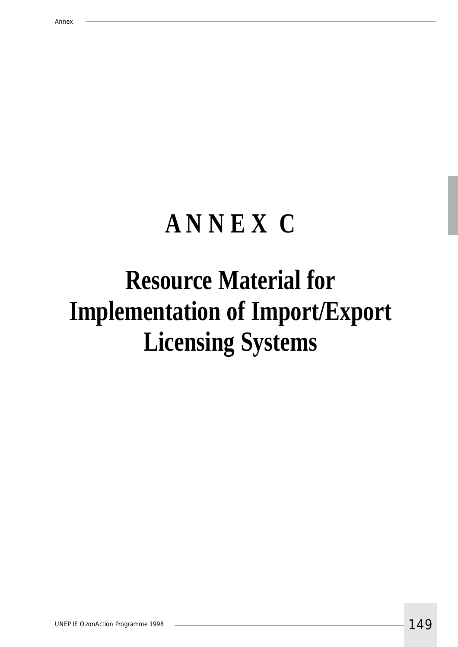## **A N N E X C**

# **Resource Material for Implementation of Import/Export Licensing Systems**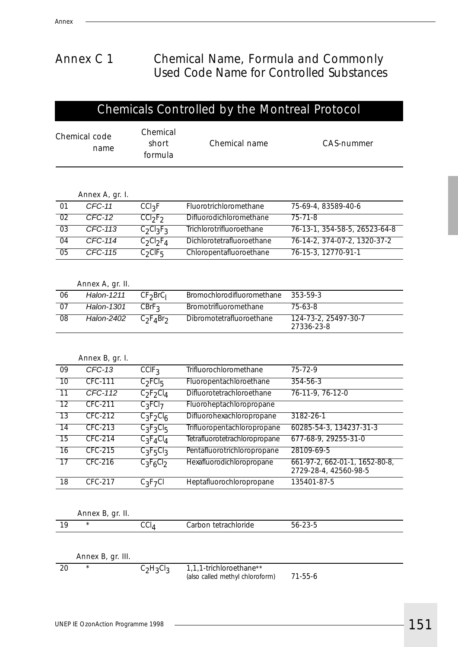## *Annex C 1 Chemical Name, Formula and Commonly Used Code Name for Controlled Substances*

## *Chemicals Controlled by the Montreal Protocol*

| Chemical code | Chemical |               |            |
|---------------|----------|---------------|------------|
| name          | short    | Chemical name | CAS-nummer |
|               | formula  |               |            |

|    | Annex A, gr. I. |                                 |                           |                               |
|----|-----------------|---------------------------------|---------------------------|-------------------------------|
| 01 | CFC-11          | CCI <sub>3</sub> F              | Fluorotrichloromethane    | 75-69-4, 83589-40-6           |
| 02 | $CFC-12$        | CCI <sub>2</sub> F <sub>2</sub> | Difluorodichloromethane   | 75-71-8                       |
| 03 | CFC-113         | $C_2Cl_3F_3$                    | Trichlorotrifluoroethane  | 76-13-1, 354-58-5, 26523-64-8 |
| 04 | CFC-114         | $C_2Cl_2F_4$                    | Dichlorotetrafluoroethane | 76-14-2, 374-07-2, 1320-37-2  |
| 05 | CFC-115         | $C_2CIF_5$                      | Chloropentafluoroethane   | 76-15-3, 12770-91-1           |

*Annex A, gr. II.*

| 06  | Halon-1211        | CF <sub>2</sub> BrC <sub>1</sub> | Bromochlorodifluoromethane | 353-59-3                           |
|-----|-------------------|----------------------------------|----------------------------|------------------------------------|
| -07 | <b>Halon-1301</b> | CBrF <sub>3</sub>                | Bromotrifluoromethane      | 75-63-8                            |
| 08  | Halon-2402        | $C_2F_4Br_2$                     | Dibromotetrafluoroethane   | 124-73-2, 25497-30-7<br>27336-23-8 |

*Annex B, gr. I.*

| 09            | $CFC-13$  | CCIF <sub>3</sub> | Trifluorochloromethane             | 75-72-9                                                 |
|---------------|-----------|-------------------|------------------------------------|---------------------------------------------------------|
| 10            | CFC-111   | $C_2FCI_5$        | Fluoropentachloroethane            | 354-56-3                                                |
| 11            | CFC-112   | $C_2F_2Cl_4$      | Difluorotetrachloroethane          | 76-11-9, 76-12-0                                        |
| 12            | CFC-211   | $C_3FCI_7$        | Fluoroheptachloropropane           |                                                         |
| <sup>13</sup> | CFC-212   | $C_3F_2Cl_6$      | Difluorohexachloropropane          | 3182-26-1                                               |
| 14            | CFC-213   | $C_3F_3Cl_5$      | <b>Trifluoropentachloropropane</b> | 60285-54-3, 134237-31-3                                 |
| 15            | CFC-214   | $C_3F_4Cl_4$      | Tetrafluorotetrachloropropane      | 677-68-9, 29255-31-0                                    |
| 16            | CFC-215   | $C_3F_5CI_3$      | Pentafluorotrichloropropane        | 28109-69-5                                              |
| 17            | $CFC-216$ | $C_3F_6Cl_2$      | <b>Hexafluorodichloropropane</b>   | 661-97-2, 662-01-1, 1652-80-8,<br>2729-28-4, 42560-98-5 |
| 18            | CFC-217   | $C_3F_7Cl$        | Heptafluorochloropropane           | 135401-87-5                                             |

*Annex B, gr. II.*

| $\overline{ }$ |  | $\sim$<br>. . | carbor .<br>tetrachloride<br>. | . .<br>-רז<br>. |  |
|----------------|--|---------------|--------------------------------|-----------------|--|
|----------------|--|---------------|--------------------------------|-----------------|--|

*Annex B, gr. III.*

*20 \* C2H3Cl3 1,1,1-trichloroethane\*\* (also called methyl chloroform) 71-55-6*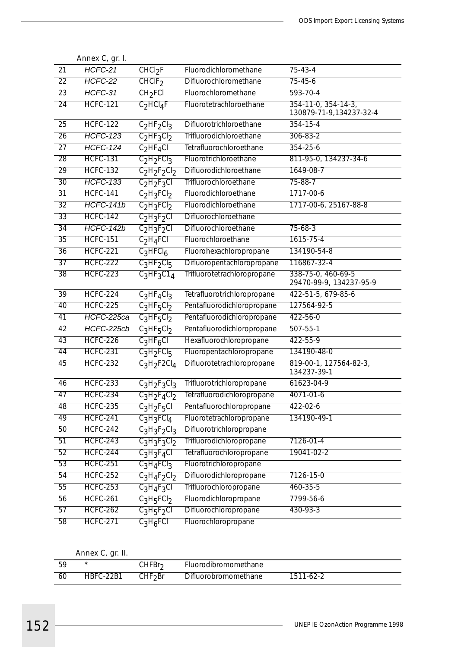|                 | Annex C, gr. I.  |                                   |                             |                                                      |
|-----------------|------------------|-----------------------------------|-----------------------------|------------------------------------------------------|
| 21              | $HCFC-21$        | CHCl <sub>2</sub> F               | Fluorodichloromethane       | 75-43-4                                              |
| $\overline{22}$ | HCFC-22          | CHCIF <sub>2</sub>                | Difluorochloromethane       | $75 - 45 - 6$                                        |
| $\overline{23}$ | HCFC-31          | CH <sub>2</sub> FCI               | Fluorochloromethane         | $593 - 70 - 4$                                       |
| $\overline{24}$ | <b>HCFC-121</b>  | C <sub>2</sub> HCl <sub>4</sub> F | Fluorotetrachloroethane     | $354-11-0$ , $354-14-3$ ,<br>130879-71-9,134237-32-4 |
| 25              | <b>HCFC-122</b>  | $C_2HF_2Cl_3$                     | Difluorotrichloroethane     | 354-15-4                                             |
| $\overline{26}$ | <b>HCFC-123</b>  | $C2HF3Cl2$                        | Trifluorodichloroethane     | $306 - 83 - 2$                                       |
| $\overline{27}$ | <b>HCFC-124</b>  | C <sub>2</sub> HF <sub>4</sub> Cl | Tetrafluorochloroethane     | $354 - 25 - 6$                                       |
| 28              | <b>HCFC-131</b>  | $C_2H_2FCI_3$                     | Fluorotrichloroethane       | 811-95-0, 134237-34-6                                |
| 29              | <b>HCFC-132</b>  | $C_2H_2F_2Cl_2$                   | Difluorodichloroethane      | 1649-08-7                                            |
| 30              | <b>HCFC-133</b>  | $C2H2F3Cl$                        | Trifluorochloroethane       | $75 - 88 - 7$                                        |
| 31              | <b>HCFC-141</b>  | $C_2H_3FCI_2$                     | Fluorodichloroethane        | 1717-00-6                                            |
| $\overline{32}$ | <b>HCFC-141b</b> | $C2H3FCl2$                        | Fluorodichloroethane        | 1717-00-6, 25167-88-8                                |
| 33              | <b>HCFC-142</b>  | $C_2H_3F_2Cl$                     | Difluorochloroethane        |                                                      |
| $\overline{34}$ | <b>HCFC-142b</b> | $C2H3F2Cl$                        | Difluorochloroethane        | $75 - 68 - 3$                                        |
| 35              | <b>HCFC-151</b>  | $C_2H_4FCI$                       | Fluorochloroethane          | $1615 - 75 - 4$                                      |
| 36              | <b>HCFC-221</b>  | $C_3$ HFCI <sub>6</sub>           | Fluorohexachloropropane     | 134190-54-8                                          |
| 37              | <b>HCFC-222</b>  | $C_3HF_2Cl_5$                     | Difluoropentachloropropane  | 116867-32-4                                          |
| 38              | <b>HCFC-223</b>  | $C_3HF_3C1_4$                     | Trifluorotetrachloropropane | 338-75-0, 460-69-5<br>29470-99-9, 134237-95-9        |
| 39              | $HCFC-224$       | $C_3HF_4Cl_3$                     | Tetrafluorotrichloropropane | 422-51-5, 679-85-6                                   |
| 40              | <b>HCFC-225</b>  | $C_3HF_5Cl_2$                     | Pentafluorodichloropropane  | 127564-92-5                                          |
| $\overline{41}$ | HCFC-225ca       | $C_3HF_5Cl_2$                     | Pentafluorodichloropropane  | $422 - 56 - 0$                                       |
| 42              | HCFC-225cb       | $C_3HF_5Cl_2$                     | Pentafluorodichloropropane  | $507 - 55 - 1$                                       |
| $\overline{43}$ | <b>HCFC-226</b>  | $C_3HF_6Cl$                       | Hexafluorochloropropane     | $422 - 55 - 9$                                       |
| 44              | <b>HCFC-231</b>  | $C_3H_2FCI_5$                     | Fluoropentachloropropane    | 134190-48-0                                          |
| $\overline{45}$ | <b>HCFC-232</b>  | $C_3H_2F2Cl_4$                    | Difluorotetrachloropropane  | 819-00-1, 127564-82-3,<br>134237-39-1                |
| 46              | <b>HCFC-233</b>  | $C_3H_2F_3Cl_3$                   | Trifluorotrichloropropane   | 61623-04-9                                           |
| 47              | <b>HCFC-234</b>  | $C_3H_2F_4Cl_2$                   | Tetrafluorodichloropropane  | $4071 - 01 - 6$                                      |
| 48              | <b>HCFC-235</b>  | $C_3H_2F_5Cl$                     | Pentafluorochloropropane    | $422 - 02 - 6$                                       |
| 49              | <b>HCFC-241</b>  | $C_3H_3FCI_4$                     | Fluorotetrachloropropane    | 134190-49-1                                          |
| 50              | <b>HCFC-242</b>  | $C_3H_3F_2Cl_3$                   | Difluorotrichloropropane    |                                                      |
| 51              | <b>HCFC-243</b>  | $C_3H_3F_3Cl_2$                   | Trifluorodichloropropane    | 7126-01-4                                            |
| 52              | <b>HCFC-244</b>  | $C_3H_3F_4Cl$                     | Tetrafluorochloropropane    | 19041-02-2                                           |
| 53              | <b>HCFC-251</b>  | $C_3H_4FCI_3$                     | Fluorotrichloropropane      |                                                      |
| 54              | <b>HCFC-252</b>  | $C_3H_4F_2Cl_2$                   | Difluorodichloropropane     | 7126-15-0                                            |
| 55              | <b>HCFC-253</b>  | $C_3H_4F_3Cl$                     | Trifluorochloropropane      | $460 - 35 - 5$                                       |
| 56              | <b>HCFC-261</b>  | $C_3H_5FCI_2$                     | Fluorodichloropropane       | 7799-56-6                                            |
| 57              | <b>HCFC-262</b>  | $C_3H_5F_2Cl$                     | Difluorochloropropane       | 430-93-3                                             |
| 58              | <b>HCFC-271</b>  | $C_3H_6FCl$                       | Fluorochloropropane         |                                                      |

## *Annex C, gr. II.*

| -59 |                  | CHFBr <sub>2</sub>  | Fluorodibromomethane |           |
|-----|------------------|---------------------|----------------------|-----------|
| 60  | <b>HBFC-22B1</b> | CHF <sub>2</sub> Br | Difluorobromomethane | 1511-62-2 |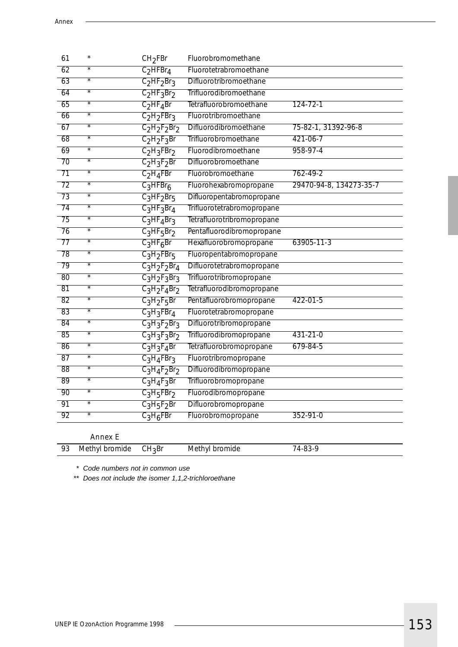| 61              | $^{\star}$        | CH <sub>2</sub> FBr               | Fluorobromomethane         |                         |
|-----------------|-------------------|-----------------------------------|----------------------------|-------------------------|
| 62              | ∗                 | C <sub>2</sub> HFBr <sub>4</sub>  | Fluorotetrabromoethane     |                         |
| 63              | $\overline{\ast}$ | $C2HF2Br3$                        | Difluorotribromoethane     |                         |
| 64              | $\overline{\ast}$ | $C2HF3Br2$                        | Trifluorodibromoethane     |                         |
| 65              | ¥                 | C <sub>2</sub> HF <sub>4</sub> Br | Tetrafluorobromoethane     | $124 - 72 - 1$          |
| 66              | $\overline{\ast}$ | $C2H2FBr3$                        | Fluorotribromoethane       |                         |
| 67              | ₮                 | $C_2H_2F_2Br_2$                   | Difluorodibromoethane      | 75-82-1, 31392-96-8     |
| 68              | ₮                 | $C2H2F3Br$                        | Trifluorobromoethane       | $421 - 06 - 7$          |
| 69              | $\overline{\ast}$ | $C_2H_3FBr_2$                     | Fluorodibromoethane        | 958-97-4                |
| $\overline{70}$ | $\overline{\ast}$ | $C_2H_3F_2Br$                     | Difluorobromoethane        |                         |
| $\overline{71}$ | ₮                 | $C_2H_4FBr$                       | Fluorobromoethane          | $762 - 49 - 2$          |
| $\overline{72}$ | $\overline{\ast}$ | $C_3HFBr_6$                       | Fluorohexabromopropane     | 29470-94-8, 134273-35-7 |
| $\overline{73}$ | $\overline{\ast}$ | $C_3HF_2Br_5$                     | Difluoropentabromopropane  |                         |
| $\overline{74}$ | $\overline{\ast}$ | $C_3HF_3Br_4$                     | Trifluorotetrabromopropane |                         |
| $\overline{75}$ | $\overline{\ast}$ | $C_3HF_4Br_3$                     | Tetrafluorotribromopropane |                         |
| $\overline{76}$ | $\overline{\ast}$ | $C_3HF_5Br_2$                     | Pentafluorodibromopropane  |                         |
| $\overline{77}$ | ¥                 | $C_3HF_6Br$                       | Hexafluorobromopropane     | 63905-11-3              |
| $\overline{78}$ | $\overline{\ast}$ | $C_3H_2FBr_5$                     | Fluoropentabromopropane    |                         |
| $\overline{79}$ | $\overline{\ast}$ | $C_3H_2F_2Br_4$                   | Difluorotetrabromopropane  |                         |
| $\overline{80}$ | $\overline{\ast}$ | $C_3H_2F_3Br_3$                   | Trifluorotribromopropane   |                         |
| 81              | $\overline{\ast}$ | $C_3H_2F_4Br_2$                   | Tetrafluorodibromopropane  |                         |
| $\overline{82}$ | $\overline{\ast}$ | $C_3H_2F_5Br$                     | Pentafluorobromopropane    | $422 - 01 - 5$          |
| $\overline{83}$ | $\overline{\ast}$ | $C_3H_3FBr_4$                     | Fluorotetrabromopropane    |                         |
| 84              | $\ast$            | $C_3H_3F_2Br_3$                   | Difluorotribromopropane    |                         |
| 85              | $\ast$            | $C_3H_3F_3Br_2$                   | Trifluorodibromopropane    | $431 - 21 - 0$          |
| 86              | $\overline{\ast}$ | $C_3H_3F_4Br$                     | Tetrafluorobromopropane    | $679 - 84 - 5$          |
| $\overline{87}$ | $\overline{\ast}$ | $C_3H_4FBr_3$                     | Fluorotribromopropane      |                         |
| $\overline{88}$ | $\ast$            | $C_3H_4F_2Br_2$                   | Difluorodibromopropane     |                         |
| 89              | $\ast$            | $C_3H_4F_3Br$                     | Trifluorobromopropane      |                         |
| 90              | $\overline{\ast}$ | $C_3H_5FBr_2$                     | Fluorodibromopropane       |                         |
| 91              | ₮                 | $C_3H_5F_2Br$                     | Difluorobromopropane       |                         |
| 92              | $\ast$            | $C_3H_6FBr$                       | Fluorobromopropane         | $352 - 91 - 0$          |
|                 | <b>Annex E</b>    |                                   |                            |                         |

| 93 Methyl bromide CH <sub>3</sub> Br | Methyl bromide | 74-83-9 |
|--------------------------------------|----------------|---------|
|                                      |                |         |

\* Code numbers not in common use

\*\* Does not include the isomer 1,1,2-trichloroethane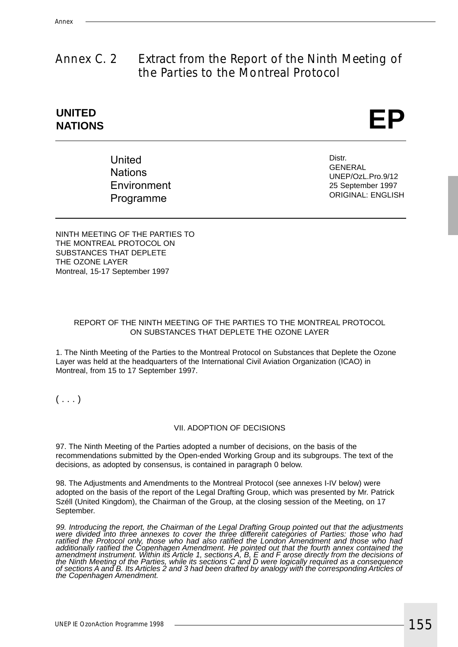## *Annex C. 2 Extract from the Report of the Ninth Meeting of the Parties to the Montreal Protocol*

## **UNITED** UNITED<br>NATIONS



United **Nations** Environment Programme

**Distr. GENERAL** UNEP/OzL.Pro.9/12 25 September 1997 ORIGINAL: ENGLISH

NINTH MEETING OF THE PARTIES TO THE MONTREAL PROTOCOL ON SUBSTANCES THAT DEPLETE THE OZONE LAYER Montreal, 15-17 September 1997

### REPORT OF THE NINTH MEETING OF THE PARTIES TO THE MONTREAL PROTOCOL ON SUBSTANCES THAT DEPLETE THE OZONE LAYER

1. The Ninth Meeting of the Parties to the Montreal Protocol on Substances that Deplete the Ozone Layer was held at the headquarters of the International Civil Aviation Organization (ICAO) in Montreal, from 15 to 17 September 1997.

 $( \ldots )$ 

## VII. ADOPTION OF DECISIONS

97. The Ninth Meeting of the Parties adopted a number of decisions, on the basis of the recommendations submitted by the Open-ended Working Group and its subgroups. The text of the decisions, as adopted by consensus, is contained in paragraph 0 below.

98. The Adjustments and Amendments to the Montreal Protocol (see annexes I-IV below) were adopted on the basis of the report of the Legal Drafting Group, which was presented by Mr. Patrick Széll (United Kingdom), the Chairman of the Group, at the closing session of the Meeting, on 17 September.

99. Introducing the report, the Chairman of the Legal Drafting Group pointed out that the adjustments were divided into three annexes to cover the three different categories of Parties: those who had ratified the Protocol only, those who had also ratified the London Amendment and those who had additionally ratified the Copenhagen Amendment. He pointed out that the fourth annex contained the amendment instrument. Within its Article 1, sections A, B, E and F arose directly from the decisions of the Ninth Meeting of the Parties, while its sections C and D were logically required as a consequence of sections A and B. Its Articles 2 and 3 had been drafted by analogy with the corresponding Articles of the Copenhagen Amendment.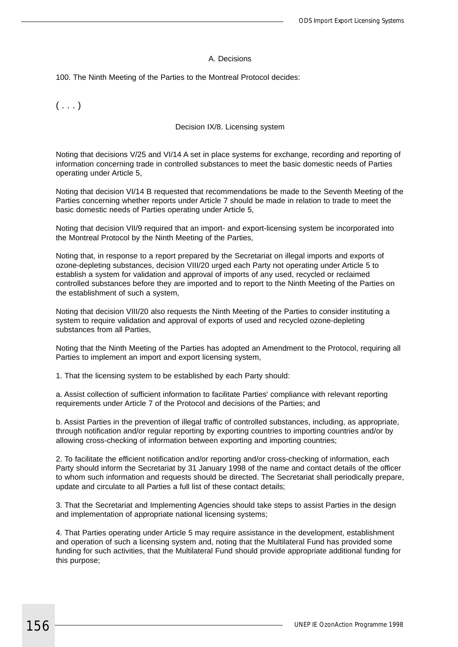#### A. Decisions

100. The Ninth Meeting of the Parties to the Montreal Protocol decides:

 $( \ldots )$ 

#### Decision IX/8. Licensing system

Noting that decisions V/25 and VI/14 A set in place systems for exchange, recording and reporting of information concerning trade in controlled substances to meet the basic domestic needs of Parties operating under Article 5,

Noting that decision VI/14 B requested that recommendations be made to the Seventh Meeting of the Parties concerning whether reports under Article 7 should be made in relation to trade to meet the basic domestic needs of Parties operating under Article 5,

Noting that decision VII/9 required that an import- and export-licensing system be incorporated into the Montreal Protocol by the Ninth Meeting of the Parties,

Noting that, in response to a report prepared by the Secretariat on illegal imports and exports of ozone-depleting substances, decision VIII/20 urged each Party not operating under Article 5 to establish a system for validation and approval of imports of any used, recycled or reclaimed controlled substances before they are imported and to report to the Ninth Meeting of the Parties on the establishment of such a system,

Noting that decision VIII/20 also requests the Ninth Meeting of the Parties to consider instituting a system to require validation and approval of exports of used and recycled ozone-depleting substances from all Parties,

Noting that the Ninth Meeting of the Parties has adopted an Amendment to the Protocol, requiring all Parties to implement an import and export licensing system,

1. That the licensing system to be established by each Party should:

a. Assist collection of sufficient information to facilitate Parties' compliance with relevant reporting requirements under Article 7 of the Protocol and decisions of the Parties; and

b. Assist Parties in the prevention of illegal traffic of controlled substances, including, as appropriate, through notification and/or regular reporting by exporting countries to importing countries and/or by allowing cross-checking of information between exporting and importing countries;

2. To facilitate the efficient notification and/or reporting and/or cross-checking of information, each Party should inform the Secretariat by 31 January 1998 of the name and contact details of the officer to whom such information and requests should be directed. The Secretariat shall periodically prepare, update and circulate to all Parties a full list of these contact details;

3. That the Secretariat and Implementing Agencies should take steps to assist Parties in the design and implementation of appropriate national licensing systems;

4. That Parties operating under Article 5 may require assistance in the development, establishment and operation of such a licensing system and, noting that the Multilateral Fund has provided some funding for such activities, that the Multilateral Fund should provide appropriate additional funding for this purpose;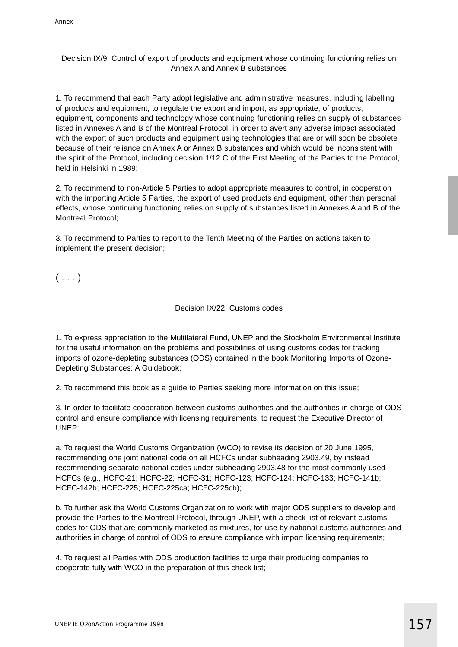Decision IX/9. Control of export of products and equipment whose continuing functioning relies on Annex A and Annex B substances

1. To recommend that each Party adopt legislative and administrative measures, including labelling of products and equipment, to regulate the export and import, as appropriate, of products, equipment, components and technology whose continuing functioning relies on supply of substances listed in Annexes A and B of the Montreal Protocol, in order to avert any adverse impact associated with the export of such products and equipment using technologies that are or will soon be obsolete because of their reliance on Annex A or Annex B substances and which would be inconsistent with the spirit of the Protocol, including decision 1/12 C of the First Meeting of the Parties to the Protocol, held in Helsinki in 1989;

2. To recommend to non-Article 5 Parties to adopt appropriate measures to control, in cooperation with the importing Article 5 Parties, the export of used products and equipment, other than personal effects, whose continuing functioning relies on supply of substances listed in Annexes A and B of the Montreal Protocol;

3. To recommend to Parties to report to the Tenth Meeting of the Parties on actions taken to implement the present decision;

 $( \ldots )$ 

Decision IX/22. Customs codes

1. To express appreciation to the Multilateral Fund, UNEP and the Stockholm Environmental Institute for the useful information on the problems and possibilities of using customs codes for tracking imports of ozone-depleting substances (ODS) contained in the book Monitoring Imports of Ozone-Depleting Substances: A Guidebook;

2. To recommend this book as a guide to Parties seeking more information on this issue;

3. In order to facilitate cooperation between customs authorities and the authorities in charge of ODS control and ensure compliance with licensing requirements, to request the Executive Director of UNEP:

a. To request the World Customs Organization (WCO) to revise its decision of 20 June 1995, recommending one joint national code on all HCFCs under subheading 2903.49, by instead recommending separate national codes under subheading 2903.48 for the most commonly used HCFCs (e.g., HCFC-21; HCFC-22; HCFC-31; HCFC-123; HCFC-124; HCFC-133; HCFC-141b; HCFC-142b; HCFC-225; HCFC-225ca; HCFC-225cb);

b. To further ask the World Customs Organization to work with major ODS suppliers to develop and provide the Parties to the Montreal Protocol, through UNEP, with a check-list of relevant customs codes for ODS that are commonly marketed as mixtures, for use by national customs authorities and authorities in charge of control of ODS to ensure compliance with import licensing requirements;

4. To request all Parties with ODS production facilities to urge their producing companies to cooperate fully with WCO in the preparation of this check-list;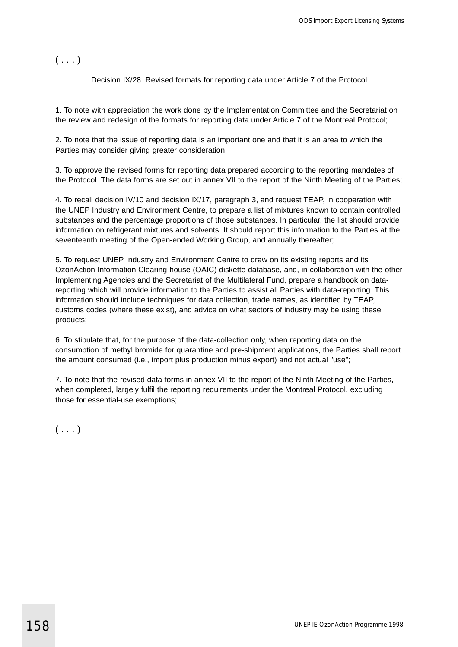$( \ldots )$ 

Decision IX/28. Revised formats for reporting data under Article 7 of the Protocol

1. To note with appreciation the work done by the Implementation Committee and the Secretariat on the review and redesign of the formats for reporting data under Article 7 of the Montreal Protocol;

2. To note that the issue of reporting data is an important one and that it is an area to which the Parties may consider giving greater consideration;

3. To approve the revised forms for reporting data prepared according to the reporting mandates of the Protocol. The data forms are set out in annex VII to the report of the Ninth Meeting of the Parties;

4. To recall decision IV/10 and decision IX/17, paragraph 3, and request TEAP, in cooperation with the UNEP Industry and Environment Centre, to prepare a list of mixtures known to contain controlled substances and the percentage proportions of those substances. In particular, the list should provide information on refrigerant mixtures and solvents. It should report this information to the Parties at the seventeenth meeting of the Open-ended Working Group, and annually thereafter;

5. To request UNEP Industry and Environment Centre to draw on its existing reports and its OzonAction Information Clearing-house (OAIC) diskette database, and, in collaboration with the other Implementing Agencies and the Secretariat of the Multilateral Fund, prepare a handbook on datareporting which will provide information to the Parties to assist all Parties with data-reporting. This information should include techniques for data collection, trade names, as identified by TEAP, customs codes (where these exist), and advice on what sectors of industry may be using these products;

6. To stipulate that, for the purpose of the data-collection only, when reporting data on the consumption of methyl bromide for quarantine and pre-shipment applications, the Parties shall report the amount consumed (i.e., import plus production minus export) and not actual "use";

7. To note that the revised data forms in annex VII to the report of the Ninth Meeting of the Parties, when completed, largely fulfil the reporting requirements under the Montreal Protocol, excluding those for essential-use exemptions;

 $( \ldots )$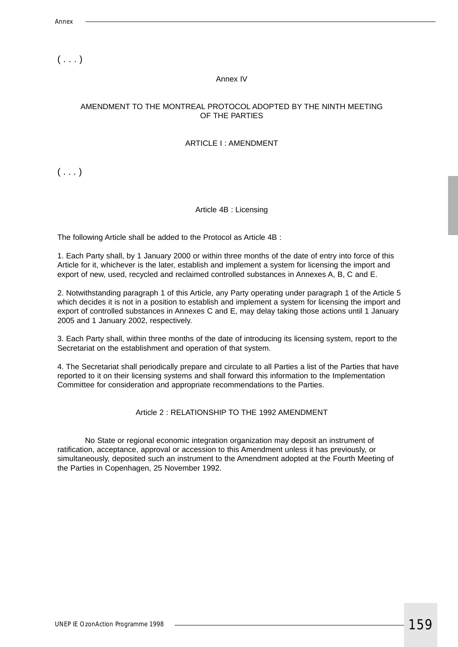$( \ldots )$ 

## Annex IV

## AMENDMENT TO THE MONTREAL PROTOCOL ADOPTED BY THE NINTH MEETING OF THE PARTIES

## ARTICLE I : AMENDMENT

 $( \ldots )$ 

## Article 4B : Licensing

The following Article shall be added to the Protocol as Article 4B :

1. Each Party shall, by 1 January 2000 or within three months of the date of entry into force of this Article for it, whichever is the later, establish and implement a system for licensing the import and export of new, used, recycled and reclaimed controlled substances in Annexes A, B, C and E.

2. Notwithstanding paragraph 1 of this Article, any Party operating under paragraph 1 of the Article 5 which decides it is not in a position to establish and implement a system for licensing the import and export of controlled substances in Annexes C and E, may delay taking those actions until 1 January 2005 and 1 January 2002, respectively.

3. Each Party shall, within three months of the date of introducing its licensing system, report to the Secretariat on the establishment and operation of that system.

4. The Secretariat shall periodically prepare and circulate to all Parties a list of the Parties that have reported to it on their licensing systems and shall forward this information to the Implementation Committee for consideration and appropriate recommendations to the Parties.

#### Article 2 : RELATIONSHIP TO THE 1992 AMENDMENT

No State or regional economic integration organization may deposit an instrument of ratification, acceptance, approval or accession to this Amendment unless it has previously, or simultaneously, deposited such an instrument to the Amendment adopted at the Fourth Meeting of the Parties in Copenhagen, 25 November 1992.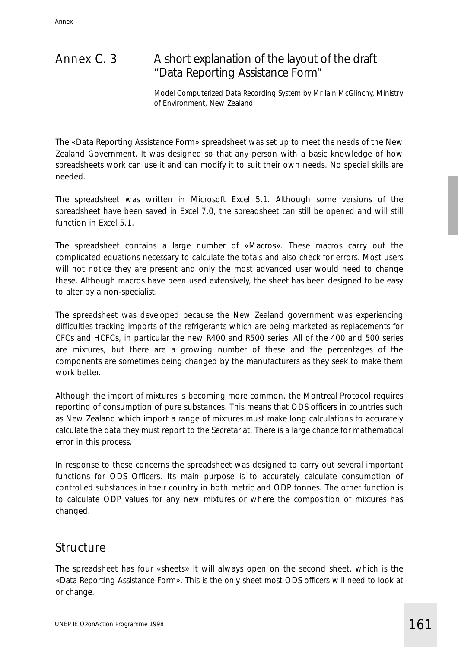## *Annex C. 3 A short explanation of the layout of the draft "Data Reporting Assistance Form"*

*Model Computerized Data Recording System by Mr Iain McGlinchy, Ministry of Environment, New Zealand*

*The «Data Reporting Assistance Form» spreadsheet was set up to meet the needs of the New Zealand Government. It was designed so that any person with a basic knowledge of how spreadsheets work can use it and can modify it to suit their own needs. No special skills are needed.*

*The spreadsheet was written in Microsoft Excel 5.1. Although some versions of the spreadsheet have been saved in Excel 7.0, the spreadsheet can still be opened and will still function in Excel 5.1.* 

*The spreadsheet contains a large number of «Macros». These macros carry out the complicated equations necessary to calculate the totals and also check for errors. Most users will not notice they are present and only the most advanced user would need to change these. Although macros have been used extensively, the sheet has been designed to be easy to alter by a non-specialist.* 

*The spreadsheet was developed because the New Zealand government was experiencing difficulties tracking imports of the refrigerants which are being marketed as replacements for CFCs and HCFCs, in particular the new R400 and R500 series. All of the 400 and 500 series are mixtures, but there are a growing number of these and the percentages of the components are sometimes being changed by the manufacturers as they seek to make them work better.* 

*Although the import of mixtures is becoming more common, the Montreal Protocol requires reporting of consumption of pure substances. This means that ODS officers in countries such as New Zealand which import a range of mixtures must make long calculations to accurately calculate the data they must report to the Secretariat. There is a large chance for mathematical error in this process.* 

*In response to these concerns the spreadsheet was designed to carry out several important functions for ODS Officers. Its main purpose is to accurately calculate consumption of controlled substances in their country in both metric and ODP tonnes. The other function is to calculate ODP values for any new mixtures or where the composition of mixtures has changed.* 

## *Structure*

*The spreadsheet has four «sheets» It will always open on the second sheet, which is the «Data Reporting Assistance Form». This is the only sheet most ODS officers will need to look at or change.*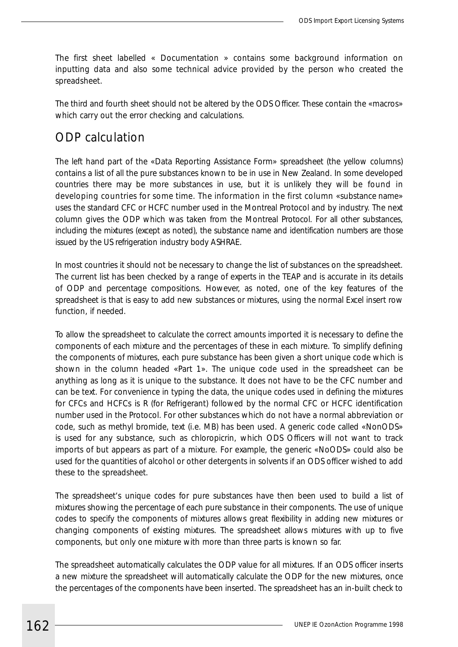*The first sheet labelled « Documentation » contains some background information on inputting data and also some technical advice provided by the person who created the spreadsheet.* 

*The third and fourth sheet should not be altered by the ODS Officer. These contain the «macros» which carry out the error checking and calculations.* 

## *ODP calculation*

*The left hand part of the «Data Reporting Assistance Form» spreadsheet (the yellow columns) contains a list of all the pure substances known to be in use in New Zealand. In some developed countries there may be more substances in use, but it is unlikely they will be found in developing countries for some time. The information in the first column «substance name» uses the standard CFC or HCFC number used in the Montreal Protocol and by industry. The next column gives the ODP which was taken from the Montreal Protocol. For all other substances, including the mixtures (except as noted), the substance name and identification numbers are those issued by the US refrigeration industry body ASHRAE.* 

*In most countries it should not be necessary to change the list of substances on the spreadsheet. The current list has been checked by a range of experts in the TEAP and is accurate in its details of ODP and percentage compositions. However, as noted, one of the key features of the spreadsheet is that is easy to add new substances or mixtures, using the normal Excel insert row function, if needed.*

*To allow the spreadsheet to calculate the correct amounts imported it is necessary to define the components of each mixture and the percentages of these in each mixture. To simplify defining the components of mixtures, each pure substance has been given a short unique code which is shown in the column headed «Part 1». The unique code used in the spreadsheet can be anything as long as it is unique to the substance. It does not have to be the CFC number and can be text. For convenience in typing the data, the unique codes used in defining the mixtures for CFCs and HCFCs is R (for Refrigerant) followed by the normal CFC or HCFC identification number used in the Protocol. For other substances which do not have a normal abbreviation or code, such as methyl bromide, text (i.e. MB) has been used. A generic code called «NonODS» is used for any substance, such as chloropicrin, which ODS Officers will not want to track imports of but appears as part of a mixture. For example, the generic «NoODS» could also be used for the quantities of alcohol or other detergents in solvents if an ODS officer wished to add these to the spreadsheet.* 

*The spreadsheet's unique codes for pure substances have then been used to build a list of mixtures showing the percentage of each pure substance in their components. The use of unique codes to specify the components of mixtures allows great flexibility in adding new mixtures or changing components of existing mixtures. The spreadsheet allows mixtures with up to five components, but only one mixture with more than three parts is known so far.* 

*The spreadsheet automatically calculates the ODP value for all mixtures. If an ODS officer inserts a new mixture the spreadsheet will automatically calculate the ODP for the new mixtures, once the percentages of the components have been inserted. The spreadsheet has an in-built check to*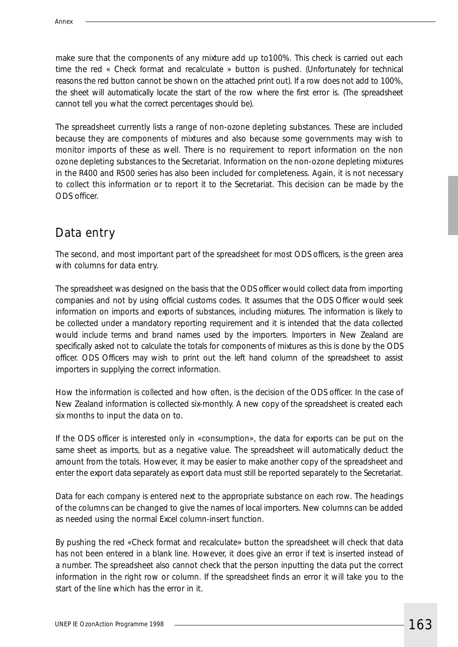*make sure that the components of any mixture add up to100%. This check is carried out each time the red « Check format and recalculate » button is pushed. (Unfortunately for technical reasons the red button cannot be shown on the attached print out). If a row does not add to 100%, the sheet will automatically locate the start of the row where the first error is. (The spreadsheet cannot tell you what the correct percentages should be).* 

*The spreadsheet currently lists a range of non-ozone depleting substances. These are included because they are components of mixtures and also because some governments may wish to monitor imports of these as well. There is no requirement to report information on the non ozone depleting substances to the Secretariat. Information on the non-ozone depleting mixtures in the R400 and R500 series has also been included for completeness. Again, it is not necessary to collect this information or to report it to the Secretariat. This decision can be made by the ODS officer.* 

## *Data entry*

*The second, and most important part of the spreadsheet for most ODS officers, is the green area with columns for data entry.* 

*The spreadsheet was designed on the basis that the ODS officer would collect data from importing companies and not by using official customs codes. It assumes that the ODS Officer would seek information on imports and exports of substances, including mixtures. The information is likely to be collected under a mandatory reporting requirement and it is intended that the data collected would include terms and brand names used by the importers. Importers in New Zealand are specifically asked not to calculate the totals for components of mixtures as this is done by the ODS officer. ODS Officers may wish to print out the left hand column of the spreadsheet to assist importers in supplying the correct information.* 

*How the information is collected and how often, is the decision of the ODS officer. In the case of New Zealand information is collected six-monthly. A new copy of the spreadsheet is created each six months to input the data on to.* 

*If the ODS officer is interested only in «consumption», the data for exports can be put on the same sheet as imports, but as a negative value. The spreadsheet will automatically deduct the amount from the totals. However, it may be easier to make another copy of the spreadsheet and enter the export data separately as export data must still be reported separately to the Secretariat.* 

*Data for each company is entered next to the appropriate substance on each row. The headings of the columns can be changed to give the names of local importers. New columns can be added as needed using the normal Excel column-insert function.* 

*By pushing the red «Check format and recalculate» button the spreadsheet will check that data has not been entered in a blank line. However, it does give an error if text is inserted instead of a number. The spreadsheet also cannot check that the person inputting the data put the correct information in the right row or column. If the spreadsheet finds an error it will take you to the start of the line which has the error in it.*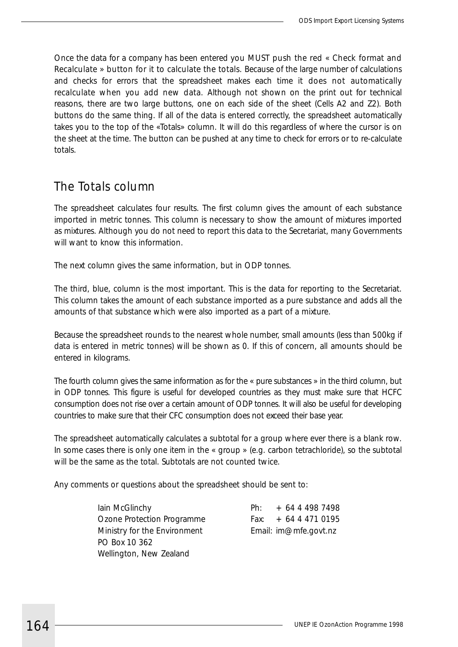*Once the data for a company has been entered you MUST push the red « Check format and Recalculate » button for it to calculate the totals. Because of the large number of calculations and checks for errors that the spreadsheet makes each time it does not automatically recalculate when you add new data. Although not shown on the print out for technical reasons, there are two large buttons, one on each side of the sheet (Cells A2 and Z2). Both buttons do the same thing. If all of the data is entered correctly, the spreadsheet automatically takes you to the top of the «Totals» column. It will do this regardless of where the cursor is on the sheet at the time. The button can be pushed at any time to check for errors or to re-calculate totals.* 

## *The Totals column*

*The spreadsheet calculates four results. The first column gives the amount of each substance imported in metric tonnes. This column is necessary to show the amount of mixtures imported as mixtures. Although you do not need to report this data to the Secretariat, many Governments will want to know this information.* 

*The next column gives the same information, but in ODP tonnes.* 

*The third, blue, column is the most important. This is the data for reporting to the Secretariat. This column takes the amount of each substance imported as a pure substance and adds all the amounts of that substance which were also imported as a part of a mixture.* 

*Because the spreadsheet rounds to the nearest whole number, small amounts (less than 500kg if data is entered in metric tonnes) will be shown as 0. If this of concern, all amounts should be entered in kilograms.* 

*The fourth column gives the same information as for the « pure substances » in the third column, but in ODP tonnes. This figure is useful for developed countries as they must make sure that HCFC consumption does not rise over a certain amount of ODP tonnes. It will also be useful for developing countries to make sure that their CFC consumption does not exceed their base year.* 

*The spreadsheet automatically calculates a subtotal for a group where ever there is a blank row. In some cases there is only one item in the « group » (e.g. carbon tetrachloride), so the subtotal will be the same as the total. Subtotals are not counted twice.* 

*Any comments or questions about the spreadsheet should be sent to:* 

*Iain McGlinchy Ph: + 64 4 498 7498 Ozone Protection Programme Fax: + 64 4 471 0195 Ministry for the Environment Email: im@mfe.govt.nz PO Box 10 362 Wellington, New Zealand*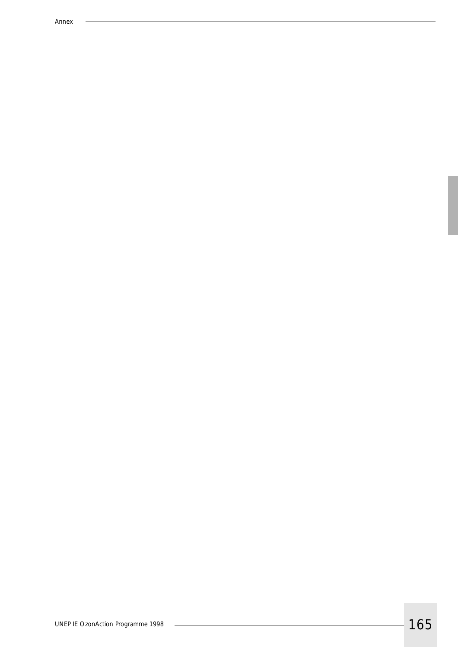*Annex*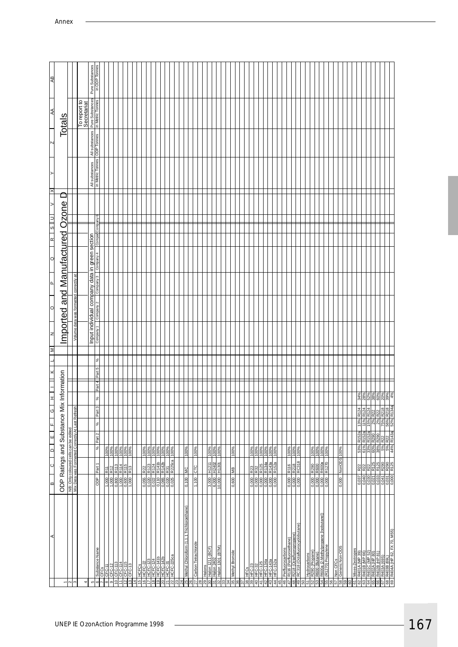| ⋖                                                                                                                                                                                                                                                                                                                                                 | ш<br>$\overline{a}$<br>മ                                                                                                                                                                                                                                                                                                                                                                                                                | 뇌<br>ြ                                                                      |                          | ⊵                                      | $rac{1}{s}$<br>œ                           |   |                                       |                             | 몡               |
|---------------------------------------------------------------------------------------------------------------------------------------------------------------------------------------------------------------------------------------------------------------------------------------------------------------------------------------------------|-----------------------------------------------------------------------------------------------------------------------------------------------------------------------------------------------------------------------------------------------------------------------------------------------------------------------------------------------------------------------------------------------------------------------------------------|-----------------------------------------------------------------------------|--------------------------|----------------------------------------|--------------------------------------------|---|---------------------------------------|-----------------------------|-----------------|
|                                                                                                                                                                                                                                                                                                                                                   | ODP Ratings and Substance Mix                                                                                                                                                                                                                                                                                                                                                                                                           |                                                                             | Information              |                                        | Imported and Manufactured Ozone            | □ |                                       | Totals                      |                 |
| ÷<br>$\sim$                                                                                                                                                                                                                                                                                                                                       |                                                                                                                                                                                                                                                                                                                                                                                                                                         |                                                                             |                          |                                        |                                            |   |                                       |                             |                 |
|                                                                                                                                                                                                                                                                                                                                                   | NB: Only coloured cells can be edited<br>Mix Data was Formatted Correctly At Last Refresh                                                                                                                                                                                                                                                                                                                                               |                                                                             |                          | Volume data was formatted correctly at |                                            |   |                                       |                             |                 |
| 4                                                                                                                                                                                                                                                                                                                                                 |                                                                                                                                                                                                                                                                                                                                                                                                                                         |                                                                             |                          |                                        |                                            |   |                                       | To report to<br>Secretariat |                 |
| S                                                                                                                                                                                                                                                                                                                                                 |                                                                                                                                                                                                                                                                                                                                                                                                                                         |                                                                             |                          | company data in<br>Input individual    | green section                              |   | All substances<br>All substances      | Pure Substances             | Pure Substances |
| Substance Name<br>o                                                                                                                                                                                                                                                                                                                               | Part 2<br>se.<br>Part 1<br><b>BDP</b>                                                                                                                                                                                                                                                                                                                                                                                                   | $\frac{5}{6}$<br>Part 3<br>%                                                | $\%$<br>Part 5<br>Part 4 | Company 2<br>Company 1                 | Compar Company 6<br>Company 4<br>Company 3 |   | <b>ODP</b> Tonnes<br>in Metric Tonnes | in Metric Tonnes            | in ODP Tonnes   |
| $\frac{12}{120}$<br>$\infty$                                                                                                                                                                                                                                                                                                                      | 100%                                                                                                                                                                                                                                                                                                                                                                                                                                    |                                                                             |                          |                                        |                                            |   |                                       |                             |                 |
| 9                                                                                                                                                                                                                                                                                                                                                 | 100%<br>$\frac{R11}{R12}$<br>$\frac{1,000}{1,000}$                                                                                                                                                                                                                                                                                                                                                                                      |                                                                             |                          |                                        |                                            |   |                                       |                             |                 |
| <b>CFC-113</b><br>CFC-114<br>10<br>H                                                                                                                                                                                                                                                                                                              | 100%<br>100%<br>R <sub>114</sub><br>0,800<br>1,000                                                                                                                                                                                                                                                                                                                                                                                      |                                                                             |                          |                                        |                                            |   |                                       |                             |                 |
| $\frac{2}{3}$                                                                                                                                                                                                                                                                                                                                     | 100%                                                                                                                                                                                                                                                                                                                                                                                                                                    |                                                                             |                          |                                        |                                            |   |                                       |                             |                 |
| <u>CFC-115</u><br><u>CFC-13</u><br>13                                                                                                                                                                                                                                                                                                             | 100%<br>$\frac{R15}{R13}$<br>$rac{80}{100}$                                                                                                                                                                                                                                                                                                                                                                                             |                                                                             |                          |                                        |                                            |   |                                       |                             |                 |
| HCFCs<br>15<br>$\frac{4}{3}$                                                                                                                                                                                                                                                                                                                      |                                                                                                                                                                                                                                                                                                                                                                                                                                         |                                                                             |                          |                                        |                                            |   |                                       |                             |                 |
| 16                                                                                                                                                                                                                                                                                                                                                | 100%                                                                                                                                                                                                                                                                                                                                                                                                                                    |                                                                             |                          |                                        |                                            |   |                                       |                             |                 |
| HCFC-22<br>HCFC-123<br>HCFC-124<br>HCFC-141b<br>HCFC-142b<br>17                                                                                                                                                                                                                                                                                   | 8001<br>0001<br>0001<br>0002<br>$\begin{array}{r l} \hline 22 \\ \hline 123 \\ \hline 124 \\ \hline 124 \\ \hline 141 \\ \hline 142 \\ \hline 142 \\ \hline 142 \\ \hline 142 \\ \hline 142 \\ \hline 142 \\ \hline 142 \\ \hline 142 \\ \hline 142 \\ \hline 142 \\ \hline 142 \\ \hline 142 \\ \hline 142 \\ \hline 142 \\ \hline 142 \\ \hline 142 \\ \hline 142 \\ \hline 142 \\ \hline 142 \\ \hline 142 \\ \hline 142 \\ \hline $ |                                                                             |                          |                                        |                                            |   |                                       |                             |                 |
| 18<br>19                                                                                                                                                                                                                                                                                                                                          |                                                                                                                                                                                                                                                                                                                                                                                                                                         |                                                                             |                          |                                        |                                            |   |                                       |                             |                 |
| 20                                                                                                                                                                                                                                                                                                                                                |                                                                                                                                                                                                                                                                                                                                                                                                                                         |                                                                             |                          |                                        |                                            |   |                                       |                             |                 |
| HCFC-31<br>$\frac{21}{22}$                                                                                                                                                                                                                                                                                                                        | R31<br>R225ca                                                                                                                                                                                                                                                                                                                                                                                                                           |                                                                             |                          |                                        |                                            |   |                                       |                             |                 |
| HCFC-225ca                                                                                                                                                                                                                                                                                                                                        | 100%                                                                                                                                                                                                                                                                                                                                                                                                                                    |                                                                             |                          |                                        |                                            |   |                                       |                             |                 |
|                                                                                                                                                                                                                                                                                                                                                   |                                                                                                                                                                                                                                                                                                                                                                                                                                         |                                                                             |                          |                                        |                                            |   |                                       |                             |                 |
| Methyl Chloroform (1,1,1 Trichloroethane)                                                                                                                                                                                                                                                                                                         | 100%<br><b>SM</b><br>0,100                                                                                                                                                                                                                                                                                                                                                                                                              |                                                                             |                          |                                        |                                            |   |                                       |                             |                 |
|                                                                                                                                                                                                                                                                                                                                                   |                                                                                                                                                                                                                                                                                                                                                                                                                                         |                                                                             |                          |                                        |                                            |   |                                       |                             |                 |
| Carbon Tetrachloride                                                                                                                                                                                                                                                                                                                              | 100%<br>CTC<br>1,100                                                                                                                                                                                                                                                                                                                                                                                                                    |                                                                             |                          |                                        |                                            |   |                                       |                             |                 |
|                                                                                                                                                                                                                                                                                                                                                   |                                                                                                                                                                                                                                                                                                                                                                                                                                         |                                                                             |                          |                                        |                                            |   |                                       |                             |                 |
|                                                                                                                                                                                                                                                                                                                                                   |                                                                                                                                                                                                                                                                                                                                                                                                                                         |                                                                             |                          |                                        |                                            |   |                                       |                             |                 |
| Halons<br>Halon 1211 (BCF)<br>Halon 2402<br>Halon 1301 (BTM)<br><mark>ឌ</mark> ុឌុ <mark>ឌងងន</mark>                                                                                                                                                                                                                                              | 100%<br>100%<br>100%<br>$\begin{array}{ l }\n\hline\n\text{H2402} \\ \hline\n\text{H2402} \\ \hline\n\text{H2401} \\ \hline\n\end{array}$                                                                                                                                                                                                                                                                                               |                                                                             |                          |                                        |                                            |   |                                       |                             |                 |
|                                                                                                                                                                                                                                                                                                                                                   |                                                                                                                                                                                                                                                                                                                                                                                                                                         |                                                                             |                          |                                        |                                            |   |                                       |                             |                 |
|                                                                                                                                                                                                                                                                                                                                                   |                                                                                                                                                                                                                                                                                                                                                                                                                                         |                                                                             |                          |                                        |                                            |   |                                       |                             |                 |
| Methyl Bromide                                                                                                                                                                                                                                                                                                                                    | 100%<br>l≌<br>0,600                                                                                                                                                                                                                                                                                                                                                                                                                     |                                                                             |                          |                                        |                                            |   |                                       |                             |                 |
|                                                                                                                                                                                                                                                                                                                                                   |                                                                                                                                                                                                                                                                                                                                                                                                                                         |                                                                             |                          |                                        |                                            |   |                                       |                             |                 |
|                                                                                                                                                                                                                                                                                                                                                   |                                                                                                                                                                                                                                                                                                                                                                                                                                         |                                                                             |                          |                                        |                                            |   |                                       |                             |                 |
| $\begin{array}{c}\n 1.63 \\  1.63 \\  1.63 \\  1.63 \\  1.63 \\  1.63 \\  1.63 \\  1.63 \\  1.63 \\  1.63 \\  1.63 \\  1.63 \\  1.63 \\  1.63 \\  1.63 \\  1.63 \\  1.63 \\  1.63 \\  1.63 \\  1.63 \\  1.63 \\  1.63 \\  1.63 \\  1.63 \\  1.63 \\  1.63 \\  1.63 \\  1.63 \\  1.63 \\  1.63 \\  1.63 \\  1.63 \\  1.63 \\  1.63 \\  1.63 \\  1$ | $\frac{8}{100\%}$                                                                                                                                                                                                                                                                                                                                                                                                                       |                                                                             |                          |                                        |                                            |   |                                       |                             |                 |
|                                                                                                                                                                                                                                                                                                                                                   | 100%                                                                                                                                                                                                                                                                                                                                                                                                                                    |                                                                             |                          |                                        |                                            |   |                                       |                             |                 |
|                                                                                                                                                                                                                                                                                                                                                   | 100%                                                                                                                                                                                                                                                                                                                                                                                                                                    |                                                                             |                          |                                        |                                            |   |                                       |                             |                 |
|                                                                                                                                                                                                                                                                                                                                                   | 100%                                                                                                                                                                                                                                                                                                                                                                                                                                    |                                                                             |                          |                                        |                                            |   |                                       |                             |                 |
| HFC-125<br>HFC-134a<br>HFC-143a<br>HFC-152a<br><mark>  이 승 수 여 승 수 년</mark>                                                                                                                                                                                                                                                                       | 100%<br>100%<br>$\begin{array}{ l }\n\hline\n\text{132} & \text{134} \\ \hline\n\text{133} & \text{134} \\ \hline\n\text{134} & \text{134} \\ \hline\n\text{134} & \text{134} \\ \hline\n\text{134} & \text{134} \\ \hline\n\text{134} & \text{134} \\ \hline\n\text{134} & \text{134} \\ \hline\n\text{134} & \text{134} \\ \hline\n\text{134} & \text{134} \\ \hline\n\text{134} & \text{134} \\ \hline\n\text{134$                   |                                                                             |                          |                                        |                                            |   |                                       |                             |                 |
|                                                                                                                                                                                                                                                                                                                                                   |                                                                                                                                                                                                                                                                                                                                                                                                                                         |                                                                             |                          |                                        |                                            |   |                                       |                             |                 |
| j Perfluorocarbons<br>∫R116 (Perfluoroethane)<br>≬RC318 (Octafluoropyclobutane)<br>≬RC318 (Octafluorocyclobutane)                                                                                                                                                                                                                                 |                                                                                                                                                                                                                                                                                                                                                                                                                                         |                                                                             |                          |                                        |                                            |   |                                       |                             |                 |
|                                                                                                                                                                                                                                                                                                                                                   | %00L<br>R116<br>R218<br>RC318<br>0.000                                                                                                                                                                                                                                                                                                                                                                                                  |                                                                             |                          |                                        |                                            |   |                                       |                             |                 |
| <mark>៖ ដូ ៖ ៖ ទ</mark> ន <mark>ន</mark> ន                                                                                                                                                                                                                                                                                                        | 100%                                                                                                                                                                                                                                                                                                                                                                                                                                    |                                                                             |                          |                                        |                                            |   |                                       |                             |                 |
| Hydrocarbons                                                                                                                                                                                                                                                                                                                                      |                                                                                                                                                                                                                                                                                                                                                                                                                                         |                                                                             |                          |                                        |                                            |   |                                       |                             |                 |
|                                                                                                                                                                                                                                                                                                                                                   |                                                                                                                                                                                                                                                                                                                                                                                                                                         |                                                                             |                          |                                        |                                            |   |                                       |                             |                 |
| R290 (Propane)<br>R600 (Butane)<br>R600a (2-Methylpropane [Isobutane])<br>53<br>54                                                                                                                                                                                                                                                                | $\frac{100%}{100%}$<br>R290<br>R600<br>R600a                                                                                                                                                                                                                                                                                                                                                                                            |                                                                             |                          |                                        |                                            |   |                                       |                             |                 |
| (R1270) Propylene<br>55                                                                                                                                                                                                                                                                                                                           | 100%<br>R <sub>1270</sub>                                                                                                                                                                                                                                                                                                                                                                                                               |                                                                             |                          |                                        |                                            |   |                                       |                             |                 |
| 56                                                                                                                                                                                                                                                                                                                                                |                                                                                                                                                                                                                                                                                                                                                                                                                                         |                                                                             |                          |                                        |                                            |   |                                       |                             |                 |
| Non CFCs<br>57                                                                                                                                                                                                                                                                                                                                    |                                                                                                                                                                                                                                                                                                                                                                                                                                         |                                                                             |                          |                                        |                                            |   |                                       |                             |                 |
| Generic Non-ODS<br>58                                                                                                                                                                                                                                                                                                                             | NonODS 100%<br>0,000                                                                                                                                                                                                                                                                                                                                                                                                                    |                                                                             |                          |                                        |                                            |   |                                       |                             |                 |
| 60                                                                                                                                                                                                                                                                                                                                                |                                                                                                                                                                                                                                                                                                                                                                                                                                         |                                                                             |                          |                                        |                                            |   |                                       |                             |                 |
|                                                                                                                                                                                                                                                                                                                                                   |                                                                                                                                                                                                                                                                                                                                                                                                                                         |                                                                             |                          |                                        |                                            |   |                                       |                             |                 |
|                                                                                                                                                                                                                                                                                                                                                   |                                                                                                                                                                                                                                                                                                                                                                                                                                         | 13% R124                                                                    |                          |                                        |                                            |   |                                       |                             |                 |
|                                                                                                                                                                                                                                                                                                                                                   |                                                                                                                                                                                                                                                                                                                                                                                                                                         | $\frac{34\%}{28\%}\times10\%$<br>R124<br>R124<br>11%                        |                          |                                        |                                            |   |                                       |                             |                 |
| $\begin{tabular}{ c c c c } \hline \hline 61 & M.068-260100268\\ \hline 62 & R.407A (MP 83)\\ \hline 63 & R.407A (MP 83)\\ \hline 64 & R.407C (MP 52)\\ \hline 65 & R.407C (MP 52)\\ \hline 66 & R.702B (HP 81)\\ \hline 67 & R.402B (HP 81)\\ \hline 68 & R.402A (HP 82, FX 70, M55)\\ \hline 69 & R.404A (HP 82, FX 70, M55)\\$                 | 53% R152a<br>61% R152a<br>33% R1529<br>60% R290<br>8% R22<br>6% R14% R143a                                                                                                                                                                                                                                                                                                                                                              | R <sub>22</sub><br>$\frac{15\%}{2\%}$                                       |                          |                                        |                                            |   |                                       |                             |                 |
|                                                                                                                                                                                                                                                                                                                                                   |                                                                                                                                                                                                                                                                                                                                                                                                                                         | 60%                                                                         |                          |                                        |                                            |   |                                       |                             |                 |
|                                                                                                                                                                                                                                                                                                                                                   |                                                                                                                                                                                                                                                                                                                                                                                                                                         | 20%                                                                         |                          |                                        |                                            |   |                                       |                             |                 |
|                                                                                                                                                                                                                                                                                                                                                   |                                                                                                                                                                                                                                                                                                                                                                                                                                         | 4%<br>$\frac{2\%}{75\%} \frac{R22}{R218}$ 56% R218<br>56% R218<br>52% R134a |                          |                                        |                                            |   |                                       |                             |                 |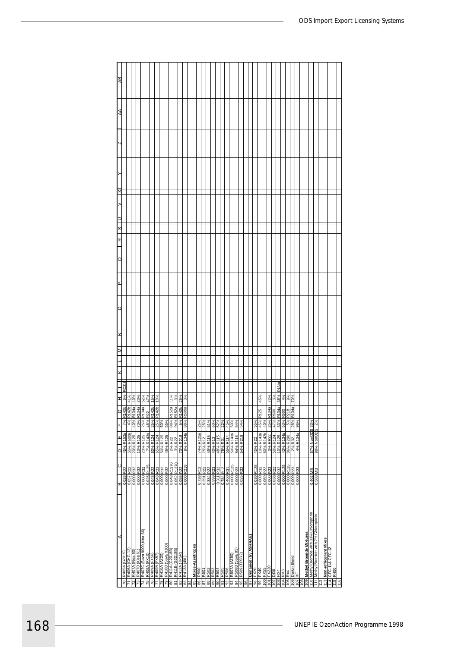| ⋖                                        | ≃                                                                                                                                  | ш<br>$\circ$   |                      | I<br>O |       | ⋝ | z | O | ≏ | ♂ | ഗ<br>∝ |  |  | ₹ | Æ |  |
|------------------------------------------|------------------------------------------------------------------------------------------------------------------------------------|----------------|----------------------|--------|-------|---|---|---|---|---|--------|--|--|---|---|--|
| R405A (G2015)<br>$\overline{R}$          | 0,028 R22                                                                                                                          | 45% R152a      | 7% R142b             | 6%     | RC318 |   |   |   |   |   |        |  |  |   |   |  |
| R406A (GHG-12)                           | 0.057 R22                                                                                                                          | 55% R600a      | 4% R142b             | 41%    |       |   |   |   |   |   |        |  |  |   |   |  |
| R407A (Klea 60)<br>$\overline{r}$        | $\begin{array}{ c c c c }\hline 0.000 & \text{R32} \\ \hline 0.000 & \text{R32} \\ \hline 0.000 & \text{R32} \\\hline \end{array}$ | 20% R125       | 40% R134a            | 40%    |       |   |   |   |   |   |        |  |  |   |   |  |
| R407B (Klea 61)<br>$\frac{7}{4}$         |                                                                                                                                    | 10% R125       | 70% R134a            |        |       |   |   |   |   |   |        |  |  |   |   |  |
| R407C (Suva 9000, Klea 66)               |                                                                                                                                    | 23% R125       | 25% R134a            | 20%    |       |   |   |   |   |   |        |  |  |   |   |  |
| R408A (FX10)<br>$\overline{5}$           | 0,026 R125                                                                                                                         | 7% R143a       | 46% R22              | 47%    |       |   |   |   |   |   |        |  |  |   |   |  |
| R409A (FX56)<br>26                       | 0.048 R22                                                                                                                          | 60% R124       | 25% R142b            | 15%    |       |   |   |   |   |   |        |  |  |   |   |  |
| R409B (FX57)                             | 0,048 R22                                                                                                                          | 65% R124       | 25% R142b            | 10%    |       |   |   |   |   |   |        |  |  |   |   |  |
| R410A (AZ20)<br>$\frac{8}{2}$            | 0,000 R32                                                                                                                          | 50% R125       | 50%                  |        |       |   |   |   |   |   |        |  |  |   |   |  |
| 0016 BVuS) 8014                          | 0,000 R32                                                                                                                          | 45% R125       | 55%                  |        |       |   |   |   |   |   |        |  |  |   |   |  |
| R411A (G2018B)<br>$\frac{8}{80}$         | 0.048 R1270                                                                                                                        | 2% R22         | 88% R152a            | 11%    |       |   |   |   |   |   |        |  |  |   |   |  |
| R411B (G2018B)                           | 0.052 R1270                                                                                                                        | 3% R22         | 94% R152a            | 3%     |       |   |   |   |   |   |        |  |  |   |   |  |
| R412A (TP5R)                             | 0,055 R22                                                                                                                          | 70% R218       | 5% R142b             | 25%    |       |   |   |   |   |   |        |  |  |   |   |  |
| R413A (49L)<br>ಹ⊠ ಙ!                     | 0,000 R218                                                                                                                         | 9% R134a       | 88% R600a            | 3%     |       |   |   |   |   |   |        |  |  |   |   |  |
|                                          |                                                                                                                                    |                |                      |        |       |   |   |   |   |   |        |  |  |   |   |  |
| Mixes-Azeotropes<br>$\sqrt{188}$         |                                                                                                                                    |                |                      |        |       |   |   |   |   |   |        |  |  |   |   |  |
| R500                                     | 0,738 R12                                                                                                                          | 74% R125a      | 26%                  |        |       |   |   |   |   |   |        |  |  |   |   |  |
| R501<br>$rac{18}{98}$                    | 0,291 R22                                                                                                                          | 75% R12        | 25%                  |        |       |   |   |   |   |   |        |  |  |   |   |  |
| R502                                     | 0,334 R22                                                                                                                          | 49% R115       | 51%                  |        |       |   |   |   |   |   |        |  |  |   |   |  |
| R503                                     |                                                                                                                                    | 40% R13        | 60%                  |        |       |   |   |   |   |   |        |  |  |   |   |  |
| $\frac{8}{8}$                            | 0,599 R23                                                                                                                          |                |                      |        |       |   |   |   |   |   |        |  |  |   |   |  |
| R504                                     | 0.311 R32                                                                                                                          | 48% R115       | 52%                  |        |       |   |   |   |   |   |        |  |  |   |   |  |
| R505<br>5                                | 0,784 R12                                                                                                                          | 78% R31        | 22%                  |        |       |   |   |   |   |   |        |  |  |   |   |  |
| R506<br>S.                               | 0,460 R31                                                                                                                          | 55% R114       | 45%                  |        |       |   |   |   |   |   |        |  |  |   |   |  |
| R507A (AZ50)<br>83                       | 0,000 R125                                                                                                                         | 50% R143a      | 50%                  |        |       |   |   |   |   |   |        |  |  |   |   |  |
| R508B (Suva 95)                          | 0,000 R23                                                                                                                          | 54% R116       | 54%                  |        |       |   |   |   |   |   |        |  |  |   |   |  |
| R509 (TP5R2)<br>3885                     | 0,025 R22                                                                                                                          | 54% R218       | 54%                  |        |       |   |   |   |   |   |        |  |  |   |   |  |
|                                          |                                                                                                                                    |                |                      |        |       |   |   |   |   |   |        |  |  |   |   |  |
| Unnamed (by ASHRAE)                      |                                                                                                                                    |                |                      |        |       |   |   |   |   |   |        |  |  |   |   |  |
| FX20                                     | 0,030 R125                                                                                                                         | 45% R22        | 55%                  |        |       |   |   |   |   |   |        |  |  |   |   |  |
| FX40<br>88                               | 0,000 R32                                                                                                                          | 10% R143a      | 45% R125             | 45%    |       |   |   |   |   |   |        |  |  |   |   |  |
| <b>FX55</b><br>100                       | 0,059 R22                                                                                                                          | 60% R142b      | 40%                  |        |       |   |   |   |   |   |        |  |  |   |   |  |
| FX220<br>$\overline{5}$                  | 0,000 R23                                                                                                                          | 3% RR32        | 25% R134a            | 72%    |       |   |   |   |   |   |        |  |  |   |   |  |
| <b>DI36</b><br>102                       | 0,038 R22                                                                                                                          | 50% R124       | 47% R600             | 3%     |       |   |   |   |   |   |        |  |  |   |   |  |
| HX4<br>103                               | 0,000 R32                                                                                                                          | 10% R125       | 33% R134a            | 36%    | R134a |   |   |   |   |   |        |  |  |   |   |  |
| 104 RX3                                  | 0,000 R125                                                                                                                         | 43% R134a      | 53% R600             | 4%     |       |   |   |   |   |   |        |  |  |   |   |  |
| Rx4<br>105                               | 0,000 R125                                                                                                                         | 86% R290       |                      | 9%     |       |   |   |   |   |   |        |  |  |   |   |  |
| Daikin Blend<br>$\frac{106}{107}$        | 0,000 R23                                                                                                                          | 2% R32         | 5% R218<br>28% R134a | 70%    |       |   |   |   |   |   |        |  |  |   |   |  |
| $\times$                                 | 0,000 R23                                                                                                                          | 4% R134a       | 96%                  |        |       |   |   |   |   |   |        |  |  |   |   |  |
| g                                        |                                                                                                                                    |                |                      |        |       |   |   |   |   |   |        |  |  |   |   |  |
| 109 Methyl Bromide Mixtures              |                                                                                                                                    |                |                      |        |       |   |   |   |   |   |        |  |  |   |   |  |
| 110 Methyl Bromide with 33% Chloropicrin | 0,402 MB                                                                                                                           | 67% NonODS 33% |                      |        |       |   |   |   |   |   |        |  |  |   |   |  |
| 111 Methyl Bromide with 2% Chloropicrin  | 0,588 MB                                                                                                                           | 98% NonODS 2%  |                      |        |       |   |   |   |   |   |        |  |  |   |   |  |
| 112                                      |                                                                                                                                    |                |                      |        |       |   |   |   |   |   |        |  |  |   |   |  |
| 113 Non-refrigerant Mixes                |                                                                                                                                    |                |                      |        |       |   |   |   |   |   |        |  |  |   |   |  |
| 114 CFC-11& CFC-12                       |                                                                                                                                    |                |                      |        |       |   |   |   |   |   |        |  |  |   |   |  |
| 115 R400                                 |                                                                                                                                    |                |                      |        |       |   |   |   |   |   |        |  |  |   |   |  |
|                                          |                                                                                                                                    |                |                      |        |       |   |   |   |   |   |        |  |  |   |   |  |
|                                          |                                                                                                                                    |                |                      |        |       |   |   |   |   |   |        |  |  |   |   |  |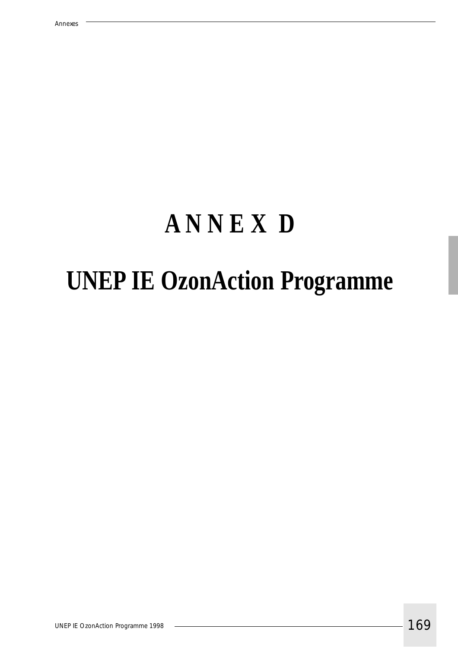## **A N N E X D**

## **UNEP IE OzonAction Programme**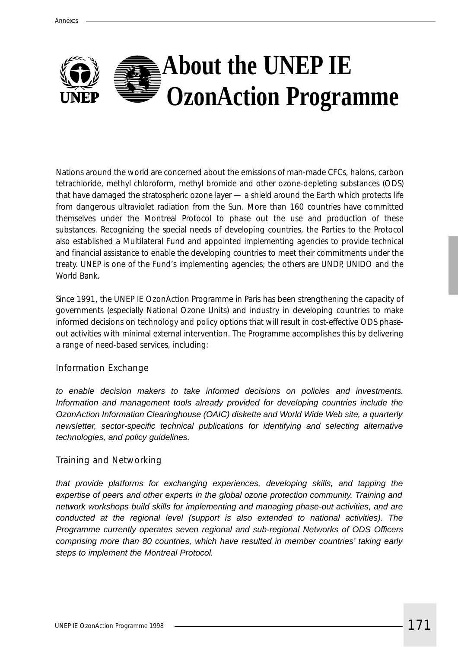## **About the UNEP IE OzonAction Programme** UNEP

*Nations around the world are concerned about the emissions of man-made CFCs, halons, carbon tetrachloride, methyl chloroform, methyl bromide and other ozone-depleting substances (ODS) that have damaged the stratospheric ozone layer — a shield around the Earth which protects life from dangerous ultraviolet radiation from the Sun. More than 160 countries have committed themselves under the Montreal Protocol to phase out the use and production of these substances. Recognizing the special needs of developing countries, the Parties to the Protocol also established a Multilateral Fund and appointed implementing agencies to provide technical and financial assistance to enable the developing countries to meet their commitments under the treaty. UNEP is one of the Fund's implementing agencies; the others are UNDP, UNIDO and the World Bank.*

*Since 1991, the UNEP IE OzonAction Programme in Paris has been strengthening the capacity of governments (especially National Ozone Units) and industry in developing countries to make informed decisions on technology and policy options that will result in cost-effective ODS phaseout activities with minimal external intervention. The Programme accomplishes this by delivering a range of need-based services, including:*

## *Information Exchange*

to enable decision makers to take informed decisions on policies and investments. Information and management tools already provided for developing countries include the OzonAction Information Clearinghouse (OAIC) diskette and World Wide Web site, a quarterly newsletter, sector-specific technical publications for identifying and selecting alternative technologies, and policy guidelines.

## *Training and Networking*

that provide platforms for exchanging experiences, developing skills, and tapping the expertise of peers and other experts in the global ozone protection community. Training and network workshops build skills for implementing and managing phase-out activities, and are conducted at the regional level (support is also extended to national activities). The Programme currently operates seven regional and sub-regional Networks of ODS Officers comprising more than 80 countries, which have resulted in member countries' taking early steps to implement the Montreal Protocol.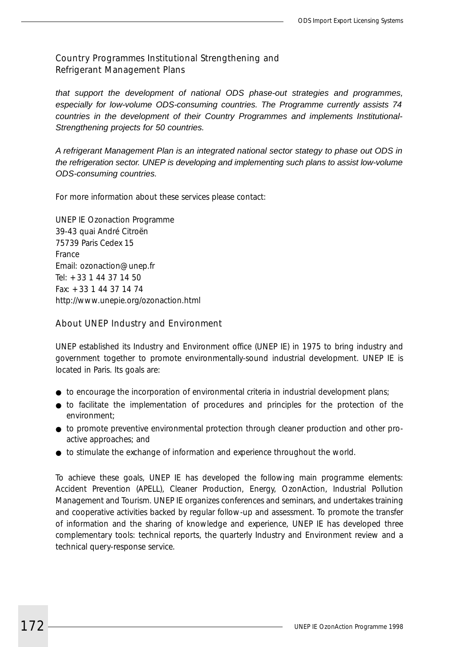## *Country Programmes Institutional Strengthening and Refrigerant Management Plans*

that support the development of national ODS phase-out strategies and programmes, especially for low-volume ODS-consuming countries. The Programme currently assists 74 countries in the development of their Country Programmes and implements Institutional-Strengthening projects for 50 countries.

A refrigerant Management Plan is an integrated national sector stategy to phase out ODS in the refrigeration sector. UNEP is developing and implementing such plans to assist low-volume ODS-consuming countries.

*For more information about these services please contact:*

*UNEP IE Ozonaction Programme 39-43 quai André Citroën 75739 Paris Cedex 15 France Email: ozonaction@unep.fr Tel: +33 1 44 37 14 50 Fax: +33 1 44 37 14 74 http://www.unepie.org/ozonaction.html*

## *About UNEP Industry and Environment*

*UNEP established its Industry and Environment office (UNEP IE) in 1975 to bring industry and government together to promote environmentally-sound industrial development. UNEP IE is located in Paris. Its goals are:*

- *to encourage the incorporation of environmental criteria in industrial development plans;*
- *to facilitate the implementation of procedures and principles for the protection of the environment;*
- *to promote preventive environmental protection through cleaner production and other proactive approaches; and*
- *to stimulate the exchange of information and experience throughout the world.*

*To achieve these goals, UNEP IE has developed the following main programme elements: Accident Prevention (APELL), Cleaner Production, Energy, OzonAction, Industrial Pollution Management and Tourism. UNEP IE organizes conferences and seminars, and undertakes training and cooperative activities backed by regular follow-up and assessment. To promote the transfer of information and the sharing of knowledge and experience, UNEP IE has developed three complementary tools: technical reports, the quarterly Industry and Environment review and a technical query-response service.*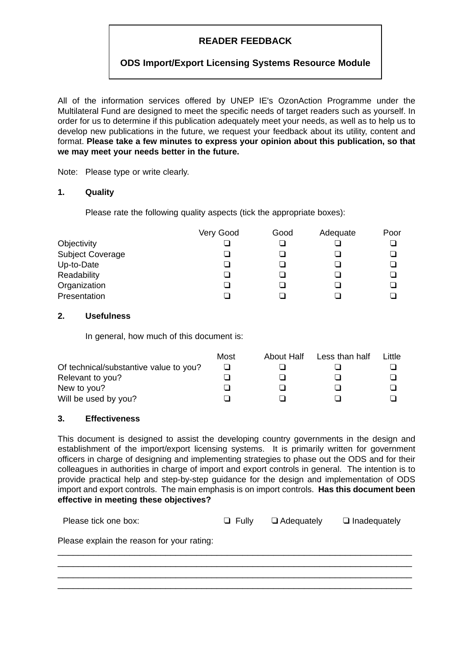## **READER FEEDBACK**

## **ODS Import/Export Licensing Systems Resource Module**

All of the information services offered by UNEP IE's OzonAction Programme under the Multilateral Fund are designed to meet the specific needs of target readers such as yourself. In order for us to determine if this publication adequately meet your needs, as well as to help us to develop new publications in the future, we request your feedback about its utility, content and format. **Please take a few minutes to express your opinion about this publication, so that we may meet your needs better in the future.**

Note: Please type or write clearly.

## **1. Quality**

Please rate the following quality aspects (tick the appropriate boxes):

|                  | Very Good | Good | Adequate | Poor |
|------------------|-----------|------|----------|------|
| Objectivity      |           |      |          |      |
| Subject Coverage |           |      |          |      |
| Up-to-Date       |           |      |          |      |
| Readability      |           |      |          |      |
| Organization     |           |      |          |      |
| Presentation     |           |      |          |      |

## **2. Usefulness**

In general, how much of this document is:

|                                        | Most | About Half | Less than half | Little |
|----------------------------------------|------|------------|----------------|--------|
| Of technical/substantive value to you? |      |            |                |        |
| Relevant to you?                       |      |            |                |        |
| New to you?                            |      |            |                |        |
| Will be used by you?                   |      |            |                |        |

#### **3. Effectiveness**

This document is designed to assist the developing country governments in the design and establishment of the import/export licensing systems. It is primarily written for government officers in charge of designing and implementing strategies to phase out the ODS and for their colleagues in authorities in charge of import and export controls in general. The intention is to provide practical help and step-by-step guidance for the design and implementation of ODS import and export controls. The main emphasis is on import controls. **Has this document been effective in meeting these objectives?**

| Please tick one box:                       | $\Box$ Fully | $\Box$ Adequately | $\Box$ Inadequately |
|--------------------------------------------|--------------|-------------------|---------------------|
| Please explain the reason for your rating: |              |                   |                     |
|                                            |              |                   |                     |
|                                            |              |                   |                     |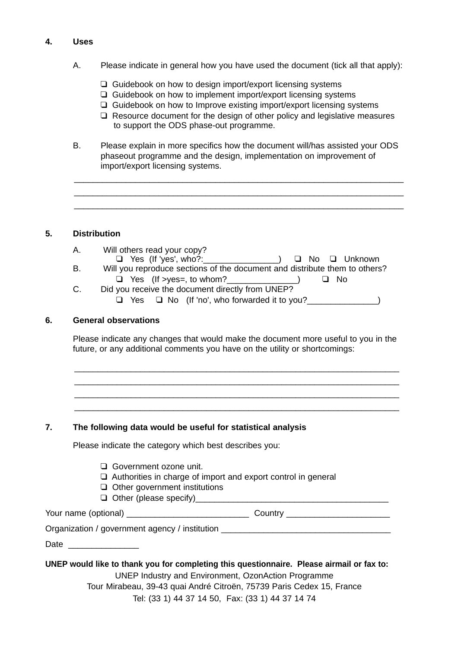## **4. Uses**

- A. Please indicate in general how you have used the document (tick all that apply):
	- ❑ Guidebook on how to design import/export licensing systems
	- ❑ Guidebook on how to implement import/export licensing systems
	- ❑ Guidebook on how to Improve existing import/export licensing systems
	- ❑ Resource document for the design of other policy and legislative measures to support the ODS phase-out programme.
- B. Please explain in more specifics how the document will/has assisted your ODS phaseout programme and the design, implementation on improvement of import/export licensing systems.

\_\_\_\_\_\_\_\_\_\_\_\_\_\_\_\_\_\_\_\_\_\_\_\_\_\_\_\_\_\_\_\_\_\_\_\_\_\_\_\_\_\_\_\_\_\_\_\_\_\_\_\_\_\_\_\_\_\_\_\_\_\_\_\_\_\_\_\_\_\_ \_\_\_\_\_\_\_\_\_\_\_\_\_\_\_\_\_\_\_\_\_\_\_\_\_\_\_\_\_\_\_\_\_\_\_\_\_\_\_\_\_\_\_\_\_\_\_\_\_\_\_\_\_\_\_\_\_\_\_\_\_\_\_\_\_\_\_\_\_\_ \_\_\_\_\_\_\_\_\_\_\_\_\_\_\_\_\_\_\_\_\_\_\_\_\_\_\_\_\_\_\_\_\_\_\_\_\_\_\_\_\_\_\_\_\_\_\_\_\_\_\_\_\_\_\_\_\_\_\_\_\_\_\_\_\_\_\_\_\_\_

## **5. Distribution**

- A. Will others read your copy?<br> $\Box$  Yes (If 'yes', who?: d No <del>Q</del> Unknown B. Will you reproduce sections of the document and distribute them to others? ❑ Yes (If >yes=, to whom?\_\_\_\_\_\_\_\_\_\_\_\_\_\_\_) ❑ No C. Did you receive the document directly from UNEP?
	- $\Box$  Yes  $\Box$  No (If 'no', who forwarded it to you?

## **6. General observations**

Please indicate any changes that would make the document more useful to you in the future, or any additional comments you have on the utility or shortcomings:

\_\_\_\_\_\_\_\_\_\_\_\_\_\_\_\_\_\_\_\_\_\_\_\_\_\_\_\_\_\_\_\_\_\_\_\_\_\_\_\_\_\_\_\_\_\_\_\_\_\_\_\_\_\_\_\_\_\_\_\_\_\_\_\_\_\_\_\_\_ \_\_\_\_\_\_\_\_\_\_\_\_\_\_\_\_\_\_\_\_\_\_\_\_\_\_\_\_\_\_\_\_\_\_\_\_\_\_\_\_\_\_\_\_\_\_\_\_\_\_\_\_\_\_\_\_\_\_\_\_\_\_\_\_\_\_\_\_\_ \_\_\_\_\_\_\_\_\_\_\_\_\_\_\_\_\_\_\_\_\_\_\_\_\_\_\_\_\_\_\_\_\_\_\_\_\_\_\_\_\_\_\_\_\_\_\_\_\_\_\_\_\_\_\_\_\_\_\_\_\_\_\_\_\_\_\_\_\_ \_\_\_\_\_\_\_\_\_\_\_\_\_\_\_\_\_\_\_\_\_\_\_\_\_\_\_\_\_\_\_\_\_\_\_\_\_\_\_\_\_\_\_\_\_\_\_\_\_\_\_\_\_\_\_\_\_\_\_\_\_\_\_\_\_\_\_\_\_

## **7. The following data would be useful for statistical analysis**

Please indicate the category which best describes you:

|  | $\Box$ Government ozone unit. |  |  |
|--|-------------------------------|--|--|
|--|-------------------------------|--|--|

- ❑ Authorities in charge of import and export control in general
- ❑ Other government institutions
- ❑ Other (please specify)\_\_\_\_\_\_\_\_\_\_\_\_\_\_\_\_\_\_\_\_\_\_\_\_\_\_\_\_\_\_\_\_\_\_\_\_\_\_\_\_\_

Your name (optional) \_\_\_\_\_\_\_\_\_\_\_\_\_\_\_\_\_\_\_\_\_\_\_\_\_\_ Country \_\_\_\_\_\_\_\_\_\_\_\_\_\_\_\_\_\_\_\_\_\_

Organization / government agency / institution \_\_\_\_\_\_\_\_\_\_\_\_\_\_\_\_\_\_\_\_\_\_\_\_\_\_\_\_\_\_\_\_\_

Date \_\_\_\_\_\_\_\_\_\_\_\_\_\_\_

**UNEP would like to thank you for completing this questionnaire. Please airmail or fax to:** UNEP Industry and Environment, OzonAction Programme Tour Mirabeau, 39-43 quai André Citroën, 75739 Paris Cedex 15, France Tel: (33 1) 44 37 14 50, Fax: (33 1) 44 37 14 74